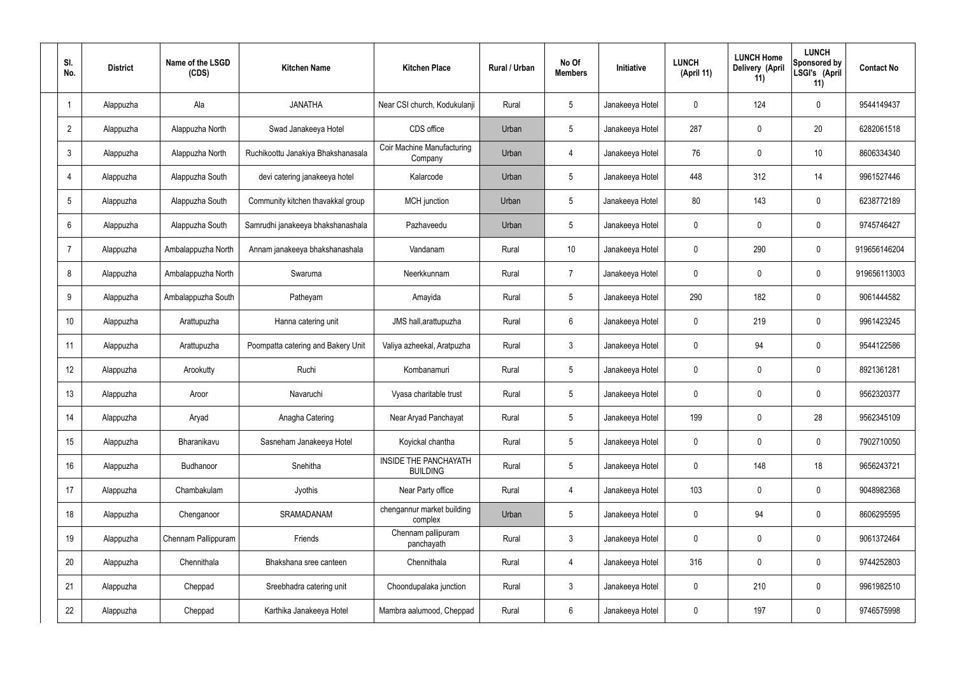| SI.<br>No.      | <b>District</b> | Name of the LSGD<br>(CDS) | <b>Kitchen Name</b>                | <b>Kitchen Place</b>                            | Rural / Urban | No Of<br><b>Members</b> | <b>Initiative</b> | <b>LUNCH</b><br>(April 11) | <b>LUNCH Home</b><br>Delivery (April<br>11) | <b>LUNCH</b><br>Sponsored by<br>LSGI's (April<br>11) | <b>Contact No</b> |
|-----------------|-----------------|---------------------------|------------------------------------|-------------------------------------------------|---------------|-------------------------|-------------------|----------------------------|---------------------------------------------|------------------------------------------------------|-------------------|
|                 | Alappuzha       | Ala                       | <b>JANATHA</b>                     | Near CSI church, Kodukulanji                    | Rural         | $5\phantom{.0}$         | Janakeeya Hotel   | $\mathbf 0$                | 124                                         | $\mathbf 0$                                          | 9544149437        |
| $\overline{2}$  | Alappuzha       | Alappuzha North           | Swad Janakeeya Hotel               | CDS office                                      | Urban         | $5\phantom{.0}$         | Janakeeya Hotel   | 287                        | $\mathbf 0$                                 | 20                                                   | 6282061518        |
| $\mathbf{3}$    | Alappuzha       | Alappuzha North           | Ruchikoottu Janakiya Bhakshanasala | Coir Machine Manufacturing<br>Company           | Urban         | $\overline{4}$          | Janakeeya Hotel   | 76                         | 0                                           | 10                                                   | 8606334340        |
| $\overline{4}$  | Alappuzha       | Alappuzha South           | devi catering janakeeya hotel      | Kalarcode                                       | Urban         | $5\phantom{.0}$         | Janakeeya Hotel   | 448                        | 312                                         | 14                                                   | 9961527446        |
| $5\overline{)}$ | Alappuzha       | Alappuzha South           | Community kitchen thavakkal group  | MCH junction                                    | Urban         | $5\phantom{.0}$         | Janakeeya Hotel   | 80                         | 143                                         | $\mathbf 0$                                          | 6238772189        |
| 6               | Alappuzha       | Alappuzha South           | Samrudhi janakeeya bhakshanashala  | Pazhaveedu                                      | Urban         | $5\phantom{.0}$         | Janakeeya Hotel   | $\mathbf 0$                | $\mathbf 0$                                 | $\mathbf 0$                                          | 9745746427        |
| $\overline{7}$  | Alappuzha       | Ambalappuzha North        | Annam janakeeya bhakshanashala     | Vandanam                                        | Rural         | 10 <sup>°</sup>         | Janakeeya Hotel   | $\mathbf 0$                | 290                                         | $\mathbf 0$                                          | 919656146204      |
| 8               | Alappuzha       | Ambalappuzha North        | Swaruma                            | Neerkkunnam                                     | Rural         | $\overline{7}$          | Janakeeya Hotel   | $\mathbf 0$                | $\mathbf 0$                                 | $\mathbf 0$                                          | 919656113003      |
| 9               | Alappuzha       | Ambalappuzha South        | Patheyam                           | Amayida                                         | Rural         | $5\phantom{.0}$         | Janakeeya Hotel   | 290                        | 182                                         | $\mathbf 0$                                          | 9061444582        |
| 10              | Alappuzha       | Arattupuzha               | Hanna catering unit                | JMS hall, arattupuzha                           | Rural         | $6\phantom{.}6$         | Janakeeya Hotel   | $\mathbf 0$                | 219                                         | $\mathbf 0$                                          | 9961423245        |
| 11              | Alappuzha       | Arattupuzha               | Poompatta catering and Bakery Unit | Valiya azheekal, Aratpuzha                      | Rural         | $\mathbf{3}$            | Janakeeya Hotel   | $\mathbf 0$                | 94                                          | $\mathbf 0$                                          | 9544122586        |
| 12              | Alappuzha       | Arookutty                 | Ruchi                              | Kombanamuri                                     | Rural         | $5\phantom{.0}$         | Janakeeya Hotel   | $\mathbf 0$                | $\mathbf 0$                                 | $\mathbf 0$                                          | 8921361281        |
| 13              | Alappuzha       | Aroor                     | Navaruchi                          | Vyasa charitable trust                          | Rural         | $5\phantom{.0}$         | Janakeeya Hotel   | $\mathbf 0$                | 0                                           | 0                                                    | 9562320377        |
| 14              | Alappuzha       | Aryad                     | Anagha Catering                    | Near Aryad Panchayat                            | Rural         | $5\phantom{.0}$         | Janakeeya Hotel   | 199                        | $\mathbf 0$                                 | 28                                                   | 9562345109        |
| 15              | Alappuzha       | Bharanikavu               | Sasneham Janakeeya Hotel           | Koyickal chantha                                | Rural         | $5\phantom{.0}$         | Janakeeya Hotel   | $\mathbf 0$                | $\mathbf 0$                                 | $\mathbf 0$                                          | 7902710050        |
| 16              | Alappuzha       | Budhanoor                 | Snehitha                           | <b>INSIDE THE PANCHAYATH</b><br><b>BUILDING</b> | Rural         | $5\phantom{.0}$         | Janakeeya Hotel   | $\mathbf 0$                | 148                                         | 18                                                   | 9656243721        |
| 17              | Alappuzha       | Chambakulam               | Jyothis                            | Near Party office                               | Rural         | $\overline{4}$          | Janakeeya Hotel   | 103                        | $\mathbf 0$                                 | $\mathbf 0$                                          | 9048982368        |
| 18              | Alappuzha       | Chenganoor                | SRAMADANAM                         | chengannur market building<br>complex           | Urban         | $5\phantom{.0}$         | Janakeeya Hotel   | $\mathbf 0$                | 94                                          | $\mathbf 0$                                          | 8606295595        |
| 19              | Alappuzha       | Chennam Pallippuram       | Friends                            | Chennam pallipuram<br>panchayath                | Rural         | $\mathbf{3}$            | Janakeeya Hotel   | $\mathbf 0$                | 0                                           | $\mathbf 0$                                          | 9061372464        |
| 20              | Alappuzha       | Chennithala               | Bhakshana sree canteen             | Chennithala                                     | Rural         | $\overline{4}$          | Janakeeya Hotel   | 316                        | 0                                           | $\mathbf 0$                                          | 9744252803        |
| 21              | Alappuzha       | Cheppad                   | Sreebhadra catering unit           | Choondupalaka junction                          | Rural         | $\mathbf{3}$            | Janakeeya Hotel   | $\mathbf 0$                | 210                                         | $\mathbf 0$                                          | 9961982510        |
| 22              | Alappuzha       | Cheppad                   | Karthika Janakeeya Hotel           | Mambra aalumood, Cheppad                        | Rural         | $6\overline{6}$         | Janakeeya Hotel   | 0                          | 197                                         | $\mathbf 0$                                          | 9746575998        |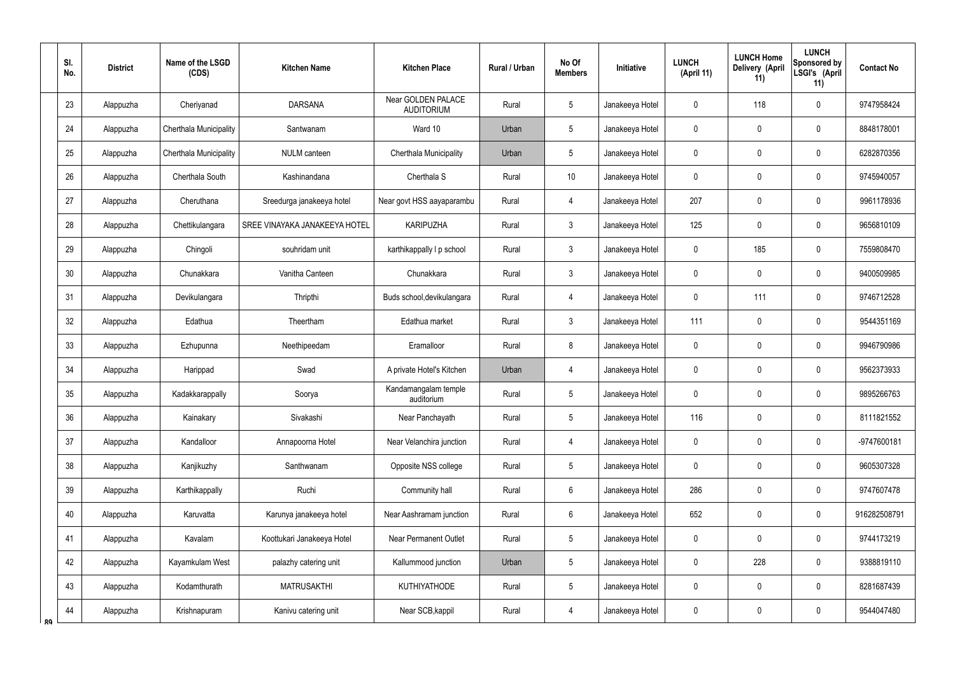|    | SI.<br>No.      | <b>District</b> | Name of the LSGD<br>(CDS) | <b>Kitchen Name</b>           | <b>Kitchen Place</b>                    | Rural / Urban | No Of<br><b>Members</b> | Initiative      | <b>LUNCH</b><br>(April 11) | <b>LUNCH Home</b><br><b>Delivery (April</b><br>11) | <b>LUNCH</b><br>Sponsored by<br>LSGI's (April<br>11) | <b>Contact No</b> |
|----|-----------------|-----------------|---------------------------|-------------------------------|-----------------------------------------|---------------|-------------------------|-----------------|----------------------------|----------------------------------------------------|------------------------------------------------------|-------------------|
|    | 23              | Alappuzha       | Cheriyanad                | <b>DARSANA</b>                | Near GOLDEN PALACE<br><b>AUDITORIUM</b> | Rural         | 5                       | Janakeeya Hotel | 0                          | 118                                                | $\boldsymbol{0}$                                     | 9747958424        |
|    | 24              | Alappuzha       | Cherthala Municipality    | Santwanam                     | Ward 10                                 | Urban         | 5                       | Janakeeya Hotel | 0                          | $\mathbf 0$                                        | $\boldsymbol{0}$                                     | 8848178001        |
|    | 25              | Alappuzha       | Cherthala Municipality    | <b>NULM</b> canteen           | Cherthala Municipality                  | Urban         | 5                       | Janakeeya Hotel | 0                          | $\mathbf 0$                                        | $\mathbf 0$                                          | 6282870356        |
|    | 26              | Alappuzha       | Cherthala South           | Kashinandana                  | Cherthala S                             | Rural         | 10                      | Janakeeya Hotel | 0                          | $\mathbf 0$                                        | $\boldsymbol{0}$                                     | 9745940057        |
|    | 27              | Alappuzha       | Cheruthana                | Sreedurga janakeeya hotel     | Near govt HSS aayaparambu               | Rural         | 4                       | Janakeeya Hotel | 207                        | 0                                                  | $\boldsymbol{0}$                                     | 9961178936        |
|    | 28              | Alappuzha       | Chettikulangara           | SREE VINAYAKA JANAKEEYA HOTEL | <b>KARIPUZHA</b>                        | Rural         | $\mathfrak{Z}$          | Janakeeya Hotel | 125                        | 0                                                  | $\boldsymbol{0}$                                     | 9656810109        |
|    | 29              | Alappuzha       | Chingoli                  | souhridam unit                | karthikappally I p school               | Rural         | $\mathfrak{Z}$          | Janakeeya Hotel | 0                          | 185                                                | $\boldsymbol{0}$                                     | 7559808470        |
|    | 30 <sup>°</sup> | Alappuzha       | Chunakkara                | Vanitha Canteen               | Chunakkara                              | Rural         | $\mathfrak{Z}$          | Janakeeya Hotel | 0                          | 0                                                  | $\boldsymbol{0}$                                     | 9400509985        |
|    | 31              | Alappuzha       | Devikulangara             | Thripthi                      | Buds school, devikulangara              | Rural         | 4                       | Janakeeya Hotel | 0                          | 111                                                | $\mathbf 0$                                          | 9746712528        |
|    | 32              | Alappuzha       | Edathua                   | Theertham                     | Edathua market                          | Rural         | $\mathfrak{Z}$          | Janakeeya Hotel | 111                        | 0                                                  | $\boldsymbol{0}$                                     | 9544351169        |
|    | 33              | Alappuzha       | Ezhupunna                 | Neethipeedam                  | Eramalloor                              | Rural         | 8                       | Janakeeya Hotel | 0                          | $\boldsymbol{0}$                                   | $\pmb{0}$                                            | 9946790986        |
|    | 34              | Alappuzha       | Harippad                  | Swad                          | A private Hotel's Kitchen               | Urban         | $\overline{4}$          | Janakeeya Hotel | 0                          | 0                                                  | $\boldsymbol{0}$                                     | 9562373933        |
|    | 35              | Alappuzha       | Kadakkarappally           | Soorya                        | Kandamangalam temple<br>auditorium      | Rural         | 5                       | Janakeeya Hotel | 0                          | $\mathbf 0$                                        | $\mathbf 0$                                          | 9895266763        |
|    | 36              | Alappuzha       | Kainakary                 | Sivakashi                     | Near Panchayath                         | Rural         | 5                       | Janakeeya Hotel | 116                        | $\pmb{0}$                                          | $\pmb{0}$                                            | 8111821552        |
|    | 37              | Alappuzha       | Kandalloor                | Annapoorna Hotel              | Near Velanchira junction                | Rural         | $\overline{4}$          | Janakeeya Hotel | $\mathbf 0$                | $\mathbf 0$                                        | $\pmb{0}$                                            | -9747600181       |
|    | 38              | Alappuzha       | Kanjikuzhy                | Santhwanam                    | Opposite NSS college                    | Rural         | 5                       | Janakeeya Hotel | 0                          | $\pmb{0}$                                          | $\pmb{0}$                                            | 9605307328        |
|    | 39              | Alappuzha       | Karthikappally            | Ruchi                         | Community hall                          | Rural         | $6\phantom{.0}$         | Janakeeya Hotel | 286                        | $\pmb{0}$                                          | $\pmb{0}$                                            | 9747607478        |
|    | 40              | Alappuzha       | Karuvatta                 | Karunya janakeeya hotel       | Near Aashramam junction                 | Rural         | $6\phantom{.0}$         | Janakeeya Hotel | 652                        | $\pmb{0}$                                          | $\pmb{0}$                                            | 916282508791      |
|    | 41              | Alappuzha       | Kavalam                   | Koottukari Janakeeya Hotel    | <b>Near Permanent Outlet</b>            | Rural         | 5                       | Janakeeya Hotel | 0                          | $\overline{0}$                                     | $\pmb{0}$                                            | 9744173219        |
|    | 42              | Alappuzha       | Kayamkulam West           | palazhy catering unit         | Kallummood junction                     | Urban         | 5                       | Janakeeya Hotel | 0                          | 228                                                | $\pmb{0}$                                            | 9388819110        |
|    | 43              | Alappuzha       | Kodamthurath              | <b>MATRUSAKTHI</b>            | <b>KUTHIYATHODE</b>                     | Rural         | $5\,$                   | Janakeeya Hotel | 0                          | $\pmb{0}$                                          | $\pmb{0}$                                            | 8281687439        |
| ՋQ | 44              | Alappuzha       | Krishnapuram              | Kanivu catering unit          | Near SCB, kappil                        | Rural         | $\overline{4}$          | Janakeeya Hotel | 0                          | $\pmb{0}$                                          | $\pmb{0}$                                            | 9544047480        |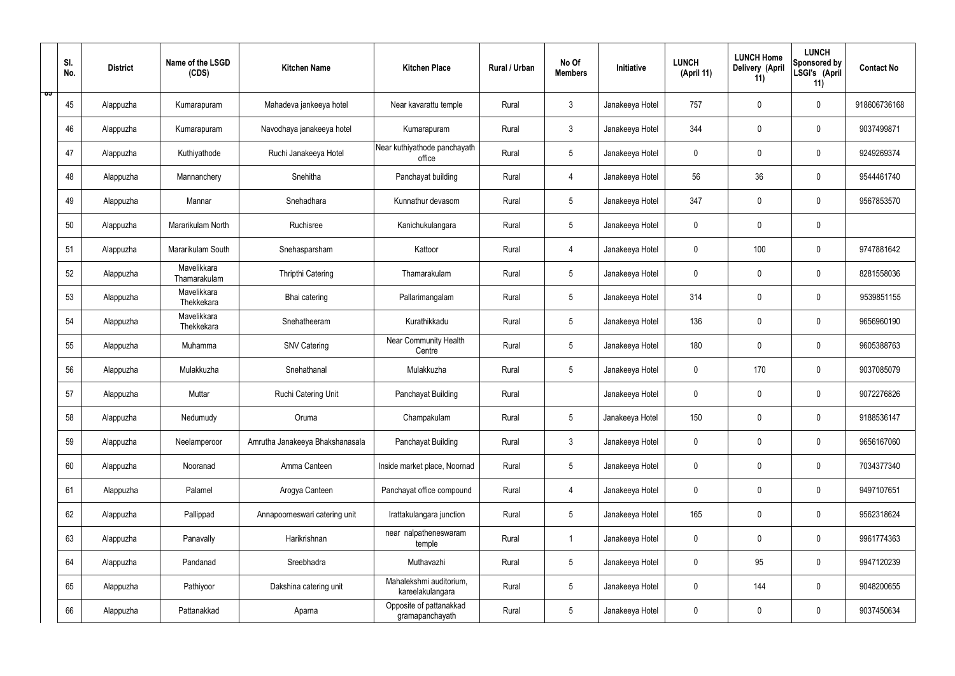|   | SI.<br>No. | <b>District</b> | Name of the LSGD<br>(CDS)   | <b>Kitchen Name</b>             | <b>Kitchen Place</b>                        | Rural / Urban | No Of<br><b>Members</b> | Initiative      | <b>LUNCH</b><br>(April 11) | <b>LUNCH Home</b><br>Delivery (April<br>11) | <b>LUNCH</b><br>Sponsored by<br>LSGI's (April<br>11) | <b>Contact No</b> |
|---|------------|-----------------|-----------------------------|---------------------------------|---------------------------------------------|---------------|-------------------------|-----------------|----------------------------|---------------------------------------------|------------------------------------------------------|-------------------|
| ಾ | 45         | Alappuzha       | Kumarapuram                 | Mahadeva jankeeya hotel         | Near kavarattu temple                       | Rural         | $\mathbf{3}$            | Janakeeya Hotel | 757                        | $\mathbf 0$                                 | $\mathbf 0$                                          | 918606736168      |
|   | 46         | Alappuzha       | Kumarapuram                 | Navodhaya janakeeya hotel       | Kumarapuram                                 | Rural         | $\mathbf{3}$            | Janakeeya Hotel | 344                        | $\mathbf 0$                                 | $\mathbf 0$                                          | 9037499871        |
|   | 47         | Alappuzha       | Kuthiyathode                | Ruchi Janakeeya Hotel           | Near kuthiyathode panchayath<br>office      | Rural         | $5\overline{)}$         | Janakeeya Hotel | $\mathbf 0$                | $\mathbf 0$                                 | $\mathbf 0$                                          | 9249269374        |
|   | 48         | Alappuzha       | Mannanchery                 | Snehitha                        | Panchayat building                          | Rural         | 4                       | Janakeeya Hotel | 56                         | 36                                          | $\mathbf 0$                                          | 9544461740        |
|   | 49         | Alappuzha       | Mannar                      | Snehadhara                      | Kunnathur devasom                           | Rural         | $5\phantom{.0}$         | Janakeeya Hotel | 347                        | $\mathbf 0$                                 | $\mathbf 0$                                          | 9567853570        |
|   | 50         | Alappuzha       | Mararikulam North           | Ruchisree                       | Kanichukulangara                            | Rural         | $5\phantom{.0}$         | Janakeeya Hotel | $\mathbf 0$                | $\mathbf 0$                                 | $\mathbf 0$                                          |                   |
|   | 51         | Alappuzha       | Mararikulam South           | Snehasparsham                   | Kattoor                                     | Rural         | $\overline{4}$          | Janakeeya Hotel | $\mathbf 0$                | 100                                         | $\mathbf 0$                                          | 9747881642        |
|   | 52         | Alappuzha       | Mavelikkara<br>Thamarakulam | Thripthi Catering               | Thamarakulam                                | Rural         | $5\phantom{.0}$         | Janakeeya Hotel | $\mathbf 0$                | $\mathbf 0$                                 | $\mathbf 0$                                          | 8281558036        |
|   | 53         | Alappuzha       | Mavelikkara<br>Thekkekara   | Bhai catering                   | Pallarimangalam                             | Rural         | $5\phantom{.0}$         | Janakeeya Hotel | 314                        | $\mathbf 0$                                 | $\mathbf 0$                                          | 9539851155        |
|   | 54         | Alappuzha       | Mavelikkara<br>Thekkekara   | Snehatheeram                    | Kurathikkadu                                | Rural         | $5\phantom{.0}$         | Janakeeya Hotel | 136                        | $\mathbf 0$                                 | $\mathbf 0$                                          | 9656960190        |
|   | 55         | Alappuzha       | Muhamma                     | <b>SNV Catering</b>             | Near Community Health<br>Centre             | Rural         | $5\phantom{.0}$         | Janakeeya Hotel | 180                        | $\mathbf 0$                                 | $\mathbf 0$                                          | 9605388763        |
|   | 56         | Alappuzha       | Mulakkuzha                  | Snehathanal                     | Mulakkuzha                                  | Rural         | $5\phantom{.0}$         | Janakeeya Hotel | $\mathbf 0$                | 170                                         | $\mathbf 0$                                          | 9037085079        |
|   | 57         | Alappuzha       | Muttar                      | Ruchi Catering Unit             | Panchayat Building                          | Rural         |                         | Janakeeya Hotel | $\mathbf 0$                | 0                                           | $\mathbf 0$                                          | 9072276826        |
|   | 58         | Alappuzha       | Nedumudy                    | Oruma                           | Champakulam                                 | Rural         | $5\phantom{.0}$         | Janakeeya Hotel | 150                        | $\mathbf 0$                                 | $\mathbf 0$                                          | 9188536147        |
|   | 59         | Alappuzha       | Neelamperoor                | Amrutha Janakeeya Bhakshanasala | Panchayat Building                          | Rural         | $\mathbf{3}$            | Janakeeya Hotel | $\mathbf 0$                | $\mathbf 0$                                 | $\mathbf 0$                                          | 9656167060        |
|   | 60         | Alappuzha       | Nooranad                    | Amma Canteen                    | Inside market place, Noornad                | Rural         | $5\overline{)}$         | Janakeeya Hotel | $\pmb{0}$                  | $\pmb{0}$                                   | $\mathbf 0$                                          | 7034377340        |
|   | 61         | Alappuzha       | Palamel                     | Arogya Canteen                  | Panchayat office compound                   | Rural         | $\overline{4}$          | Janakeeya Hotel | $\pmb{0}$                  | $\pmb{0}$                                   | $\mathbf 0$                                          | 9497107651        |
|   | 62         | Alappuzha       | Pallippad                   | Annapoorneswari catering unit   | Irattakulangara junction                    | Rural         | $5\phantom{.0}$         | Janakeeya Hotel | 165                        | $\pmb{0}$                                   | $\mathbf 0$                                          | 9562318624        |
|   | 63         | Alappuzha       | Panavally                   | Harikrishnan                    | near nalpatheneswaram<br>temple             | Rural         | $\mathbf{1}$            | Janakeeya Hotel | $\pmb{0}$                  | $\pmb{0}$                                   | $\mathbf 0$                                          | 9961774363        |
|   | 64         | Alappuzha       | Pandanad                    | Sreebhadra                      | Muthavazhi                                  | Rural         | $5\phantom{.0}$         | Janakeeya Hotel | $\pmb{0}$                  | 95                                          | $\mathbf 0$                                          | 9947120239        |
|   | 65         | Alappuzha       | Pathiyoor                   | Dakshina catering unit          | Mahalekshmi auditorium,<br>kareelakulangara | Rural         | $5\phantom{.0}$         | Janakeeya Hotel | $\pmb{0}$                  | 144                                         | $\mathbf 0$                                          | 9048200655        |
|   | 66         | Alappuzha       | Pattanakkad                 | Aparna                          | Opposite of pattanakkad<br>gramapanchayath  | Rural         | $5\phantom{.0}$         | Janakeeya Hotel | 0                          | $\pmb{0}$                                   | $\boldsymbol{0}$                                     | 9037450634        |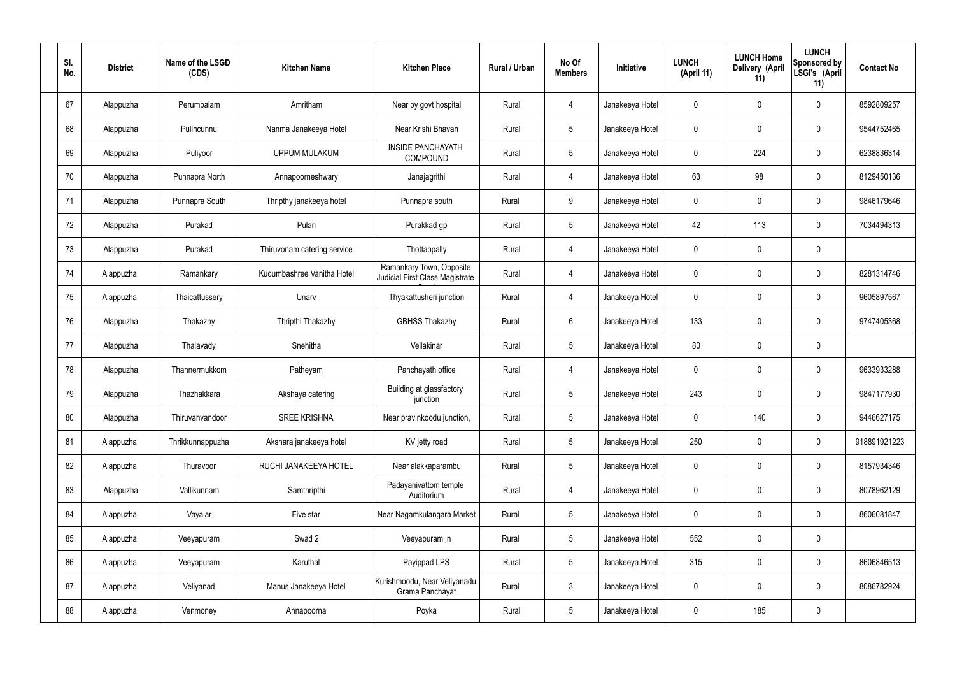| SI.<br>No. | <b>District</b> | Name of the LSGD<br>(CDS) | <b>Kitchen Name</b>         | <b>Kitchen Place</b>                                        | Rural / Urban | No Of<br><b>Members</b> | Initiative      | <b>LUNCH</b><br>(April 11) | <b>LUNCH Home</b><br>Delivery (April<br>11) | <b>LUNCH</b><br>Sponsored by<br>LSGI's (April<br>11) | <b>Contact No</b> |
|------------|-----------------|---------------------------|-----------------------------|-------------------------------------------------------------|---------------|-------------------------|-----------------|----------------------------|---------------------------------------------|------------------------------------------------------|-------------------|
| 67         | Alappuzha       | Perumbalam                | Amritham                    | Near by govt hospital                                       | Rural         | $\overline{4}$          | Janakeeya Hotel | $\mathbf 0$                | $\mathbf 0$                                 | $\mathbf 0$                                          | 8592809257        |
| 68         | Alappuzha       | Pulincunnu                | Nanma Janakeeya Hotel       | Near Krishi Bhavan                                          | Rural         | $5\phantom{.0}$         | Janakeeya Hotel | $\mathbf 0$                | $\mathbf 0$                                 | $\pmb{0}$                                            | 9544752465        |
| 69         | Alappuzha       | Puliyoor                  | <b>UPPUM MULAKUM</b>        | <b>INSIDE PANCHAYATH</b><br><b>COMPOUND</b>                 | Rural         | $5\phantom{.0}$         | Janakeeya Hotel | $\mathbf 0$                | 224                                         | $\mathbf 0$                                          | 6238836314        |
| 70         | Alappuzha       | Punnapra North            | Annapoorneshwary            | Janajagrithi                                                | Rural         | 4                       | Janakeeya Hotel | 63                         | 98                                          | $\pmb{0}$                                            | 8129450136        |
| 71         | Alappuzha       | Punnapra South            | Thripthy janakeeya hotel    | Punnapra south                                              | Rural         | 9                       | Janakeeya Hotel | $\mathbf 0$                | $\mathbf 0$                                 | $\mathbf 0$                                          | 9846179646        |
| 72         | Alappuzha       | Purakad                   | Pulari                      | Purakkad gp                                                 | Rural         | $5\phantom{.0}$         | Janakeeya Hotel | 42                         | 113                                         | $\pmb{0}$                                            | 7034494313        |
| 73         | Alappuzha       | Purakad                   | Thiruvonam catering service | Thottappally                                                | Rural         | $\overline{4}$          | Janakeeya Hotel | $\mathbf 0$                | $\mathbf 0$                                 | $\mathbf 0$                                          |                   |
| 74         | Alappuzha       | Ramankary                 | Kudumbashree Vanitha Hotel  | Ramankary Town, Opposite<br>Judicial First Class Magistrate | Rural         | $\overline{4}$          | Janakeeya Hotel | $\mathbf 0$                | $\mathbf 0$                                 | $\pmb{0}$                                            | 8281314746        |
| 75         | Alappuzha       | Thaicattussery            | Unarv                       | Thyakattusheri junction                                     | Rural         | 4                       | Janakeeya Hotel | $\mathbf 0$                | $\mathbf 0$                                 | $\mathbf 0$                                          | 9605897567        |
| 76         | Alappuzha       | Thakazhy                  | Thripthi Thakazhy           | <b>GBHSS Thakazhy</b>                                       | Rural         | $6\overline{6}$         | Janakeeya Hotel | 133                        | $\mathbf 0$                                 | $\pmb{0}$                                            | 9747405368        |
| 77         | Alappuzha       | Thalavady                 | Snehitha                    | Vellakinar                                                  | Rural         | $5\phantom{.0}$         | Janakeeya Hotel | 80                         | $\pmb{0}$                                   | $\pmb{0}$                                            |                   |
| 78         | Alappuzha       | Thannermukkom             | Patheyam                    | Panchayath office                                           | Rural         | 4                       | Janakeeya Hotel | $\mathbf 0$                | $\mathbf 0$                                 | $\pmb{0}$                                            | 9633933288        |
| 79         | Alappuzha       | Thazhakkara               | Akshaya catering            | Building at glassfactory<br>junction                        | Rural         | 5                       | Janakeeya Hotel | 243                        | $\mathbf 0$                                 | $\mathbf 0$                                          | 9847177930        |
| 80         | Alappuzha       | Thiruvanvandoor           | <b>SREE KRISHNA</b>         | Near pravinkoodu junction,                                  | Rural         | $5\phantom{.0}$         | Janakeeya Hotel | $\mathbf 0$                | 140                                         | $\pmb{0}$                                            | 9446627175        |
| 81         | Alappuzha       | Thrikkunnappuzha          | Akshara janakeeya hotel     | KV jetty road                                               | Rural         | $5\overline{)}$         | Janakeeya Hotel | 250                        | $\pmb{0}$                                   | $\mathbf 0$                                          | 918891921223      |
| 82         | Alappuzha       | Thuravoor                 | RUCHI JANAKEEYA HOTEL       | Near alakkaparambu                                          | Rural         | $5\overline{)}$         | Janakeeya Hotel | $\mathbf 0$                | $\pmb{0}$                                   | $\pmb{0}$                                            | 8157934346        |
| 83         | Alappuzha       | Vallikunnam               | Samthripthi                 | Padayanivattom temple<br>Auditorium                         | Rural         | $\overline{4}$          | Janakeeya Hotel | $\mathbf 0$                | $\pmb{0}$                                   | $\mathbf 0$                                          | 8078962129        |
| 84         | Alappuzha       | Vayalar                   | Five star                   | Near Nagamkulangara Market                                  | Rural         | $5\overline{)}$         | Janakeeya Hotel | $\pmb{0}$                  | $\pmb{0}$                                   | $\pmb{0}$                                            | 8606081847        |
| 85         | Alappuzha       | Veeyapuram                | Swad 2                      | Veeyapuram jn                                               | Rural         | $5\overline{)}$         | Janakeeya Hotel | 552                        | $\pmb{0}$                                   | $\pmb{0}$                                            |                   |
| 86         | Alappuzha       | Veeyapuram                | Karuthal                    | Payippad LPS                                                | Rural         | 5 <sub>5</sub>          | Janakeeya Hotel | 315                        | $\pmb{0}$                                   | $\pmb{0}$                                            | 8606846513        |
| 87         | Alappuzha       | Veliyanad                 | Manus Janakeeya Hotel       | Kurishmoodu, Near Veliyanadu<br>Grama Panchayat             | Rural         | $\mathbf{3}$            | Janakeeya Hotel | $\pmb{0}$                  | $\pmb{0}$                                   | $\mathbf 0$                                          | 8086782924        |
| 88         | Alappuzha       | Venmoney                  | Annapoorna                  | Poyka                                                       | Rural         | $5\phantom{.0}$         | Janakeeya Hotel | $\pmb{0}$                  | 185                                         | $\pmb{0}$                                            |                   |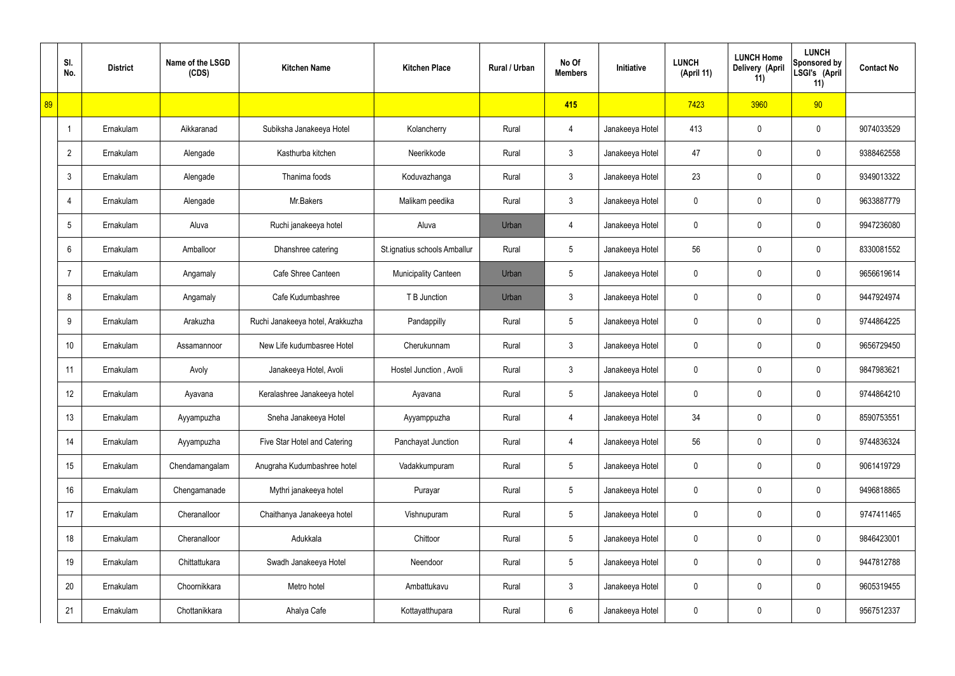|    | SI.<br>No.      | <b>District</b> | Name of the LSGD<br>(CDS) | <b>Kitchen Name</b>              | <b>Kitchen Place</b>         | Rural / Urban | No Of<br><b>Members</b> | Initiative      | <b>LUNCH</b><br>(April 11) | <b>LUNCH Home</b><br>Delivery (April<br>11) | <b>LUNCH</b><br>Sponsored by<br>LSGI's (April<br>11) | <b>Contact No</b> |
|----|-----------------|-----------------|---------------------------|----------------------------------|------------------------------|---------------|-------------------------|-----------------|----------------------------|---------------------------------------------|------------------------------------------------------|-------------------|
| 89 |                 |                 |                           |                                  |                              |               | 415                     |                 | 7423                       | 3960                                        | 90                                                   |                   |
|    | $\overline{1}$  | Ernakulam       | Aikkaranad                | Subiksha Janakeeya Hotel         | Kolancherry                  | Rural         | 4                       | Janakeeya Hotel | 413                        | 0                                           | $\mathbf 0$                                          | 9074033529        |
|    | $\overline{2}$  | Ernakulam       | Alengade                  | Kasthurba kitchen                | Neerikkode                   | Rural         | 3                       | Janakeeya Hotel | 47                         | 0                                           | $\mathbf 0$                                          | 9388462558        |
|    | 3               | Ernakulam       | Alengade                  | Thanima foods                    | Koduvazhanga                 | Rural         | 3                       | Janakeeya Hotel | 23                         | 0                                           | $\mathbf 0$                                          | 9349013322        |
|    | $\overline{4}$  | Ernakulam       | Alengade                  | Mr.Bakers                        | Malikam peedika              | Rural         | 3                       | Janakeeya Hotel | 0                          | 0                                           | $\mathbf 0$                                          | 9633887779        |
|    | 5               | Ernakulam       | Aluva                     | Ruchi janakeeya hotel            | Aluva                        | Urban         | 4                       | Janakeeya Hotel | 0                          | 0                                           | $\mathbf 0$                                          | 9947236080        |
|    | 6               | Ernakulam       | Amballoor                 | Dhanshree catering               | St.ignatius schools Amballur | Rural         | $\overline{5}$          | Janakeeya Hotel | 56                         | 0                                           | $\mathbf 0$                                          | 8330081552        |
|    | $\overline{7}$  | Ernakulam       | Angamaly                  | Cafe Shree Canteen               | <b>Municipality Canteen</b>  | Urban         | 5                       | Janakeeya Hotel | 0                          | 0                                           | $\mathbf 0$                                          | 9656619614        |
|    | 8               | Ernakulam       | Angamaly                  | Cafe Kudumbashree                | T B Junction                 | Urban         | 3                       | Janakeeya Hotel | 0                          | 0                                           | $\mathbf 0$                                          | 9447924974        |
|    | 9               | Ernakulam       | Arakuzha                  | Ruchi Janakeeya hotel, Arakkuzha | Pandappilly                  | Rural         | $5\phantom{.0}$         | Janakeeya Hotel | 0                          | 0                                           | $\mathbf 0$                                          | 9744864225        |
|    | 10 <sup>1</sup> | Ernakulam       | Assamannoor               | New Life kudumbasree Hotel       | Cherukunnam                  | Rural         | $\mathfrak{Z}$          | Janakeeya Hotel | 0                          | 0                                           | $\mathbf 0$                                          | 9656729450        |
|    | 11              | Ernakulam       | Avoly                     | Janakeeya Hotel, Avoli           | Hostel Junction, Avoli       | Rural         | 3                       | Janakeeya Hotel | 0                          | 0                                           | $\mathbf 0$                                          | 9847983621        |
|    | 12              | Ernakulam       | Ayavana                   | Keralashree Janakeeya hotel      | Ayavana                      | Rural         | $5\phantom{.0}$         | Janakeeya Hotel | 0                          | 0                                           | $\mathbf 0$                                          | 9744864210        |
|    | 13              | Ernakulam       | Ayyampuzha                | Sneha Janakeeya Hotel            | Ayyamppuzha                  | Rural         | 4                       | Janakeeya Hotel | 34                         | $\mathbf 0$                                 | $\mathbf 0$                                          | 8590753551        |
|    | 14              | Ernakulam       | Ayyampuzha                | Five Star Hotel and Catering     | Panchayat Junction           | Rural         | 4                       | Janakeeya Hotel | 56                         | 0                                           | $\mathbf 0$                                          | 9744836324        |
|    | 15              | Ernakulam       | Chendamangalam            | Anugraha Kudumbashree hotel      | Vadakkumpuram                | Rural         | $5\phantom{.0}$         | Janakeeya Hotel | 0                          | 0                                           | $\mathbf 0$                                          | 9061419729        |
|    | 16              | Ernakulam       | Chengamanade              | Mythri janakeeya hotel           | Purayar                      | Rural         | $\overline{5}$          | Janakeeya Hotel | 0                          | 0                                           | $\mathbf 0$                                          | 9496818865        |
|    | 17              | Ernakulam       | Cheranalloor              | Chaithanya Janakeeya hotel       | Vishnupuram                  | Rural         | $5\phantom{.0}$         | Janakeeya Hotel | 0                          | 0                                           | $\mathbf 0$                                          | 9747411465        |
|    | 18              | Ernakulam       | Cheranalloor              | Adukkala                         | Chittoor                     | Rural         | $\overline{5}$          | Janakeeya Hotel | 0                          | 0                                           | $\mathbf 0$                                          | 9846423001        |
|    | 19              | Ernakulam       | Chittattukara             | Swadh Janakeeya Hotel            | Neendoor                     | Rural         | $5\phantom{.0}$         | Janakeeya Hotel | 0                          | 0                                           | $\mathbf 0$                                          | 9447812788        |
|    | 20              | Ernakulam       | Choornikkara              | Metro hotel                      | Ambattukavu                  | Rural         | $\mathfrak{Z}$          | Janakeeya Hotel | 0                          | $\mathbf 0$                                 | $\mathbf 0$                                          | 9605319455        |
|    | 21              | Ernakulam       | Chottanikkara             | Ahalya Cafe                      | Kottayatthupara              | Rural         | 6                       | Janakeeya Hotel | 0                          | 0                                           | $\pmb{0}$                                            | 9567512337        |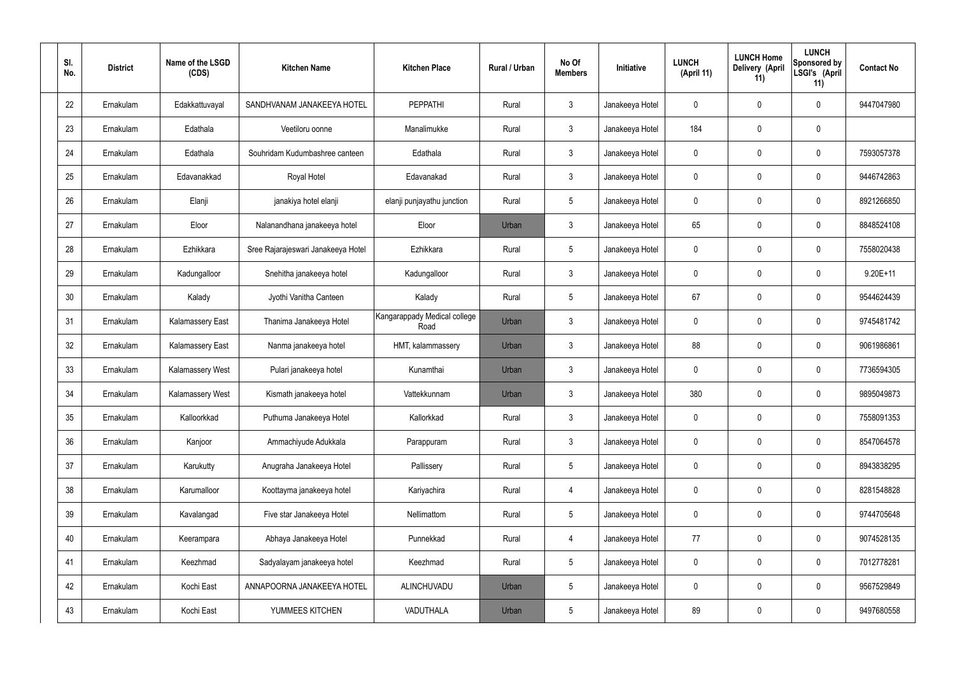| SI.<br>No. | <b>District</b> | Name of the LSGD<br>(CDS) | <b>Kitchen Name</b>                | <b>Kitchen Place</b>                 | Rural / Urban | No Of<br><b>Members</b> | Initiative      | <b>LUNCH</b><br>(April 11) | <b>LUNCH Home</b><br>Delivery (April<br>11) | <b>LUNCH</b><br>Sponsored by<br>LSGI's (April<br>11) | <b>Contact No</b> |
|------------|-----------------|---------------------------|------------------------------------|--------------------------------------|---------------|-------------------------|-----------------|----------------------------|---------------------------------------------|------------------------------------------------------|-------------------|
| 22         | Ernakulam       | Edakkattuvayal            | SANDHVANAM JANAKEEYA HOTEL         | <b>PEPPATHI</b>                      | Rural         | $\mathbf{3}$            | Janakeeya Hotel | 0                          | 0                                           | 0                                                    | 9447047980        |
| 23         | Ernakulam       | Edathala                  | Veetiloru oonne                    | Manalimukke                          | Rural         | $\mathbf{3}$            | Janakeeya Hotel | 184                        | 0                                           | $\mathbf 0$                                          |                   |
| 24         | Ernakulam       | Edathala                  | Souhridam Kudumbashree canteen     | Edathala                             | Rural         | $\mathbf{3}$            | Janakeeya Hotel | 0                          | 0                                           | $\mathbf 0$                                          | 7593057378        |
| 25         | Ernakulam       | Edavanakkad               | Royal Hotel                        | Edavanakad                           | Rural         | $\mathbf{3}$            | Janakeeya Hotel | $\mathbf 0$                | 0                                           | $\boldsymbol{0}$                                     | 9446742863        |
| 26         | Ernakulam       | Elanji                    | janakiya hotel elanji              | elanji punjayathu junction           | Rural         | $5\phantom{.0}$         | Janakeeya Hotel | 0                          | 0                                           | $\mathbf 0$                                          | 8921266850        |
| 27         | Ernakulam       | Eloor                     | Nalanandhana janakeeya hotel       | Eloor                                | Urban         | $\mathbf{3}$            | Janakeeya Hotel | 65                         | 0                                           | $\mathbf 0$                                          | 8848524108        |
| 28         | Ernakulam       | Ezhikkara                 | Sree Rajarajeswari Janakeeya Hotel | Ezhikkara                            | Rural         | $5\phantom{.0}$         | Janakeeya Hotel | 0                          | 0                                           | $\mathbf 0$                                          | 7558020438        |
| 29         | Ernakulam       | Kadungalloor              | Snehitha janakeeya hotel           | Kadungalloor                         | Rural         | $\mathbf{3}$            | Janakeeya Hotel | $\mathbf 0$                | 0                                           | $\boldsymbol{0}$                                     | $9.20E+11$        |
| 30         | Ernakulam       | Kalady                    | Jyothi Vanitha Canteen             | Kalady                               | Rural         | $5\phantom{.0}$         | Janakeeya Hotel | 67                         | 0                                           | $\mathbf 0$                                          | 9544624439        |
| 31         | Ernakulam       | <b>Kalamassery East</b>   | Thanima Janakeeya Hotel            | Kangarappady Medical college<br>Road | Urban         | $\mathbf{3}$            | Janakeeya Hotel | $\mathbf 0$                | 0                                           | $\mathbf 0$                                          | 9745481742        |
| 32         | Ernakulam       | <b>Kalamassery East</b>   | Nanma janakeeya hotel              | HMT, kalammassery                    | Urban         | $\mathbf{3}$            | Janakeeya Hotel | 88                         | 0                                           | $\mathbf 0$                                          | 9061986861        |
| 33         | Ernakulam       | <b>Kalamassery West</b>   | Pulari janakeeya hotel             | Kunamthai                            | Urban         | $\mathbf{3}$            | Janakeeya Hotel | $\mathbf 0$                | 0                                           | $\mathbf 0$                                          | 7736594305        |
| 34         | Ernakulam       | <b>Kalamassery West</b>   | Kismath janakeeya hotel            | Vattekkunnam                         | Urban         | $\mathbf{3}$            | Janakeeya Hotel | 380                        | 0                                           | 0                                                    | 9895049873        |
| 35         | Ernakulam       | Kalloorkkad               | Puthuma Janakeeya Hotel            | Kallorkkad                           | Rural         | $\mathbf{3}$            | Janakeeya Hotel | $\mathbf 0$                | $\mathbf 0$                                 | $\pmb{0}$                                            | 7558091353        |
| 36         | Ernakulam       | Kanjoor                   | Ammachiyude Adukkala               | Parappuram                           | Rural         | 3 <sup>1</sup>          | Janakeeya Hotel | $\pmb{0}$                  | 0                                           | $\mathbf 0$                                          | 8547064578        |
| 37         | Ernakulam       | Karukutty                 | Anugraha Janakeeya Hotel           | Pallissery                           | Rural         | $5\phantom{.0}$         | Janakeeya Hotel | 0                          | 0                                           | $\mathbf 0$                                          | 8943838295        |
| 38         | Ernakulam       | Karumalloor               | Koottayma janakeeya hotel          | Kariyachira                          | Rural         | $\overline{4}$          | Janakeeya Hotel | $\pmb{0}$                  | 0                                           | $\mathbf 0$                                          | 8281548828        |
| 39         | Ernakulam       | Kavalangad                | Five star Janakeeya Hotel          | Nellimattom                          | Rural         | $5\phantom{.0}$         | Janakeeya Hotel | 0                          | 0                                           | $\mathbf 0$                                          | 9744705648        |
| 40         | Ernakulam       | Keerampara                | Abhaya Janakeeya Hotel             | Punnekkad                            | Rural         | $\overline{4}$          | Janakeeya Hotel | 77                         | 0                                           | $\mathbf 0$                                          | 9074528135        |
| 41         | Ernakulam       | Keezhmad                  | Sadyalayam janakeeya hotel         | Keezhmad                             | Rural         | $5\phantom{.0}$         | Janakeeya Hotel | 0                          | 0                                           | $\mathbf 0$                                          | 7012778281        |
| 42         | Ernakulam       | Kochi East                | ANNAPOORNA JANAKEEYA HOTEL         | ALINCHUVADU                          | Urban         | $5\phantom{.0}$         | Janakeeya Hotel | $\mathbf 0$                | $\mathbf 0$                                 | $\mathbf 0$                                          | 9567529849        |
| 43         | Ernakulam       | Kochi East                | YUMMEES KITCHEN                    | VADUTHALA                            | Urban         | $5\phantom{.0}$         | Janakeeya Hotel | 89                         | 0                                           | $\boldsymbol{0}$                                     | 9497680558        |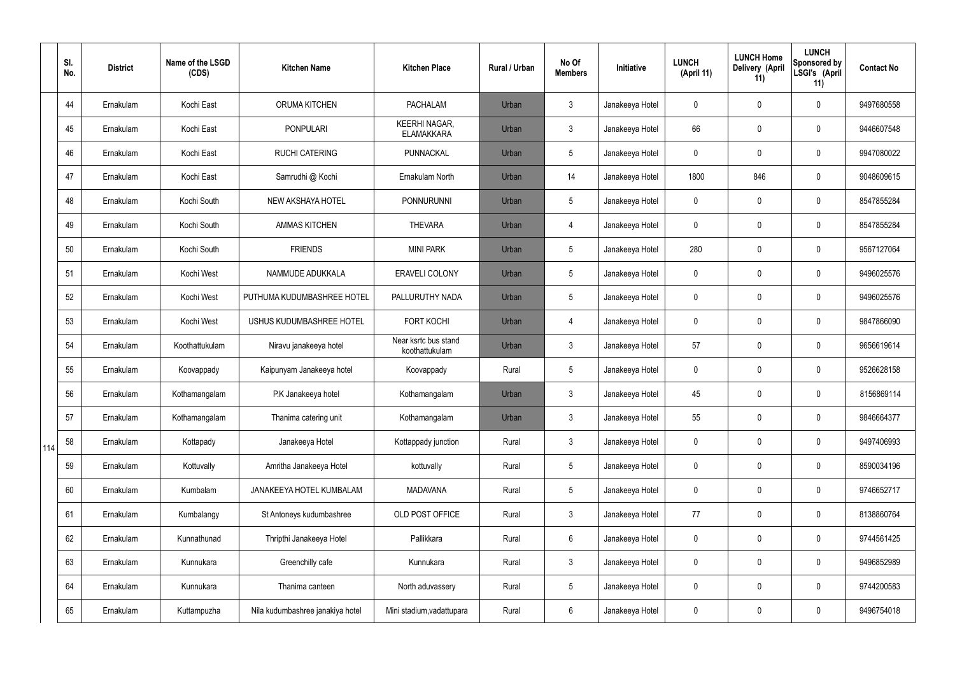|     | SI.<br>No. | <b>District</b> | Name of the LSGD<br>(CDS) | <b>Kitchen Name</b>              | <b>Kitchen Place</b>                      | <b>Rural / Urban</b> | No Of<br><b>Members</b> | Initiative      | <b>LUNCH</b><br>(April 11) | <b>LUNCH Home</b><br>Delivery (April<br>11) | <b>LUNCH</b><br><b>Sponsored by</b><br>LSGI's (April<br>11) | <b>Contact No</b> |
|-----|------------|-----------------|---------------------------|----------------------------------|-------------------------------------------|----------------------|-------------------------|-----------------|----------------------------|---------------------------------------------|-------------------------------------------------------------|-------------------|
|     | 44         | Ernakulam       | Kochi East                | ORUMA KITCHEN                    | <b>PACHALAM</b>                           | Urban                | $\mathbf{3}$            | Janakeeya Hotel | 0                          | 0                                           | $\mathbf 0$                                                 | 9497680558        |
|     | 45         | Ernakulam       | Kochi East                | <b>PONPULARI</b>                 | <b>KEERHI NAGAR,</b><br><b>ELAMAKKARA</b> | Urban                | $\mathfrak{Z}$          | Janakeeya Hotel | 66                         | 0                                           | $\boldsymbol{0}$                                            | 9446607548        |
|     | 46         | Ernakulam       | Kochi East                | <b>RUCHI CATERING</b>            | PUNNACKAL                                 | Urban                | 5                       | Janakeeya Hotel | 0                          | 0                                           | $\mathbf 0$                                                 | 9947080022        |
|     | 47         | Ernakulam       | Kochi East                | Samrudhi @ Kochi                 | Ernakulam North                           | Urban                | 14                      | Janakeeya Hotel | 1800                       | 846                                         | $\mathbf 0$                                                 | 9048609615        |
|     | 48         | Ernakulam       | Kochi South               | NEW AKSHAYA HOTEL                | <b>PONNURUNNI</b>                         | Urban                | 5                       | Janakeeya Hotel | 0                          | 0                                           | $\mathbf 0$                                                 | 8547855284        |
|     | 49         | Ernakulam       | Kochi South               | <b>AMMAS KITCHEN</b>             | <b>THEVARA</b>                            | Urban                | $\overline{4}$          | Janakeeya Hotel | 0                          | 0                                           | $\mathbf 0$                                                 | 8547855284        |
|     | 50         | Ernakulam       | Kochi South               | <b>FRIENDS</b>                   | <b>MINI PARK</b>                          | Urban                | 5                       | Janakeeya Hotel | 280                        | 0                                           | $\mathbf 0$                                                 | 9567127064        |
|     | 51         | Ernakulam       | Kochi West                | NAMMUDE ADUKKALA                 | <b>ERAVELI COLONY</b>                     | Urban                | 5                       | Janakeeya Hotel | 0                          | 0                                           | $\mathbf 0$                                                 | 9496025576        |
|     | 52         | Ernakulam       | Kochi West                | PUTHUMA KUDUMBASHREE HOTEL       | PALLURUTHY NADA                           | Urban                | 5                       | Janakeeya Hotel | 0                          | 0                                           | $\mathbf 0$                                                 | 9496025576        |
|     | 53         | Ernakulam       | Kochi West                | USHUS KUDUMBASHREE HOTEL         | <b>FORT KOCHI</b>                         | Urban                | $\overline{4}$          | Janakeeya Hotel | 0                          | 0                                           | $\pmb{0}$                                                   | 9847866090        |
|     | 54         | Ernakulam       | Koothattukulam            | Niravu janakeeya hotel           | Near ksrtc bus stand<br>koothattukulam    | Urban                | $\mathfrak{Z}$          | Janakeeya Hotel | 57                         | 0                                           | $\pmb{0}$                                                   | 9656619614        |
|     | 55         | Ernakulam       | Koovappady                | Kaipunyam Janakeeya hotel        | Koovappady                                | Rural                | 5                       | Janakeeya Hotel | 0                          | 0                                           | $\boldsymbol{0}$                                            | 9526628158        |
|     | 56         | Ernakulam       | Kothamangalam             | P.K Janakeeya hotel              | Kothamangalam                             | Urban                | 3                       | Janakeeya Hotel | 45                         | 0                                           | $\mathbf 0$                                                 | 8156869114        |
|     | 57         | Ernakulam       | Kothamangalam             | Thanima catering unit            | Kothamangalam                             | Urban                | $\mathbf{3}$            | Janakeeya Hotel | 55                         | 0                                           | $\mathbf 0$                                                 | 9846664377        |
| 114 | 58         | Ernakulam       | Kottapady                 | Janakeeya Hotel                  | Kottappady junction                       | Rural                | $\mathbf{3}$            | Janakeeya Hotel | 0                          | 0                                           | $\mathbf 0$                                                 | 9497406993        |
|     | 59         | Ernakulam       | Kottuvally                | Amritha Janakeeya Hotel          | kottuvally                                | Rural                | 5                       | Janakeeya Hotel | 0                          | 0                                           | $\mathbf 0$                                                 | 8590034196        |
|     | 60         | Ernakulam       | Kumbalam                  | JANAKEEYA HOTEL KUMBALAM         | <b>MADAVANA</b>                           | Rural                | 5                       | Janakeeya Hotel | 0                          | 0                                           | $\pmb{0}$                                                   | 9746652717        |
|     | 61         | Ernakulam       | Kumbalangy                | St Antoneys kudumbashree         | OLD POST OFFICE                           | Rural                | $\mathbf{3}$            | Janakeeya Hotel | 77                         | 0                                           | $\pmb{0}$                                                   | 8138860764        |
|     | 62         | Ernakulam       | Kunnathunad               | Thripthi Janakeeya Hotel         | Pallikkara                                | Rural                | 6                       | Janakeeya Hotel | 0                          | 0                                           | $\pmb{0}$                                                   | 9744561425        |
|     | 63         | Ernakulam       | Kunnukara                 | Greenchilly cafe                 | Kunnukara                                 | Rural                | $\mathfrak{Z}$          | Janakeeya Hotel | 0                          | 0                                           | $\pmb{0}$                                                   | 9496852989        |
|     | 64         | Ernakulam       | Kunnukara                 | Thanima canteen                  | North aduvassery                          | Rural                | $5\phantom{.0}$         | Janakeeya Hotel | 0                          | 0                                           | $\pmb{0}$                                                   | 9744200583        |
|     | 65         | Ernakulam       | Kuttampuzha               | Nila kudumbashree janakiya hotel | Mini stadium, vadattupara                 | Rural                | $6\phantom{.}$          | Janakeeya Hotel | 0                          | 0                                           | $\pmb{0}$                                                   | 9496754018        |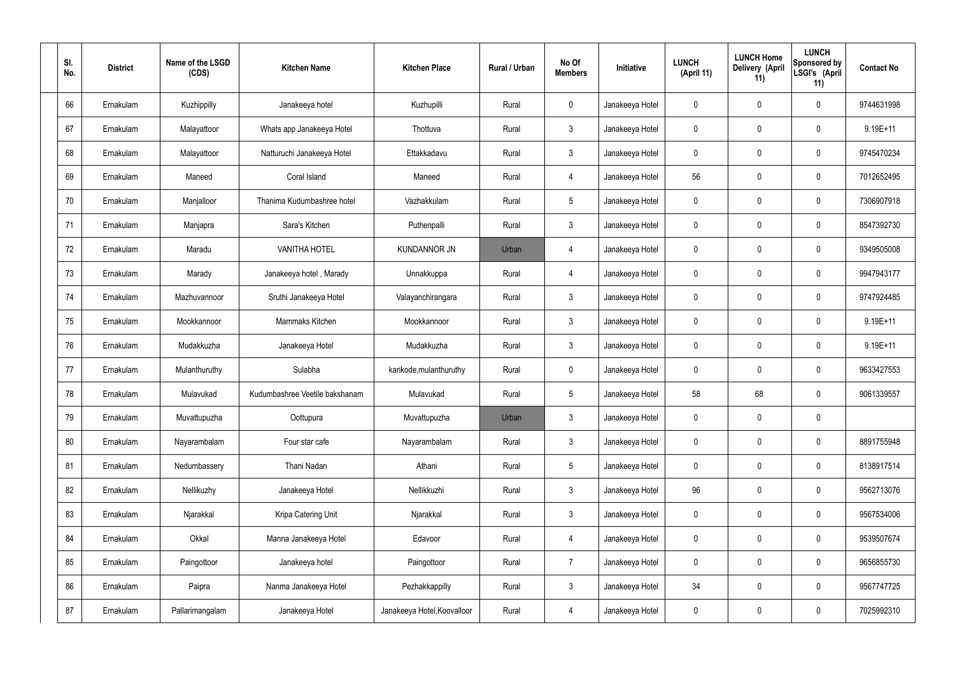| SI.<br>No. | <b>District</b> | Name of the LSGD<br>(CDS) | <b>Kitchen Name</b>            | <b>Kitchen Place</b>        | Rural / Urban | No Of<br><b>Members</b> | Initiative      | <b>LUNCH</b><br>(April 11) | <b>LUNCH Home</b><br>Delivery (April<br>11) | <b>LUNCH</b><br>Sponsored by<br>LSGI's (April<br>11) | <b>Contact No</b> |
|------------|-----------------|---------------------------|--------------------------------|-----------------------------|---------------|-------------------------|-----------------|----------------------------|---------------------------------------------|------------------------------------------------------|-------------------|
| 66         | Ernakulam       | Kuzhippilly               | Janakeeya hotel                | Kuzhupilli                  | Rural         | $\mathbf 0$             | Janakeeya Hotel | $\mathbf 0$                | 0                                           | $\mathbf 0$                                          | 9744631998        |
| 67         | Ernakulam       | Malayattoor               | Whats app Janakeeya Hotel      | Thottuva                    | Rural         | $\mathbf{3}$            | Janakeeya Hotel | $\mathbf 0$                | 0                                           | $\mathbf 0$                                          | 9.19E+11          |
| 68         | Ernakulam       | Malayattoor               | Natturuchi Janakeeya Hotel     | Ettakkadavu                 | Rural         | $\mathbf{3}$            | Janakeeya Hotel | $\mathbf 0$                | 0                                           | $\mathbf 0$                                          | 9745470234        |
| 69         | Ernakulam       | Maneed                    | Coral Island                   | Maneed                      | Rural         | $\overline{4}$          | Janakeeya Hotel | 56                         | 0                                           | $\mathbf 0$                                          | 7012652495        |
| 70         | Ernakulam       | Manjalloor                | Thanima Kudumbashree hotel     | Vazhakkulam                 | Rural         | $5\phantom{.0}$         | Janakeeya Hotel | $\mathbf 0$                | 0                                           | $\mathbf 0$                                          | 7306907918        |
| 71         | Ernakulam       | Manjapra                  | Sara's Kitchen                 | Puthenpalli                 | Rural         | $\mathbf{3}$            | Janakeeya Hotel | $\mathbf 0$                | 0                                           | $\mathbf 0$                                          | 8547392730        |
| 72         | Ernakulam       | Maradu                    | <b>VANITHA HOTEL</b>           | <b>KUNDANNOR JN</b>         | Urban         | 4                       | Janakeeya Hotel | $\mathbf 0$                | 0                                           | $\mathbf 0$                                          | 9349505008        |
| 73         | Ernakulam       | Marady                    | Janakeeya hotel, Marady        | Unnakkuppa                  | Rural         | $\overline{4}$          | Janakeeya Hotel | $\mathbf 0$                | 0                                           | $\mathbf 0$                                          | 9947943177        |
| 74         | Ernakulam       | Mazhuvannoor              | Sruthi Janakeeya Hotel         | Valayanchirangara           | Rural         | $\mathbf{3}$            | Janakeeya Hotel | $\mathbf 0$                | 0                                           | $\mathbf 0$                                          | 9747924485        |
| 75         | Ernakulam       | Mookkannoor               | Mammaks Kitchen                | Mookkannoor                 | Rural         | $\mathbf{3}$            | Janakeeya Hotel | $\mathbf 0$                | 0                                           | $\mathbf 0$                                          | $9.19E + 11$      |
| 76         | Ernakulam       | Mudakkuzha                | Janakeeya Hotel                | Mudakkuzha                  | Rural         | $\mathbf{3}$            | Janakeeya Hotel | $\mathbf 0$                | 0                                           | $\boldsymbol{0}$                                     | $9.19E + 11$      |
| 77         | Ernakulam       | Mulanthuruthy             | Sulabha                        | karikode, mulanthuruthy     | Rural         | $\mathbf 0$             | Janakeeya Hotel | $\mathbf 0$                | 0                                           | $\mathbf 0$                                          | 9633427553        |
| 78         | Ernakulam       | Mulavukad                 | Kudumbashree Veetile bakshanam | Mulavukad                   | Rural         | $5\phantom{.0}$         | Janakeeya Hotel | 58                         | 68                                          | $\boldsymbol{0}$                                     | 9061339557        |
| 79         | Ernakulam       | Muvattupuzha              | Oottupura                      | Muvattupuzha                | Urban         | $\mathfrak{Z}$          | Janakeeya Hotel | $\mathbf 0$                | $\mathsf{0}$                                | $\pmb{0}$                                            |                   |
| 80         | Ernakulam       | Nayarambalam              | Four star cafe                 | Nayarambalam                | Rural         | $3\phantom{a}$          | Janakeeya Hotel | $\mathbf 0$                | $\mathbf 0$                                 | $\mathbf 0$                                          | 8891755948        |
| 81         | Ernakulam       | Nedumbassery              | Thani Nadan                    | Athani                      | Rural         | $5\phantom{.0}$         | Janakeeya Hotel | $\mathbf 0$                | $\mathbf 0$                                 | $\mathbf 0$                                          | 8138917514        |
| 82         | Ernakulam       | Nellikuzhy                | Janakeeya Hotel                | Nellikkuzhi                 | Rural         | $\mathfrak{Z}$          | Janakeeya Hotel | 96                         | 0                                           | $\mathbf 0$                                          | 9562713076        |
| 83         | Ernakulam       | Njarakkal                 | Kripa Catering Unit            | Njarakkal                   | Rural         | $\mathfrak{Z}$          | Janakeeya Hotel | 0                          | 0                                           | $\mathbf 0$                                          | 9567534006        |
| 84         | Ernakulam       | Okkal                     | Manna Janakeeya Hotel          | Edavoor                     | Rural         | $\overline{4}$          | Janakeeya Hotel | $\mathbf 0$                | 0                                           | $\mathbf 0$                                          | 9539507674        |
| 85         | Ernakulam       | Paingottoor               | Janakeeya hotel                | Paingottoor                 | Rural         | $\overline{7}$          | Janakeeya Hotel | 0                          | 0                                           | $\mathbf 0$                                          | 9656855730        |
| 86         | Ernakulam       | Paipra                    | Nanma Janakeeya Hotel          | Pezhakkappilly              | Rural         | $\mathfrak{Z}$          | Janakeeya Hotel | 34                         | 0                                           | $\mathbf 0$                                          | 9567747725        |
| 87         | Ernakulam       | Pallarimangalam           | Janakeeya Hotel                | Janakeeya Hotel, Koovalloor | Rural         | 4                       | Janakeeya Hotel | 0                          | 0                                           | $\boldsymbol{0}$                                     | 7025992310        |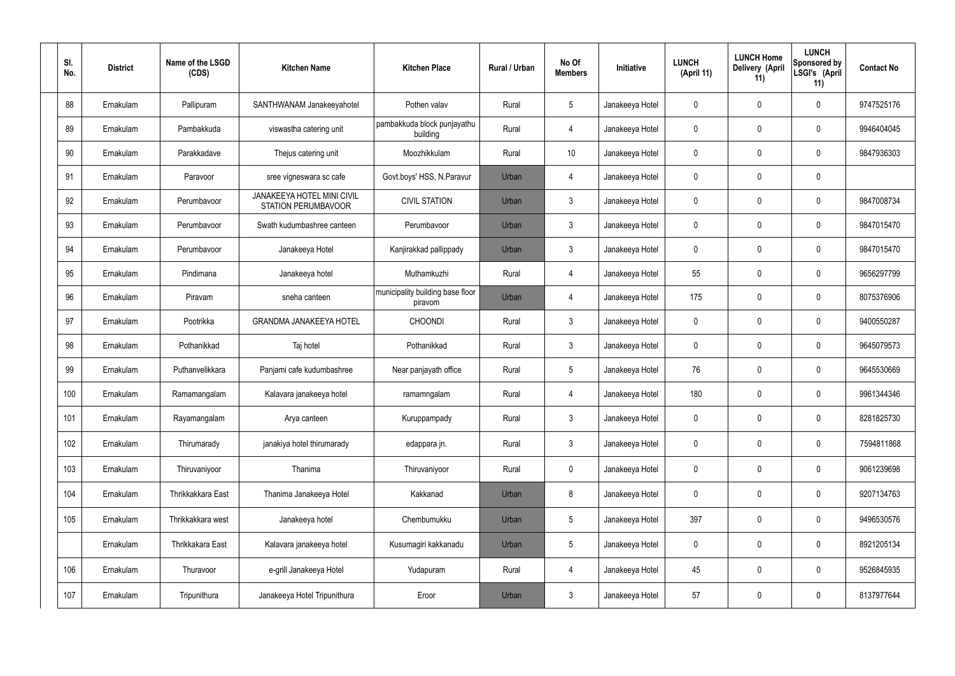| SI.<br>No. |     | <b>District</b> | Name of the LSGD<br>(CDS) | <b>Kitchen Name</b>                               | <b>Kitchen Place</b>                        | Rural / Urban | No Of<br><b>Members</b> | Initiative      | <b>LUNCH</b><br>(April 11) | <b>LUNCH Home</b><br>Delivery (April<br>11) | <b>LUNCH</b><br>Sponsored by<br>LSGI's (April<br>11) | <b>Contact No</b> |
|------------|-----|-----------------|---------------------------|---------------------------------------------------|---------------------------------------------|---------------|-------------------------|-----------------|----------------------------|---------------------------------------------|------------------------------------------------------|-------------------|
|            | 88  | Ernakulam       | Pallipuram                | SANTHWANAM Janakeeyahotel                         | Pothen valav                                | Rural         | $5\phantom{.0}$         | Janakeeya Hotel | 0                          | 0                                           | $\mathbf 0$                                          | 9747525176        |
|            | 89  | Ernakulam       | Pambakkuda                | viswastha catering unit                           | pambakkuda block punjayathu<br>building     | Rural         | $\overline{4}$          | Janakeeya Hotel | 0                          | 0                                           | $\pmb{0}$                                            | 9946404045        |
|            | 90  | Ernakulam       | Parakkadave               | Thejus catering unit                              | Moozhikkulam                                | Rural         | 10                      | Janakeeya Hotel | 0                          | 0                                           | $\mathbf 0$                                          | 9847936303        |
|            | 91  | Ernakulam       | Paravoor                  | sree vigneswara sc cafe                           | Govt.boys' HSS, N.Paravur                   | Urban         | 4                       | Janakeeya Hotel | 0                          | 0                                           | $\pmb{0}$                                            |                   |
|            | 92  | Ernakulam       | Perumbavoor               | JANAKEEYA HOTEL MINI CIVIL<br>STATION PERUMBAVOOR | <b>CIVIL STATION</b>                        | Urban         | $\mathfrak{Z}$          | Janakeeya Hotel | 0                          | 0                                           | $\mathbf 0$                                          | 9847008734        |
|            | 93  | Ernakulam       | Perumbayoor               | Swath kudumbashree canteen                        | Perumbavoor                                 | Urban         | $\mathbf{3}$            | Janakeeya Hotel | 0                          | 0                                           | $\pmb{0}$                                            | 9847015470        |
|            | 94  | Ernakulam       | Perumbavoor               | Janakeeya Hotel                                   | Kanjirakkad pallippady                      | Urban         | $\mathfrak{Z}$          | Janakeeya Hotel | 0                          | 0                                           | $\mathbf 0$                                          | 9847015470        |
|            | 95  | Ernakulam       | Pindimana                 | Janakeeya hotel                                   | Muthamkuzhi                                 | Rural         | $\overline{4}$          | Janakeeya Hotel | 55                         | 0                                           | $\pmb{0}$                                            | 9656297799        |
|            | 96  | Ernakulam       | Piravam                   | sneha canteen                                     | municipality building base floor<br>piravom | Urban         | 4                       | Janakeeya Hotel | 175                        | 0                                           | $\mathbf 0$                                          | 8075376906        |
|            | 97  | Ernakulam       | Pootrikka                 | <b>GRANDMA JANAKEEYA HOTEL</b>                    | <b>CHOONDI</b>                              | Rural         | $\mathfrak{Z}$          | Janakeeya Hotel | 0                          | 0                                           | $\mathbf 0$                                          | 9400550287        |
|            | 98  | Ernakulam       | Pothanikkad               | Taj hotel                                         | Pothanikkad                                 | Rural         | $\mathbf{3}$            | Janakeeya Hotel | 0                          | 0                                           | $\mathbf 0$                                          | 9645079573        |
|            | 99  | Ernakulam       | Puthanvelikkara           | Panjami cafe kudumbashree                         | Near panjayath office                       | Rural         | $5\phantom{.0}$         | Janakeeya Hotel | 76                         | 0                                           | $\mathbf 0$                                          | 9645530669        |
|            | 100 | Ernakulam       | Ramamangalam              | Kalavara janakeeya hotel                          | ramamngalam                                 | Rural         | 4                       | Janakeeya Hotel | 180                        | 0                                           | $\mathbf 0$                                          | 9961344346        |
|            | 101 | Ernakulam       | Rayamangalam              | Arya canteen                                      | Kuruppampady                                | Rural         | $\mathfrak{Z}$          | Janakeeya Hotel | 0                          | $\mathbf 0$                                 | $\pmb{0}$                                            | 8281825730        |
|            | 102 | Ernakulam       | Thirumarady               | janakiya hotel thirumarady                        | edappara jn.                                | Rural         | $\mathbf{3}$            | Janakeeya Hotel | 0                          | $\mathbf 0$                                 | $\pmb{0}$                                            | 7594811868        |
|            | 103 | Ernakulam       | Thiruvaniyoor             | Thanima                                           | Thiruvaniyoor                               | Rural         | $\mathbf 0$             | Janakeeya Hotel | 0                          | 0                                           | $\pmb{0}$                                            | 9061239698        |
|            | 104 | Ernakulam       | Thrikkakkara East         | Thanima Janakeeya Hotel                           | Kakkanad                                    | Urban         | 8                       | Janakeeya Hotel | 0                          | 0                                           | $\pmb{0}$                                            | 9207134763        |
|            | 105 | Ernakulam       | Thrikkakkara west         | Janakeeya hotel                                   | Chembumukku                                 | Urban         | $5\phantom{.0}$         | Janakeeya Hotel | 397                        | $\mathbf 0$                                 | $\pmb{0}$                                            | 9496530576        |
|            |     | Ernakulam       | Thrikkakara East          | Kalavara janakeeya hotel                          | Kusumagiri kakkanadu                        | Urban         | $5\phantom{.0}$         | Janakeeya Hotel | 0                          | $\mathbf 0$                                 | $\pmb{0}$                                            | 8921205134        |
|            | 106 | Ernakulam       | Thuravoor                 | e-grill Janakeeya Hotel                           | Yudapuram                                   | Rural         | $\overline{4}$          | Janakeeya Hotel | 45                         | $\pmb{0}$                                   | $\pmb{0}$                                            | 9526845935        |
|            | 107 | Ernakulam       | Tripunithura              | Janakeeya Hotel Tripunithura                      | Eroor                                       | Urban         | $\mathfrak{Z}$          | Janakeeya Hotel | 57                         | 0                                           | $\pmb{0}$                                            | 8137977644        |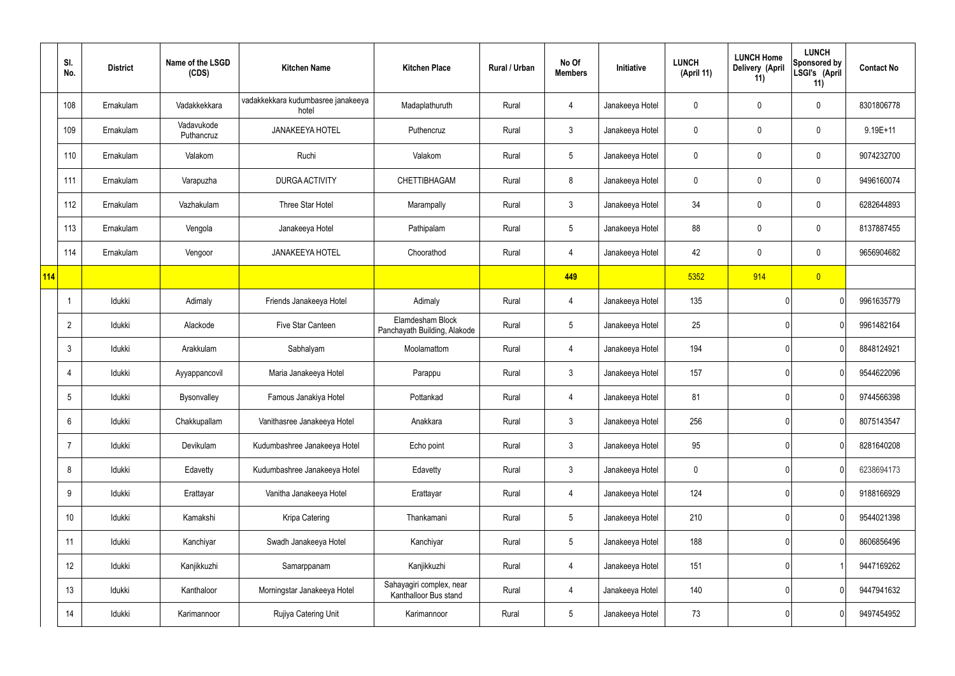|     | SI.<br>No.      | <b>District</b> | Name of the LSGD<br>(CDS) | <b>Kitchen Name</b>                         | <b>Kitchen Place</b>                              | Rural / Urban | No Of<br><b>Members</b> | Initiative      | <b>LUNCH</b><br>(April 11) | <b>LUNCH Home</b><br>Delivery (April<br>11) | <b>LUNCH</b><br><b>Sponsored by</b><br>LSGI's (April<br>11) | <b>Contact No</b> |
|-----|-----------------|-----------------|---------------------------|---------------------------------------------|---------------------------------------------------|---------------|-------------------------|-----------------|----------------------------|---------------------------------------------|-------------------------------------------------------------|-------------------|
|     | 108             | Ernakulam       | Vadakkekkara              | vadakkekkara kudumbasree janakeeya<br>hotel | Madaplathuruth                                    | Rural         | 4                       | Janakeeya Hotel | 0                          | 0                                           | $\pmb{0}$                                                   | 8301806778        |
|     | 109             | Ernakulam       | Vadavukode<br>Puthancruz  | <b>JANAKEEYA HOTEL</b>                      | Puthencruz                                        | Rural         | $\mathfrak{Z}$          | Janakeeya Hotel | 0                          | $\mathbf 0$                                 | $\pmb{0}$                                                   | $9.19E + 11$      |
|     | 110             | Ernakulam       | Valakom                   | Ruchi                                       | Valakom                                           | Rural         | $5\phantom{.0}$         | Janakeeya Hotel | 0                          | 0                                           | $\pmb{0}$                                                   | 9074232700        |
|     | 111             | Ernakulam       | Varapuzha                 | DURGA ACTIVITY                              | <b>CHETTIBHAGAM</b>                               | Rural         | 8                       | Janakeeya Hotel | 0                          | 0                                           | $\mathbf 0$                                                 | 9496160074        |
|     | 112             | Ernakulam       | Vazhakulam                | Three Star Hotel                            | Marampally                                        | Rural         | $\mathfrak{Z}$          | Janakeeya Hotel | 34                         | 0                                           | $\pmb{0}$                                                   | 6282644893        |
|     | 113             | Ernakulam       | Vengola                   | Janakeeya Hotel                             | Pathipalam                                        | Rural         | $5\phantom{.0}$         | Janakeeya Hotel | 88                         | 0                                           | $\pmb{0}$                                                   | 8137887455        |
|     | 114             | Ernakulam       | Vengoor                   | <b>JANAKEEYA HOTEL</b>                      | Choorathod                                        | Rural         | 4                       | Janakeeya Hotel | 42                         | 0                                           | $\pmb{0}$                                                   | 9656904682        |
| 114 |                 |                 |                           |                                             |                                                   |               | 449                     |                 | 5352                       | 914                                         | $\overline{0}$                                              |                   |
|     | $\mathbf 1$     | Idukki          | Adimaly                   | Friends Janakeeya Hotel                     | Adimaly                                           | Rural         | 4                       | Janakeeya Hotel | 135                        |                                             | 0                                                           | 9961635779        |
|     | $\overline{2}$  | Idukki          | Alackode                  | Five Star Canteen                           | Elamdesham Block<br>Panchayath Building, Alakode  | Rural         | $5\phantom{.0}$         | Janakeeya Hotel | 25                         |                                             | 0                                                           | 9961482164        |
|     | $\mathbf{3}$    | Idukki          | Arakkulam                 | Sabhalyam                                   | Moolamattom                                       | Rural         | 4                       | Janakeeya Hotel | 194                        |                                             | 0                                                           | 8848124921        |
|     | 4               | Idukki          | Ayyappancovil             | Maria Janakeeya Hotel                       | Parappu                                           | Rural         | $\mathfrak{Z}$          | Janakeeya Hotel | 157                        |                                             | 0                                                           | 9544622096        |
|     | 5               | Idukki          | Bysonvalley               | Famous Janakiya Hotel                       | Pottankad                                         | Rural         | 4                       | Janakeeya Hotel | 81                         |                                             | 0                                                           | 9744566398        |
|     | $6\phantom{.}6$ | Idukki          | Chakkupallam              | Vanithasree Janakeeya Hotel                 | Anakkara                                          | Rural         | $\mathbf{3}$            | Janakeeya Hotel | 256                        |                                             | 0                                                           | 8075143547        |
|     | $\overline{7}$  | Idukki          | Devikulam                 | Kudumbashree Janakeeya Hotel                | Echo point                                        | Rural         | $\mathbf{3}$            | Janakeeya Hotel | 95                         |                                             | 0                                                           | 8281640208        |
|     | 8               | Idukki          | Edavetty                  | Kudumbashree Janakeeya Hotel                | Edavetty                                          | Rural         | $\mathfrak{Z}$          | Janakeeya Hotel | $\mathbf 0$                |                                             | 0                                                           | 6238694173        |
|     | $9\,$           | Idukki          | Erattayar                 | Vanitha Janakeeya Hotel                     | Erattayar                                         | Rural         | 4                       | Janakeeya Hotel | 124                        |                                             | 0                                                           | 9188166929        |
|     | 10              | Idukki          | Kamakshi                  | Kripa Catering                              | Thankamani                                        | Rural         | $5\phantom{.0}$         | Janakeeya Hotel | 210                        |                                             | 0                                                           | 9544021398        |
|     | 11              | Idukki          | Kanchiyar                 | Swadh Janakeeya Hotel                       | Kanchiyar                                         | Rural         | $5\phantom{.0}$         | Janakeeya Hotel | 188                        |                                             | 0                                                           | 8606856496        |
|     | 12              | Idukki          | Kanjikkuzhi               | Samarppanam                                 | Kanjikkuzhi                                       | Rural         | 4                       | Janakeeya Hotel | 151                        |                                             |                                                             | 9447169262        |
|     | 13              | Idukki          | Kanthaloor                | Morningstar Janakeeya Hotel                 | Sahayagiri complex, near<br>Kanthalloor Bus stand | Rural         | 4                       | Janakeeya Hotel | 140                        |                                             | 0                                                           | 9447941632        |
|     | 14              | ldukki          | Karimannoor               | Rujiya Catering Unit                        | Karimannoor                                       | Rural         | $\overline{5}$          | Janakeeya Hotel | 73                         |                                             | 0                                                           | 9497454952        |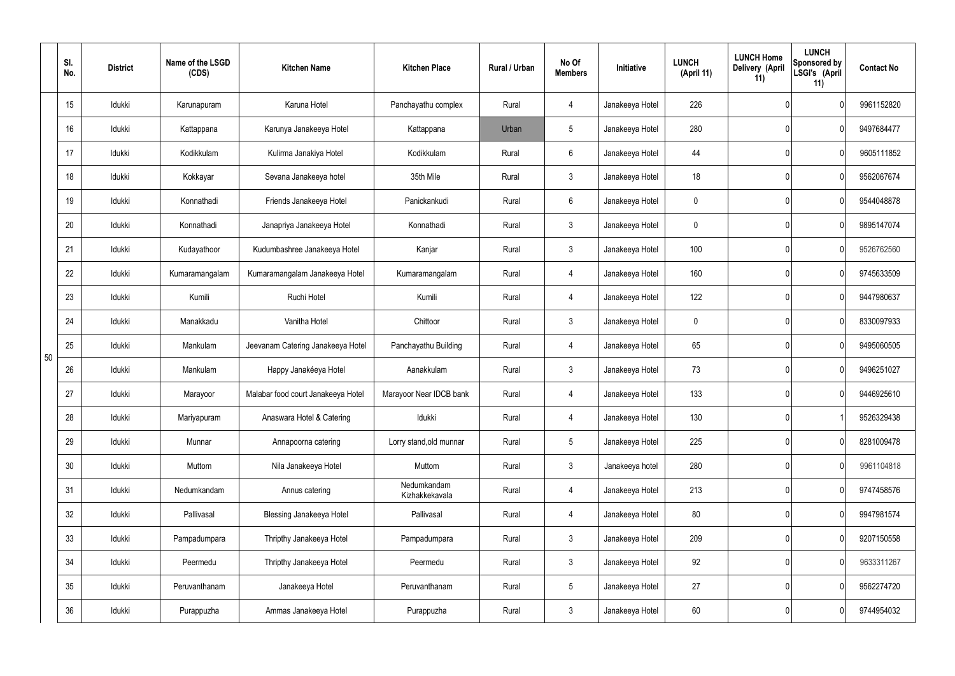|    | SI.<br>No.      | <b>District</b> | Name of the LSGD<br>(CDS) | <b>Kitchen Name</b>                | <b>Kitchen Place</b>          | <b>Rural / Urban</b> | No Of<br><b>Members</b> | Initiative      | <b>LUNCH</b><br>(April 11) | <b>LUNCH Home</b><br>Delivery (April<br>11) | <b>LUNCH</b><br>Sponsored by<br>LSGI's (April<br>11) | <b>Contact No</b> |
|----|-----------------|-----------------|---------------------------|------------------------------------|-------------------------------|----------------------|-------------------------|-----------------|----------------------------|---------------------------------------------|------------------------------------------------------|-------------------|
|    | 15              | Idukki          | Karunapuram               | Karuna Hotel                       | Panchayathu complex           | Rural                | 4                       | Janakeeya Hotel | 226                        |                                             | 0                                                    | 9961152820        |
|    | 16              | Idukki          | Kattappana                | Karunya Janakeeya Hotel            | Kattappana                    | Urban                | 5                       | Janakeeya Hotel | 280                        |                                             | 0                                                    | 9497684477        |
|    | 17              | Idukki          | Kodikkulam                | Kulirma Janakiya Hotel             | Kodikkulam                    | Rural                | 6                       | Janakeeya Hotel | 44                         |                                             | 0                                                    | 9605111852        |
|    | 18              | Idukki          | Kokkayar                  | Sevana Janakeeya hotel             | 35th Mile                     | Rural                | $\mathbf{3}$            | Janakeeya Hotel | 18                         |                                             | 0                                                    | 9562067674        |
|    | 19              | Idukki          | Konnathadi                | Friends Janakeeya Hotel            | Panickankudi                  | Rural                | 6                       | Janakeeya Hotel | 0                          |                                             | 0                                                    | 9544048878        |
|    | 20              | Idukki          | Konnathadi                | Janapriya Janakeeya Hotel          | Konnathadi                    | Rural                | $\mathbf{3}$            | Janakeeya Hotel | 0                          |                                             | 0                                                    | 9895147074        |
|    | 21              | Idukki          | Kudayathoor               | Kudumbashree Janakeeya Hotel       | Kanjar                        | Rural                | $\mathfrak{Z}$          | Janakeeya Hotel | 100                        |                                             | 0                                                    | 9526762560        |
|    | 22              | Idukki          | Kumaramangalam            | Kumaramangalam Janakeeya Hotel     | Kumaramangalam                | Rural                | 4                       | Janakeeya Hotel | 160                        |                                             | 0                                                    | 9745633509        |
|    | 23              | Idukki          | Kumili                    | Ruchi Hotel                        | Kumili                        | Rural                | 4                       | Janakeeya Hotel | 122                        |                                             | 0                                                    | 9447980637        |
|    | 24              | Idukki          | Manakkadu                 | Vanitha Hotel                      | Chittoor                      | Rural                | $\mathfrak{Z}$          | Janakeeya Hotel | 0                          |                                             | 0                                                    | 8330097933        |
| 50 | 25              | Idukki          | Mankulam                  | Jeevanam Catering Janakeeya Hotel  | Panchayathu Building          | Rural                | 4                       | Janakeeya Hotel | 65                         |                                             | 0                                                    | 9495060505        |
|    | 26              | Idukki          | Mankulam                  | Happy Janakéeya Hotel              | Aanakkulam                    | Rural                | $\mathfrak{Z}$          | Janakeeya Hotel | 73                         |                                             | 0                                                    | 9496251027        |
|    | 27              | Idukki          | Marayoor                  | Malabar food court Janakeeya Hotel | Marayoor Near IDCB bank       | Rural                | 4                       | Janakeeya Hotel | 133                        |                                             | 0                                                    | 9446925610        |
|    | 28              | Idukki          | Mariyapuram               | Anaswara Hotel & Catering          | Idukki                        | Rural                | 4                       | Janakeeya Hotel | 130                        |                                             |                                                      | 9526329438        |
|    | 29              | Idukki          | Munnar                    | Annapoorna catering                | Lorry stand, old munnar       | Rural                | 5 <sub>5</sub>          | Janakeeya Hotel | 225                        |                                             | 0                                                    | 8281009478        |
|    | 30 <sub>o</sub> | Idukki          | Muttom                    | Nila Janakeeya Hotel               | Muttom                        | Rural                | 3                       | Janakeeya hotel | 280                        |                                             | 0                                                    | 9961104818        |
|    | 31              | Idukki          | Nedumkandam               | Annus catering                     | Nedumkandam<br>Kizhakkekavala | Rural                | $\overline{4}$          | Janakeeya Hotel | 213                        |                                             | 0                                                    | 9747458576        |
|    | 32              | Idukki          | Pallivasal                | <b>Blessing Janakeeya Hotel</b>    | Pallivasal                    | Rural                | 4                       | Janakeeya Hotel | 80                         |                                             | 0                                                    | 9947981574        |
|    | 33              | Idukki          | Pampadumpara              | Thripthy Janakeeya Hotel           | Pampadumpara                  | Rural                | $\mathfrak{Z}$          | Janakeeya Hotel | 209                        |                                             | 0                                                    | 9207150558        |
|    | 34              | Idukki          | Peermedu                  | Thripthy Janakeeya Hotel           | Peermedu                      | Rural                | $\mathfrak{Z}$          | Janakeeya Hotel | 92                         |                                             | 0                                                    | 9633311267        |
|    | 35              | Idukki          | Peruvanthanam             | Janakeeya Hotel                    | Peruvanthanam                 | Rural                | $5\phantom{.0}$         | Janakeeya Hotel | 27                         |                                             | 0                                                    | 9562274720        |
|    | 36              | Idukki          | Purappuzha                | Ammas Janakeeya Hotel              | Purappuzha                    | Rural                | $\mathfrak{Z}$          | Janakeeya Hotel | 60                         |                                             | 0                                                    | 9744954032        |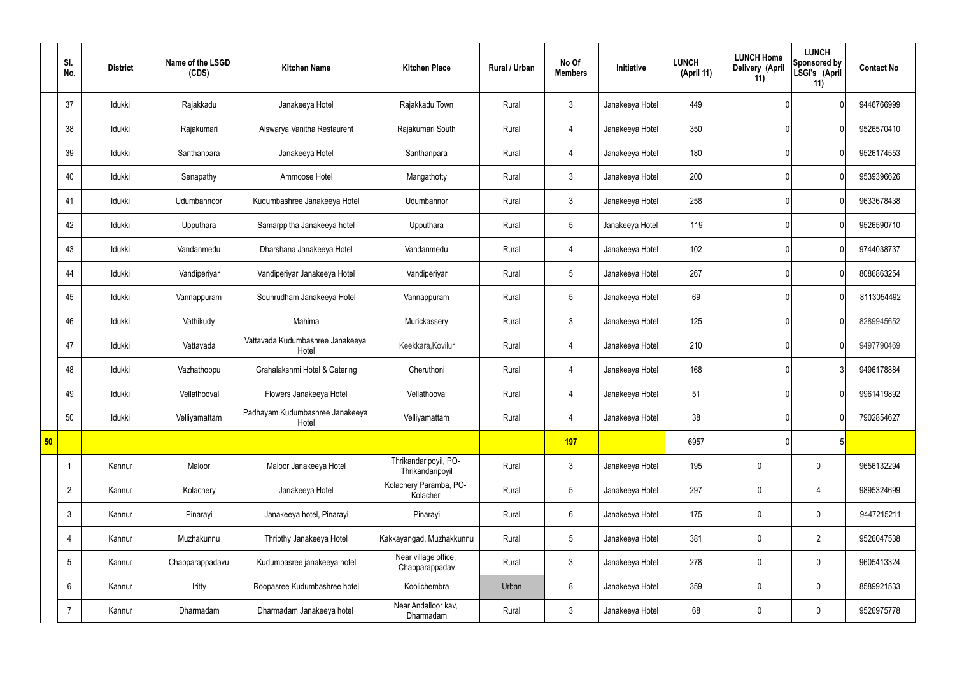|    | SI.<br>No.      | <b>District</b> | Name of the LSGD<br>(CDS) | <b>Kitchen Name</b>                       | <b>Kitchen Place</b>                      | Rural / Urban | No Of<br><b>Members</b> | <b>Initiative</b> | <b>LUNCH</b><br>(April 11) | <b>LUNCH Home</b><br>Delivery (April<br>11) | <b>LUNCH</b><br>Sponsored by<br>LSGI's (April<br>11) | <b>Contact No</b> |
|----|-----------------|-----------------|---------------------------|-------------------------------------------|-------------------------------------------|---------------|-------------------------|-------------------|----------------------------|---------------------------------------------|------------------------------------------------------|-------------------|
|    | 37              | Idukki          | Rajakkadu                 | Janakeeya Hotel                           | Rajakkadu Town                            | Rural         | $\mathbf{3}$            | Janakeeya Hotel   | 449                        |                                             | $\mathbf{0}$                                         | 9446766999        |
|    | 38              | Idukki          | Rajakumari                | Aiswarya Vanitha Restaurent               | Rajakumari South                          | Rural         | 4                       | Janakeeya Hotel   | 350                        |                                             | $\mathbf{0}$                                         | 9526570410        |
|    | 39              | Idukki          | Santhanpara               | Janakeeya Hotel                           | Santhanpara                               | Rural         | 4                       | Janakeeya Hotel   | 180                        |                                             | $\overline{0}$                                       | 9526174553        |
|    | 40              | Idukki          | Senapathy                 | Ammoose Hotel                             | Mangathotty                               | Rural         | $\mathbf{3}$            | Janakeeya Hotel   | 200                        |                                             | $\mathbf{0}$                                         | 9539396626        |
|    | 41              | Idukki          | Udumbannoor               | Kudumbashree Janakeeya Hotel              | Udumbannor                                | Rural         | $\mathbf{3}$            | Janakeeya Hotel   | 258                        |                                             | $\overline{0}$                                       | 9633678438        |
|    | 42              | Idukki          | Upputhara                 | Samarppitha Janakeeya hotel               | Upputhara                                 | Rural         | $5\phantom{.0}$         | Janakeeya Hotel   | 119                        |                                             | $\overline{0}$                                       | 9526590710        |
|    | 43              | Idukki          | Vandanmedu                | Dharshana Janakeeya Hotel                 | Vandanmedu                                | Rural         | $\overline{4}$          | Janakeeya Hotel   | 102                        |                                             | $\overline{0}$                                       | 9744038737        |
|    | 44              | Idukki          | Vandiperiyar              | Vandiperiyar Janakeeya Hotel              | Vandiperiyar                              | Rural         | $5\phantom{.0}$         | Janakeeya Hotel   | 267                        |                                             | $\overline{0}$                                       | 8086863254        |
|    | 45              | Idukki          | Vannappuram               | Souhrudham Janakeeya Hotel                | Vannappuram                               | Rural         | $5\overline{)}$         | Janakeeya Hotel   | 69                         |                                             | $\overline{0}$                                       | 8113054492        |
|    | 46              | Idukki          | Vathikudy                 | Mahima                                    | Murickassery                              | Rural         | $\mathbf{3}$            | Janakeeya Hotel   | 125                        |                                             | $\overline{0}$                                       | 8289945652        |
|    | 47              | Idukki          | Vattavada                 | Vattavada Kudumbashree Janakeeya<br>Hotel | Keekkara, Kovilur                         | Rural         | $\overline{4}$          | Janakeeya Hotel   | 210                        |                                             | $\overline{0}$                                       | 9497790469        |
|    | 48              | Idukki          | Vazhathoppu               | Grahalakshmi Hotel & Catering             | Cheruthoni                                | Rural         | 4                       | Janakeeya Hotel   | 168                        |                                             | 3                                                    | 9496178884        |
|    | 49              | Idukki          | Vellathooval              | Flowers Janakeeya Hotel                   | Vellathooval                              | Rural         | $\overline{4}$          | Janakeeya Hotel   | 51                         |                                             | $\overline{0}$                                       | 9961419892        |
|    | 50              | Idukki          | Velliyamattam             | Padhayam Kudumbashree Janakeeya<br>Hotel  | Velliyamattam                             | Rural         | $\overline{4}$          | Janakeeya Hotel   | 38                         |                                             | $\overline{0}$                                       | 7902854627        |
| 50 |                 |                 |                           |                                           |                                           |               | 197                     |                   | 6957                       |                                             | 5 <sub>5</sub>                                       |                   |
|    | $\overline{1}$  | Kannur          | Maloor                    | Maloor Janakeeya Hotel                    | Thrikandaripoyil, PO-<br>Thrikandaripoyil | Rural         | $\mathbf{3}$            | Janakeeya Hotel   | 195                        | $\pmb{0}$                                   | $\mathbf 0$                                          | 9656132294        |
|    | $\overline{2}$  | Kannur          | Kolachery                 | Janakeeya Hotel                           | Kolachery Paramba, PO-<br>Kolacheri       | Rural         | $5\overline{)}$         | Janakeeya Hotel   | 297                        | $\pmb{0}$                                   | $\overline{4}$                                       | 9895324699        |
|    | $\mathfrak{Z}$  | Kannur          | Pinarayi                  | Janakeeya hotel, Pinarayi                 | Pinarayi                                  | Rural         | $6\phantom{.}6$         | Janakeeya Hotel   | 175                        | $\pmb{0}$                                   | $\mathbf 0$                                          | 9447215211        |
|    | $\overline{4}$  | Kannur          | Muzhakunnu                | Thripthy Janakeeya Hotel                  | Kakkayangad, Muzhakkunnu                  | Rural         | $5\phantom{.0}$         | Janakeeya Hotel   | 381                        | $\pmb{0}$                                   | $\overline{2}$                                       | 9526047538        |
|    | $5\phantom{.0}$ | Kannur          | Chapparappadavu           | Kudumbasree janakeeya hotel               | Near village office,<br>Chapparappadav    | Rural         | $\mathbf{3}$            | Janakeeya Hotel   | 278                        | $\pmb{0}$                                   | $\mathbf 0$                                          | 9605413324        |
|    | 6               | Kannur          | Iritty                    | Roopasree Kudumbashree hotel              | Koolichembra                              | Urban         | 8                       | Janakeeya Hotel   | 359                        | $\pmb{0}$                                   | $\mathbf 0$                                          | 8589921533        |
|    | $\overline{7}$  | Kannur          | Dharmadam                 | Dharmadam Janakeeya hotel                 | Near Andalloor kav,<br>Dharmadam          | Rural         | $\mathbf{3}$            | Janakeeya Hotel   | 68                         | $\pmb{0}$                                   | $\mathbf 0$                                          | 9526975778        |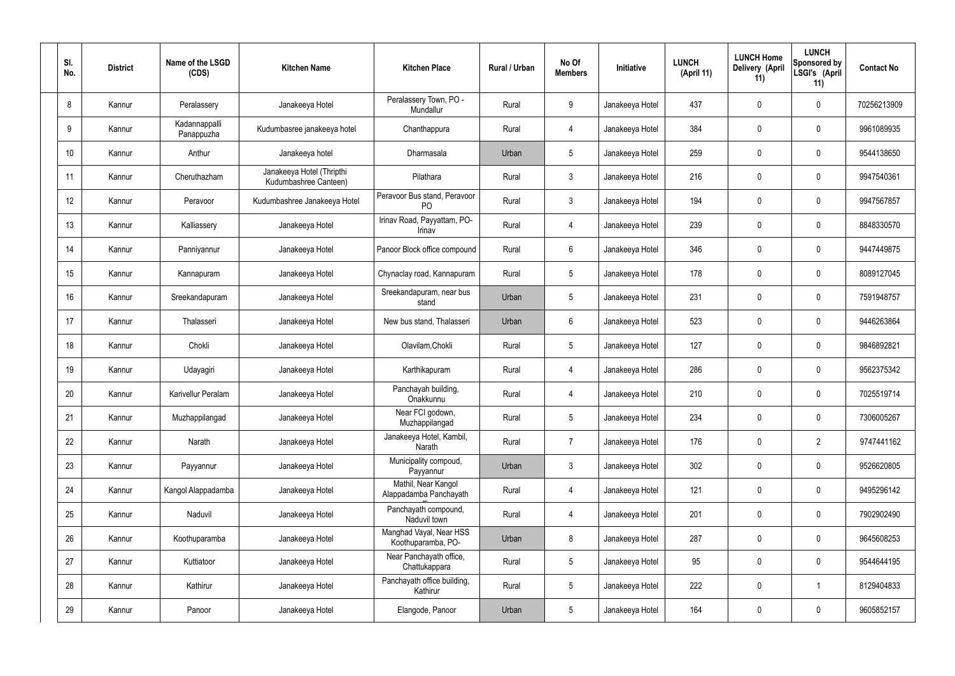| SI.<br>No. | <b>District</b> | Name of the LSGD<br>(CDS)   | <b>Kitchen Name</b>                                | <b>Kitchen Place</b>                           | Rural / Urban | No Of<br><b>Members</b> | Initiative      | <b>LUNCH</b><br>(April 11) | <b>LUNCH Home</b><br>Delivery (April<br>11) | <b>LUNCH</b><br>Sponsored by<br>LSGI's (April<br>11) | <b>Contact No</b> |
|------------|-----------------|-----------------------------|----------------------------------------------------|------------------------------------------------|---------------|-------------------------|-----------------|----------------------------|---------------------------------------------|------------------------------------------------------|-------------------|
| 8          | Kannur          | Peralassery                 | Janakeeya Hotel                                    | Peralassery Town, PO -<br>Mundallur            | Rural         | 9                       | Janakeeya Hotel | 437                        | 0                                           | $\mathbf 0$                                          | 70256213909       |
| 9          | Kannur          | Kadannappalli<br>Panappuzha | Kudumbasree janakeeya hotel                        | Chanthappura                                   | Rural         | 4                       | Janakeeya Hotel | 384                        | $\mathbf 0$                                 | $\mathbf 0$                                          | 9961089935        |
| 10         | Kannur          | Anthur                      | Janakeeya hotel                                    | Dharmasala                                     | Urban         | $5\phantom{.0}$         | Janakeeya Hotel | 259                        | 0                                           | $\mathbf 0$                                          | 9544138650        |
| 11         | Kannur          | Cheruthazham                | Janakeeya Hotel (Thripthi<br>Kudumbashree Canteen) | Pilathara                                      | Rural         | $\mathbf{3}$            | Janakeeya Hotel | 216                        | 0                                           | $\mathbf 0$                                          | 9947540361        |
| 12         | Kannur          | Peravoor                    | Kudumbashree Janakeeya Hotel                       | Peravoor Bus stand, Peravoor<br>P <sub>O</sub> | Rural         | $\mathbf{3}$            | Janakeeya Hotel | 194                        | 0                                           | $\mathbf 0$                                          | 9947567857        |
| 13         | Kannur          | Kalliassery                 | Janakeeya Hotel                                    | Irinav Road, Payyattam, PO-<br>Irinav          | Rural         | 4                       | Janakeeya Hotel | 239                        | 0                                           | $\mathbf 0$                                          | 8848330570        |
| 14         | Kannur          | Panniyannur                 | Janakeeya Hotel                                    | Panoor Block office compound                   | Rural         | $6\phantom{.}6$         | Janakeeya Hotel | 346                        | 0                                           | $\mathbf 0$                                          | 9447449875        |
| 15         | Kannur          | Kannapuram                  | Janakeeya Hotel                                    | Chynaclay road, Kannapuram                     | Rural         | $5\phantom{.0}$         | Janakeeya Hotel | 178                        | 0                                           | $\mathbf 0$                                          | 8089127045        |
| 16         | Kannur          | Sreekandapuram              | Janakeeya Hotel                                    | Sreekandapuram, near bus<br>stand              | Urban         | $5\phantom{.0}$         | Janakeeya Hotel | 231                        | 0                                           | $\mathbf 0$                                          | 7591948757        |
| 17         | Kannur          | Thalasseri                  | Janakeeya Hotel                                    | New bus stand, Thalasseri                      | Urban         | $6\phantom{.}6$         | Janakeeya Hotel | 523                        | 0                                           | $\mathbf 0$                                          | 9446263864        |
| 18         | Kannur          | Chokli                      | Janakeeya Hotel                                    | Olavilam, Chokli                               | Rural         | $5\phantom{.0}$         | Janakeeya Hotel | 127                        | $\mathbf 0$                                 | $\mathbf 0$                                          | 9846892821        |
| 19         | Kannur          | Udayagiri                   | Janakeeya Hotel                                    | Karthikapuram                                  | Rural         | 4                       | Janakeeya Hotel | 286                        | 0                                           | $\mathbf 0$                                          | 9562375342        |
| 20         | Kannur          | Karivellur Peralam          | Janakeeya Hotel                                    | Panchayah building,<br>Onakkunnu               | Rural         | 4                       | Janakeeya Hotel | 210                        | $\mathbf 0$                                 | 0                                                    | 7025519714        |
| 21         | Kannur          | Muzhappilangad              | Janakeeya Hotel                                    | Near FCI godown,<br>Muzhappilangad             | Rural         | $5\phantom{.0}$         | Janakeeya Hotel | 234                        | 0                                           | $\mathbf 0$                                          | 7306005267        |
| 22         | Kannur          | Narath                      | Janakeeya Hotel                                    | Janakeeya Hotel, Kambil,<br>Narath             | Rural         | $\overline{7}$          | Janakeeya Hotel | 176                        | 0                                           | $\overline{2}$                                       | 9747441162        |
| 23         | Kannur          | Payyannur                   | Janakeeya Hotel                                    | Municipality compoud,<br>Payyannur             | Urban         | $\mathbf{3}$            | Janakeeya Hotel | 302                        | 0                                           | $\mathbf 0$                                          | 9526620805        |
| 24         | Kannur          | Kangol Alappadamba          | Janakeeya Hotel                                    | Mathil, Near Kangol<br>Alappadamba Panchayath  | Rural         | $\overline{4}$          | Janakeeya Hotel | 121                        | 0                                           | $\mathbf 0$                                          | 9495296142        |
| 25         | Kannur          | Naduvil                     | Janakeeya Hotel                                    | Panchayath compound,<br>Naduvil town           | Rural         | $\overline{4}$          | Janakeeya Hotel | 201                        | 0                                           | $\mathbf 0$                                          | 7902902490        |
| 26         | Kannur          | Koothuparamba               | Janakeeya Hotel                                    | Manghad Vayal, Near HSS<br>Koothuparamba, PO-  | Urban         | 8                       | Janakeeya Hotel | 287                        | 0                                           | $\mathbf 0$                                          | 9645608253        |
| 27         | Kannur          | Kuttiatoor                  | Janakeeya Hotel                                    | Near Panchayath office,<br>Chattukappara       | Rural         | $5\phantom{.0}$         | Janakeeya Hotel | 95                         | 0                                           | $\mathbf 0$                                          | 9544644195        |
| 28         | Kannur          | Kathirur                    | Janakeeya Hotel                                    | Panchayath office building,<br>Kathirur        | Rural         | $5\phantom{.0}$         | Janakeeya Hotel | 222                        | 0                                           | $\overline{1}$                                       | 8129404833        |
| 29         | Kannur          | Panoor                      | Janakeeya Hotel                                    | Elangode, Panoor                               | Urban         | $\overline{5}$          | Janakeeya Hotel | 164                        | $\pmb{0}$                                   | $\pmb{0}$                                            | 9605852157        |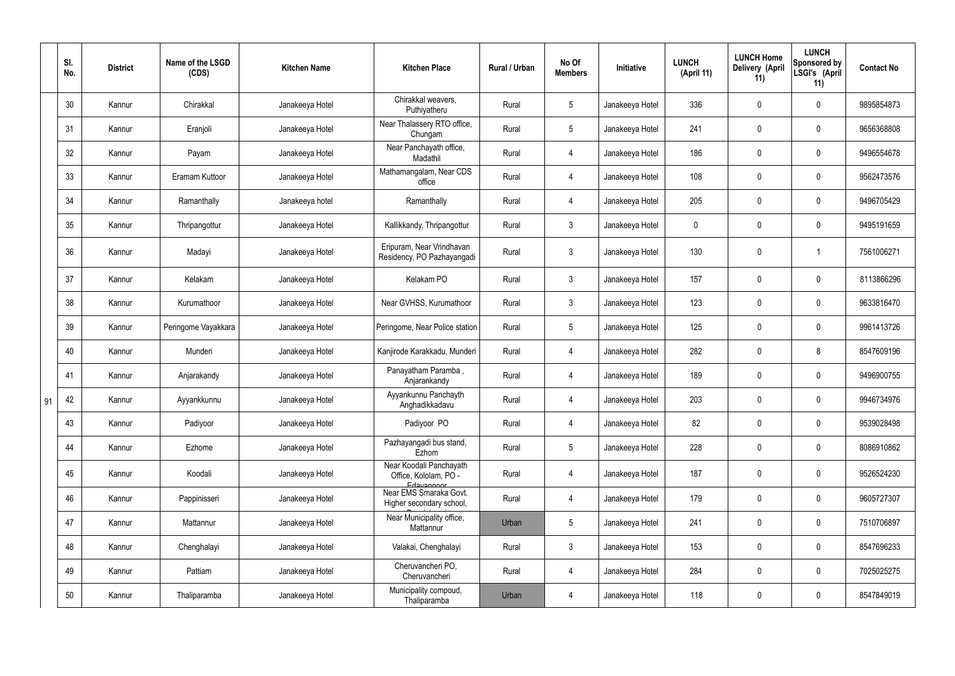|    | SI.<br>No. | <b>District</b> | Name of the LSGD<br>(CDS) | <b>Kitchen Name</b> | <b>Kitchen Place</b>                                           | Rural / Urban | No Of<br><b>Members</b> | Initiative      | <b>LUNCH</b><br>(April 11) | <b>LUNCH Home</b><br><b>Delivery (April</b><br>11) | <b>LUNCH</b><br>Sponsored by<br>LSGI's (April<br>11) | <b>Contact No</b> |
|----|------------|-----------------|---------------------------|---------------------|----------------------------------------------------------------|---------------|-------------------------|-----------------|----------------------------|----------------------------------------------------|------------------------------------------------------|-------------------|
|    | 30         | Kannur          | Chirakkal                 | Janakeeya Hotel     | Chirakkal weavers,<br>Puthiyatheru                             | Rural         | 5 <sup>5</sup>          | Janakeeya Hotel | 336                        | 0                                                  | $\mathbf 0$                                          | 9895854873        |
|    | 31         | Kannur          | Eranjoli                  | Janakeeya Hotel     | Near Thalassery RTO office,<br>Chungam                         | Rural         | 5 <sup>5</sup>          | Janakeeya Hotel | 241                        | $\mathbf 0$                                        | $\mathbf 0$                                          | 9656368808        |
|    | 32         | Kannur          | Payam                     | Janakeeya Hotel     | Near Panchayath office,<br>Madathil                            | Rural         | 4                       | Janakeeya Hotel | 186                        | 0                                                  | $\mathbf 0$                                          | 9496554678        |
|    | 33         | Kannur          | Eramam Kuttoor            | Janakeeya Hotel     | Mathamangalam, Near CDS<br>office                              | Rural         | 4                       | Janakeeya Hotel | 108                        | 0                                                  | $\mathbf 0$                                          | 9562473576        |
|    | 34         | Kannur          | Ramanthally               | Janakeeya hotel     | Ramanthally                                                    | Rural         | 4                       | Janakeeya Hotel | 205                        | 0                                                  | $\mathbf 0$                                          | 9496705429        |
|    | 35         | Kannur          | Thripangottur             | Janakeeya Hotel     | Kallikkandy, Thripangottur                                     | Rural         | $\mathbf{3}$            | Janakeeya Hotel | $\mathbf 0$                | 0                                                  | $\mathbf 0$                                          | 9495191659        |
|    | 36         | Kannur          | Madayi                    | Janakeeya Hotel     | Eripuram, Near Vrindhavan<br>Residency, PO Pazhayangadi        | Rural         | $\mathfrak{Z}$          | Janakeeya Hotel | 130                        | $\pmb{0}$                                          |                                                      | 7561006271        |
|    | 37         | Kannur          | Kelakam                   | Janakeeya Hotel     | Kelakam PO                                                     | Rural         | $\mathbf{3}$            | Janakeeya Hotel | 157                        | 0                                                  | $\mathbf 0$                                          | 8113866296        |
|    | 38         | Kannur          | Kurumathoor               | Janakeeya Hotel     | Near GVHSS, Kurumathoor                                        | Rural         | $\mathbf{3}$            | Janakeeya Hotel | 123                        | 0                                                  | $\mathbf 0$                                          | 9633816470        |
|    | 39         | Kannur          | Peringome Vayakkara       | Janakeeya Hotel     | Peringome, Near Police station                                 | Rural         | $5\phantom{.0}$         | Janakeeya Hotel | 125                        | 0                                                  | $\mathbf 0$                                          | 9961413726        |
|    | 40         | Kannur          | Munderi                   | Janakeeya Hotel     | Kanjirode Karakkadu, Munderi                                   | Rural         | 4                       | Janakeeya Hotel | 282                        | 0                                                  | 8                                                    | 8547609196        |
|    | 41         | Kannur          | Anjarakandy               | Janakeeya Hotel     | Panayatham Paramba,<br>Anjarankandy                            | Rural         | $\overline{4}$          | Janakeeya Hotel | 189                        | 0                                                  | $\mathbf 0$                                          | 9496900755        |
| 91 | 42         | Kannur          | Ayyankkunnu               | Janakeeya Hotel     | Ayyankunnu Panchayth<br>Anghadikkadavu                         | Rural         | 4                       | Janakeeya Hotel | 203                        | 0                                                  | $\Omega$                                             | 9946734976        |
|    | 43         | Kannur          | Padiyoor                  | Janakeeya Hotel     | Padiyoor PO                                                    | Rural         | $\overline{4}$          | Janakeeya Hotel | 82                         | 0                                                  | $\mathbf 0$                                          | 9539028498        |
|    | 44         | Kannur          | Ezhome                    | Janakeeya Hotel     | Pazhayangadi bus stand,<br>Ezhom                               | Rural         | 5 <sub>5</sub>          | Janakeeya Hotel | 228                        | 0                                                  | $\mathbf 0$                                          | 8086910862        |
|    | 45         | Kannur          | Koodali                   | Janakeeya Hotel     | Near Koodali Panchayath<br>Office, Kololam, PO -<br>Edavannoor | Rural         | $\overline{4}$          | Janakeeya Hotel | 187                        | $\pmb{0}$                                          | $\mathbf 0$                                          | 9526524230        |
|    | 46         | Kannur          | Pappinisseri              | Janakeeya Hotel     | Near EMS Smaraka Govt.<br>Higher secondary school,             | Rural         | $\overline{4}$          | Janakeeya Hotel | 179                        | $\pmb{0}$                                          | $\mathbf 0$                                          | 9605727307        |
|    | 47         | Kannur          | Mattannur                 | Janakeeya Hotel     | Near Municipality office,<br>Mattannur                         | Urban         | $5\overline{)}$         | Janakeeya Hotel | 241                        | $\pmb{0}$                                          | $\mathbf 0$                                          | 7510706897        |
|    | 48         | Kannur          | Chenghalayi               | Janakeeya Hotel     | Valakai, Chenghalayi                                           | Rural         | 3                       | Janakeeya Hotel | 153                        | $\pmb{0}$                                          | $\mathbf 0$                                          | 8547696233        |
|    | 49         | Kannur          | Pattiam                   | Janakeeya Hotel     | Cheruvancheri PO,<br>Cheruvancheri                             | Rural         | $\overline{4}$          | Janakeeya Hotel | 284                        | $\mathbf 0$                                        | $\mathbf 0$                                          | 7025025275        |
|    | 50         | Kannur          | Thaliparamba              | Janakeeya Hotel     | Municipality compoud,<br>Thaliparamba                          | Urban         | 4                       | Janakeeya Hotel | 118                        | 0                                                  | $\mathbf 0$                                          | 8547849019        |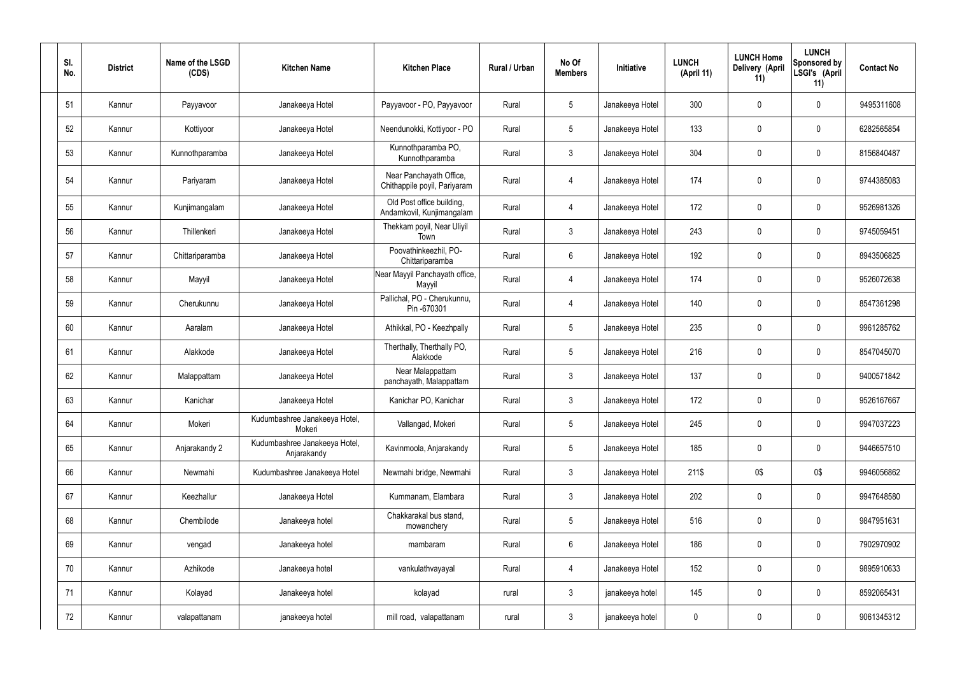| SI.<br>No. | <b>District</b> | Name of the LSGD<br>(CDS) | <b>Kitchen Name</b>                          | <b>Kitchen Place</b>                                    | Rural / Urban | No Of<br><b>Members</b> | Initiative      | <b>LUNCH</b><br>(April 11) | <b>LUNCH Home</b><br><b>Delivery (April</b><br>11) | <b>LUNCH</b><br>Sponsored by<br>LSGI's (April<br>11) | <b>Contact No</b> |
|------------|-----------------|---------------------------|----------------------------------------------|---------------------------------------------------------|---------------|-------------------------|-----------------|----------------------------|----------------------------------------------------|------------------------------------------------------|-------------------|
| 51         | Kannur          | Payyavoor                 | Janakeeya Hotel                              | Payyavoor - PO, Payyavoor                               | Rural         | $5\overline{)}$         | Janakeeya Hotel | 300                        | 0                                                  | $\mathbf 0$                                          | 9495311608        |
| 52         | Kannur          | Kottiyoor                 | Janakeeya Hotel                              | Neendunokki, Kottiyoor - PO                             | Rural         | $5\phantom{.0}$         | Janakeeya Hotel | 133                        | 0                                                  | $\mathbf 0$                                          | 6282565854        |
| 53         | Kannur          | Kunnothparamba            | Janakeeya Hotel                              | Kunnothparamba PO,<br>Kunnothparamba                    | Rural         | $\mathbf{3}$            | Janakeeya Hotel | 304                        | 0                                                  | $\mathbf 0$                                          | 8156840487        |
| 54         | Kannur          | Pariyaram                 | Janakeeya Hotel                              | Near Panchayath Office,<br>Chithappile poyil, Pariyaram | Rural         | 4                       | Janakeeya Hotel | 174                        | 0                                                  | $\mathbf 0$                                          | 9744385083        |
| 55         | Kannur          | Kunjimangalam             | Janakeeya Hotel                              | Old Post office building,<br>Andamkovil, Kunjimangalam  | Rural         | 4                       | Janakeeya Hotel | 172                        | $\mathbf 0$                                        | $\mathbf 0$                                          | 9526981326        |
| 56         | Kannur          | Thillenkeri               | Janakeeya Hotel                              | Thekkam poyil, Near Uliyil<br>Town                      | Rural         | $\mathbf{3}$            | Janakeeya Hotel | 243                        | 0                                                  | $\mathbf 0$                                          | 9745059451        |
| 57         | Kannur          | Chittariparamba           | Janakeeya Hotel                              | Poovathinkeezhil, PO-<br>Chittariparamba                | Rural         | $6\overline{6}$         | Janakeeya Hotel | 192                        | 0                                                  | $\mathbf 0$                                          | 8943506825        |
| 58         | Kannur          | Mayyil                    | Janakeeya Hotel                              | Near Mayyil Panchayath office,<br>Mayyil                | Rural         | $\overline{4}$          | Janakeeya Hotel | 174                        | 0                                                  | $\mathbf 0$                                          | 9526072638        |
| 59         | Kannur          | Cherukunnu                | Janakeeya Hotel                              | Pallichal, PO - Cherukunnu,<br>Pin -670301              | Rural         | 4                       | Janakeeya Hotel | 140                        | 0                                                  | $\mathbf 0$                                          | 8547361298        |
| 60         | Kannur          | Aaralam                   | Janakeeya Hotel                              | Athikkal, PO - Keezhpally                               | Rural         | $5\overline{)}$         | Janakeeya Hotel | 235                        | 0                                                  | $\mathbf 0$                                          | 9961285762        |
| 61         | Kannur          | Alakkode                  | Janakeeya Hotel                              | Therthally, Therthally PO,<br>Alakkode                  | Rural         | $5\overline{)}$         | Janakeeya Hotel | 216                        | 0                                                  | $\mathbf 0$                                          | 8547045070        |
| 62         | Kannur          | Malappattam               | Janakeeya Hotel                              | Near Malappattam<br>panchayath, Malappattam             | Rural         | $\mathbf{3}$            | Janakeeya Hotel | 137                        | 0                                                  | $\overline{0}$                                       | 9400571842        |
| 63         | Kannur          | Kanichar                  | Janakeeya Hotel                              | Kanichar PO, Kanichar                                   | Rural         | 3                       | Janakeeya Hotel | 172                        | 0                                                  | 0                                                    | 9526167667        |
| 64         | Kannur          | Mokeri                    | Kudumbashree Janakeeya Hotel,<br>Mokeri      | Vallangad, Mokeri                                       | Rural         | $5\overline{)}$         | Janakeeya Hotel | 245                        | 0                                                  | $\mathbf 0$                                          | 9947037223        |
| 65         | Kannur          | Anjarakandy 2             | Kudumbashree Janakeeya Hotel,<br>Anjarakandy | Kavinmoola, Anjarakandy                                 | Rural         | 5 <sub>5</sub>          | Janakeeya Hotel | 185                        | 0                                                  | $\mathbf 0$                                          | 9446657510        |
| 66         | Kannur          | Newmahi                   | Kudumbashree Janakeeya Hotel                 | Newmahi bridge, Newmahi                                 | Rural         | $\mathbf{3}$            | Janakeeya Hotel | 211\$                      | 0\$                                                | 0\$                                                  | 9946056862        |
| 67         | Kannur          | Keezhallur                | Janakeeya Hotel                              | Kummanam, Elambara                                      | Rural         | $\mathbf{3}$            | Janakeeya Hotel | 202                        | 0                                                  | $\mathbf 0$                                          | 9947648580        |
| 68         | Kannur          | Chembilode                | Janakeeya hotel                              | Chakkarakal bus stand,<br>mowanchery                    | Rural         | $5\phantom{.0}$         | Janakeeya Hotel | 516                        | 0                                                  | $\mathbf 0$                                          | 9847951631        |
| 69         | Kannur          | vengad                    | Janakeeya hotel                              | mambaram                                                | Rural         | $6\overline{6}$         | Janakeeya Hotel | 186                        | 0                                                  | $\mathbf 0$                                          | 7902970902        |
| 70         | Kannur          | Azhikode                  | Janakeeya hotel                              | vankulathvayayal                                        | Rural         | 4                       | Janakeeya Hotel | 152                        | 0                                                  | $\mathbf 0$                                          | 9895910633        |
| 71         | Kannur          | Kolayad                   | Janakeeya hotel                              | kolayad                                                 | rural         | $\mathbf{3}$            | janakeeya hotel | 145                        | 0                                                  | $\boldsymbol{0}$                                     | 8592065431        |
| 72         | Kannur          | valapattanam              | janakeeya hotel                              | mill road, valapattanam                                 | rural         | $\mathbf{3}$            | janakeeya hotel | $\pmb{0}$                  | 0                                                  | $\boldsymbol{0}$                                     | 9061345312        |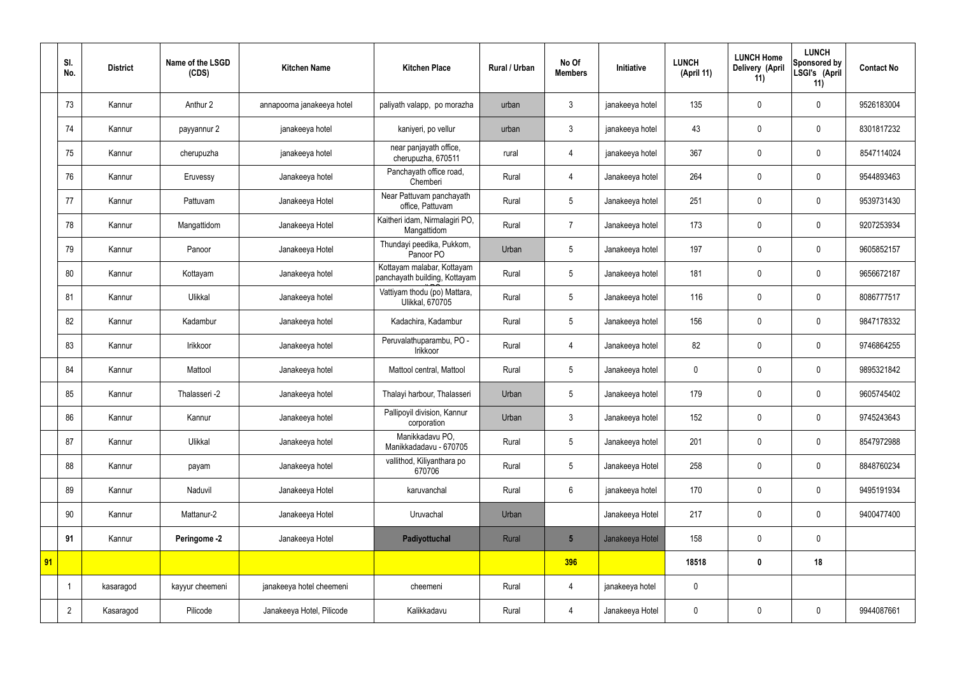|    | SI.<br>No.     | <b>District</b> | Name of the LSGD<br>(CDS) | <b>Kitchen Name</b>        | <b>Kitchen Place</b>                                        | <b>Rural / Urban</b> | No Of<br><b>Members</b> | Initiative      | <b>LUNCH</b><br>(April 11) | <b>LUNCH Home</b><br>Delivery (April<br>11) | <b>LUNCH</b><br>Sponsored by<br>LSGI's (April<br>11) | <b>Contact No</b> |
|----|----------------|-----------------|---------------------------|----------------------------|-------------------------------------------------------------|----------------------|-------------------------|-----------------|----------------------------|---------------------------------------------|------------------------------------------------------|-------------------|
|    | 73             | Kannur          | Anthur 2                  | annapoorna janakeeya hotel | paliyath valapp, po morazha                                 | urban                | 3                       | janakeeya hotel | 135                        | $\mathbf 0$                                 | $\mathbf 0$                                          | 9526183004        |
|    | 74             | Kannur          | payyannur 2               | janakeeya hotel            | kaniyeri, po vellur                                         | urban                | $\mathbf{3}$            | janakeeya hotel | 43                         | $\mathbf 0$                                 | $\mathbf 0$                                          | 8301817232        |
|    | 75             | Kannur          | cherupuzha                | janakeeya hotel            | near panjayath office,<br>cherupuzha, 670511                | rural                | 4                       | janakeeya hotel | 367                        | $\mathbf 0$                                 | $\mathbf 0$                                          | 8547114024        |
|    | 76             | Kannur          | Eruvessy                  | Janakeeya hotel            | Panchayath office road,<br>Chemberi                         | Rural                | 4                       | Janakeeya hotel | 264                        | $\mathbf 0$                                 | $\mathbf 0$                                          | 9544893463        |
|    | 77             | Kannur          | Pattuvam                  | Janakeeya Hotel            | Near Pattuvam panchayath<br>office, Pattuvam                | Rural                | 5                       | Janakeeya hotel | 251                        | $\mathbf 0$                                 | $\mathbf 0$                                          | 9539731430        |
|    | 78             | Kannur          | Mangattidom               | Janakeeya Hotel            | Kaitheri idam, Nirmalagiri PO,<br>Mangattidom               | Rural                | $\overline{7}$          | Janakeeya hotel | 173                        | $\mathbf 0$                                 | $\mathbf 0$                                          | 9207253934        |
|    | 79             | Kannur          | Panoor                    | Janakeeya Hotel            | Thundayi peedika, Pukkom,<br>Panoor PO                      | Urban                | 5                       | Janakeeya hotel | 197                        | $\mathbf 0$                                 | $\mathbf 0$                                          | 9605852157        |
|    | 80             | Kannur          | Kottayam                  | Janakeeya hotel            | Kottayam malabar, Kottayam<br>panchayath building, Kottayam | Rural                | 5                       | Janakeeya hotel | 181                        | $\mathbf 0$                                 | $\mathbf 0$                                          | 9656672187        |
|    | 81             | Kannur          | Ulikkal                   | Janakeeya hotel            | Vattiyam thodu (po) Mattara,<br>Ulikkal, 670705             | Rural                | 5                       | Janakeeya hotel | 116                        | $\mathbf 0$                                 | $\mathbf 0$                                          | 8086777517        |
|    | 82             | Kannur          | Kadambur                  | Janakeeya hotel            | Kadachira, Kadambur                                         | Rural                | 5                       | Janakeeya hotel | 156                        | $\mathbf 0$                                 | $\mathbf 0$                                          | 9847178332        |
|    | 83             | Kannur          | Irikkoor                  | Janakeeya hotel            | Peruvalathuparambu, PO -<br>Irikkoor                        | Rural                | $\overline{4}$          | Janakeeya hotel | 82                         | $\mathbf 0$                                 | $\mathbf 0$                                          | 9746864255        |
|    | 84             | Kannur          | Mattool                   | Janakeeya hotel            | Mattool central, Mattool                                    | Rural                | 5                       | Janakeeya hotel | $\boldsymbol{0}$           | $\mathbf 0$                                 | $\mathbf 0$                                          | 9895321842        |
|    | 85             | Kannur          | Thalasseri -2             | Janakeeya hotel            | Thalayi harbour, Thalasseri                                 | Urban                | 5                       | Janakeeya hotel | 179                        | $\mathbf 0$                                 | $\mathbf 0$                                          | 9605745402        |
|    | 86             | Kannur          | Kannur                    | Janakeeya hotel            | Pallipoyil division, Kannur<br>corporation                  | Urban                | $\mathfrak{Z}$          | Janakeeya hotel | 152                        | $\pmb{0}$                                   | $\mathbf 0$                                          | 9745243643        |
|    | 87             | Kannur          | Ulikkal                   | Janakeeya hotel            | Manikkadavu PO,<br>Manikkadadavu - 670705                   | Rural                | 5                       | Janakeeya hotel | 201                        | $\pmb{0}$                                   | $\mathbf 0$                                          | 8547972988        |
|    | 88             | Kannur          | payam                     | Janakeeya hotel            | vallithod, Kiliyanthara po<br>670706                        | Rural                | 5                       | Janakeeya Hotel | 258                        | $\pmb{0}$                                   | $\mathbf 0$                                          | 8848760234        |
|    | 89             | Kannur          | Naduvil                   | Janakeeya Hotel            | karuvanchal                                                 | Rural                | $6\overline{6}$         | janakeeya hotel | 170                        | $\pmb{0}$                                   | $\mathbf 0$                                          | 9495191934        |
|    | 90             | Kannur          | Mattanur-2                | Janakeeya Hotel            | Uruvachal                                                   | Urban                |                         | Janakeeya Hotel | 217                        | $\pmb{0}$                                   | $\mathbf 0$                                          | 9400477400        |
|    | 91             | Kannur          | Peringome -2              | Janakeeya Hotel            | Padiyottuchal                                               | Rural                | $5\overline{)}$         | Janakeeya Hotel | 158                        | $\pmb{0}$                                   | $\mathbf 0$                                          |                   |
| 91 |                |                 |                           |                            |                                                             |                      | 396                     |                 | 18518                      | $\pmb{0}$                                   | 18                                                   |                   |
|    |                | kasaragod       | kayyur cheemeni           | janakeeya hotel cheemeni   | cheemeni                                                    | Rural                | 4                       | janakeeya hotel | $\pmb{0}$                  |                                             |                                                      |                   |
|    | $\overline{2}$ | Kasaragod       | Pilicode                  | Janakeeya Hotel, Pilicode  | Kalikkadavu                                                 | Rural                | 4                       | Janakeeya Hotel | $\pmb{0}$                  | $\pmb{0}$                                   | $\mathbf 0$                                          | 9944087661        |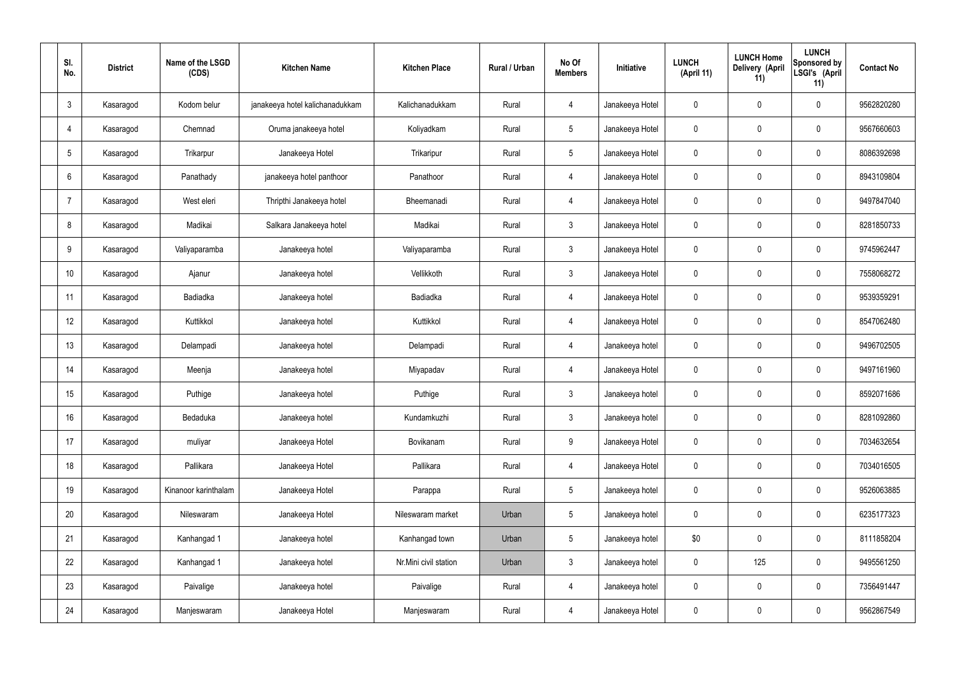| SI.<br>No.     | <b>District</b> | Name of the LSGD<br>(CDS) | <b>Kitchen Name</b>             | <b>Kitchen Place</b>  | Rural / Urban | No Of<br><b>Members</b> | Initiative      | <b>LUNCH</b><br>(April 11) | <b>LUNCH Home</b><br>Delivery (April<br>11) | <b>LUNCH</b><br>Sponsored by<br>LSGI's (April<br>11) | <b>Contact No</b> |
|----------------|-----------------|---------------------------|---------------------------------|-----------------------|---------------|-------------------------|-----------------|----------------------------|---------------------------------------------|------------------------------------------------------|-------------------|
| $\mathbf{3}$   | Kasaragod       | Kodom belur               | janakeeya hotel kalichanadukkam | Kalichanadukkam       | Rural         | 4                       | Janakeeya Hotel | 0                          | $\mathbf 0$                                 | $\mathbf 0$                                          | 9562820280        |
| 4              | Kasaragod       | Chemnad                   | Oruma janakeeya hotel           | Koliyadkam            | Rural         | $5\overline{)}$         | Janakeeya Hotel | $\mathbf 0$                | $\mathbf 0$                                 | $\mathbf 0$                                          | 9567660603        |
| 5              | Kasaragod       | Trikarpur                 | Janakeeya Hotel                 | Trikaripur            | Rural         | $5\overline{)}$         | Janakeeya Hotel | $\mathbf 0$                | $\mathbf 0$                                 | $\mathbf 0$                                          | 8086392698        |
| 6              | Kasaragod       | Panathady                 | janakeeya hotel panthoor        | Panathoor             | Rural         | $\overline{4}$          | Janakeeya Hotel | $\mathbf 0$                | $\mathbf 0$                                 | $\mathbf 0$                                          | 8943109804        |
| $\overline{7}$ | Kasaragod       | West eleri                | Thripthi Janakeeya hotel        | Bheemanadi            | Rural         | $\overline{4}$          | Janakeeya Hotel | $\mathbf 0$                | $\pmb{0}$                                   | $\mathbf 0$                                          | 9497847040        |
| 8              | Kasaragod       | Madikai                   | Salkara Janakeeya hotel         | Madikai               | Rural         | $\mathbf{3}$            | Janakeeya Hotel | $\mathbf 0$                | $\pmb{0}$                                   | $\mathbf 0$                                          | 8281850733        |
| 9              | Kasaragod       | Valiyaparamba             | Janakeeya hotel                 | Valiyaparamba         | Rural         | $\mathbf{3}$            | Janakeeya Hotel | $\mathbf 0$                | $\pmb{0}$                                   | $\mathbf 0$                                          | 9745962447        |
| 10             | Kasaragod       | Ajanur                    | Janakeeya hotel                 | Vellikkoth            | Rural         | $\mathbf{3}$            | Janakeeya Hotel | $\mathbf 0$                | $\mathbf 0$                                 | $\mathbf 0$                                          | 7558068272        |
| 11             | Kasaragod       | Badiadka                  | Janakeeya hotel                 | Badiadka              | Rural         | $\overline{4}$          | Janakeeya Hotel | $\mathbf 0$                | $\mathbf 0$                                 | $\mathbf 0$                                          | 9539359291        |
| 12             | Kasaragod       | Kuttikkol                 | Janakeeya hotel                 | Kuttikkol             | Rural         | $\overline{4}$          | Janakeeya Hotel | $\mathbf 0$                | $\mathbf 0$                                 | $\mathbf 0$                                          | 8547062480        |
| 13             | Kasaragod       | Delampadi                 | Janakeeya hotel                 | Delampadi             | Rural         | $\overline{4}$          | Janakeeya hotel | $\mathbf 0$                | $\pmb{0}$                                   | $\mathbf 0$                                          | 9496702505        |
| 14             | Kasaragod       | Meenja                    | Janakeeya hotel                 | Miyapadav             | Rural         | $\overline{4}$          | Janakeeya Hotel | $\mathbf 0$                | $\mathbf 0$                                 | $\mathbf 0$                                          | 9497161960        |
| 15             | Kasaragod       | Puthige                   | Janakeeya hotel                 | Puthige               | Rural         | $\mathfrak{Z}$          | Janakeeya hotel | $\mathbf 0$                | $\mathbf 0$                                 | $\mathbf 0$                                          | 8592071686        |
| 16             | Kasaragod       | Bedaduka                  | Janakeeya hotel                 | Kundamkuzhi           | Rural         | $\mathbf{3}$            | Janakeeya hotel | $\mathbf 0$                | $\pmb{0}$                                   | $\mathbf 0$                                          | 8281092860        |
| 17             | Kasaragod       | muliyar                   | Janakeeya Hotel                 | Bovikanam             | Rural         | 9                       | Janakeeya Hotel | $\pmb{0}$                  | $\pmb{0}$                                   | $\mathbf 0$                                          | 7034632654        |
| 18             | Kasaragod       | Pallikara                 | Janakeeya Hotel                 | Pallikara             | Rural         | $\overline{4}$          | Janakeeya Hotel | $\pmb{0}$                  | $\pmb{0}$                                   | $\mathbf 0$                                          | 7034016505        |
| 19             | Kasaragod       | Kinanoor karinthalam      | Janakeeya Hotel                 | Parappa               | Rural         | $5\phantom{.0}$         | Janakeeya hotel | $\pmb{0}$                  | $\pmb{0}$                                   | $\mathbf 0$                                          | 9526063885        |
| 20             | Kasaragod       | Nileswaram                | Janakeeya Hotel                 | Nileswaram market     | Urban         | $5\phantom{.0}$         | Janakeeya hotel | $\pmb{0}$                  | $\pmb{0}$                                   | $\mathbf 0$                                          | 6235177323        |
| 21             | Kasaragod       | Kanhangad 1               | Janakeeya hotel                 | Kanhangad town        | Urban         | $5\phantom{.0}$         | Janakeeya hotel | \$0                        | $\pmb{0}$                                   | $\mathbf 0$                                          | 8111858204        |
| 22             | Kasaragod       | Kanhangad 1               | Janakeeya hotel                 | Nr.Mini civil station | Urban         | $\mathbf{3}$            | Janakeeya hotel | $\pmb{0}$                  | 125                                         | $\mathbf 0$                                          | 9495561250        |
| 23             | Kasaragod       | Paivalige                 | Janakeeya hotel                 | Paivalige             | Rural         | $\overline{4}$          | Janakeeya hotel | $\pmb{0}$                  | $\pmb{0}$                                   | $\mathbf 0$                                          | 7356491447        |
| 24             | Kasaragod       | Manjeswaram               | Janakeeya Hotel                 | Manjeswaram           | Rural         | 4                       | Janakeeya Hotel | $\pmb{0}$                  | $\pmb{0}$                                   | $\boldsymbol{0}$                                     | 9562867549        |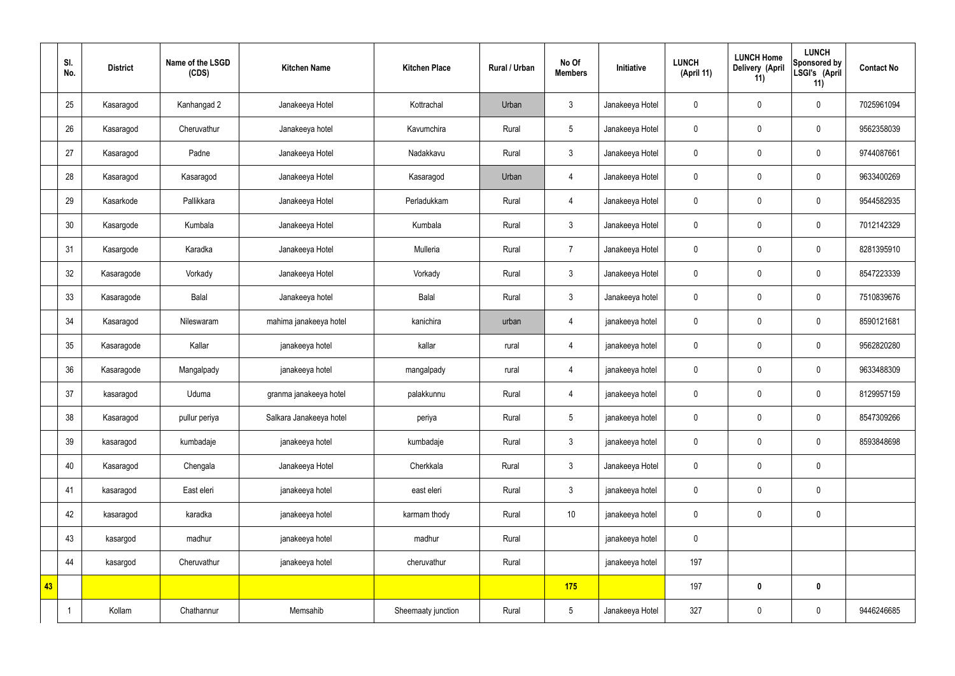|    | SI.<br>No. | <b>District</b> | Name of the LSGD<br>(CDS) | <b>Kitchen Name</b>     | <b>Kitchen Place</b> | <b>Rural / Urban</b> | No Of<br><b>Members</b> | Initiative      | <b>LUNCH</b><br>(April 11) | <b>LUNCH Home</b><br><b>Delivery (April</b><br>11) | <b>LUNCH</b><br>Sponsored by<br>LSGI's (April<br>11) | <b>Contact No</b> |
|----|------------|-----------------|---------------------------|-------------------------|----------------------|----------------------|-------------------------|-----------------|----------------------------|----------------------------------------------------|------------------------------------------------------|-------------------|
|    | 25         | Kasaragod       | Kanhangad 2               | Janakeeya Hotel         | Kottrachal           | Urban                | $\mathbf{3}$            | Janakeeya Hotel | $\mathbf 0$                | $\pmb{0}$                                          | $\mathbf 0$                                          | 7025961094        |
|    | 26         | Kasaragod       | Cheruvathur               | Janakeeya hotel         | Kavumchira           | Rural                | 5                       | Janakeeya Hotel | $\mathbf 0$                | $\pmb{0}$                                          | $\pmb{0}$                                            | 9562358039        |
|    | 27         | Kasaragod       | Padne                     | Janakeeya Hotel         | Nadakkavu            | Rural                | $\mathfrak{Z}$          | Janakeeya Hotel | 0                          | $\pmb{0}$                                          | $\mathbf 0$                                          | 9744087661        |
|    | 28         | Kasaragod       | Kasaragod                 | Janakeeya Hotel         | Kasaragod            | Urban                | $\overline{4}$          | Janakeeya Hotel | $\mathbf 0$                | $\mathbf 0$                                        | $\pmb{0}$                                            | 9633400269        |
|    | 29         | Kasarkode       | Pallikkara                | Janakeeya Hotel         | Perladukkam          | Rural                | $\overline{4}$          | Janakeeya Hotel | $\mathbf 0$                | $\mathbf 0$                                        | $\mathbf 0$                                          | 9544582935        |
|    | 30         | Kasargode       | Kumbala                   | Janakeeya Hotel         | Kumbala              | Rural                | $\mathbf{3}$            | Janakeeya Hotel | $\mathbf 0$                | $\mathbf 0$                                        | $\pmb{0}$                                            | 7012142329        |
|    | 31         | Kasargode       | Karadka                   | Janakeeya Hotel         | Mulleria             | Rural                | $\overline{7}$          | Janakeeya Hotel | $\mathbf 0$                | $\mathbf 0$                                        | $\mathbf 0$                                          | 8281395910        |
|    | 32         | Kasaragode      | Vorkady                   | Janakeeya Hotel         | Vorkady              | Rural                | $\mathbf{3}$            | Janakeeya Hotel | $\mathbf 0$                | $\mathbf 0$                                        | $\pmb{0}$                                            | 8547223339        |
|    | 33         | Kasaragode      | Balal                     | Janakeeya hotel         | Balal                | Rural                | $\mathfrak{Z}$          | Janakeeya hotel | $\mathbf 0$                | $\pmb{0}$                                          | $\mathbf 0$                                          | 7510839676        |
|    | 34         | Kasaragod       | Nileswaram                | mahima janakeeya hotel  | kanichira            | urban                | 4                       | janakeeya hotel | $\mathbf 0$                | $\mathbf 0$                                        | $\mathbf 0$                                          | 8590121681        |
|    | 35         | Kasaragode      | Kallar                    | janakeeya hotel         | kallar               | rural                | $\overline{4}$          | janakeeya hotel | $\boldsymbol{0}$           | $\pmb{0}$                                          | $\mathbf 0$                                          | 9562820280        |
|    | 36         | Kasaragode      | Mangalpady                | janakeeya hotel         | mangalpady           | rural                | $\overline{4}$          | janakeeya hotel | $\mathbf 0$                | $\pmb{0}$                                          | $\pmb{0}$                                            | 9633488309        |
|    | 37         | kasaragod       | Uduma                     | granma janakeeya hotel  | palakkunnu           | Rural                | 4                       | janakeeya hotel | 0                          | $\mathbf 0$                                        | $\mathbf 0$                                          | 8129957159        |
|    | 38         | Kasaragod       | pullur periya             | Salkara Janakeeya hotel | periya               | Rural                | $5\phantom{.0}$         | janakeeya hotel | $\pmb{0}$                  | $\pmb{0}$                                          | $\pmb{0}$                                            | 8547309266        |
|    | 39         | kasaragod       | kumbadaje                 | janakeeya hotel         | kumbadaje            | Rural                | $\mathbf{3}$            | janakeeya hotel | $\mathbf 0$                | $\pmb{0}$                                          | $\pmb{0}$                                            | 8593848698        |
|    | 40         | Kasaragod       | Chengala                  | Janakeeya Hotel         | Cherkkala            | Rural                | $\mathbf{3}$            | Janakeeya Hotel | $\mathbf 0$                | $\pmb{0}$                                          | $\pmb{0}$                                            |                   |
|    | 41         | kasaragod       | East eleri                | janakeeya hotel         | east eleri           | Rural                | $\mathbf{3}$            | janakeeya hotel | $\mathbf 0$                | $\mathbf 0$                                        | $\pmb{0}$                                            |                   |
|    | 42         | kasaragod       | karadka                   | janakeeya hotel         | karmam thody         | Rural                | $10$                    | janakeeya hotel | $\mathbf 0$                | $\mathbf 0$                                        | $\pmb{0}$                                            |                   |
|    | 43         | kasargod        | madhur                    | janakeeya hotel         | madhur               | Rural                |                         | janakeeya hotel | $\mathbf 0$                |                                                    |                                                      |                   |
|    | 44         | kasargod        | Cheruvathur               | janakeeya hotel         | cheruvathur          | Rural                |                         | janakeeya hotel | 197                        |                                                    |                                                      |                   |
| 43 |            |                 |                           |                         |                      |                      | 175                     |                 | 197                        | $\pmb{0}$                                          | $\mathbf 0$                                          |                   |
|    |            | Kollam          | Chathannur                | Memsahib                | Sheemaaty junction   | Rural                | $5\phantom{.0}$         | Janakeeya Hotel | 327                        | $\pmb{0}$                                          | $\pmb{0}$                                            | 9446246685        |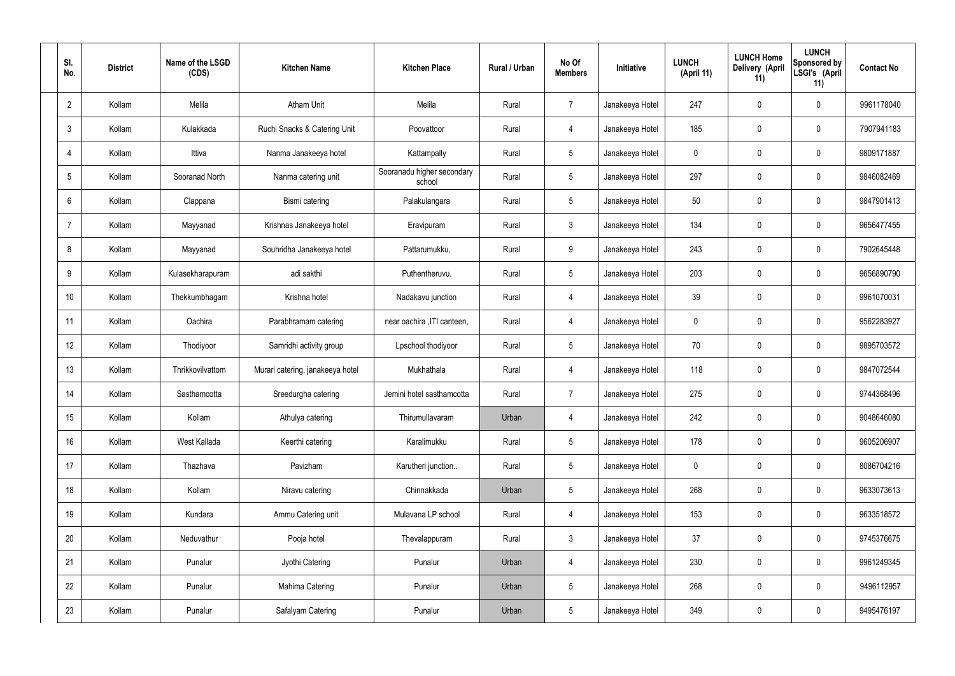| SI.<br>No.     | <b>District</b> | Name of the LSGD<br>(CDS) | <b>Kitchen Name</b>              | <b>Kitchen Place</b>                 | Rural / Urban | No Of<br><b>Members</b> | Initiative      | <b>LUNCH</b><br>(April 11) | <b>LUNCH Home</b><br>Delivery (April<br>11) | <b>LUNCH</b><br>Sponsored by<br>LSGI's (April<br>11) | <b>Contact No</b> |
|----------------|-----------------|---------------------------|----------------------------------|--------------------------------------|---------------|-------------------------|-----------------|----------------------------|---------------------------------------------|------------------------------------------------------|-------------------|
| $\overline{2}$ | Kollam          | Melila                    | <b>Atham Unit</b>                | Melila                               | Rural         | $\overline{7}$          | Janakeeya Hotel | 247                        | $\mathbf 0$                                 | $\mathbf 0$                                          | 9961178040        |
| 3              | Kollam          | Kulakkada                 | Ruchi Snacks & Catering Unit     | Poovattoor                           | Rural         | $\overline{4}$          | Janakeeya Hotel | 185                        | $\mathbf 0$                                 | $\mathbf 0$                                          | 7907941183        |
| $\overline{4}$ | Kollam          | Ittiva                    | Nanma Janakeeya hotel            | Kattampally                          | Rural         | $5\overline{)}$         | Janakeeya Hotel | 0                          | $\mathbf 0$                                 | $\mathbf 0$                                          | 9809171887        |
| 5              | Kollam          | Sooranad North            | Nanma catering unit              | Sooranadu higher secondary<br>school | Rural         | $5\overline{)}$         | Janakeeya Hotel | 297                        | $\mathbf 0$                                 | $\mathbf 0$                                          | 9846082469        |
| 6              | Kollam          | Clappana                  | Bismi catering                   | Palakulangara                        | Rural         | $5\overline{)}$         | Janakeeya Hotel | 50                         | $\mathbf 0$                                 | $\mathbf 0$                                          | 9847901413        |
| $\overline{7}$ | Kollam          | Mayyanad                  | Krishnas Janakeeya hotel         | Eravipuram                           | Rural         | $\mathbf{3}$            | Janakeeya Hotel | 134                        | $\mathbf 0$                                 | $\mathbf 0$                                          | 9656477455        |
| 8              | Kollam          | Mayyanad                  | Souhridha Janakeeya hotel        | Pattarumukku,                        | Rural         | 9                       | Janakeeya Hotel | 243                        | $\mathbf 0$                                 | $\mathbf 0$                                          | 7902645448        |
| 9              | Kollam          | Kulasekharapuram          | adi sakthi                       | Puthentheruvu.                       | Rural         | $5\overline{)}$         | Janakeeya Hotel | 203                        | $\mathbf 0$                                 | $\mathbf 0$                                          | 9656890790        |
| 10             | Kollam          | Thekkumbhagam             | Krishna hotel                    | Nadakavu junction                    | Rural         | $\overline{4}$          | Janakeeya Hotel | 39                         | $\mathbf 0$                                 | $\mathbf 0$                                          | 9961070031        |
| 11             | Kollam          | Oachira                   | Parabhramam catering             | near oachira , ITI canteen,          | Rural         | 4                       | Janakeeya Hotel | 0                          | $\mathbf 0$                                 | $\mathbf 0$                                          | 9562283927        |
| 12             | Kollam          | Thodiyoor                 | Samridhi activity group          | Lpschool thodiyoor                   | Rural         | $5\overline{)}$         | Janakeeya Hotel | 70                         | 0                                           | $\mathbf 0$                                          | 9895703572        |
| 13             | Kollam          | Thrikkovilvattom          | Murari catering, janakeeya hotel | Mukhathala                           | Rural         | 4                       | Janakeeya Hotel | 118                        | $\mathbf 0$                                 | $\mathbf 0$                                          | 9847072544        |
| 14             | Kollam          | Sasthamcotta              | Sreedurgha catering              | Jemini hotel sasthamcotta            | Rural         | $\overline{7}$          | Janakeeya Hotel | 275                        | 0                                           | $\mathbf 0$                                          | 9744368496        |
| 15             | Kollam          | Kollam                    | Athulya catering                 | Thirumullavaram                      | Urban         | $\overline{4}$          | Janakeeya Hotel | 242                        | 0                                           | $\mathbf 0$                                          | 9048646080        |
| 16             | Kollam          | West Kallada              | Keerthi catering                 | Karalimukku                          | Rural         | $5\phantom{.0}$         | Janakeeya Hotel | 178                        | 0                                           | $\mathbf 0$                                          | 9605206907        |
| 17             | Kollam          | Thazhava                  | Pavizham                         | Karutheri junction                   | Rural         | $5\overline{)}$         | Janakeeya Hotel | 0                          | 0                                           | $\mathbf 0$                                          | 8086704216        |
| 18             | Kollam          | Kollam                    | Niravu catering                  | Chinnakkada                          | Urban         | $5\overline{)}$         | Janakeeya Hotel | 268                        | 0                                           | $\mathbf 0$                                          | 9633073613        |
| 19             | Kollam          | Kundara                   | Ammu Catering unit               | Mulavana LP school                   | Rural         | $\overline{4}$          | Janakeeya Hotel | 153                        | 0                                           | $\mathbf 0$                                          | 9633518572        |
| 20             | Kollam          | Neduvathur                | Pooja hotel                      | Thevalappuram                        | Rural         | $\mathbf{3}$            | Janakeeya Hotel | 37                         | 0                                           | $\mathbf 0$                                          | 9745376675        |
| 21             | Kollam          | Punalur                   | Jyothi Catering                  | Punalur                              | Urban         | $\overline{4}$          | Janakeeya Hotel | 230                        | 0                                           | $\mathbf 0$                                          | 9961249345        |
| 22             | Kollam          | Punalur                   | Mahima Catering                  | Punalur                              | Urban         | $5\phantom{.0}$         | Janakeeya Hotel | 268                        | 0                                           | $\mathbf 0$                                          | 9496112957        |
| 23             | Kollam          | Punalur                   | Safalyam Catering                | Punalur                              | Urban         | $5\phantom{.0}$         | Janakeeya Hotel | 349                        | 0                                           | $\overline{0}$                                       | 9495476197        |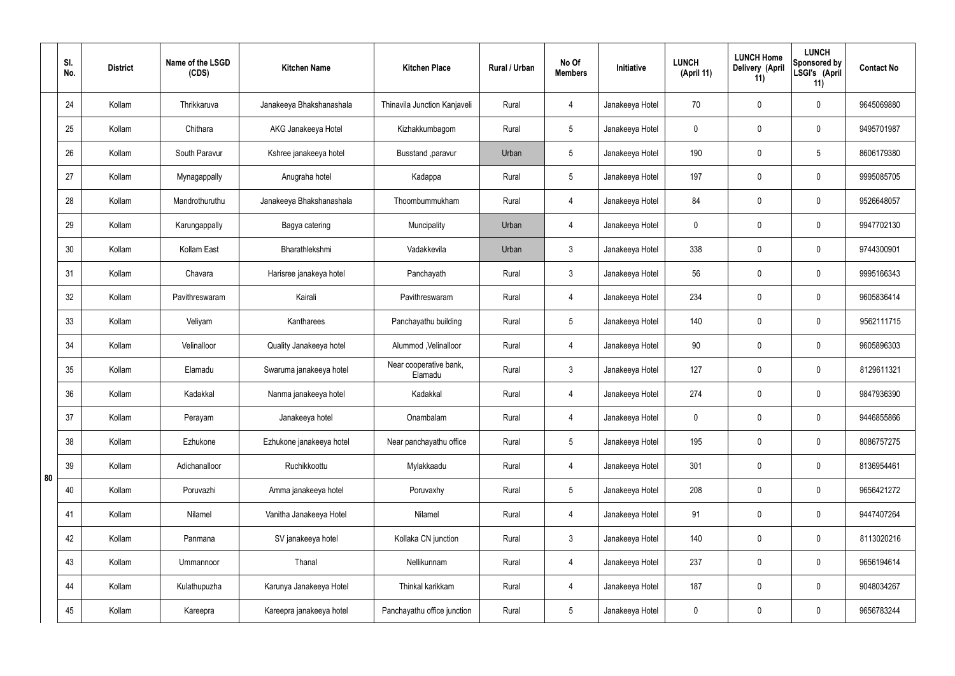|    | SI.<br>No. | <b>District</b> | Name of the LSGD<br>(CDS) | <b>Kitchen Name</b>      | <b>Kitchen Place</b>              | Rural / Urban | No Of<br><b>Members</b> | Initiative      | <b>LUNCH</b><br>(April 11) | <b>LUNCH Home</b><br>Delivery (April<br>11) | <b>LUNCH</b><br>Sponsored by<br>LSGI's (April<br>11) | <b>Contact No</b> |
|----|------------|-----------------|---------------------------|--------------------------|-----------------------------------|---------------|-------------------------|-----------------|----------------------------|---------------------------------------------|------------------------------------------------------|-------------------|
|    | 24         | Kollam          | Thrikkaruva               | Janakeeya Bhakshanashala | Thinavila Junction Kanjaveli      | Rural         | 4                       | Janakeeya Hotel | 70                         | $\mathbf 0$                                 | $\mathbf 0$                                          | 9645069880        |
|    | 25         | Kollam          | Chithara                  | AKG Janakeeya Hotel      | Kizhakkumbagom                    | Rural         | $5\phantom{.0}$         | Janakeeya Hotel | $\mathbf 0$                | $\mathbf 0$                                 | $\mathbf 0$                                          | 9495701987        |
|    | 26         | Kollam          | South Paravur             | Kshree janakeeya hotel   | Busstand , paravur                | Urban         | $5\phantom{.0}$         | Janakeeya Hotel | 190                        | $\mathbf 0$                                 | $5\phantom{.0}$                                      | 8606179380        |
|    | 27         | Kollam          | Mynagappally              | Anugraha hotel           | Kadappa                           | Rural         | $5\phantom{.0}$         | Janakeeya Hotel | 197                        | $\mathbf 0$                                 | $\mathbf 0$                                          | 9995085705        |
|    | 28         | Kollam          | Mandrothuruthu            | Janakeeya Bhakshanashala | Thoombummukham                    | Rural         | 4                       | Janakeeya Hotel | 84                         | $\mathbf 0$                                 | $\mathbf 0$                                          | 9526648057        |
|    | 29         | Kollam          | Karungappally             | Bagya catering           | Muncipality                       | Urban         | 4                       | Janakeeya Hotel | $\mathbf 0$                | $\mathbf 0$                                 | $\mathbf 0$                                          | 9947702130        |
|    | 30         | Kollam          | Kollam East               | Bharathlekshmi           | Vadakkevila                       | Urban         | $\mathbf{3}$            | Janakeeya Hotel | 338                        | $\mathbf 0$                                 | $\mathbf 0$                                          | 9744300901        |
|    | 31         | Kollam          | Chavara                   | Harisree janakeya hotel  | Panchayath                        | Rural         | $\mathbf{3}$            | Janakeeya Hotel | 56                         | $\mathbf 0$                                 | $\mathbf 0$                                          | 9995166343        |
|    | 32         | Kollam          | Pavithreswaram            | Kairali                  | Pavithreswaram                    | Rural         | $\overline{4}$          | Janakeeya Hotel | 234                        | 0                                           | $\mathbf 0$                                          | 9605836414        |
|    | 33         | Kollam          | Veliyam                   | Kantharees               | Panchayathu building              | Rural         | $5\phantom{.0}$         | Janakeeya Hotel | 140                        | $\mathbf 0$                                 | $\mathbf 0$                                          | 9562111715        |
|    | 34         | Kollam          | Velinalloor               | Quality Janakeeya hotel  | Alummod, Velinalloor              | Rural         | 4                       | Janakeeya Hotel | 90                         | $\mathbf 0$                                 | $\mathbf 0$                                          | 9605896303        |
|    | 35         | Kollam          | Elamadu                   | Swaruma janakeeya hotel  | Near cooperative bank,<br>Elamadu | Rural         | $\mathbf{3}$            | Janakeeya Hotel | 127                        | $\mathbf 0$                                 | $\mathbf 0$                                          | 8129611321        |
|    | 36         | Kollam          | Kadakkal                  | Nanma janakeeya hotel    | Kadakkal                          | Rural         | 4                       | Janakeeya Hotel | 274                        | $\mathbf 0$                                 | $\mathbf 0$                                          | 9847936390        |
|    | 37         | Kollam          | Perayam                   | Janakeeya hotel          | Onambalam                         | Rural         | $\overline{4}$          | Janakeeya Hotel | $\mathbf 0$                | $\pmb{0}$                                   | $\mathbf 0$                                          | 9446855866        |
|    | 38         | Kollam          | Ezhukone                  | Ezhukone janakeeya hotel | Near panchayathu office           | Rural         | $5\overline{)}$         | Janakeeya Hotel | 195                        | $\pmb{0}$                                   | $\mathbf 0$                                          | 8086757275        |
| 80 | 39         | Kollam          | Adichanalloor             | Ruchikkoottu             | Mylakkaadu                        | Rural         | $\overline{4}$          | Janakeeya Hotel | 301                        | 0                                           | $\mathbf 0$                                          | 8136954461        |
|    | 40         | Kollam          | Poruvazhi                 | Amma janakeeya hotel     | Poruvaxhy                         | Rural         | $5\overline{)}$         | Janakeeya Hotel | 208                        | $\pmb{0}$                                   | $\mathbf 0$                                          | 9656421272        |
|    | 41         | Kollam          | Nilamel                   | Vanitha Janakeeya Hotel  | Nilamel                           | Rural         | $\overline{4}$          | Janakeeya Hotel | 91                         | 0                                           | $\mathbf 0$                                          | 9447407264        |
|    | 42         | Kollam          | Panmana                   | SV janakeeya hotel       | Kollaka CN junction               | Rural         | 3 <sup>5</sup>          | Janakeeya Hotel | 140                        | $\pmb{0}$                                   | $\mathbf 0$                                          | 8113020216        |
|    | 43         | Kollam          | Ummannoor                 | Thanal                   | Nellikunnam                       | Rural         | $\overline{4}$          | Janakeeya Hotel | 237                        | 0                                           | $\mathbf 0$                                          | 9656194614        |
|    | 44         | Kollam          | Kulathupuzha              | Karunya Janakeeya Hotel  | Thinkal karikkam                  | Rural         | 4                       | Janakeeya Hotel | 187                        | 0                                           | $\mathbf 0$                                          | 9048034267        |
|    | 45         | Kollam          | Kareepra                  | Kareepra janakeeya hotel | Panchayathu office junction       | Rural         | $5\phantom{.0}$         | Janakeeya Hotel | $\pmb{0}$                  | $\pmb{0}$                                   | $\boldsymbol{0}$                                     | 9656783244        |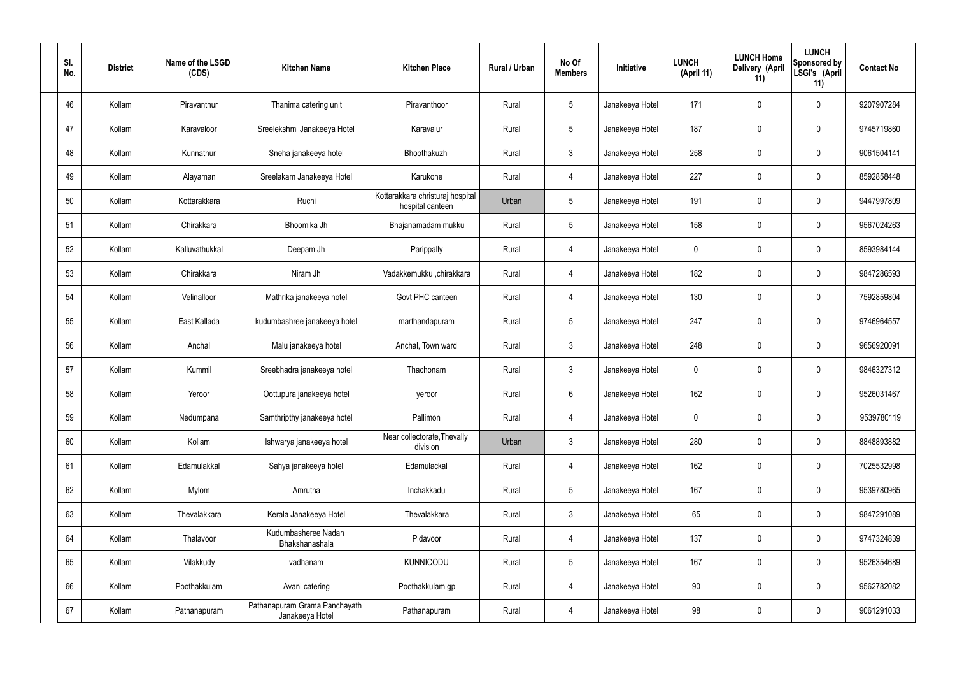| SI.<br>No. | <b>District</b> | Name of the LSGD<br>(CDS) | <b>Kitchen Name</b>                              | <b>Kitchen Place</b>                                 | Rural / Urban | No Of<br><b>Members</b> | Initiative      | <b>LUNCH</b><br>(April 11) | <b>LUNCH Home</b><br>Delivery (April<br>11) | <b>LUNCH</b><br>Sponsored by<br>LSGI's (April<br>11) | <b>Contact No</b> |
|------------|-----------------|---------------------------|--------------------------------------------------|------------------------------------------------------|---------------|-------------------------|-----------------|----------------------------|---------------------------------------------|------------------------------------------------------|-------------------|
| 46         | Kollam          | Piravanthur               | Thanima catering unit                            | Piravanthoor                                         | Rural         | $5\phantom{.0}$         | Janakeeya Hotel | 171                        | $\mathbf 0$                                 | $\mathbf 0$                                          | 9207907284        |
| 47         | Kollam          | Karavaloor                | Sreelekshmi Janakeeya Hotel                      | Karavalur                                            | Rural         | $5\phantom{.0}$         | Janakeeya Hotel | 187                        | 0                                           | $\mathbf 0$                                          | 9745719860        |
| 48         | Kollam          | Kunnathur                 | Sneha janakeeya hotel                            | Bhoothakuzhi                                         | Rural         | $\mathbf{3}$            | Janakeeya Hotel | 258                        | 0                                           | $\mathbf 0$                                          | 9061504141        |
| 49         | Kollam          | Alayaman                  | Sreelakam Janakeeya Hotel                        | Karukone                                             | Rural         | 4                       | Janakeeya Hotel | 227                        | 0                                           | $\mathbf 0$                                          | 8592858448        |
| 50         | Kollam          | Kottarakkara              | Ruchi                                            | Kottarakkara christuraj hospital<br>hospital canteen | Urban         | $5\phantom{.0}$         | Janakeeya Hotel | 191                        | $\boldsymbol{0}$                            | $\mathbf 0$                                          | 9447997809        |
| 51         | Kollam          | Chirakkara                | Bhoomika Jh                                      | Bhajanamadam mukku                                   | Rural         | $5\phantom{.0}$         | Janakeeya Hotel | 158                        | 0                                           | $\mathbf 0$                                          | 9567024263        |
| 52         | Kollam          | Kalluvathukkal            | Deepam Jh                                        | Parippally                                           | Rural         | 4                       | Janakeeya Hotel | $\mathbf 0$                | 0                                           | $\mathbf 0$                                          | 8593984144        |
| 53         | Kollam          | Chirakkara                | Niram Jh                                         | Vadakkemukku ,chirakkara                             | Rural         | $\overline{4}$          | Janakeeya Hotel | 182                        | 0                                           | $\mathbf 0$                                          | 9847286593        |
| 54         | Kollam          | Velinalloor               | Mathrika janakeeya hotel                         | Govt PHC canteen                                     | Rural         | $\overline{4}$          | Janakeeya Hotel | 130                        | $\boldsymbol{0}$                            | $\mathbf 0$                                          | 7592859804        |
| 55         | Kollam          | East Kallada              | kudumbashree janakeeya hotel                     | marthandapuram                                       | Rural         | $5\phantom{.0}$         | Janakeeya Hotel | 247                        | 0                                           | $\mathbf 0$                                          | 9746964557        |
| 56         | Kollam          | Anchal                    | Malu janakeeya hotel                             | Anchal, Town ward                                    | Rural         | $\mathbf{3}$            | Janakeeya Hotel | 248                        | 0                                           | $\boldsymbol{0}$                                     | 9656920091        |
| 57         | Kollam          | Kummil                    | Sreebhadra janakeeya hotel                       | Thachonam                                            | Rural         | $\mathfrak{Z}$          | Janakeeya Hotel | $\mathbf 0$                | 0                                           | $\boldsymbol{0}$                                     | 9846327312        |
| 58         | Kollam          | Yeroor                    | Oottupura janakeeya hotel                        | yeroor                                               | Rural         | 6                       | Janakeeya Hotel | 162                        | 0                                           | 0                                                    | 9526031467        |
| 59         | Kollam          | Nedumpana                 | Samthripthy janakeeya hotel                      | Pallimon                                             | Rural         | $\overline{4}$          | Janakeeya Hotel | $\mathbf 0$                | $\mathbf 0$                                 | $\mathbf 0$                                          | 9539780119        |
| 60         | Kollam          | Kollam                    | Ishwarya janakeeya hotel                         | Near collectorate, Thevally<br>division              | Urban         | $\mathbf{3}$            | Janakeeya Hotel | 280                        | $\mathbf 0$                                 | $\mathbf 0$                                          | 8848893882        |
| 61         | Kollam          | Edamulakkal               | Sahya janakeeya hotel                            | Edamulackal                                          | Rural         | $\overline{4}$          | Janakeeya Hotel | 162                        | 0                                           | $\mathbf 0$                                          | 7025532998        |
| 62         | Kollam          | Mylom                     | Amrutha                                          | Inchakkadu                                           | Rural         | $5\phantom{.0}$         | Janakeeya Hotel | 167                        | $\mathbf 0$                                 | $\mathbf 0$                                          | 9539780965        |
| 63         | Kollam          | Thevalakkara              | Kerala Janakeeya Hotel                           | Thevalakkara                                         | Rural         | $\mathbf{3}$            | Janakeeya Hotel | 65                         | 0                                           | $\mathbf 0$                                          | 9847291089        |
| 64         | Kollam          | Thalavoor                 | Kudumbasheree Nadan<br>Bhakshanashala            | Pidavoor                                             | Rural         | $\overline{4}$          | Janakeeya Hotel | 137                        | $\mathbf 0$                                 | $\mathbf 0$                                          | 9747324839        |
| 65         | Kollam          | Vilakkudy                 | vadhanam                                         | <b>KUNNICODU</b>                                     | Rural         | $5\phantom{.0}$         | Janakeeya Hotel | 167                        | 0                                           | $\mathbf 0$                                          | 9526354689        |
| 66         | Kollam          | Poothakkulam              | Avani catering                                   | Poothakkulam gp                                      | Rural         | $\overline{4}$          | Janakeeya Hotel | 90                         | 0                                           | $\mathbf 0$                                          | 9562782082        |
| 67         | Kollam          | Pathanapuram              | Pathanapuram Grama Panchayath<br>Janakeeya Hotel | Pathanapuram                                         | Rural         | 4                       | Janakeeya Hotel | 98                         | 0                                           | $\boldsymbol{0}$                                     | 9061291033        |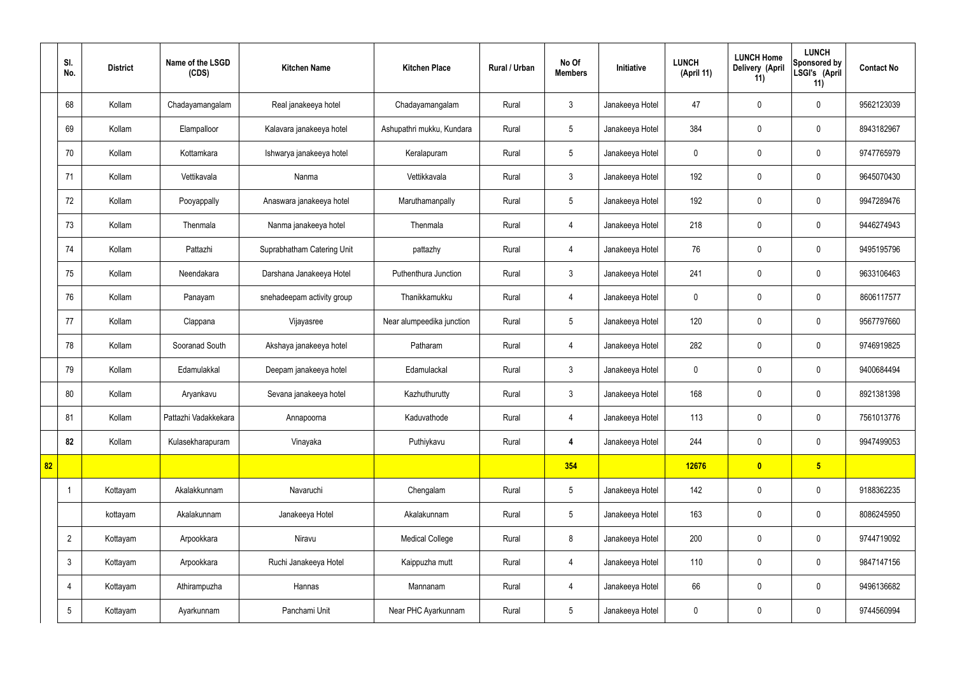|    | SI.<br>No.      | <b>District</b> | Name of the LSGD<br>(CDS) | <b>Kitchen Name</b>        | <b>Kitchen Place</b>      | Rural / Urban | No Of<br><b>Members</b> | Initiative      | <b>LUNCH</b><br>(April 11) | <b>LUNCH Home</b><br><b>Delivery (April</b><br>11) | <b>LUNCH</b><br>Sponsored by<br>LSGI's (April<br>11) | <b>Contact No</b> |
|----|-----------------|-----------------|---------------------------|----------------------------|---------------------------|---------------|-------------------------|-----------------|----------------------------|----------------------------------------------------|------------------------------------------------------|-------------------|
|    | 68              | Kollam          | Chadayamangalam           | Real janakeeya hotel       | Chadayamangalam           | Rural         | $\mathbf{3}$            | Janakeeya Hotel | 47                         | $\mathbf 0$                                        | $\mathbf 0$                                          | 9562123039        |
|    | 69              | Kollam          | Elampalloor               | Kalavara janakeeya hotel   | Ashupathri mukku, Kundara | Rural         | $5\phantom{.0}$         | Janakeeya Hotel | 384                        | $\mathbf 0$                                        | $\mathbf 0$                                          | 8943182967        |
|    | 70              | Kollam          | Kottamkara                | Ishwarya janakeeya hotel   | Keralapuram               | Rural         | $5\overline{)}$         | Janakeeya Hotel | $\mathbf 0$                | $\mathbf 0$                                        | $\mathbf 0$                                          | 9747765979        |
|    | 71              | Kollam          | Vettikavala               | Nanma                      | Vettikkavala              | Rural         | $\mathbf{3}$            | Janakeeya Hotel | 192                        | $\mathbf 0$                                        | $\mathbf 0$                                          | 9645070430        |
|    | 72              | Kollam          | Pooyappally               | Anaswara janakeeya hotel   | Maruthamanpally           | Rural         | $5\overline{)}$         | Janakeeya Hotel | 192                        | $\mathbf 0$                                        | $\mathbf 0$                                          | 9947289476        |
|    | 73              | Kollam          | Thenmala                  | Nanma janakeeya hotel      | Thenmala                  | Rural         | $\overline{4}$          | Janakeeya Hotel | 218                        | $\mathbf 0$                                        | $\mathbf 0$                                          | 9446274943        |
|    | 74              | Kollam          | Pattazhi                  | Suprabhatham Catering Unit | pattazhy                  | Rural         | $\overline{4}$          | Janakeeya Hotel | 76                         | $\mathbf 0$                                        | $\mathbf 0$                                          | 9495195796        |
|    | 75              | Kollam          | Neendakara                | Darshana Janakeeya Hotel   | Puthenthura Junction      | Rural         | $\mathbf{3}$            | Janakeeya Hotel | 241                        | $\mathbf 0$                                        | $\mathbf 0$                                          | 9633106463        |
|    | 76              | Kollam          | Panayam                   | snehadeepam activity group | Thanikkamukku             | Rural         | $\overline{4}$          | Janakeeya Hotel | $\mathbf 0$                | $\mathbf 0$                                        | $\mathbf 0$                                          | 8606117577        |
|    | 77              | Kollam          | Clappana                  | Vijayasree                 | Near alumpeedika junction | Rural         | $5\phantom{.0}$         | Janakeeya Hotel | 120                        | $\mathbf 0$                                        | $\mathbf 0$                                          | 9567797660        |
|    | 78              | Kollam          | Sooranad South            | Akshaya janakeeya hotel    | Patharam                  | Rural         | $\overline{4}$          | Janakeeya Hotel | 282                        | $\mathbf 0$                                        | $\mathbf 0$                                          | 9746919825        |
|    | 79              | Kollam          | Edamulakkal               | Deepam janakeeya hotel     | Edamulackal               | Rural         | $\mathbf{3}$            | Janakeeya Hotel | $\mathbf 0$                | $\mathbf 0$                                        | $\mathbf 0$                                          | 9400684494        |
|    | 80              | Kollam          | Aryankavu                 | Sevana janakeeya hotel     | Kazhuthurutty             | Rural         | $\mathbf{3}$            | Janakeeya Hotel | 168                        | $\mathbf 0$                                        | $\mathbf 0$                                          | 8921381398        |
|    | 81              | Kollam          | Pattazhi Vadakkekara      | Annapoorna                 | Kaduvathode               | Rural         | 4                       | Janakeeya Hotel | 113                        | $\pmb{0}$                                          | $\mathbf 0$                                          | 7561013776        |
|    | 82              | Kollam          | Kulasekharapuram          | Vinayaka                   | Puthiykavu                | Rural         | 4                       | Janakeeya Hotel | 244                        | $\pmb{0}$                                          | $\mathbf 0$                                          | 9947499053        |
| 82 |                 |                 |                           |                            |                           |               | 354                     |                 | 12676                      | $\bullet$                                          | $5\overline{)}$                                      |                   |
|    |                 | Kottayam        | Akalakkunnam              | Navaruchi                  | Chengalam                 | Rural         | $5\,$                   | Janakeeya Hotel | 142                        | $\pmb{0}$                                          | $\mathbf 0$                                          | 9188362235        |
|    |                 | kottayam        | Akalakunnam               | Janakeeya Hotel            | Akalakunnam               | Rural         | $5\phantom{.0}$         | Janakeeya Hotel | 163                        | $\pmb{0}$                                          | $\mathbf 0$                                          | 8086245950        |
|    | $\overline{2}$  | Kottayam        | Arpookkara                | Niravu                     | <b>Medical College</b>    | Rural         | 8                       | Janakeeya Hotel | 200                        | $\pmb{0}$                                          | $\mathbf 0$                                          | 9744719092        |
|    | $\mathbf{3}$    | Kottayam        | Arpookkara                | Ruchi Janakeeya Hotel      | Kaippuzha mutt            | Rural         | $\overline{4}$          | Janakeeya Hotel | 110                        | $\pmb{0}$                                          | $\mathbf 0$                                          | 9847147156        |
|    | $\overline{4}$  | Kottayam        | Athirampuzha              | Hannas                     | Mannanam                  | Rural         | 4                       | Janakeeya Hotel | 66                         | $\pmb{0}$                                          | $\mathbf 0$                                          | 9496136682        |
|    | $5\phantom{.0}$ | Kottayam        | Ayarkunnam                | Panchami Unit              | Near PHC Ayarkunnam       | Rural         | $5\overline{)}$         | Janakeeya Hotel | $\pmb{0}$                  | $\pmb{0}$                                          | $\boldsymbol{0}$                                     | 9744560994        |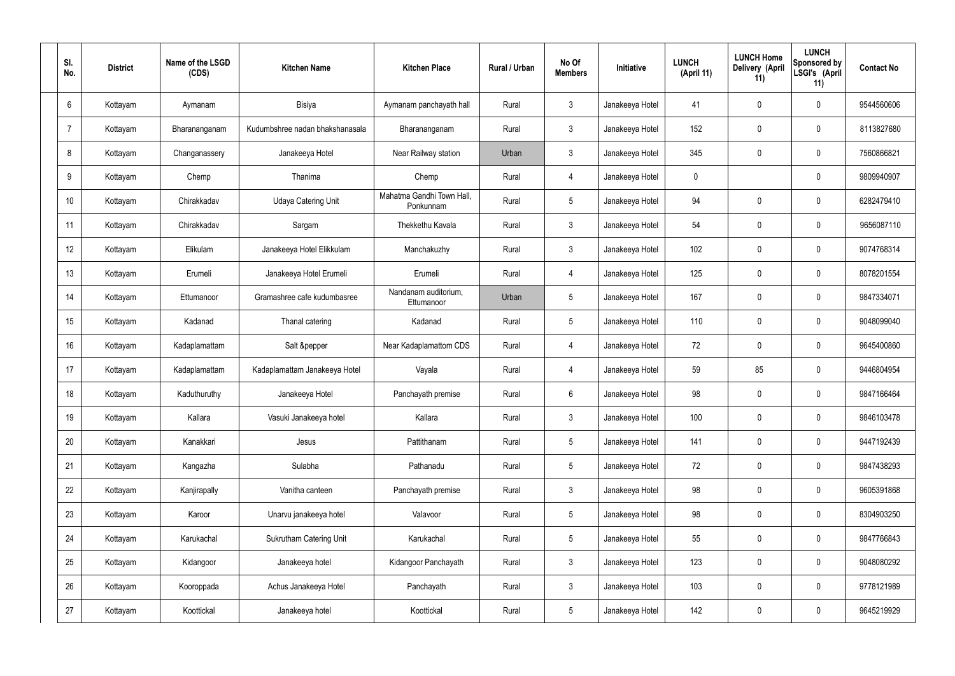| SI.<br>No. | <b>District</b> | Name of the LSGD<br>(CDS) | <b>Kitchen Name</b>             | <b>Kitchen Place</b>                   | Rural / Urban | No Of<br><b>Members</b> | Initiative      | <b>LUNCH</b><br>(April 11) | <b>LUNCH Home</b><br>Delivery (April<br>11) | <b>LUNCH</b><br>Sponsored by<br>LSGI's (April<br>11) | <b>Contact No</b> |
|------------|-----------------|---------------------------|---------------------------------|----------------------------------------|---------------|-------------------------|-----------------|----------------------------|---------------------------------------------|------------------------------------------------------|-------------------|
| 6          | Kottayam        | Aymanam                   | Bisiya                          | Aymanam panchayath hall                | Rural         | $\mathfrak{Z}$          | Janakeeya Hotel | 41                         | 0                                           | $\mathbf 0$                                          | 9544560606        |
| 7          | Kottayam        | Bharananganam             | Kudumbshree nadan bhakshanasala | Bharananganam                          | Rural         | $\mathbf{3}$            | Janakeeya Hotel | 152                        | 0                                           | $\mathbf 0$                                          | 8113827680        |
| 8          | Kottayam        | Changanassery             | Janakeeya Hotel                 | Near Railway station                   | Urban         | $\mathbf{3}$            | Janakeeya Hotel | 345                        | $\mathbf 0$                                 | $\mathbf 0$                                          | 7560866821        |
| 9          | Kottayam        | Chemp                     | Thanima                         | Chemp                                  | Rural         | $\overline{4}$          | Janakeeya Hotel | $\mathbf 0$                |                                             | $\mathbf 0$                                          | 9809940907        |
| 10         | Kottayam        | Chirakkadav               | <b>Udaya Catering Unit</b>      | Mahatma Gandhi Town Hall,<br>Ponkunnam | Rural         | $5\overline{)}$         | Janakeeya Hotel | 94                         | 0                                           | $\mathbf 0$                                          | 6282479410        |
| 11         | Kottayam        | Chirakkadav               | Sargam                          | Thekkethu Kavala                       | Rural         | $\mathbf{3}$            | Janakeeya Hotel | 54                         | 0                                           | $\mathbf 0$                                          | 9656087110        |
| 12         | Kottayam        | Elikulam                  | Janakeeya Hotel Elikkulam       | Manchakuzhy                            | Rural         | $\mathbf{3}$            | Janakeeya Hotel | 102                        | $\mathbf 0$                                 | $\mathbf 0$                                          | 9074768314        |
| 13         | Kottayam        | Erumeli                   | Janakeeya Hotel Erumeli         | Erumeli                                | Rural         | $\overline{4}$          | Janakeeya Hotel | 125                        | 0                                           | $\mathbf 0$                                          | 8078201554        |
| 14         | Kottayam        | Ettumanoor                | Gramashree cafe kudumbasree     | Nandanam auditorium,<br>Ettumanoor     | Urban         | $5\overline{)}$         | Janakeeya Hotel | 167                        | 0                                           | $\mathbf 0$                                          | 9847334071        |
| 15         | Kottayam        | Kadanad                   | Thanal catering                 | Kadanad                                | Rural         | $5\phantom{.0}$         | Janakeeya Hotel | 110                        | 0                                           | $\mathbf 0$                                          | 9048099040        |
| 16         | Kottayam        | Kadaplamattam             | Salt &pepper                    | Near Kadaplamattom CDS                 | Rural         | 4                       | Janakeeya Hotel | 72                         | $\mathbf 0$                                 | $\mathbf 0$                                          | 9645400860        |
| 17         | Kottayam        | Kadaplamattam             | Kadaplamattam Janakeeya Hotel   | Vayala                                 | Rural         | 4                       | Janakeeya Hotel | 59                         | 85                                          | $\mathbf 0$                                          | 9446804954        |
| 18         | Kottayam        | Kaduthuruthy              | Janakeeya Hotel                 | Panchayath premise                     | Rural         | 6                       | Janakeeya Hotel | 98                         | 0                                           | $\mathbf 0$                                          | 9847166464        |
| 19         | Kottayam        | Kallara                   | Vasuki Janakeeya hotel          | Kallara                                | Rural         | $\mathbf{3}$            | Janakeeya Hotel | 100                        | $\mathbf 0$                                 | $\mathbf 0$                                          | 9846103478        |
| 20         | Kottayam        | Kanakkari                 | Jesus                           | Pattithanam                            | Rural         | $5\phantom{.0}$         | Janakeeya Hotel | 141                        | $\mathbf 0$                                 | $\mathbf 0$                                          | 9447192439        |
| 21         | Kottayam        | Kangazha                  | Sulabha                         | Pathanadu                              | Rural         | $5\phantom{.0}$         | Janakeeya Hotel | 72                         | $\mathbf 0$                                 | $\mathbf 0$                                          | 9847438293        |
| 22         | Kottayam        | Kanjirapally              | Vanitha canteen                 | Panchayath premise                     | Rural         | $\mathfrak{Z}$          | Janakeeya Hotel | 98                         | 0                                           | $\mathbf 0$                                          | 9605391868        |
| 23         | Kottayam        | Karoor                    | Unarvu janakeeya hotel          | Valavoor                               | Rural         | $5\phantom{.0}$         | Janakeeya Hotel | 98                         | 0                                           | $\mathbf 0$                                          | 8304903250        |
| 24         | Kottayam        | Karukachal                | Sukrutham Catering Unit         | Karukachal                             | Rural         | $5\phantom{.0}$         | Janakeeya Hotel | 55                         | 0                                           | $\mathbf 0$                                          | 9847766843        |
| 25         | Kottayam        | Kidangoor                 | Janakeeya hotel                 | Kidangoor Panchayath                   | Rural         | $\mathfrak{Z}$          | Janakeeya Hotel | 123                        | 0                                           | $\mathbf 0$                                          | 9048080292        |
| 26         | Kottayam        | Kooroppada                | Achus Janakeeya Hotel           | Panchayath                             | Rural         | $\mathfrak{Z}$          | Janakeeya Hotel | 103                        | 0                                           | $\mathbf 0$                                          | 9778121989        |
| 27         | Kottayam        | Koottickal                | Janakeeya hotel                 | Koottickal                             | Rural         | $\sqrt{5}$              | Janakeeya Hotel | 142                        | 0                                           | $\boldsymbol{0}$                                     | 9645219929        |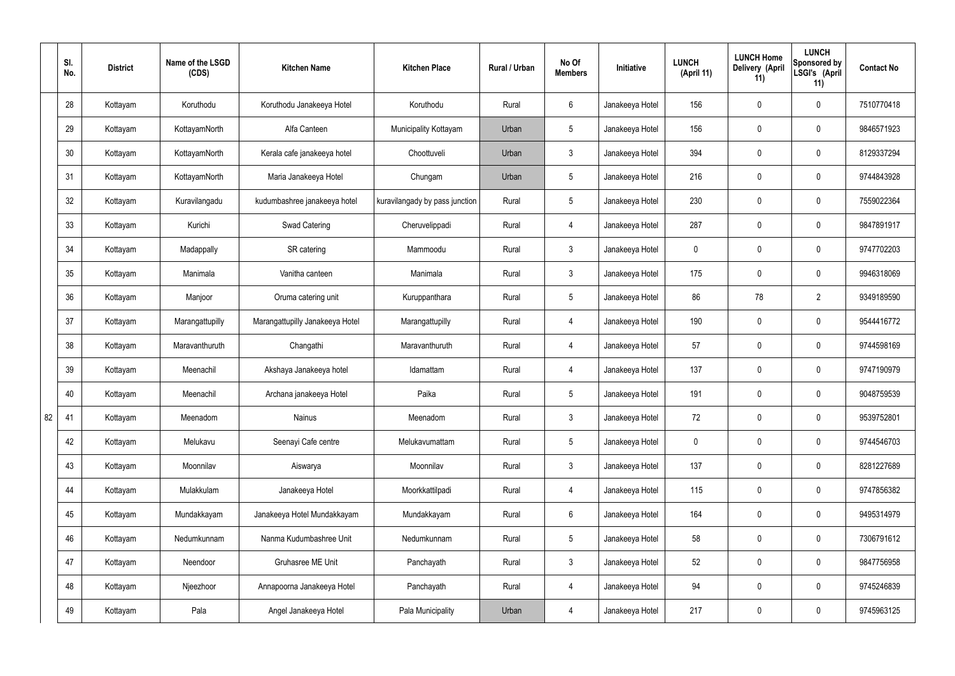|    | SI.<br>No. | <b>District</b> | Name of the LSGD<br>(CDS) | <b>Kitchen Name</b>             | <b>Kitchen Place</b>           | Rural / Urban | No Of<br><b>Members</b> | Initiative      | <b>LUNCH</b><br>(April 11) | <b>LUNCH Home</b><br>Delivery (April<br>11) | <b>LUNCH</b><br>Sponsored by<br>LSGI's (April<br>11) | <b>Contact No</b> |
|----|------------|-----------------|---------------------------|---------------------------------|--------------------------------|---------------|-------------------------|-----------------|----------------------------|---------------------------------------------|------------------------------------------------------|-------------------|
|    | 28         | Kottayam        | Koruthodu                 | Koruthodu Janakeeya Hotel       | Koruthodu                      | Rural         | $6\overline{6}$         | Janakeeya Hotel | 156                        | $\mathbf 0$                                 | $\mathbf 0$                                          | 7510770418        |
|    | 29         | Kottayam        | KottayamNorth             | Alfa Canteen                    | Municipality Kottayam          | Urban         | $5\overline{)}$         | Janakeeya Hotel | 156                        | $\mathbf 0$                                 | $\mathbf 0$                                          | 9846571923        |
|    | 30         | Kottayam        | KottayamNorth             | Kerala cafe janakeeya hotel     | Choottuveli                    | Urban         | $\mathbf{3}$            | Janakeeya Hotel | 394                        | $\mathbf 0$                                 | $\mathbf 0$                                          | 8129337294        |
|    | 31         | Kottayam        | KottayamNorth             | Maria Janakeeya Hotel           | Chungam                        | Urban         | $5\phantom{.0}$         | Janakeeya Hotel | 216                        | $\mathbf 0$                                 | $\mathbf 0$                                          | 9744843928        |
|    | 32         | Kottayam        | Kuravilangadu             | kudumbashree janakeeya hotel    | kuravilangady by pass junction | Rural         | $5\overline{)}$         | Janakeeya Hotel | 230                        | $\mathbf 0$                                 | $\mathbf 0$                                          | 7559022364        |
|    | 33         | Kottayam        | Kurichi                   | <b>Swad Catering</b>            | Cheruvelippadi                 | Rural         | $\overline{4}$          | Janakeeya Hotel | 287                        | $\mathbf 0$                                 | $\mathbf 0$                                          | 9847891917        |
|    | 34         | Kottayam        | Madappally                | SR catering                     | Mammoodu                       | Rural         | $\mathbf{3}$            | Janakeeya Hotel | $\mathbf 0$                | $\mathbf 0$                                 | $\mathbf 0$                                          | 9747702203        |
|    | 35         | Kottayam        | Manimala                  | Vanitha canteen                 | Manimala                       | Rural         | $\mathbf{3}$            | Janakeeya Hotel | 175                        | $\mathbf 0$                                 | $\mathbf 0$                                          | 9946318069        |
|    | 36         | Kottayam        | Manjoor                   | Oruma catering unit             | Kuruppanthara                  | Rural         | $5\overline{)}$         | Janakeeya Hotel | 86                         | 78                                          | $\overline{2}$                                       | 9349189590        |
|    | 37         | Kottayam        | Marangattupilly           | Marangattupilly Janakeeya Hotel | Marangattupilly                | Rural         | 4                       | Janakeeya Hotel | 190                        | $\mathbf 0$                                 | $\mathbf 0$                                          | 9544416772        |
|    | 38         | Kottayam        | Maravanthuruth            | Changathi                       | Maravanthuruth                 | Rural         | 4                       | Janakeeya Hotel | 57                         | 0                                           | $\mathbf 0$                                          | 9744598169        |
|    | 39         | Kottayam        | Meenachil                 | Akshaya Janakeeya hotel         | Idamattam                      | Rural         | 4                       | Janakeeya Hotel | 137                        | $\mathbf 0$                                 | $\mathbf 0$                                          | 9747190979        |
|    | 40         | Kottayam        | Meenachil                 | Archana janakeeya Hotel         | Paika                          | Rural         | $5\overline{)}$         | Janakeeya Hotel | 191                        | $\mathbf 0$                                 | $\mathbf 0$                                          | 9048759539        |
| 82 | 41         | Kottayam        | Meenadom                  | Nainus                          | Meenadom                       | Rural         | $\mathbf{3}$            | Janakeeya Hotel | 72                         | $\pmb{0}$                                   | $\mathbf 0$                                          | 9539752801        |
|    | 42         | Kottayam        | Melukavu                  | Seenayi Cafe centre             | Melukavumattam                 | Rural         | $5\overline{)}$         | Janakeeya Hotel | $\mathbf 0$                | $\pmb{0}$                                   | $\mathbf 0$                                          | 9744546703        |
|    | 43         | Kottayam        | Moonnilav                 | Aiswarya                        | Moonnilav                      | Rural         | 3 <sup>5</sup>          | Janakeeya Hotel | 137                        | 0                                           | $\mathbf 0$                                          | 8281227689        |
|    | 44         | Kottayam        | Mulakkulam                | Janakeeya Hotel                 | Moorkkattilpadi                | Rural         | $\overline{4}$          | Janakeeya Hotel | 115                        | 0                                           | $\mathbf 0$                                          | 9747856382        |
|    | 45         | Kottayam        | Mundakkayam               | Janakeeya Hotel Mundakkayam     | Mundakkayam                    | Rural         | $6\overline{6}$         | Janakeeya Hotel | 164                        | 0                                           | $\mathbf 0$                                          | 9495314979        |
|    | 46         | Kottayam        | Nedumkunnam               | Nanma Kudumbashree Unit         | Nedumkunnam                    | Rural         | $5\overline{)}$         | Janakeeya Hotel | 58                         | 0                                           | $\mathbf 0$                                          | 7306791612        |
|    | 47         | Kottayam        | Neendoor                  | Gruhasree ME Unit               | Panchayath                     | Rural         | $\mathbf{3}$            | Janakeeya Hotel | 52                         | 0                                           | $\mathbf 0$                                          | 9847756958        |
|    | 48         | Kottayam        | Njeezhoor                 | Annapoorna Janakeeya Hotel      | Panchayath                     | Rural         | $\overline{4}$          | Janakeeya Hotel | 94                         | 0                                           | $\mathbf 0$                                          | 9745246839        |
|    | 49         | Kottayam        | Pala                      | Angel Janakeeya Hotel           | Pala Municipality              | Urban         | 4                       | Janakeeya Hotel | 217                        | 0                                           | $\overline{0}$                                       | 9745963125        |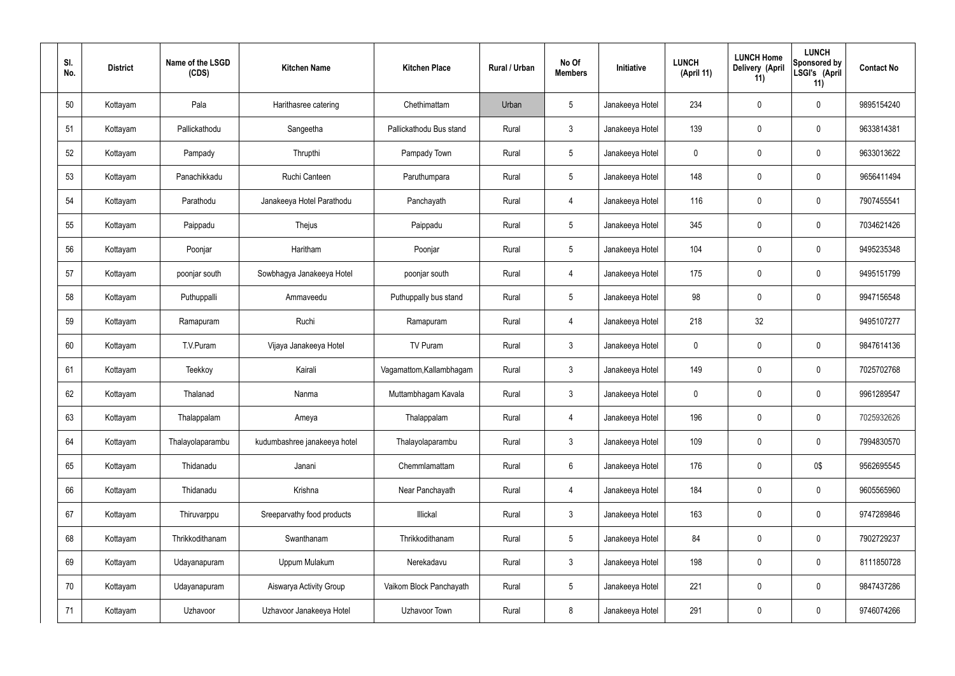| SI.<br>No. | <b>District</b> | Name of the LSGD<br>(CDS) | <b>Kitchen Name</b>          | <b>Kitchen Place</b>     | Rural / Urban | No Of<br><b>Members</b> | Initiative      | <b>LUNCH</b><br>(April 11) | <b>LUNCH Home</b><br>Delivery (April<br>11) | <b>LUNCH</b><br>Sponsored by<br>LSGI's (April<br>11) | <b>Contact No</b> |
|------------|-----------------|---------------------------|------------------------------|--------------------------|---------------|-------------------------|-----------------|----------------------------|---------------------------------------------|------------------------------------------------------|-------------------|
| 50         | Kottayam        | Pala                      | Harithasree catering         | Chethimattam             | Urban         | $5\phantom{.0}$         | Janakeeya Hotel | 234                        | $\mathbf 0$                                 | $\mathbf 0$                                          | 9895154240        |
| 51         | Kottayam        | Pallickathodu             | Sangeetha                    | Pallickathodu Bus stand  | Rural         | $\mathbf{3}$            | Janakeeya Hotel | 139                        | $\mathbf 0$                                 | $\mathbf 0$                                          | 9633814381        |
| 52         | Kottayam        | Pampady                   | Thrupthi                     | Pampady Town             | Rural         | $5\phantom{.0}$         | Janakeeya Hotel | $\mathbf 0$                | $\mathbf 0$                                 | $\mathbf 0$                                          | 9633013622        |
| 53         | Kottayam        | Panachikkadu              | Ruchi Canteen                | Paruthumpara             | Rural         | $5\phantom{.0}$         | Janakeeya Hotel | 148                        | $\mathbf 0$                                 | $\mathbf 0$                                          | 9656411494        |
| 54         | Kottayam        | Parathodu                 | Janakeeya Hotel Parathodu    | Panchayath               | Rural         | 4                       | Janakeeya Hotel | 116                        | $\boldsymbol{0}$                            | $\mathbf 0$                                          | 7907455541        |
| 55         | Kottayam        | Paippadu                  | Thejus                       | Paippadu                 | Rural         | $5\phantom{.0}$         | Janakeeya Hotel | 345                        | $\boldsymbol{0}$                            | $\pmb{0}$                                            | 7034621426        |
| 56         | Kottayam        | Poonjar                   | Haritham                     | Poonjar                  | Rural         | $5\phantom{.0}$         | Janakeeya Hotel | 104                        | $\boldsymbol{0}$                            | $\mathbf 0$                                          | 9495235348        |
| 57         | Kottayam        | poonjar south             | Sowbhagya Janakeeya Hotel    | poonjar south            | Rural         | $\overline{4}$          | Janakeeya Hotel | 175                        | $\mathbf 0$                                 | $\mathbf 0$                                          | 9495151799        |
| 58         | Kottayam        | Puthuppalli               | Ammaveedu                    | Puthuppally bus stand    | Rural         | $5\phantom{.0}$         | Janakeeya Hotel | 98                         | $\mathbf 0$                                 | $\mathbf 0$                                          | 9947156548        |
| 59         | Kottayam        | Ramapuram                 | Ruchi                        | Ramapuram                | Rural         | $\overline{4}$          | Janakeeya Hotel | 218                        | 32                                          |                                                      | 9495107277        |
| 60         | Kottayam        | T.V.Puram                 | Vijaya Janakeeya Hotel       | TV Puram                 | Rural         | $\mathbf{3}$            | Janakeeya Hotel | $\mathbf 0$                | $\boldsymbol{0}$                            | $\mathbf 0$                                          | 9847614136        |
| 61         | Kottayam        | Teekkoy                   | Kairali                      | Vagamattom, Kallambhagam | Rural         | $\mathbf{3}$            | Janakeeya Hotel | 149                        | 0                                           | $\mathbf 0$                                          | 7025702768        |
| 62         | Kottayam        | Thalanad                  | Nanma                        | Muttambhagam Kavala      | Rural         | $\mathbf{3}$            | Janakeeya Hotel | $\mathbf 0$                | $\mathbf 0$                                 | $\mathbf 0$                                          | 9961289547        |
| 63         | Kottayam        | Thalappalam               | Ameya                        | Thalappalam              | Rural         | $\overline{4}$          | Janakeeya Hotel | 196                        | $\mathbf 0$                                 | $\mathbf 0$                                          | 7025932626        |
| 64         | Kottayam        | Thalayolaparambu          | kudumbashree janakeeya hotel | Thalayolaparambu         | Rural         | $\mathbf{3}$            | Janakeeya Hotel | 109                        | $\mathbf 0$                                 | $\pmb{0}$                                            | 7994830570        |
| 65         | Kottayam        | Thidanadu                 | Janani                       | Chemmlamattam            | Rural         | $6\overline{6}$         | Janakeeya Hotel | 176                        | $\boldsymbol{0}$                            | 0\$                                                  | 9562695545        |
| 66         | Kottayam        | Thidanadu                 | Krishna                      | Near Panchayath          | Rural         | $\overline{4}$          | Janakeeya Hotel | 184                        | $\mathbf 0$                                 | $\pmb{0}$                                            | 9605565960        |
| 67         | Kottayam        | Thiruvarppu               | Sreeparvathy food products   | Illickal                 | Rural         | $\mathbf{3}$            | Janakeeya Hotel | 163                        | $\boldsymbol{0}$                            | $\mathbf 0$                                          | 9747289846        |
| 68         | Kottayam        | Thrikkodithanam           | Swanthanam                   | Thrikkodithanam          | Rural         | $5\phantom{.0}$         | Janakeeya Hotel | 84                         | $\mathbf 0$                                 | $\pmb{0}$                                            | 7902729237        |
| 69         | Kottayam        | Udayanapuram              | Uppum Mulakum                | Nerekadavu               | Rural         | $\mathbf{3}$            | Janakeeya Hotel | 198                        | $\mathbf 0$                                 | $\mathbf 0$                                          | 8111850728        |
| 70         | Kottayam        | Udayanapuram              | Aiswarya Activity Group      | Vaikom Block Panchayath  | Rural         | $5\phantom{.0}$         | Janakeeya Hotel | 221                        | $\mathbf 0$                                 | $\pmb{0}$                                            | 9847437286        |
| 71         | Kottayam        | Uzhavoor                  | Uzhavoor Janakeeya Hotel     | Uzhavoor Town            | Rural         | 8                       | Janakeeya Hotel | 291                        | $\boldsymbol{0}$                            | $\pmb{0}$                                            | 9746074266        |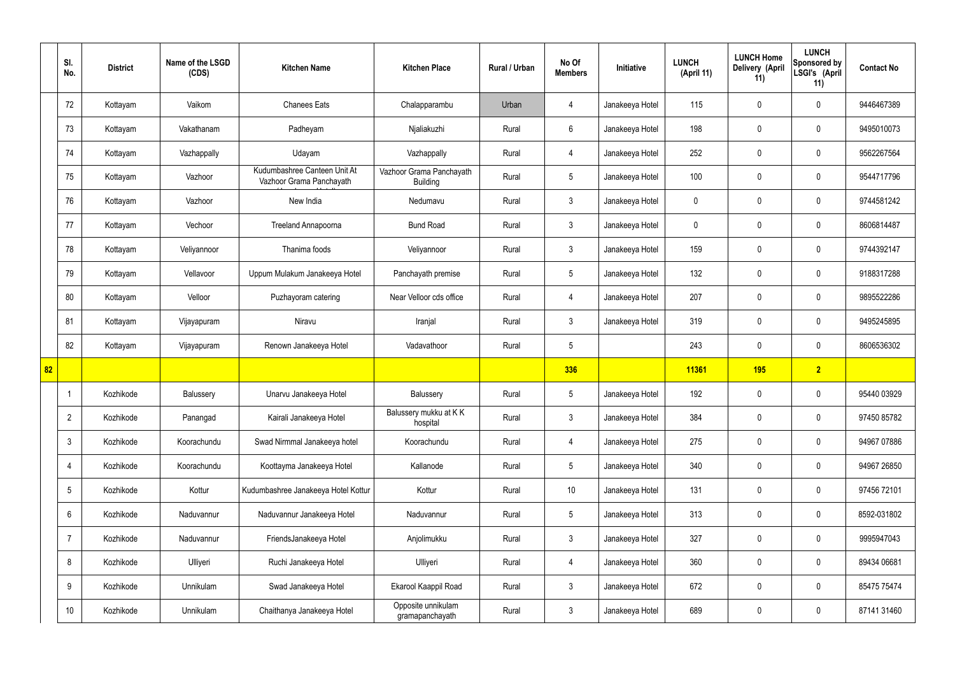|    | SI.<br>No.      | <b>District</b> | Name of the LSGD<br>(CDS) | <b>Kitchen Name</b>                                      | <b>Kitchen Place</b>                        | Rural / Urban | No Of<br><b>Members</b> | Initiative      | <b>LUNCH</b><br>(April 11) | <b>LUNCH Home</b><br><b>Delivery (April</b><br>11) | <b>LUNCH</b><br>Sponsored by<br>LSGI's (April<br>11) | <b>Contact No</b> |
|----|-----------------|-----------------|---------------------------|----------------------------------------------------------|---------------------------------------------|---------------|-------------------------|-----------------|----------------------------|----------------------------------------------------|------------------------------------------------------|-------------------|
|    | 72              | Kottayam        | Vaikom                    | <b>Chanees Eats</b>                                      | Chalapparambu                               | Urban         | $\overline{4}$          | Janakeeya Hotel | 115                        | $\mathbf 0$                                        | $\mathbf 0$                                          | 9446467389        |
|    | 73              | Kottayam        | Vakathanam                | Padheyam                                                 | Njaliakuzhi                                 | Rural         | $6\overline{6}$         | Janakeeya Hotel | 198                        | $\mathbf 0$                                        | $\mathbf 0$                                          | 9495010073        |
|    | 74              | Kottayam        | Vazhappally               | Udayam                                                   | Vazhappally                                 | Rural         | $\overline{4}$          | Janakeeya Hotel | 252                        | $\mathbf 0$                                        | $\mathbf 0$                                          | 9562267564        |
|    | 75              | Kottayam        | Vazhoor                   | Kudumbashree Canteen Unit At<br>Vazhoor Grama Panchayath | Vazhoor Grama Panchayath<br><b>Building</b> | Rural         | $5\overline{)}$         | Janakeeya Hotel | 100                        | $\mathbf 0$                                        | $\mathbf 0$                                          | 9544717796        |
|    | 76              | Kottayam        | Vazhoor                   | New India                                                | Nedumavu                                    | Rural         | $\mathbf{3}$            | Janakeeya Hotel | $\mathbf 0$                | $\mathbf 0$                                        | $\mathbf 0$                                          | 9744581242        |
|    | 77              | Kottayam        | Vechoor                   | <b>Treeland Annapoorna</b>                               | <b>Bund Road</b>                            | Rural         | 3                       | Janakeeya Hotel | $\mathbf 0$                | $\mathbf 0$                                        | $\mathbf 0$                                          | 8606814487        |
|    | 78              | Kottayam        | Veliyannoor               | Thanima foods                                            | Veliyannoor                                 | Rural         | 3 <sup>5</sup>          | Janakeeya Hotel | 159                        | $\mathbf 0$                                        | $\mathbf 0$                                          | 9744392147        |
|    | 79              | Kottayam        | Vellavoor                 | Uppum Mulakum Janakeeya Hotel                            | Panchayath premise                          | Rural         | $5\overline{)}$         | Janakeeya Hotel | 132                        | $\mathbf 0$                                        | $\mathbf 0$                                          | 9188317288        |
|    | 80              | Kottayam        | Velloor                   | Puzhayoram catering                                      | Near Velloor cds office                     | Rural         | 4                       | Janakeeya Hotel | 207                        | $\mathbf 0$                                        | $\mathbf 0$                                          | 9895522286        |
|    | 81              | Kottayam        | Vijayapuram               | Niravu                                                   | Iranjal                                     | Rural         | $\mathbf{3}$            | Janakeeya Hotel | 319                        | $\mathbf 0$                                        | $\mathbf 0$                                          | 9495245895        |
|    | 82              | Kottayam        | Vijayapuram               | Renown Janakeeya Hotel                                   | Vadavathoor                                 | Rural         | $5\phantom{.0}$         |                 | 243                        | $\mathbf 0$                                        | $\mathbf 0$                                          | 8606536302        |
| 82 |                 |                 |                           |                                                          |                                             |               | 336                     |                 | 11361                      | <b>195</b>                                         | $\overline{2}$                                       |                   |
|    |                 | Kozhikode       | Balussery                 | Unarvu Janakeeya Hotel                                   | Balussery                                   | Rural         | $5\overline{)}$         | Janakeeya Hotel | 192                        | $\mathbf 0$                                        | $\mathbf 0$                                          | 95440 03929       |
|    | $\overline{2}$  | Kozhikode       | Panangad                  | Kairali Janakeeya Hotel                                  | Balussery mukku at K K<br>hospital          | Rural         | $\mathbf{3}$            | Janakeeya Hotel | 384                        | 0                                                  | $\mathbf 0$                                          | 97450 85782       |
|    | $\mathfrak{Z}$  | Kozhikode       | Koorachundu               | Swad Nirmmal Janakeeya hotel                             | Koorachundu                                 | Rural         | $\overline{4}$          | Janakeeya Hotel | 275                        | 0                                                  | $\mathbf 0$                                          | 94967 07886       |
|    | 4               | Kozhikode       | Koorachundu               | Koottayma Janakeeya Hotel                                | Kallanode                                   | Rural         | $5\overline{)}$         | Janakeeya Hotel | 340                        | 0                                                  | $\mathbf 0$                                          | 94967 26850       |
|    | $5\phantom{.0}$ | Kozhikode       | Kottur                    | Kudumbashree Janakeeya Hotel Kottur                      | Kottur                                      | Rural         | $10$                    | Janakeeya Hotel | 131                        | $\pmb{0}$                                          | $\mathbf 0$                                          | 97456 72101       |
|    | 6               | Kozhikode       | Naduvannur                | Naduvannur Janakeeya Hotel                               | Naduvannur                                  | Rural         | 5 <sub>5</sub>          | Janakeeya Hotel | 313                        | $\pmb{0}$                                          | $\mathbf 0$                                          | 8592-031802       |
|    | $\overline{7}$  | Kozhikode       | Naduvannur                | FriendsJanakeeya Hotel                                   | Anjolimukku                                 | Rural         | $\mathbf{3}$            | Janakeeya Hotel | 327                        | $\pmb{0}$                                          | $\mathbf 0$                                          | 9995947043        |
|    | 8               | Kozhikode       | Ulliyeri                  | Ruchi Janakeeya Hotel                                    | Ulliyeri                                    | Rural         | $\overline{4}$          | Janakeeya Hotel | 360                        | $\pmb{0}$                                          | $\mathbf 0$                                          | 89434 06681       |
|    | 9               | Kozhikode       | Unnikulam                 | Swad Janakeeya Hotel                                     | Ekarool Kaappil Road                        | Rural         | $\mathbf{3}$            | Janakeeya Hotel | 672                        | $\pmb{0}$                                          | $\mathbf 0$                                          | 85475 75474       |
|    | 10 <sup>°</sup> | Kozhikode       | Unnikulam                 | Chaithanya Janakeeya Hotel                               | Opposite unnikulam<br>gramapanchayath       | Rural         | $\mathbf{3}$            | Janakeeya Hotel | 689                        | 0                                                  | $\boldsymbol{0}$                                     | 87141 31460       |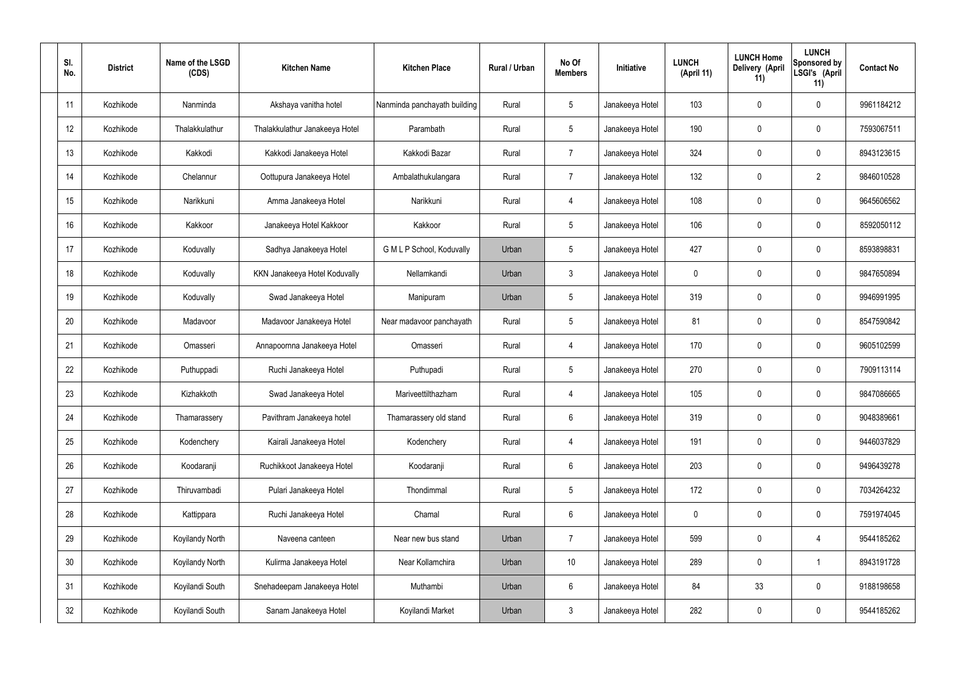| SI.<br>No. | <b>District</b> | Name of the LSGD<br>(CDS) | <b>Kitchen Name</b>            | <b>Kitchen Place</b>         | Rural / Urban | No Of<br><b>Members</b> | Initiative      | <b>LUNCH</b><br>(April 11) | <b>LUNCH Home</b><br>Delivery (April<br>11) | <b>LUNCH</b><br>Sponsored by<br>LSGI's (April<br>11) | <b>Contact No</b> |
|------------|-----------------|---------------------------|--------------------------------|------------------------------|---------------|-------------------------|-----------------|----------------------------|---------------------------------------------|------------------------------------------------------|-------------------|
| 11         | Kozhikode       | Nanminda                  | Akshaya vanitha hotel          | Nanminda panchayath building | Rural         | $5\phantom{.0}$         | Janakeeya Hotel | 103                        | $\mathbf 0$                                 | 0                                                    | 9961184212        |
| 12         | Kozhikode       | Thalakkulathur            | Thalakkulathur Janakeeya Hotel | Parambath                    | Rural         | $5\phantom{.0}$         | Janakeeya Hotel | 190                        | 0                                           | $\mathbf 0$                                          | 7593067511        |
| 13         | Kozhikode       | Kakkodi                   | Kakkodi Janakeeya Hotel        | Kakkodi Bazar                | Rural         | $\overline{7}$          | Janakeeya Hotel | 324                        | 0                                           | $\mathbf 0$                                          | 8943123615        |
| 14         | Kozhikode       | Chelannur                 | Oottupura Janakeeya Hotel      | Ambalathukulangara           | Rural         | $\overline{7}$          | Janakeeya Hotel | 132                        | 0                                           | $\overline{2}$                                       | 9846010528        |
| 15         | Kozhikode       | Narikkuni                 | Amma Janakeeya Hotel           | Narikkuni                    | Rural         | 4                       | Janakeeya Hotel | 108                        | 0                                           | $\mathbf 0$                                          | 9645606562        |
| 16         | Kozhikode       | Kakkoor                   | Janakeeya Hotel Kakkoor        | Kakkoor                      | Rural         | $5\phantom{.0}$         | Janakeeya Hotel | 106                        | 0                                           | $\mathbf 0$                                          | 8592050112        |
| 17         | Kozhikode       | Koduvally                 | Sadhya Janakeeya Hotel         | G M L P School, Koduvally    | Urban         | $5\phantom{.0}$         | Janakeeya Hotel | 427                        | 0                                           | $\mathbf 0$                                          | 8593898831        |
| 18         | Kozhikode       | Koduvally                 | KKN Janakeeya Hotel Koduvally  | Nellamkandi                  | Urban         | $\mathbf{3}$            | Janakeeya Hotel | $\mathbf 0$                | 0                                           | $\mathbf 0$                                          | 9847650894        |
| 19         | Kozhikode       | Koduvally                 | Swad Janakeeya Hotel           | Manipuram                    | Urban         | $5\phantom{.0}$         | Janakeeya Hotel | 319                        | $\boldsymbol{0}$                            | $\mathbf 0$                                          | 9946991995        |
| 20         | Kozhikode       | Madavoor                  | Madavoor Janakeeya Hotel       | Near madavoor panchayath     | Rural         | $5\phantom{.0}$         | Janakeeya Hotel | 81                         | 0                                           | $\mathbf 0$                                          | 8547590842        |
| 21         | Kozhikode       | Omasseri                  | Annapoornna Janakeeya Hotel    | Omasseri                     | Rural         | 4                       | Janakeeya Hotel | 170                        | $\mathbf 0$                                 | $\mathbf 0$                                          | 9605102599        |
| 22         | Kozhikode       | Puthuppadi                | Ruchi Janakeeya Hotel          | Puthupadi                    | Rural         | $5\phantom{.0}$         | Janakeeya Hotel | 270                        | 0                                           | $\mathbf 0$                                          | 7909113114        |
| 23         | Kozhikode       | Kizhakkoth                | Swad Janakeeya Hotel           | Mariveettilthazham           | Rural         | 4                       | Janakeeya Hotel | 105                        | $\mathbf 0$                                 | 0                                                    | 9847086665        |
| 24         | Kozhikode       | Thamarassery              | Pavithram Janakeeya hotel      | Thamarassery old stand       | Rural         | $6\,$                   | Janakeeya Hotel | 319                        | 0                                           | $\pmb{0}$                                            | 9048389661        |
| 25         | Kozhikode       | Kodenchery                | Kairali Janakeeya Hotel        | Kodenchery                   | Rural         | $\overline{4}$          | Janakeeya Hotel | 191                        | 0                                           | $\mathbf 0$                                          | 9446037829        |
| 26         | Kozhikode       | Koodaranji                | Ruchikkoot Janakeeya Hotel     | Koodaranji                   | Rural         | $6\phantom{.}6$         | Janakeeya Hotel | 203                        | 0                                           | $\mathbf 0$                                          | 9496439278        |
| 27         | Kozhikode       | Thiruvambadi              | Pulari Janakeeya Hotel         | Thondimmal                   | Rural         | $5\phantom{.0}$         | Janakeeya Hotel | 172                        | 0                                           | $\mathbf 0$                                          | 7034264232        |
| 28         | Kozhikode       | Kattippara                | Ruchi Janakeeya Hotel          | Chamal                       | Rural         | $6\phantom{.}6$         | Janakeeya Hotel | $\mathbf 0$                | 0                                           | $\mathbf 0$                                          | 7591974045        |
| 29         | Kozhikode       | Koyilandy North           | Naveena canteen                | Near new bus stand           | Urban         | $\overline{7}$          | Janakeeya Hotel | 599                        | 0                                           | $\overline{4}$                                       | 9544185262        |
| 30         | Kozhikode       | Koyilandy North           | Kulirma Janakeeya Hotel        | Near Kollamchira             | Urban         | 10 <sup>°</sup>         | Janakeeya Hotel | 289                        | 0                                           | $\mathbf 1$                                          | 8943191728        |
| 31         | Kozhikode       | Koyilandi South           | Snehadeepam Janakeeya Hotel    | Muthambi                     | Urban         | $6\phantom{.}6$         | Janakeeya Hotel | 84                         | 33                                          | $\mathbf 0$                                          | 9188198658        |
| 32         | Kozhikode       | Koyilandi South           | Sanam Janakeeya Hotel          | Koyilandi Market             | Urban         | $\mathfrak{Z}$          | Janakeeya Hotel | 282                        | 0                                           | $\mathbf 0$                                          | 9544185262        |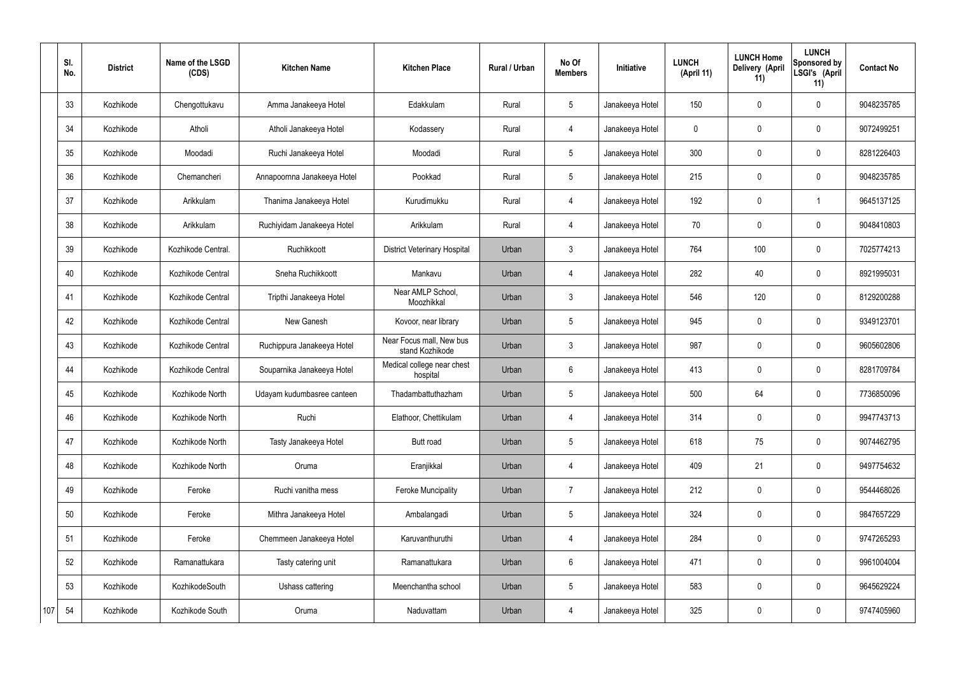|     | SI.<br>No. | <b>District</b> | Name of the LSGD<br>(CDS) | <b>Kitchen Name</b>         | <b>Kitchen Place</b>                        | Rural / Urban | No Of<br><b>Members</b> | Initiative      | <b>LUNCH</b><br>(April 11) | <b>LUNCH Home</b><br>Delivery (April<br>11) | <b>LUNCH</b><br>Sponsored by<br>LSGI's (April<br>11) | <b>Contact No</b> |
|-----|------------|-----------------|---------------------------|-----------------------------|---------------------------------------------|---------------|-------------------------|-----------------|----------------------------|---------------------------------------------|------------------------------------------------------|-------------------|
|     | 33         | Kozhikode       | Chengottukavu             | Amma Janakeeya Hotel        | Edakkulam                                   | Rural         | $5\phantom{.0}$         | Janakeeya Hotel | 150                        | $\mathbf 0$                                 | $\mathbf 0$                                          | 9048235785        |
|     | 34         | Kozhikode       | Atholi                    | Atholi Janakeeya Hotel      | Kodassery                                   | Rural         | $\overline{4}$          | Janakeeya Hotel | $\mathbf 0$                | $\mathbf 0$                                 | $\mathbf 0$                                          | 9072499251        |
|     | 35         | Kozhikode       | Moodadi                   | Ruchi Janakeeya Hotel       | Moodadi                                     | Rural         | $5\overline{)}$         | Janakeeya Hotel | 300                        | $\mathbf 0$                                 | $\mathbf 0$                                          | 8281226403        |
|     | 36         | Kozhikode       | Chemancheri               | Annapoornna Janakeeya Hotel | Pookkad                                     | Rural         | $5\overline{)}$         | Janakeeya Hotel | 215                        | $\mathbf 0$                                 | $\mathbf 0$                                          | 9048235785        |
|     | 37         | Kozhikode       | Arikkulam                 | Thanima Janakeeya Hotel     | Kurudimukku                                 | Rural         | 4                       | Janakeeya Hotel | 192                        | $\mathbf 0$                                 | -1                                                   | 9645137125        |
|     | 38         | Kozhikode       | Arikkulam                 | Ruchiyidam Janakeeya Hotel  | Arikkulam                                   | Rural         | $\overline{4}$          | Janakeeya Hotel | 70                         | $\mathbf 0$                                 | $\mathbf 0$                                          | 9048410803        |
|     | 39         | Kozhikode       | Kozhikode Central.        | Ruchikkoott                 | <b>District Veterinary Hospital</b>         | Urban         | 3 <sup>5</sup>          | Janakeeya Hotel | 764                        | 100                                         | $\mathbf 0$                                          | 7025774213        |
|     | 40         | Kozhikode       | Kozhikode Central         | Sneha Ruchikkoott           | Mankavu                                     | Urban         | $\overline{4}$          | Janakeeya Hotel | 282                        | 40                                          | $\mathbf 0$                                          | 8921995031        |
|     | 41         | Kozhikode       | Kozhikode Central         | Tripthi Janakeeya Hotel     | Near AMLP School,<br>Moozhikkal             | Urban         | 3                       | Janakeeya Hotel | 546                        | 120                                         | $\mathbf 0$                                          | 8129200288        |
|     | 42         | Kozhikode       | Kozhikode Central         | New Ganesh                  | Kovoor, near library                        | Urban         | $5\phantom{.0}$         | Janakeeya Hotel | 945                        | $\mathbf 0$                                 | $\mathbf 0$                                          | 9349123701        |
|     | 43         | Kozhikode       | Kozhikode Central         | Ruchippura Janakeeya Hotel  | Near Focus mall, New bus<br>stand Kozhikode | Urban         | 3                       | Janakeeya Hotel | 987                        | $\mathbf 0$                                 | $\mathbf 0$                                          | 9605602806        |
|     | 44         | Kozhikode       | Kozhikode Central         | Souparnika Janakeeya Hotel  | Medical college near chest<br>hospital      | Urban         | 6                       | Janakeeya Hotel | 413                        | $\mathbf 0$                                 | $\mathbf 0$                                          | 8281709784        |
|     | 45         | Kozhikode       | Kozhikode North           | Udayam kudumbasree canteen  | Thadambattuthazham                          | Urban         | 5                       | Janakeeya Hotel | 500                        | 64                                          | $\mathbf 0$                                          | 7736850096        |
|     | 46         | Kozhikode       | Kozhikode North           | Ruchi                       | Elathoor, Chettikulam                       | Urban         | $\overline{4}$          | Janakeeya Hotel | 314                        | $\mathbf 0$                                 | $\mathbf 0$                                          | 9947743713        |
|     | 47         | Kozhikode       | Kozhikode North           | Tasty Janakeeya Hotel       | Butt road                                   | Urban         | $5\overline{)}$         | Janakeeya Hotel | 618                        | 75                                          | $\mathbf 0$                                          | 9074462795        |
|     | 48         | Kozhikode       | Kozhikode North           | Oruma                       | Eranjikkal                                  | Urban         | 4                       | Janakeeya Hotel | 409                        | 21                                          | $\mathbf 0$                                          | 9497754632        |
|     | 49         | Kozhikode       | Feroke                    | Ruchi vanitha mess          | <b>Feroke Muncipality</b>                   | Urban         | $\overline{7}$          | Janakeeya Hotel | 212                        | $\pmb{0}$                                   | $\mathbf 0$                                          | 9544468026        |
|     | 50         | Kozhikode       | Feroke                    | Mithra Janakeeya Hotel      | Ambalangadi                                 | Urban         | 5 <sub>5</sub>          | Janakeeya Hotel | 324                        | $\pmb{0}$                                   | $\mathbf 0$                                          | 9847657229        |
|     | 51         | Kozhikode       | Feroke                    | Chemmeen Janakeeya Hotel    | Karuvanthuruthi                             | Urban         | $\overline{4}$          | Janakeeya Hotel | 284                        | $\pmb{0}$                                   | $\mathbf 0$                                          | 9747265293        |
|     | 52         | Kozhikode       | Ramanattukara             | Tasty catering unit         | Ramanattukara                               | Urban         | $6\overline{6}$         | Janakeeya Hotel | 471                        | $\mathbf 0$                                 | $\mathbf 0$                                          | 9961004004        |
|     | 53         | Kozhikode       | KozhikodeSouth            | Ushass cattering            | Meenchantha school                          | Urban         | $5\phantom{.0}$         | Janakeeya Hotel | 583                        | $\mathbf 0$                                 | $\mathbf 0$                                          | 9645629224        |
| 107 | 54         | Kozhikode       | Kozhikode South           | Oruma                       | Naduvattam                                  | Urban         | 4                       | Janakeeya Hotel | 325                        | $\pmb{0}$                                   | $\overline{0}$                                       | 9747405960        |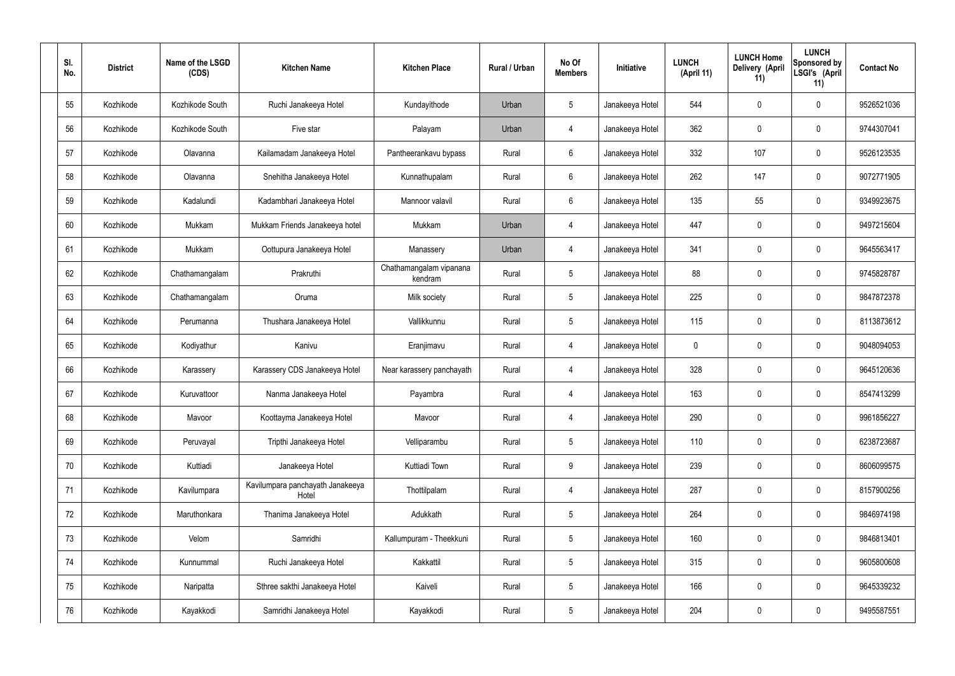| SI.<br>No. | <b>District</b> | Name of the LSGD<br>(CDS) | <b>Kitchen Name</b>                       | <b>Kitchen Place</b>               | Rural / Urban | No Of<br><b>Members</b> | Initiative      | <b>LUNCH</b><br>(April 11) | <b>LUNCH Home</b><br>Delivery (April<br>11) | <b>LUNCH</b><br>Sponsored by<br>LSGI's (April<br>11) | <b>Contact No</b> |
|------------|-----------------|---------------------------|-------------------------------------------|------------------------------------|---------------|-------------------------|-----------------|----------------------------|---------------------------------------------|------------------------------------------------------|-------------------|
| 55         | Kozhikode       | Kozhikode South           | Ruchi Janakeeya Hotel                     | Kundayithode                       | Urban         | 5                       | Janakeeya Hotel | 544                        | $\mathbf 0$                                 | $\mathbf 0$                                          | 9526521036        |
| 56         | Kozhikode       | Kozhikode South           | Five star                                 | Palayam                            | Urban         | 4                       | Janakeeya Hotel | 362                        | 0                                           | $\mathbf 0$                                          | 9744307041        |
| 57         | Kozhikode       | Olavanna                  | Kailamadam Janakeeya Hotel                | Pantheerankavu bypass              | Rural         | $6\phantom{.}6$         | Janakeeya Hotel | 332                        | 107                                         | $\mathbf 0$                                          | 9526123535        |
| 58         | Kozhikode       | Olavanna                  | Snehitha Janakeeya Hotel                  | Kunnathupalam                      | Rural         | $6\phantom{.}6$         | Janakeeya Hotel | 262                        | 147                                         | $\mathbf 0$                                          | 9072771905        |
| 59         | Kozhikode       | Kadalundi                 | Kadambhari Janakeeya Hotel                | Mannoor valavil                    | Rural         | $6\phantom{.}6$         | Janakeeya Hotel | 135                        | 55                                          | $\mathbf 0$                                          | 9349923675        |
| 60         | Kozhikode       | Mukkam                    | Mukkam Friends Janakeeya hotel            | Mukkam                             | Urban         | 4                       | Janakeeya Hotel | 447                        | 0                                           | $\mathbf 0$                                          | 9497215604        |
| 61         | Kozhikode       | Mukkam                    | Oottupura Janakeeya Hotel                 | Manassery                          | Urban         | 4                       | Janakeeya Hotel | 341                        | $\mathbf 0$                                 | $\mathbf 0$                                          | 9645563417        |
| 62         | Kozhikode       | Chathamangalam            | Prakruthi                                 | Chathamangalam vipanana<br>kendram | Rural         | $5\overline{)}$         | Janakeeya Hotel | 88                         | 0                                           | $\mathbf 0$                                          | 9745828787        |
| 63         | Kozhikode       | Chathamangalam            | Oruma                                     | Milk society                       | Rural         | $5\phantom{.0}$         | Janakeeya Hotel | 225                        | 0                                           | $\mathbf 0$                                          | 9847872378        |
| 64         | Kozhikode       | Perumanna                 | Thushara Janakeeya Hotel                  | Vallikkunnu                        | Rural         | $5\phantom{.0}$         | Janakeeya Hotel | 115                        | 0                                           | $\mathbf 0$                                          | 8113873612        |
| 65         | Kozhikode       | Kodiyathur                | Kanivu                                    | Eranjimavu                         | Rural         | 4                       | Janakeeya Hotel | $\mathbf 0$                | 0                                           | $\mathbf 0$                                          | 9048094053        |
| 66         | Kozhikode       | Karassery                 | Karassery CDS Janakeeya Hotel             | Near karassery panchayath          | Rural         | 4                       | Janakeeya Hotel | 328                        | 0                                           | $\boldsymbol{0}$                                     | 9645120636        |
| 67         | Kozhikode       | Kuruvattoor               | Nanma Janakeeya Hotel                     | Payambra                           | Rural         | 4                       | Janakeeya Hotel | 163                        | 0                                           | 0                                                    | 8547413299        |
| 68         | Kozhikode       | Mavoor                    | Koottayma Janakeeya Hotel                 | Mavoor                             | Rural         | $\overline{4}$          | Janakeeya Hotel | 290                        | $\mathbf 0$                                 | $\mathbf 0$                                          | 9961856227        |
| 69         | Kozhikode       | Peruvayal                 | Tripthi Janakeeya Hotel                   | Velliparambu                       | Rural         | $5\phantom{.0}$         | Janakeeya Hotel | 110                        | $\mathbf 0$                                 | $\mathbf 0$                                          | 6238723687        |
| 70         | Kozhikode       | Kuttiadi                  | Janakeeya Hotel                           | Kuttiadi Town                      | Rural         | 9                       | Janakeeya Hotel | 239                        | $\mathbf 0$                                 | $\mathbf 0$                                          | 8606099575        |
| 71         | Kozhikode       | Kavilumpara               | Kavilumpara panchayath Janakeeya<br>Hotel | Thottilpalam                       | Rural         | $\overline{4}$          | Janakeeya Hotel | 287                        | $\mathbf 0$                                 | $\mathbf 0$                                          | 8157900256        |
| 72         | Kozhikode       | Maruthonkara              | Thanima Janakeeya Hotel                   | Adukkath                           | Rural         | $5\phantom{.0}$         | Janakeeya Hotel | 264                        | 0                                           | $\mathbf 0$                                          | 9846974198        |
| 73         | Kozhikode       | Velom                     | Samridhi                                  | Kallumpuram - Theekkuni            | Rural         | $5\,$                   | Janakeeya Hotel | 160                        | 0                                           | $\mathbf 0$                                          | 9846813401        |
| 74         | Kozhikode       | Kunnummal                 | Ruchi Janakeeya Hotel                     | Kakkattil                          | Rural         | $5\phantom{.0}$         | Janakeeya Hotel | 315                        | 0                                           | $\mathbf 0$                                          | 9605800608        |
| 75         | Kozhikode       | Naripatta                 | Sthree sakthi Janakeeya Hotel             | Kaiveli                            | Rural         | $5\phantom{.0}$         | Janakeeya Hotel | 166                        | $\mathbf 0$                                 | $\mathbf 0$                                          | 9645339232        |
| 76         | Kozhikode       | Kayakkodi                 | Samridhi Janakeeya Hotel                  | Kayakkodi                          | Rural         | $5\phantom{.0}$         | Janakeeya Hotel | 204                        | 0                                           | $\boldsymbol{0}$                                     | 9495587551        |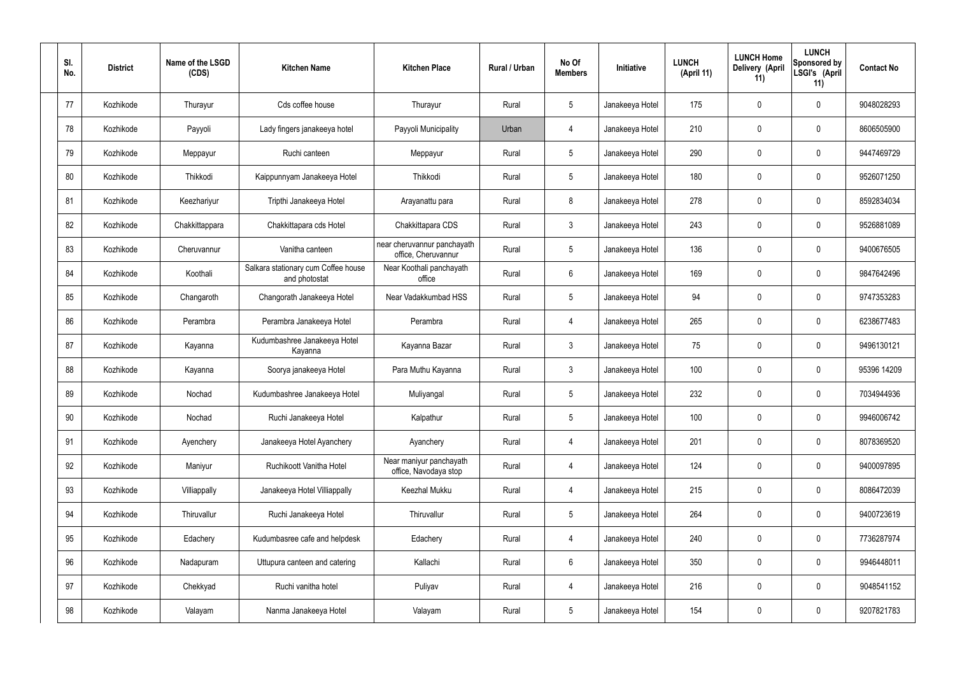| SI.<br>No. | <b>District</b> | Name of the LSGD<br>(CDS) | <b>Kitchen Name</b>                                  | <b>Kitchen Place</b>                               | Rural / Urban | No Of<br><b>Members</b> | Initiative      | <b>LUNCH</b><br>(April 11) | <b>LUNCH Home</b><br>Delivery (April<br>11) | <b>LUNCH</b><br>Sponsored by<br>LSGI's (April<br>11) | <b>Contact No</b> |
|------------|-----------------|---------------------------|------------------------------------------------------|----------------------------------------------------|---------------|-------------------------|-----------------|----------------------------|---------------------------------------------|------------------------------------------------------|-------------------|
| 77         | Kozhikode       | Thurayur                  | Cds coffee house                                     | Thurayur                                           | Rural         | $5\phantom{.0}$         | Janakeeya Hotel | 175                        | $\mathbf 0$                                 | 0                                                    | 9048028293        |
| 78         | Kozhikode       | Payyoli                   | Lady fingers janakeeya hotel                         | Payyoli Municipality                               | Urban         | 4                       | Janakeeya Hotel | 210                        | $\mathbf 0$                                 | 0                                                    | 8606505900        |
| 79         | Kozhikode       | Meppayur                  | Ruchi canteen                                        | Meppayur                                           | Rural         | $5\phantom{.0}$         | Janakeeya Hotel | 290                        | $\mathbf 0$                                 | 0                                                    | 9447469729        |
| 80         | Kozhikode       | Thikkodi                  | Kaippunnyam Janakeeya Hotel                          | Thikkodi                                           | Rural         | $5\phantom{.0}$         | Janakeeya Hotel | 180                        | $\mathbf 0$                                 | 0                                                    | 9526071250        |
| 81         | Kozhikode       | Keezhariyur               | Tripthi Janakeeya Hotel                              | Arayanattu para                                    | Rural         | 8                       | Janakeeya Hotel | 278                        | 0                                           | 0                                                    | 8592834034        |
| 82         | Kozhikode       | Chakkittappara            | Chakkittapara cds Hotel                              | Chakkittapara CDS                                  | Rural         | $\mathbf{3}$            | Janakeeya Hotel | 243                        | $\mathbf 0$                                 | 0                                                    | 9526881089        |
| 83         | Kozhikode       | Cheruvannur               | Vanitha canteen                                      | near cheruvannur panchayath<br>office, Cheruvannur | Rural         | $5\phantom{.0}$         | Janakeeya Hotel | 136                        | $\mathbf 0$                                 | 0                                                    | 9400676505        |
| 84         | Kozhikode       | Koothali                  | Salkara stationary cum Coffee house<br>and photostat | Near Koothali panchayath<br>office                 | Rural         | 6                       | Janakeeya Hotel | 169                        | $\mathbf 0$                                 | 0                                                    | 9847642496        |
| 85         | Kozhikode       | Changaroth                | Changorath Janakeeya Hotel                           | Near Vadakkumbad HSS                               | Rural         | $5\phantom{.0}$         | Janakeeya Hotel | 94                         | $\mathbf 0$                                 | 0                                                    | 9747353283        |
| 86         | Kozhikode       | Perambra                  | Perambra Janakeeya Hotel                             | Perambra                                           | Rural         | 4                       | Janakeeya Hotel | 265                        | 0                                           | 0                                                    | 6238677483        |
| 87         | Kozhikode       | Kayanna                   | Kudumbashree Janakeeya Hotel<br>Kayanna              | Kayanna Bazar                                      | Rural         | $\mathbf{3}$            | Janakeeya Hotel | 75                         | 0                                           | 0                                                    | 9496130121        |
| 88         | Kozhikode       | Kayanna                   | Soorya janakeeya Hotel                               | Para Muthu Kayanna                                 | Rural         | $\mathbf{3}$            | Janakeeya Hotel | 100                        | 0                                           | 0                                                    | 95396 14209       |
| 89         | Kozhikode       | Nochad                    | Kudumbashree Janakeeya Hotel                         | Muliyangal                                         | Rural         | 5                       | Janakeeya Hotel | 232                        | 0                                           | 0                                                    | 7034944936        |
| 90         | Kozhikode       | Nochad                    | Ruchi Janakeeya Hotel                                | Kalpathur                                          | Rural         | $5\phantom{.0}$         | Janakeeya Hotel | 100                        | $\mathbf 0$                                 | 0                                                    | 9946006742        |
| 91         | Kozhikode       | Ayenchery                 | Janakeeya Hotel Ayanchery                            | Ayanchery                                          | Rural         | $\overline{4}$          | Janakeeya Hotel | 201                        | $\mathbf 0$                                 | 0                                                    | 8078369520        |
| 92         | Kozhikode       | Maniyur                   | Ruchikoott Vanitha Hotel                             | Near maniyur panchayath<br>office, Navodaya stop   | Rural         | $\overline{4}$          | Janakeeya Hotel | 124                        | $\boldsymbol{0}$                            | 0                                                    | 9400097895        |
| 93         | Kozhikode       | Villiappally              | Janakeeya Hotel Villiappally                         | Keezhal Mukku                                      | Rural         | $\overline{4}$          | Janakeeya Hotel | 215                        | $\mathbf 0$                                 | 0                                                    | 8086472039        |
| 94         | Kozhikode       | Thiruvallur               | Ruchi Janakeeya Hotel                                | Thiruvallur                                        | Rural         | $5\phantom{.0}$         | Janakeeya Hotel | 264                        | $\pmb{0}$                                   | 0                                                    | 9400723619        |
| 95         | Kozhikode       | Edachery                  | Kudumbasree cafe and helpdesk                        | Edachery                                           | Rural         | $\overline{4}$          | Janakeeya Hotel | 240                        | $\mathbf 0$                                 | 0                                                    | 7736287974        |
| 96         | Kozhikode       | Nadapuram                 | Uttupura canteen and catering                        | Kallachi                                           | Rural         | $6\overline{6}$         | Janakeeya Hotel | 350                        | $\mathbf 0$                                 | 0                                                    | 9946448011        |
| 97         | Kozhikode       | Chekkyad                  | Ruchi vanitha hotel                                  | Puliyav                                            | Rural         | $\overline{4}$          | Janakeeya Hotel | 216                        | $\mathbf 0$                                 | 0                                                    | 9048541152        |
| 98         | Kozhikode       | Valayam                   | Nanma Janakeeya Hotel                                | Valayam                                            | Rural         | $5\phantom{.0}$         | Janakeeya Hotel | 154                        | $\pmb{0}$                                   | 0                                                    | 9207821783        |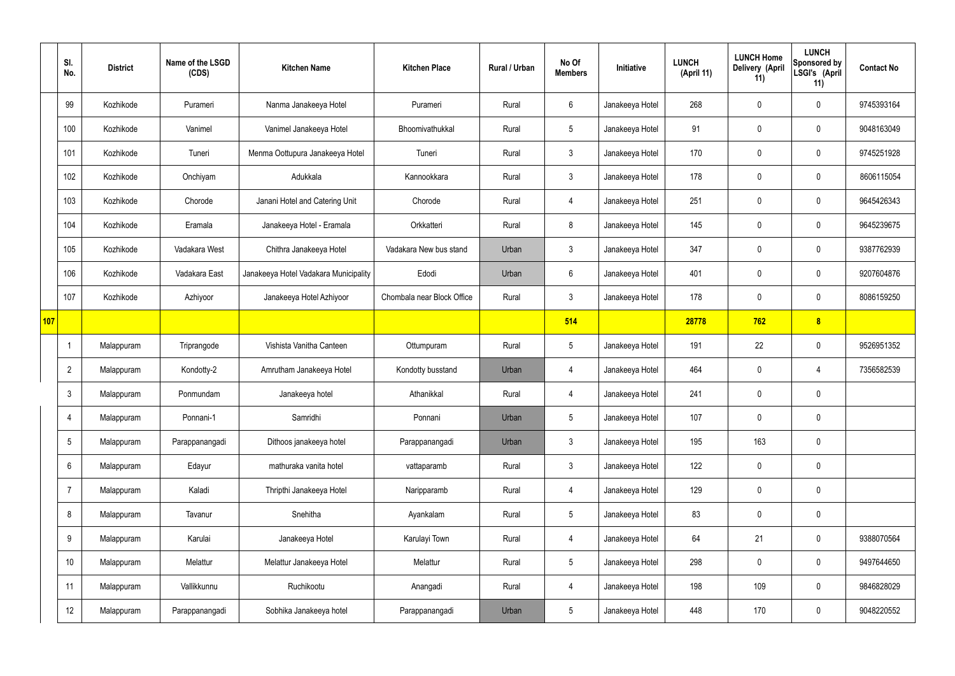|     | SI.<br>No.      | <b>District</b> | Name of the LSGD<br>(CDS) | <b>Kitchen Name</b>                   | <b>Kitchen Place</b>       | Rural / Urban | No Of<br><b>Members</b> | Initiative      | <b>LUNCH</b><br>(April 11) | <b>LUNCH Home</b><br>Delivery (April<br>11) | <b>LUNCH</b><br>Sponsored by<br>LSGI's (April<br>11) | <b>Contact No</b> |
|-----|-----------------|-----------------|---------------------------|---------------------------------------|----------------------------|---------------|-------------------------|-----------------|----------------------------|---------------------------------------------|------------------------------------------------------|-------------------|
|     | 99              | Kozhikode       | Purameri                  | Nanma Janakeeya Hotel                 | Purameri                   | Rural         | 6                       | Janakeeya Hotel | 268                        | $\mathbf 0$                                 | $\mathbf 0$                                          | 9745393164        |
|     | 100             | Kozhikode       | Vanimel                   | Vanimel Janakeeya Hotel               | Bhoomivathukkal            | Rural         | $5\overline{)}$         | Janakeeya Hotel | 91                         | $\mathbf 0$                                 | $\mathbf 0$                                          | 9048163049        |
|     | 101             | Kozhikode       | Tuneri                    | Menma Oottupura Janakeeya Hotel       | Tuneri                     | Rural         | $\mathbf{3}$            | Janakeeya Hotel | 170                        | $\mathbf 0$                                 | $\mathbf 0$                                          | 9745251928        |
|     | 102             | Kozhikode       | Onchiyam                  | Adukkala                              | Kannookkara                | Rural         | $\mathbf{3}$            | Janakeeya Hotel | 178                        | $\mathbf 0$                                 | $\mathbf 0$                                          | 8606115054        |
|     | 103             | Kozhikode       | Chorode                   | Janani Hotel and Catering Unit        | Chorode                    | Rural         | 4                       | Janakeeya Hotel | 251                        | $\mathbf 0$                                 | $\mathbf 0$                                          | 9645426343        |
|     | 104             | Kozhikode       | Eramala                   | Janakeeya Hotel - Eramala             | Orkkatteri                 | Rural         | 8                       | Janakeeya Hotel | 145                        | $\mathbf 0$                                 | $\mathbf 0$                                          | 9645239675        |
|     | 105             | Kozhikode       | Vadakara West             | Chithra Janakeeya Hotel               | Vadakara New bus stand     | Urban         | $\mathbf{3}$            | Janakeeya Hotel | 347                        | 0                                           | $\mathbf 0$                                          | 9387762939        |
|     | 106             | Kozhikode       | Vadakara East             | Janakeeya Hotel Vadakara Municipality | Edodi                      | Urban         | $6\phantom{.}6$         | Janakeeya Hotel | 401                        | $\mathbf 0$                                 | $\mathbf 0$                                          | 9207604876        |
|     | 107             | Kozhikode       | Azhiyoor                  | Janakeeya Hotel Azhiyoor              | Chombala near Block Office | Rural         | $\mathbf{3}$            | Janakeeya Hotel | 178                        | 0                                           | $\mathbf 0$                                          | 8086159250        |
| 107 |                 |                 |                           |                                       |                            |               | 514                     |                 | 28778                      | 762                                         | 8                                                    |                   |
|     |                 | Malappuram      | Triprangode               | Vishista Vanitha Canteen              | Ottumpuram                 | Rural         | $5\phantom{.0}$         | Janakeeya Hotel | 191                        | 22                                          | $\mathbf 0$                                          | 9526951352        |
|     | $\overline{2}$  | Malappuram      | Kondotty-2                | Amrutham Janakeeya Hotel              | Kondotty busstand          | Urban         | 4                       | Janakeeya Hotel | 464                        | 0                                           | 4                                                    | 7356582539        |
|     | $\mathfrak{Z}$  | Malappuram      | Ponmundam                 | Janakeeya hotel                       | Athanikkal                 | Rural         | 4                       | Janakeeya Hotel | 241                        | $\mathbf 0$                                 | $\mathbf 0$                                          |                   |
|     | 4               | Malappuram      | Ponnani-1                 | Samridhi                              | Ponnani                    | Urban         | $5\phantom{.0}$         | Janakeeya Hotel | 107                        | 0                                           | $\mathbf 0$                                          |                   |
|     | $5\overline{)}$ | Malappuram      | Parappanangadi            | Dithoos janakeeya hotel               | Parappanangadi             | Urban         | $\mathbf{3}$            | Janakeeya Hotel | 195                        | 163                                         | $\mathbf 0$                                          |                   |
|     | 6               | Malappuram      | Edayur                    | mathuraka vanita hotel                | vattaparamb                | Rural         | $\mathbf{3}$            | Janakeeya Hotel | 122                        | 0                                           | $\mathbf 0$                                          |                   |
|     | $\overline{7}$  | Malappuram      | Kaladi                    | Thripthi Janakeeya Hotel              | Naripparamb                | Rural         | $\overline{4}$          | Janakeeya Hotel | 129                        | 0                                           | $\mathbf 0$                                          |                   |
|     | 8               | Malappuram      | Tavanur                   | Snehitha                              | Ayankalam                  | Rural         | $5\phantom{.0}$         | Janakeeya Hotel | 83                         | 0                                           | $\mathbf 0$                                          |                   |
|     | 9               | Malappuram      | Karulai                   | Janakeeya Hotel                       | Karulayi Town              | Rural         | $\overline{4}$          | Janakeeya Hotel | 64                         | 21                                          | $\mathbf 0$                                          | 9388070564        |
|     | 10              | Malappuram      | Melattur                  | Melattur Janakeeya Hotel              | Melattur                   | Rural         | $5\phantom{.0}$         | Janakeeya Hotel | 298                        | 0                                           | $\mathbf 0$                                          | 9497644650        |
|     | 11              | Malappuram      | Vallikkunnu               | Ruchikootu                            | Anangadi                   | Rural         | $\overline{4}$          | Janakeeya Hotel | 198                        | 109                                         | $\mathbf 0$                                          | 9846828029        |
|     | 12              | Malappuram      | Parappanangadi            | Sobhika Janakeeya hotel               | Parappanangadi             | Urban         | $5\phantom{.0}$         | Janakeeya Hotel | 448                        | 170                                         | $\boldsymbol{0}$                                     | 9048220552        |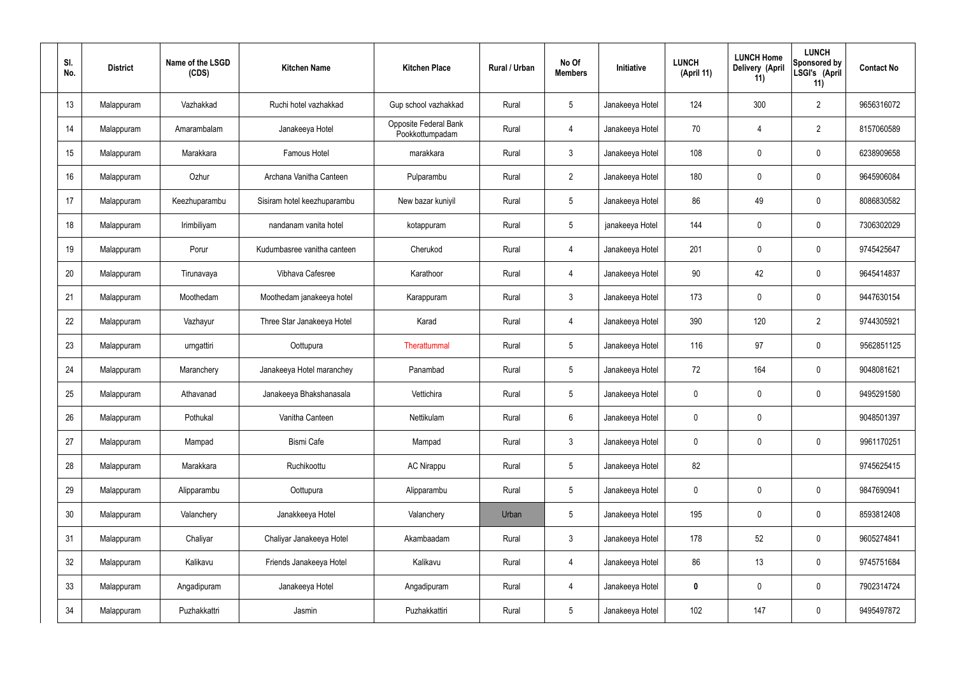| SI.<br>No. | <b>District</b> | Name of the LSGD<br>(CDS) | <b>Kitchen Name</b>         | <b>Kitchen Place</b>                     | Rural / Urban | No Of<br><b>Members</b> | <b>Initiative</b> | <b>LUNCH</b><br>(April 11) | <b>LUNCH Home</b><br>Delivery (April<br>11) | <b>LUNCH</b><br>Sponsored by<br>LSGI's (April<br>11) | <b>Contact No</b> |
|------------|-----------------|---------------------------|-----------------------------|------------------------------------------|---------------|-------------------------|-------------------|----------------------------|---------------------------------------------|------------------------------------------------------|-------------------|
| 13         | Malappuram      | Vazhakkad                 | Ruchi hotel vazhakkad       | Gup school vazhakkad                     | Rural         | $5\phantom{.0}$         | Janakeeya Hotel   | 124                        | 300                                         | $\overline{2}$                                       | 9656316072        |
| 14         | Malappuram      | Amarambalam               | Janakeeya Hotel             | Opposite Federal Bank<br>Pookkottumpadam | Rural         | $\overline{4}$          | Janakeeya Hotel   | 70                         | $\overline{4}$                              | $\overline{2}$                                       | 8157060589        |
| 15         | Malappuram      | Marakkara                 | Famous Hotel                | marakkara                                | Rural         | $\mathbf{3}$            | Janakeeya Hotel   | 108                        | $\mathbf 0$                                 | $\mathbf 0$                                          | 6238909658        |
| 16         | Malappuram      | Ozhur                     | Archana Vanitha Canteen     | Pulparambu                               | Rural         | $\overline{2}$          | Janakeeya Hotel   | 180                        | 0                                           | $\mathbf 0$                                          | 9645906084        |
| 17         | Malappuram      | Keezhuparambu             | Sisiram hotel keezhuparambu | New bazar kuniyil                        | Rural         | $5\phantom{.0}$         | Janakeeya Hotel   | 86                         | 49                                          | $\mathbf 0$                                          | 8086830582        |
| 18         | Malappuram      | Irimbiliyam               | nandanam vanita hotel       | kotappuram                               | Rural         | $5\phantom{.0}$         | janakeeya Hotel   | 144                        | 0                                           | $\mathbf 0$                                          | 7306302029        |
| 19         | Malappuram      | Porur                     | Kudumbasree vanitha canteen | Cherukod                                 | Rural         | $\overline{4}$          | Janakeeya Hotel   | 201                        | $\mathbf 0$                                 | $\mathbf 0$                                          | 9745425647        |
| 20         | Malappuram      | Tirunavaya                | Vibhava Cafesree            | Karathoor                                | Rural         | $\overline{4}$          | Janakeeya Hotel   | 90                         | 42                                          | $\mathbf 0$                                          | 9645414837        |
| 21         | Malappuram      | Moothedam                 | Moothedam janakeeya hotel   | Karappuram                               | Rural         | $\mathbf{3}$            | Janakeeya Hotel   | 173                        | $\mathbf 0$                                 | $\mathbf 0$                                          | 9447630154        |
| 22         | Malappuram      | Vazhayur                  | Three Star Janakeeya Hotel  | Karad                                    | Rural         | $\overline{4}$          | Janakeeya Hotel   | 390                        | 120                                         | $\overline{2}$                                       | 9744305921        |
| 23         | Malappuram      | urngattiri                | Oottupura                   | Therattummal                             | Rural         | $5\phantom{.0}$         | Janakeeya Hotel   | 116                        | 97                                          | $\mathbf 0$                                          | 9562851125        |
| 24         | Malappuram      | Maranchery                | Janakeeya Hotel maranchey   | Panambad                                 | Rural         | $5\phantom{.0}$         | Janakeeya Hotel   | 72                         | 164                                         | $\mathbf 0$                                          | 9048081621        |
| 25         | Malappuram      | Athavanad                 | Janakeeya Bhakshanasala     | Vettichira                               | Rural         | $5\phantom{.0}$         | Janakeeya Hotel   | $\mathbf 0$                | 0                                           | $\mathbf 0$                                          | 9495291580        |
| 26         | Malappuram      | Pothukal                  | Vanitha Canteen             | Nettikulam                               | Rural         | $6\overline{6}$         | Janakeeya Hotel   | $\mathbf 0$                | $\mathbf 0$                                 |                                                      | 9048501397        |
| 27         | Malappuram      | Mampad                    | <b>Bismi Cafe</b>           | Mampad                                   | Rural         | $\mathbf{3}$            | Janakeeya Hotel   | $\mathbf 0$                | $\mathbf 0$                                 | $\mathbf 0$                                          | 9961170251        |
| 28         | Malappuram      | Marakkara                 | Ruchikoottu                 | <b>AC Nirappu</b>                        | Rural         | $5\overline{)}$         | Janakeeya Hotel   | 82                         |                                             |                                                      | 9745625415        |
| 29         | Malappuram      | Alipparambu               | Oottupura                   | Alipparambu                              | Rural         | $5\overline{)}$         | Janakeeya Hotel   | $\mathbf 0$                | 0                                           | $\mathbf 0$                                          | 9847690941        |
| 30         | Malappuram      | Valanchery                | Janakkeeya Hotel            | Valanchery                               | Urban         | $5\phantom{.0}$         | Janakeeya Hotel   | 195                        | 0                                           | $\mathbf 0$                                          | 8593812408        |
| 31         | Malappuram      | Chaliyar                  | Chaliyar Janakeeya Hotel    | Akambaadam                               | Rural         | $\mathbf{3}$            | Janakeeya Hotel   | 178                        | 52                                          | $\mathbf 0$                                          | 9605274841        |
| 32         | Malappuram      | Kalikavu                  | Friends Janakeeya Hotel     | Kalikavu                                 | Rural         | $\overline{4}$          | Janakeeya Hotel   | 86                         | 13                                          | $\mathbf 0$                                          | 9745751684        |
| 33         | Malappuram      | Angadipuram               | Janakeeya Hotel             | Angadipuram                              | Rural         | $\overline{4}$          | Janakeeya Hotel   | $\mathbf 0$                | 0                                           | $\mathbf 0$                                          | 7902314724        |
| 34         | Malappuram      | Puzhakkattri              | Jasmin                      | Puzhakkattiri                            | Rural         | $5\,$                   | Janakeeya Hotel   | 102                        | 147                                         | $\mathbf 0$                                          | 9495497872        |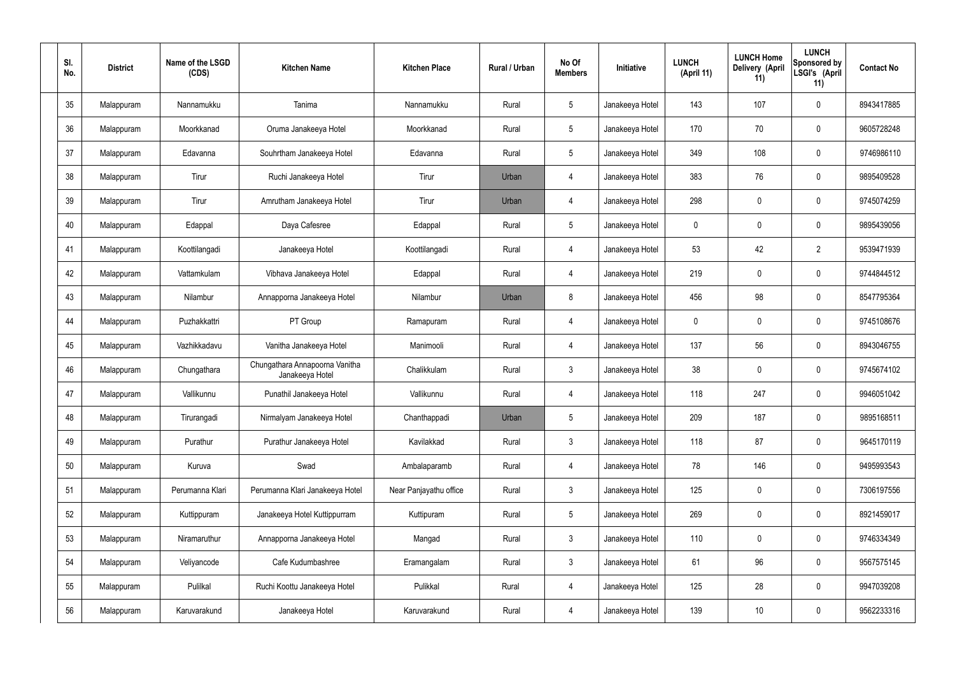| SI.<br>No. | <b>District</b> | Name of the LSGD<br>(CDS) | <b>Kitchen Name</b>                               | <b>Kitchen Place</b>   | Rural / Urban | No Of<br><b>Members</b> | Initiative      | <b>LUNCH</b><br>(April 11) | <b>LUNCH Home</b><br>Delivery (April<br>11) | <b>LUNCH</b><br>Sponsored by<br>LSGI's (April<br>11) | <b>Contact No</b> |
|------------|-----------------|---------------------------|---------------------------------------------------|------------------------|---------------|-------------------------|-----------------|----------------------------|---------------------------------------------|------------------------------------------------------|-------------------|
| 35         | Malappuram      | Nannamukku                | Tanima                                            | Nannamukku             | Rural         | $5\phantom{.0}$         | Janakeeya Hotel | 143                        | 107                                         | $\mathbf 0$                                          | 8943417885        |
| 36         | Malappuram      | Moorkkanad                | Oruma Janakeeya Hotel                             | Moorkkanad             | Rural         | $5\phantom{.0}$         | Janakeeya Hotel | 170                        | 70                                          | $\pmb{0}$                                            | 9605728248        |
| 37         | Malappuram      | Edavanna                  | Souhrtham Janakeeya Hotel                         | Edavanna               | Rural         | $5\phantom{.0}$         | Janakeeya Hotel | 349                        | 108                                         | $\mathbf 0$                                          | 9746986110        |
| 38         | Malappuram      | Tirur                     | Ruchi Janakeeya Hotel                             | Tirur                  | Urban         | $\overline{4}$          | Janakeeya Hotel | 383                        | 76                                          | $\mathbf 0$                                          | 9895409528        |
| 39         | Malappuram      | Tirur                     | Amrutham Janakeeya Hotel                          | Tirur                  | Urban         | $\overline{4}$          | Janakeeya Hotel | 298                        | $\boldsymbol{0}$                            | $\mathbf 0$                                          | 9745074259        |
| 40         | Malappuram      | Edappal                   | Daya Cafesree                                     | Edappal                | Rural         | $5\phantom{.0}$         | Janakeeya Hotel | $\mathbf 0$                | 0                                           | $\mathbf 0$                                          | 9895439056        |
| 41         | Malappuram      | Koottilangadi             | Janakeeya Hotel                                   | Koottilangadi          | Rural         | $\overline{4}$          | Janakeeya Hotel | 53                         | 42                                          | $\overline{2}$                                       | 9539471939        |
| 42         | Malappuram      | Vattamkulam               | Vibhava Janakeeya Hotel                           | Edappal                | Rural         | $\overline{4}$          | Janakeeya Hotel | 219                        | $\mathbf 0$                                 | $\mathbf 0$                                          | 9744844512        |
| 43         | Malappuram      | Nilambur                  | Annapporna Janakeeya Hotel                        | Nilambur               | Urban         | 8                       | Janakeeya Hotel | 456                        | 98                                          | $\mathbf 0$                                          | 8547795364        |
| 44         | Malappuram      | Puzhakkattri              | PT Group                                          | Ramapuram              | Rural         | 4                       | Janakeeya Hotel | $\mathbf 0$                | 0                                           | $\boldsymbol{0}$                                     | 9745108676        |
| 45         | Malappuram      | Vazhikkadavu              | Vanitha Janakeeya Hotel                           | Manimooli              | Rural         | $\overline{4}$          | Janakeeya Hotel | 137                        | 56                                          | $\boldsymbol{0}$                                     | 8943046755        |
| 46         | Malappuram      | Chungathara               | Chungathara Annapoorna Vanitha<br>Janakeeya Hotel | Chalikkulam            | Rural         | $\mathfrak{Z}$          | Janakeeya Hotel | 38                         | 0                                           | $\boldsymbol{0}$                                     | 9745674102        |
| 47         | Malappuram      | Vallikunnu                | Punathil Janakeeya Hotel                          | Vallikunnu             | Rural         | 4                       | Janakeeya Hotel | 118                        | 247                                         | 0                                                    | 9946051042        |
| 48         | Malappuram      | Tirurangadi               | Nirmalyam Janakeeya Hotel                         | Chanthappadi           | Urban         | $5\phantom{.0}$         | Janakeeya Hotel | 209                        | 187                                         | $\mathbf 0$                                          | 9895168511        |
| 49         | Malappuram      | Purathur                  | Purathur Janakeeya Hotel                          | Kavilakkad             | Rural         | 3 <sup>1</sup>          | Janakeeya Hotel | 118                        | 87                                          | $\mathbf 0$                                          | 9645170119        |
| 50         | Malappuram      | Kuruva                    | Swad                                              | Ambalaparamb           | Rural         | $\overline{4}$          | Janakeeya Hotel | 78                         | 146                                         | $\mathbf 0$                                          | 9495993543        |
| 51         | Malappuram      | Perumanna Klari           | Perumanna Klari Janakeeya Hotel                   | Near Panjayathu office | Rural         | $\mathbf{3}$            | Janakeeya Hotel | 125                        | $\mathsf{0}$                                | $\mathbf 0$                                          | 7306197556        |
| 52         | Malappuram      | Kuttippuram               | Janakeeya Hotel Kuttippurram                      | Kuttipuram             | Rural         | $5\phantom{.0}$         | Janakeeya Hotel | 269                        | $\mathbf 0$                                 | $\mathbf 0$                                          | 8921459017        |
| 53         | Malappuram      | Niramaruthur              | Annapporna Janakeeya Hotel                        | Mangad                 | Rural         | $\mathbf{3}$            | Janakeeya Hotel | 110                        | $\mathsf{0}$                                | $\mathbf 0$                                          | 9746334349        |
| 54         | Malappuram      | Veliyancode               | Cafe Kudumbashree                                 | Eramangalam            | Rural         | $\mathbf{3}$            | Janakeeya Hotel | 61                         | 96                                          | $\mathbf 0$                                          | 9567575145        |
| 55         | Malappuram      | Pulilkal                  | Ruchi Koottu Janakeeya Hotel                      | Pulikkal               | Rural         | $\overline{4}$          | Janakeeya Hotel | 125                        | 28                                          | $\mathbf 0$                                          | 9947039208        |
| 56         | Malappuram      | Karuvarakund              | Janakeeya Hotel                                   | Karuvarakund           | Rural         | 4                       | Janakeeya Hotel | 139                        | 10                                          | $\boldsymbol{0}$                                     | 9562233316        |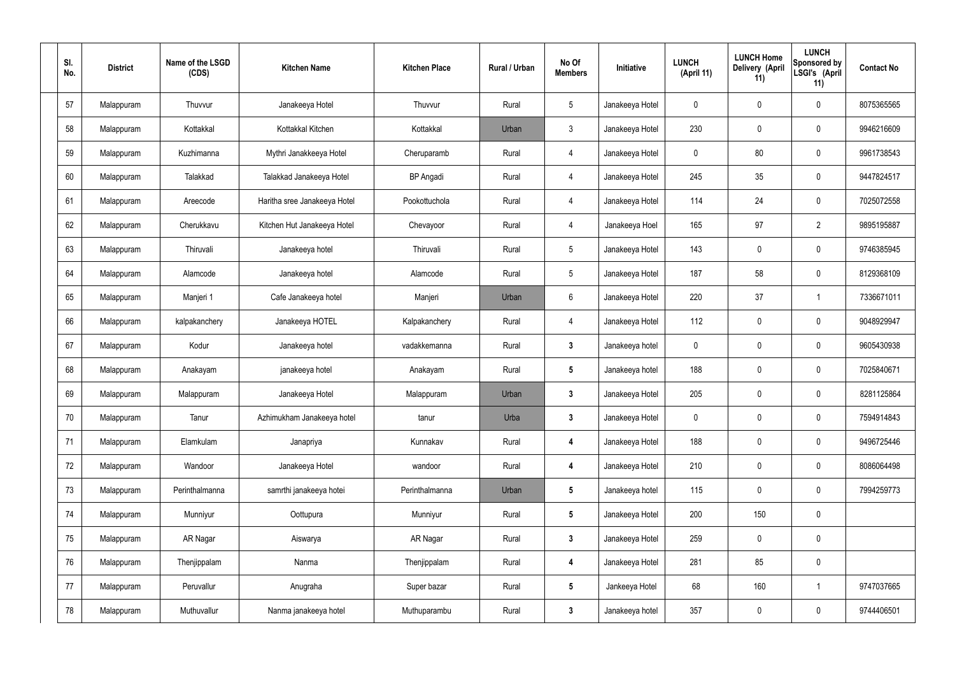| SI.<br>No. | <b>District</b> | Name of the LSGD<br>(CDS) | <b>Kitchen Name</b>          | <b>Kitchen Place</b> | Rural / Urban | No Of<br><b>Members</b> | Initiative      | <b>LUNCH</b><br>(April 11) | <b>LUNCH Home</b><br>Delivery (April<br>11) | <b>LUNCH</b><br>Sponsored by<br>LSGI's (April<br>11) | <b>Contact No</b> |
|------------|-----------------|---------------------------|------------------------------|----------------------|---------------|-------------------------|-----------------|----------------------------|---------------------------------------------|------------------------------------------------------|-------------------|
| 57         | Malappuram      | Thuvvur                   | Janakeeya Hotel              | Thuvvur              | Rural         | $5\phantom{.0}$         | Janakeeya Hotel | $\mathbf{0}$               | $\mathbf 0$                                 | 0                                                    | 8075365565        |
| 58         | Malappuram      | Kottakkal                 | Kottakkal Kitchen            | Kottakkal            | Urban         | $\mathbf{3}$            | Janakeeya Hotel | 230                        | $\mathbf 0$                                 | 0                                                    | 9946216609        |
| 59         | Malappuram      | Kuzhimanna                | Mythri Janakkeeya Hotel      | Cheruparamb          | Rural         | 4                       | Janakeeya Hotel | 0                          | 80                                          | 0                                                    | 9961738543        |
| 60         | Malappuram      | Talakkad                  | Talakkad Janakeeya Hotel     | <b>BP</b> Angadi     | Rural         | 4                       | Janakeeya Hotel | 245                        | 35                                          | 0                                                    | 9447824517        |
| 61         | Malappuram      | Areecode                  | Haritha sree Janakeeya Hotel | Pookottuchola        | Rural         | 4                       | Janakeeya Hotel | 114                        | 24                                          | 0                                                    | 7025072558        |
| 62         | Malappuram      | Cherukkavu                | Kitchen Hut Janakeeya Hotel  | Chevayoor            | Rural         | $\overline{4}$          | Janakeeya Hoel  | 165                        | 97                                          | $\overline{2}$                                       | 9895195887        |
| 63         | Malappuram      | Thiruvali                 | Janakeeya hotel              | Thiruvali            | Rural         | $5\phantom{.0}$         | Janakeeya Hotel | 143                        | $\boldsymbol{0}$                            | 0                                                    | 9746385945        |
| 64         | Malappuram      | Alamcode                  | Janakeeya hotel              | Alamcode             | Rural         | $5\phantom{.0}$         | Janakeeya Hotel | 187                        | 58                                          | 0                                                    | 8129368109        |
| 65         | Malappuram      | Manjeri 1                 | Cafe Janakeeya hotel         | Manjeri              | Urban         | 6                       | Janakeeya Hotel | 220                        | 37                                          | -1                                                   | 7336671011        |
| 66         | Malappuram      | kalpakanchery             | Janakeeya HOTEL              | Kalpakanchery        | Rural         | $\overline{4}$          | Janakeeya Hotel | 112                        | $\mathbf 0$                                 | 0                                                    | 9048929947        |
| 67         | Malappuram      | Kodur                     | Janakeeya hotel              | vadakkemanna         | Rural         | $\mathbf{3}$            | Janakeeya hotel | $\mathbf 0$                | 0                                           | 0                                                    | 9605430938        |
| 68         | Malappuram      | Anakayam                  | janakeeya hotel              | Anakayam             | Rural         | $\sqrt{5}$              | Janakeeya hotel | 188                        | 0                                           | 0                                                    | 7025840671        |
| 69         | Malappuram      | Malappuram                | Janakeeya Hotel              | Malappuram           | Urban         | 3                       | Janakeeya Hotel | 205                        | 0                                           | 0                                                    | 8281125864        |
| 70         | Malappuram      | Tanur                     | Azhimukham Janakeeya hotel   | tanur                | Urba          | $\mathbf{3}$            | Janakeeya Hotel | $\mathbf 0$                | $\pmb{0}$                                   | 0                                                    | 7594914843        |
| 71         | Malappuram      | Elamkulam                 | Janapriya                    | Kunnakav             | Rural         | $\boldsymbol{4}$        | Janakeeya Hotel | 188                        | $\pmb{0}$                                   | $\mathbf 0$                                          | 9496725446        |
| 72         | Malappuram      | Wandoor                   | Janakeeya Hotel              | wandoor              | Rural         | 4                       | Janakeeya Hotel | 210                        | $\boldsymbol{0}$                            | 0                                                    | 8086064498        |
| 73         | Malappuram      | Perinthalmanna            | samrthi janakeeya hotei      | Perinthalmanna       | Urban         | $5\phantom{.0}$         | Janakeeya hotel | 115                        | $\pmb{0}$                                   | 0                                                    | 7994259773        |
| 74         | Malappuram      | Munniyur                  | Oottupura                    | Munniyur             | Rural         | $5\phantom{.0}$         | Janakeeya Hotel | 200                        | 150                                         | 0                                                    |                   |
| 75         | Malappuram      | AR Nagar                  | Aiswarya                     | AR Nagar             | Rural         | $\mathbf{3}$            | Janakeeya Hotel | 259                        | $\mathbf 0$                                 | 0                                                    |                   |
| 76         | Malappuram      | Thenjippalam              | Nanma                        | Thenjippalam         | Rural         | $\boldsymbol{4}$        | Janakeeya Hotel | 281                        | 85                                          | 0                                                    |                   |
| 77         | Malappuram      | Peruvallur                | Anugraha                     | Super bazar          | Rural         | $5\phantom{.0}$         | Jankeeya Hotel  | 68                         | 160                                         |                                                      | 9747037665        |
| 78         | Malappuram      | Muthuvallur               | Nanma janakeeya hotel        | Muthuparambu         | Rural         | $\boldsymbol{3}$        | Janakeeya hotel | 357                        | $\pmb{0}$                                   | 0                                                    | 9744406501        |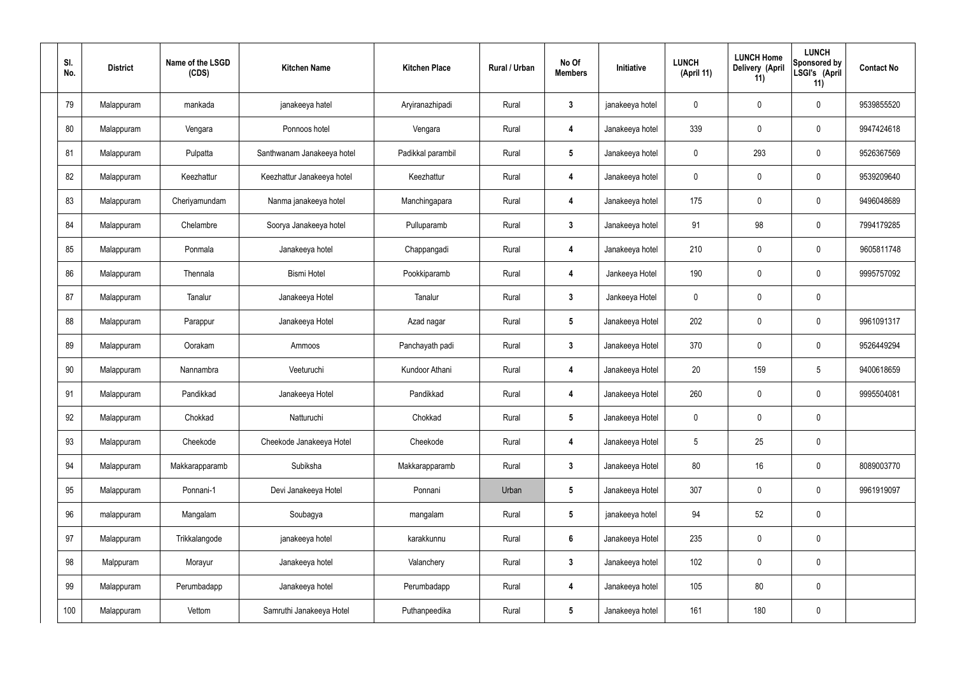| SI.<br>No. | <b>District</b> | Name of the LSGD<br>(CDS) | <b>Kitchen Name</b>        | <b>Kitchen Place</b> | Rural / Urban | No Of<br><b>Members</b> | Initiative      | <b>LUNCH</b><br>(April 11) | <b>LUNCH Home</b><br>Delivery (April<br>11) | <b>LUNCH</b><br>Sponsored by<br>LSGI's (April<br>11) | <b>Contact No</b> |
|------------|-----------------|---------------------------|----------------------------|----------------------|---------------|-------------------------|-----------------|----------------------------|---------------------------------------------|------------------------------------------------------|-------------------|
| 79         | Malappuram      | mankada                   | janakeeya hatel            | Aryiranazhipadi      | Rural         | $\overline{3}$          | janakeeya hotel | 0                          | $\mathbf 0$                                 | $\pmb{0}$                                            | 9539855520        |
| 80         | Malappuram      | Vengara                   | Ponnoos hotel              | Vengara              | Rural         | 4                       | Janakeeya hotel | 339                        | $\mathbf 0$                                 | $\pmb{0}$                                            | 9947424618        |
| 81         | Malappuram      | Pulpatta                  | Santhwanam Janakeeya hotel | Padikkal parambil    | Rural         | $\sqrt{5}$              | Janakeeya hotel | 0                          | 293                                         | $\pmb{0}$                                            | 9526367569        |
| 82         | Malappuram      | Keezhattur                | Keezhattur Janakeeya hotel | Keezhattur           | Rural         | $\overline{\mathbf{4}}$ | Janakeeya hotel | $\mathbf 0$                | $\mathbf 0$                                 | $\pmb{0}$                                            | 9539209640        |
| 83         | Malappuram      | Cheriyamundam             | Nanma janakeeya hotel      | Manchingapara        | Rural         | 4                       | Janakeeya hotel | 175                        | $\mathbf 0$                                 | $\pmb{0}$                                            | 9496048689        |
| 84         | Malappuram      | Chelambre                 | Soorya Janakeeya hotel     | Pulluparamb          | Rural         | $\mathbf{3}$            | Janakeeya hotel | 91                         | 98                                          | $\pmb{0}$                                            | 7994179285        |
| 85         | Malappuram      | Ponmala                   | Janakeeya hotel            | Chappangadi          | Rural         | $\overline{4}$          | Janakeeya hotel | 210                        | $\mathbf 0$                                 | $\pmb{0}$                                            | 9605811748        |
| 86         | Malappuram      | Thennala                  | <b>Bismi Hotel</b>         | Pookkiparamb         | Rural         | $\overline{4}$          | Jankeeya Hotel  | 190                        | $\mathbf 0$                                 | $\pmb{0}$                                            | 9995757092        |
| 87         | Malappuram      | Tanalur                   | Janakeeya Hotel            | Tanalur              | Rural         | $\mathbf{3}$            | Jankeeya Hotel  | $\mathbf 0$                | $\mathbf 0$                                 | $\pmb{0}$                                            |                   |
| 88         | Malappuram      | Parappur                  | Janakeeya Hotel            | Azad nagar           | Rural         | $\sqrt{5}$              | Janakeeya Hotel | 202                        | $\mathbf 0$                                 | $\pmb{0}$                                            | 9961091317        |
| 89         | Malappuram      | Oorakam                   | Ammoos                     | Panchayath padi      | Rural         | $\mathbf{3}$            | Janakeeya Hotel | 370                        | $\mathbf 0$                                 | 0                                                    | 9526449294        |
| 90         | Malappuram      | Nannambra                 | Veeturuchi                 | Kundoor Athani       | Rural         | $\overline{\mathbf{4}}$ | Janakeeya Hotel | 20                         | 159                                         | $5\overline{)}$                                      | 9400618659        |
| 91         | Malappuram      | Pandikkad                 | Janakeeya Hotel            | Pandikkad            | Rural         | 4                       | Janakeeya Hotel | 260                        | $\mathbf 0$                                 | $\mathbf 0$                                          | 9995504081        |
| 92         | Malappuram      | Chokkad                   | Natturuchi                 | Chokkad              | Rural         | $5\phantom{.0}$         | Janakeeya Hotel | $\mathbf 0$                | $\mathbf 0$                                 | $\pmb{0}$                                            |                   |
| 93         | Malappuram      | Cheekode                  | Cheekode Janakeeya Hotel   | Cheekode             | Rural         | $\boldsymbol{4}$        | Janakeeya Hotel | 5                          | 25                                          | $\pmb{0}$                                            |                   |
| 94         | Malappuram      | Makkarapparamb            | Subiksha                   | Makkarapparamb       | Rural         | $\mathbf{3}$            | Janakeeya Hotel | 80                         | 16                                          | $\pmb{0}$                                            | 8089003770        |
| 95         | Malappuram      | Ponnani-1                 | Devi Janakeeya Hotel       | Ponnani              | Urban         | $5\phantom{.0}$         | Janakeeya Hotel | 307                        | $\mathbf 0$                                 | $\mathbf 0$                                          | 9961919097        |
| 96         | malappuram      | Mangalam                  | Soubagya                   | mangalam             | Rural         | $5\phantom{.0}$         | janakeeya hotel | 94                         | 52                                          | $\mathbf 0$                                          |                   |
| 97         | Malappuram      | Trikkalangode             | janakeeya hotel            | karakkunnu           | Rural         | $6\phantom{.}6$         | Janakeeya Hotel | 235                        | $\mathbf 0$                                 | $\mathbf 0$                                          |                   |
| 98         | Malppuram       | Morayur                   | Janakeeya hotel            | Valanchery           | Rural         | $\mathbf{3}$            | Janakeeya hotel | 102                        | $\mathbf 0$                                 | $\pmb{0}$                                            |                   |
| 99         | Malappuram      | Perumbadapp               | Janakeeya hotel            | Perumbadapp          | Rural         | 4                       | Janakeeya hotel | 105                        | 80                                          | $\mathbf 0$                                          |                   |
| 100        | Malappuram      | Vettom                    | Samruthi Janakeeya Hotel   | Puthanpeedika        | Rural         | $5\phantom{.0}$         | Janakeeya hotel | 161                        | 180                                         | $\pmb{0}$                                            |                   |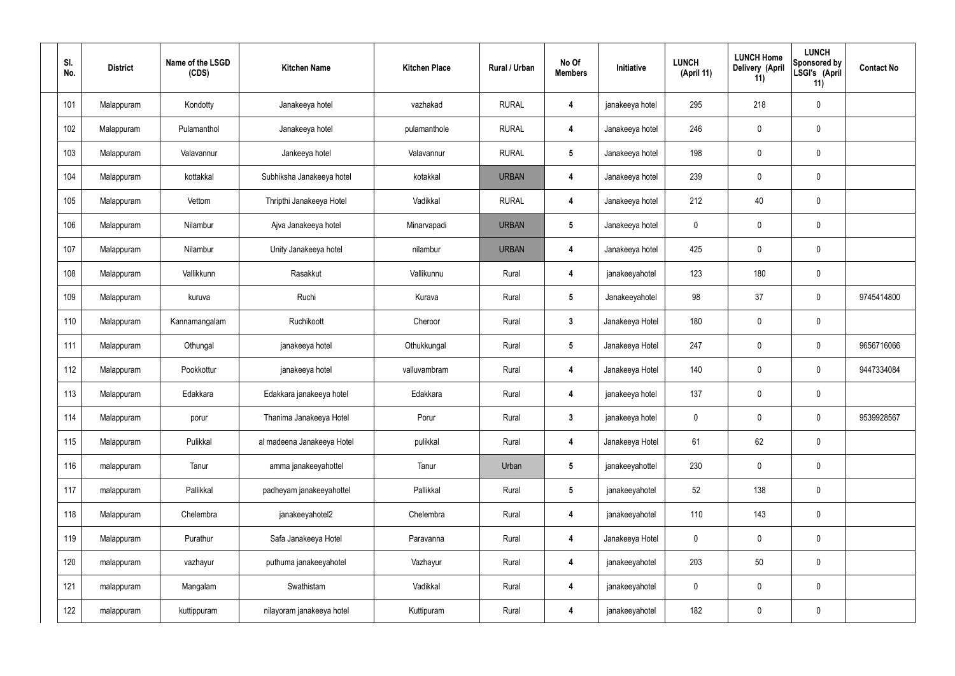| SI.<br>No. | <b>District</b> | Name of the LSGD<br>(CDS) | <b>Kitchen Name</b>        | <b>Kitchen Place</b> | Rural / Urban | No Of<br><b>Members</b> | Initiative      | <b>LUNCH</b><br>(April 11) | <b>LUNCH Home</b><br>Delivery (April<br>11) | <b>LUNCH</b><br>Sponsored by<br>LSGI's (April<br>11) | <b>Contact No</b> |
|------------|-----------------|---------------------------|----------------------------|----------------------|---------------|-------------------------|-----------------|----------------------------|---------------------------------------------|------------------------------------------------------|-------------------|
| 101        | Malappuram      | Kondotty                  | Janakeeya hotel            | vazhakad             | <b>RURAL</b>  | 4                       | janakeeya hotel | 295                        | 218                                         | $\pmb{0}$                                            |                   |
| 102        | Malappuram      | Pulamanthol               | Janakeeya hotel            | pulamanthole         | <b>RURAL</b>  | 4                       | Janakeeya hotel | 246                        | $\mathbf 0$                                 | $\pmb{0}$                                            |                   |
| 103        | Malappuram      | Valavannur                | Jankeeya hotel             | Valavannur           | <b>RURAL</b>  | $5\phantom{.0}$         | Janakeeya hotel | 198                        | 0                                           | $\pmb{0}$                                            |                   |
| 104        | Malappuram      | kottakkal                 | Subhiksha Janakeeya hotel  | kotakkal             | <b>URBAN</b>  | 4                       | Janakeeya hotel | 239                        | $\mathbf 0$                                 | $\pmb{0}$                                            |                   |
| 105        | Malappuram      | Vettom                    | Thripthi Janakeeya Hotel   | Vadikkal             | <b>RURAL</b>  | 4                       | Janakeeya hotel | 212                        | 40                                          | $\pmb{0}$                                            |                   |
| 106        | Malappuram      | Nilambur                  | Ajva Janakeeya hotel       | Minarvapadi          | <b>URBAN</b>  | $5\phantom{.0}$         | Janakeeya hotel | 0                          | $\mathbf 0$                                 | $\pmb{0}$                                            |                   |
| 107        | Malappuram      | Nilambur                  | Unity Janakeeya hotel      | nilambur             | <b>URBAN</b>  | 4                       | Janakeeya hotel | 425                        | 0                                           | $\pmb{0}$                                            |                   |
| 108        | Malappuram      | Vallikkunn                | Rasakkut                   | Vallikunnu           | Rural         | 4                       | janakeeyahotel  | 123                        | 180                                         | $\pmb{0}$                                            |                   |
| 109        | Malappuram      | kuruva                    | Ruchi                      | Kurava               | Rural         | $5\phantom{.0}$         | Janakeeyahotel  | 98                         | 37                                          | $\pmb{0}$                                            | 9745414800        |
| 110        | Malappuram      | Kannamangalam             | Ruchikoott                 | Cheroor              | Rural         | $\mathbf{3}$            | Janakeeya Hotel | 180                        | $\mathbf 0$                                 | $\pmb{0}$                                            |                   |
| 111        | Malappuram      | Othungal                  | janakeeya hotel            | Othukkungal          | Rural         | $5\phantom{.0}$         | Janakeeya Hotel | 247                        | 0                                           | $\pmb{0}$                                            | 9656716066        |
| 112        | Malappuram      | Pookkottur                | janakeeya hotel            | valluvambram         | Rural         | 4                       | Janakeeya Hotel | 140                        | 0                                           | $\mathbf 0$                                          | 9447334084        |
| 113        | Malappuram      | Edakkara                  | Edakkara janakeeya hotel   | Edakkara             | Rural         | 4                       | janakeeya hotel | 137                        | 0                                           | $\mathbf 0$                                          |                   |
| 114        | Malappuram      | porur                     | Thanima Janakeeya Hotel    | Porur                | Rural         | $\mathbf{3}$            | janakeeya hotel | 0                          | 0                                           | $\mathbf 0$                                          | 9539928567        |
| 115        | Malappuram      | Pulikkal                  | al madeena Janakeeya Hotel | pulikkal             | Rural         | 4                       | Janakeeya Hotel | 61                         | 62                                          | $\mathbf 0$                                          |                   |
| 116        | malappuram      | Tanur                     | amma janakeeyahottel       | Tanur                | Urban         | $5\phantom{.0}$         | janakeeyahottel | 230                        | 0                                           | $\mathbf 0$                                          |                   |
| 117        | malappuram      | Pallikkal                 | padheyam janakeeyahottel   | Pallikkal            | Rural         | $5\phantom{.0}$         | janakeeyahotel  | 52                         | 138                                         | $\mathbf 0$                                          |                   |
| 118        | Malappuram      | Chelembra                 | janakeeyahotel2            | Chelembra            | Rural         | 4                       | janakeeyahotel  | 110                        | 143                                         | $\mathbf 0$                                          |                   |
| 119        | Malappuram      | Purathur                  | Safa Janakeeya Hotel       | Paravanna            | Rural         | 4                       | Janakeeya Hotel | 0                          | 0                                           | $\mathbf 0$                                          |                   |
| 120        | malappuram      | vazhayur                  | puthuma janakeeyahotel     | Vazhayur             | Rural         | 4                       | janakeeyahotel  | 203                        | $50\,$                                      | $\pmb{0}$                                            |                   |
| 121        | malappuram      | Mangalam                  | Swathistam                 | Vadikkal             | Rural         | 4                       | janakeeyahotel  | 0                          | 0                                           | $\mathbf 0$                                          |                   |
| 122        | malappuram      | kuttippuram               | nilayoram janakeeya hotel  | Kuttipuram           | Rural         | $\boldsymbol{4}$        | janakeeyahotel  | 182                        | 0                                           | $\pmb{0}$                                            |                   |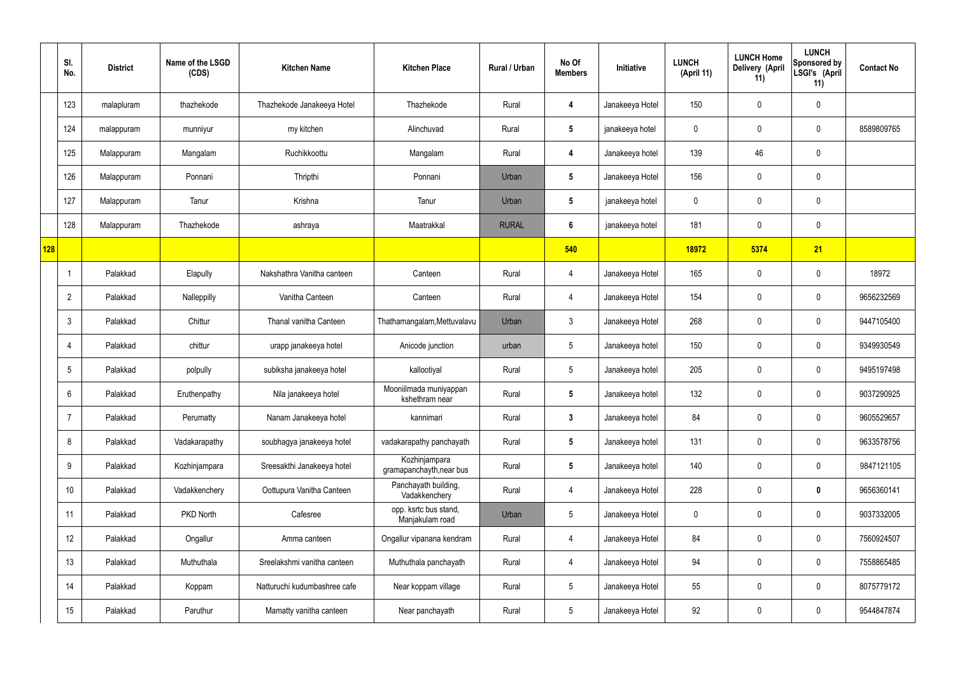|     | SI.<br>No.     | <b>District</b> | Name of the LSGD<br>(CDS) | <b>Kitchen Name</b>          | <b>Kitchen Place</b>                      | Rural / Urban | No Of<br><b>Members</b> | Initiative      | <b>LUNCH</b><br>(April 11) | <b>LUNCH Home</b><br>Delivery (April<br>11) | <b>LUNCH</b><br>Sponsored by<br>LSGI's (April<br>11) | <b>Contact No</b> |
|-----|----------------|-----------------|---------------------------|------------------------------|-------------------------------------------|---------------|-------------------------|-----------------|----------------------------|---------------------------------------------|------------------------------------------------------|-------------------|
|     | 123            | malapluram      | thazhekode                | Thazhekode Janakeeya Hotel   | Thazhekode                                | Rural         | 4                       | Janakeeya Hotel | 150                        | 0                                           | $\mathbf 0$                                          |                   |
|     | 124            | malappuram      | munniyur                  | my kitchen                   | Alinchuvad                                | Rural         | $5\phantom{.0}$         | janakeeya hotel | $\mathbf 0$                | $\mathbf 0$                                 | $\mathbf 0$                                          | 8589809765        |
|     | 125            | Malappuram      | Mangalam                  | Ruchikkoottu                 | Mangalam                                  | Rural         | 4                       | Janakeeya hotel | 139                        | 46                                          | $\mathbf 0$                                          |                   |
|     | 126            | Malappuram      | Ponnani                   | Thripthi                     | Ponnani                                   | Urban         | $5\phantom{.0}$         | Janakeeya Hotel | 156                        | $\mathbf 0$                                 | $\mathbf 0$                                          |                   |
|     | 127            | Malappuram      | Tanur                     | Krishna                      | Tanur                                     | Urban         | $5\phantom{.0}$         | janakeeya hotel | $\mathbf 0$                | $\mathbf 0$                                 | $\mathbf 0$                                          |                   |
|     | 128            | Malappuram      | Thazhekode                | ashraya                      | Maatrakkal                                | <b>RURAL</b>  | $6\phantom{1}$          | janakeeya hotel | 181                        | $\mathbf 0$                                 | $\mathbf 0$                                          |                   |
| 128 |                |                 |                           |                              |                                           |               | 540                     |                 | 18972                      | 5374                                        | 21                                                   |                   |
|     | -1             | Palakkad        | Elapully                  | Nakshathra Vanitha canteen   | Canteen                                   | Rural         | 4                       | Janakeeya Hotel | 165                        | $\mathbf 0$                                 | $\mathbf 0$                                          | 18972             |
|     | $\overline{2}$ | Palakkad        | Nalleppilly               | Vanitha Canteen              | Canteen                                   | Rural         | 4                       | Janakeeya Hotel | 154                        | $\mathbf 0$                                 | $\mathbf 0$                                          | 9656232569        |
|     | 3              | Palakkad        | Chittur                   | Thanal vanitha Canteen       | Thathamangalam, Mettuvalavu               | Urban         | $\mathbf{3}$            | Janakeeya Hotel | 268                        | $\mathbf 0$                                 | $\mathbf 0$                                          | 9447105400        |
|     | $\overline{4}$ | Palakkad        | chittur                   | urapp janakeeya hotel        | Anicode junction                          | urban         | $5\phantom{.0}$         | Janakeeya hotel | 150                        | 0                                           | $\mathbf 0$                                          | 9349930549        |
|     | 5              | Palakkad        | polpully                  | subiksha janakeeya hotel     | kallootiyal                               | Rural         | $5\phantom{.0}$         | Janakeeya hotel | 205                        | $\mathbf 0$                                 | $\mathbf 0$                                          | 9495197498        |
|     | 6              | Palakkad        | Eruthenpathy              | Nila janakeeya hotel         | Mooniilmada muniyappan<br>kshethram near  | Rural         | $5\overline{)}$         | Janakeeya hotel | 132                        | $\mathbf 0$                                 | $\mathbf 0$                                          | 9037290925        |
|     | $\overline{7}$ | Palakkad        | Perumatty                 | Nanam Janakeeya hotel        | kannimari                                 | Rural         | $3\phantom{a}$          | Janakeeya hotel | 84                         | $\mathbf 0$                                 | $\mathbf 0$                                          | 9605529657        |
|     | 8              | Palakkad        | Vadakarapathy             | soubhagya janakeeya hotel    | vadakarapathy panchayath                  | Rural         | $5\phantom{.0}$         | Janakeeya hotel | 131                        | $\mathbf 0$                                 | $\mathbf 0$                                          | 9633578756        |
|     | 9              | Palakkad        | Kozhinjampara             | Sreesakthi Janakeeya hotel   | Kozhinjampara<br>gramapanchayth, near bus | Rural         | $5\phantom{.0}$         | Janakeeya hotel | 140                        | $\mathbf 0$                                 | $\mathbf 0$                                          | 9847121105        |
|     | 10             | Palakkad        | Vadakkenchery             | Oottupura Vanitha Canteen    | Panchayath building,<br>Vadakkenchery     | Rural         | $\overline{4}$          | Janakeeya Hotel | 228                        | $\mathbf 0$                                 | $\bf{0}$                                             | 9656360141        |
|     | 11             | Palakkad        | PKD North                 | Cafesree                     | opp. ksrtc bus stand,<br>Manjakulam road  | Urban         | $5\phantom{.0}$         | Janakeeya Hotel | $\mathbf 0$                | $\mathbf 0$                                 | $\mathbf 0$                                          | 9037332005        |
|     | 12             | Palakkad        | Ongallur                  | Amma canteen                 | Ongallur vipanana kendram                 | Rural         | $\overline{4}$          | Janakeeya Hotel | 84                         | 0                                           | $\mathbf 0$                                          | 7560924507        |
|     | 13             | Palakkad        | Muthuthala                | Sreelakshmi vanitha canteen  | Muthuthala panchayath                     | Rural         | 4                       | Janakeeya Hotel | 94                         | 0                                           | $\mathbf 0$                                          | 7558865485        |
|     | 14             | Palakkad        | Koppam                    | Natturuchi kudumbashree cafe | Near koppam village                       | Rural         | $5\phantom{.0}$         | Janakeeya Hotel | 55                         | $\mathbf 0$                                 | $\mathbf 0$                                          | 8075779172        |
|     | 15             | Palakkad        | Paruthur                  | Mamatty vanitha canteen      | Near panchayath                           | Rural         | $5\phantom{.0}$         | Janakeeya Hotel | 92                         | 0                                           | $\overline{0}$                                       | 9544847874        |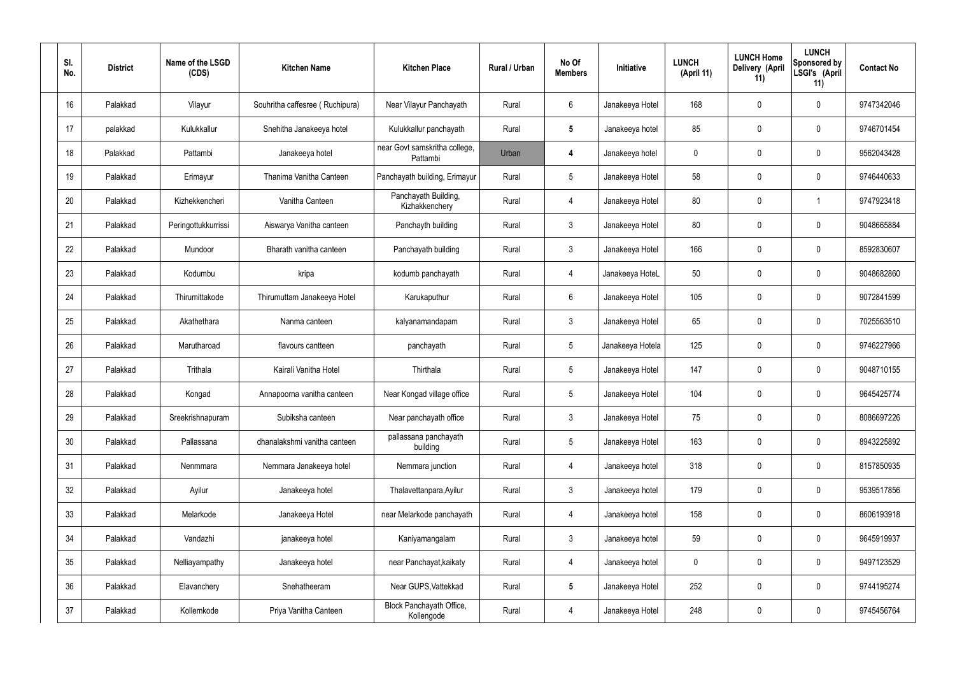| SI.<br>No. | <b>District</b> | Name of the LSGD<br>(CDS) | <b>Kitchen Name</b>             | <b>Kitchen Place</b>                      | Rural / Urban | No Of<br><b>Members</b> | Initiative       | <b>LUNCH</b><br>(April 11) | <b>LUNCH Home</b><br>Delivery (April<br>11) | <b>LUNCH</b><br>Sponsored by<br>LSGI's (April<br>11) | <b>Contact No</b> |
|------------|-----------------|---------------------------|---------------------------------|-------------------------------------------|---------------|-------------------------|------------------|----------------------------|---------------------------------------------|------------------------------------------------------|-------------------|
| 16         | Palakkad        | Vilayur                   | Souhritha caffesree (Ruchipura) | Near Vilayur Panchayath                   | Rural         | $6\phantom{.}6$         | Janakeeya Hotel  | 168                        | 0                                           | $\mathbf 0$                                          | 9747342046        |
| 17         | palakkad        | Kulukkallur               | Snehitha Janakeeya hotel        | Kulukkallur panchayath                    | Rural         | $5\phantom{.0}$         | Janakeeya hotel  | 85                         | 0                                           | $\mathbf 0$                                          | 9746701454        |
| 18         | Palakkad        | Pattambi                  | Janakeeya hotel                 | near Govt samskritha college,<br>Pattambi | Urban         | 4                       | Janakeeya hotel  | $\mathbf 0$                | 0                                           | $\mathbf 0$                                          | 9562043428        |
| 19         | Palakkad        | Erimayur                  | Thanima Vanitha Canteen         | Panchayath building, Erimayur             | Rural         | $5\phantom{.0}$         | Janakeeya Hotel  | 58                         | 0                                           | $\mathbf 0$                                          | 9746440633        |
| 20         | Palakkad        | Kizhekkencheri            | Vanitha Canteen                 | Panchayath Building,<br>Kizhakkenchery    | Rural         | $\overline{4}$          | Janakeeya Hotel  | 80                         | 0                                           | -1                                                   | 9747923418        |
| 21         | Palakkad        | Peringottukkurrissi       | Aiswarya Vanitha canteen        | Panchayth building                        | Rural         | $\mathbf{3}$            | Janakeeya Hotel  | 80                         | 0                                           | $\mathbf 0$                                          | 9048665884        |
| 22         | Palakkad        | Mundoor                   | Bharath vanitha canteen         | Panchayath building                       | Rural         | $\mathbf{3}$            | Janakeeya Hotel  | 166                        | 0                                           | $\mathbf 0$                                          | 8592830607        |
| 23         | Palakkad        | Kodumbu                   | kripa                           | kodumb panchayath                         | Rural         | 4                       | Janakeeya HoteL  | 50                         | 0                                           | $\mathbf 0$                                          | 9048682860        |
| 24         | Palakkad        | Thirumittakode            | Thirumuttam Janakeeya Hotel     | Karukaputhur                              | Rural         | $6\phantom{.}6$         | Janakeeya Hotel  | 105                        | 0                                           | $\mathbf 0$                                          | 9072841599        |
| 25         | Palakkad        | Akathethara               | Nanma canteen                   | kalyanamandapam                           | Rural         | $\mathfrak{Z}$          | Janakeeya Hotel  | 65                         | 0                                           | $\mathbf 0$                                          | 7025563510        |
| 26         | Palakkad        | Marutharoad               | flavours cantteen               | panchayath                                | Rural         | $5\phantom{.0}$         | Janakeeya Hotela | 125                        | 0                                           | $\mathbf 0$                                          | 9746227966        |
| 27         | Palakkad        | Trithala                  | Kairali Vanitha Hotel           | Thirthala                                 | Rural         | $5\phantom{.0}$         | Janakeeya Hotel  | 147                        | 0                                           | $\boldsymbol{0}$                                     | 9048710155        |
| 28         | Palakkad        | Kongad                    | Annapoorna vanitha canteen      | Near Kongad village office                | Rural         | $5\phantom{.0}$         | Janakeeya Hotel  | 104                        | 0                                           | 0                                                    | 9645425774        |
| 29         | Palakkad        | Sreekrishnapuram          | Subiksha canteen                | Near panchayath office                    | Rural         | $\mathfrak{Z}$          | Janakeeya Hotel  | 75                         | $\mathbf 0$                                 | $\mathbf 0$                                          | 8086697226        |
| 30         | Palakkad        | Pallassana                | dhanalakshmi vanitha canteen    | pallassana panchayath<br>building         | Rural         | $5\phantom{.0}$         | Janakeeya Hotel  | 163                        | $\mathbf 0$                                 | $\mathbf 0$                                          | 8943225892        |
| 31         | Palakkad        | Nenmmara                  | Nemmara Janakeeya hotel         | Nemmara junction                          | Rural         | 4                       | Janakeeya hotel  | 318                        | $\mathbf 0$                                 | $\mathbf 0$                                          | 8157850935        |
| 32         | Palakkad        | Ayilur                    | Janakeeya hotel                 | Thalavettanpara, Ayilur                   | Rural         | $3\phantom{a}$          | Janakeeya hotel  | 179                        | $\mathbf 0$                                 | $\mathbf 0$                                          | 9539517856        |
| 33         | Palakkad        | Melarkode                 | Janakeeya Hotel                 | near Melarkode panchayath                 | Rural         | 4                       | Janakeeya hotel  | 158                        | 0                                           | $\mathbf 0$                                          | 8606193918        |
| 34         | Palakkad        | Vandazhi                  | janakeeya hotel                 | Kaniyamangalam                            | Rural         | $\mathfrak{Z}$          | Janakeeya hotel  | 59                         | 0                                           | $\mathbf 0$                                          | 9645919937        |
| 35         | Palakkad        | Nelliayampathy            | Janakeeya hotel                 | near Panchayat, kaikaty                   | Rural         | 4                       | Janakeeya hotel  | 0                          | $\boldsymbol{0}$                            | $\mathbf 0$                                          | 9497123529        |
| 36         | Palakkad        | Elavanchery               | Snehatheeram                    | Near GUPS, Vattekkad                      | Rural         | ${\bf 5}$               | Janakeeya Hotel  | 252                        | 0                                           | $\mathbf 0$                                          | 9744195274        |
| 37         | Palakkad        | Kollemkode                | Priya Vanitha Canteen           | Block Panchayath Office,<br>Kollengode    | Rural         | 4                       | Janakeeya Hotel  | 248                        | 0                                           | $\boldsymbol{0}$                                     | 9745456764        |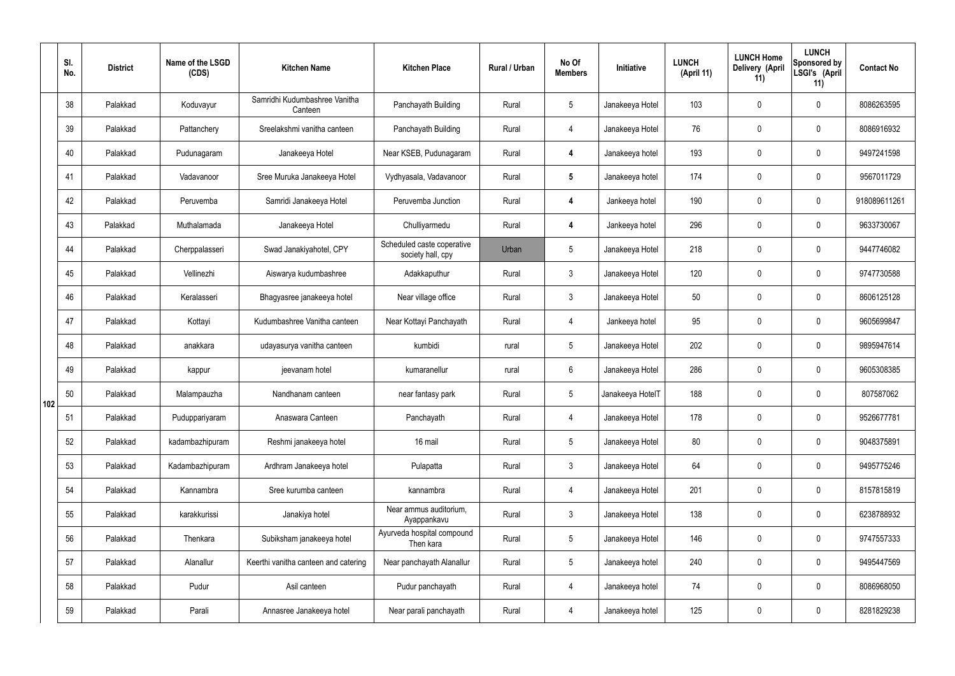|     | SI.<br>No. | <b>District</b> | Name of the LSGD<br>(CDS) | <b>Kitchen Name</b>                      | <b>Kitchen Place</b>                            | Rural / Urban | No Of<br><b>Members</b> | Initiative       | <b>LUNCH</b><br>(April 11) | <b>LUNCH Home</b><br>Delivery (April<br>11) | <b>LUNCH</b><br>Sponsored by<br>LSGI's (April<br>11) | <b>Contact No</b> |
|-----|------------|-----------------|---------------------------|------------------------------------------|-------------------------------------------------|---------------|-------------------------|------------------|----------------------------|---------------------------------------------|------------------------------------------------------|-------------------|
|     | 38         | Palakkad        | Koduvayur                 | Samridhi Kudumbashree Vanitha<br>Canteen | Panchayath Building                             | Rural         | $5\phantom{.0}$         | Janakeeya Hotel  | 103                        | $\mathbf 0$                                 | $\mathbf 0$                                          | 8086263595        |
|     | 39         | Palakkad        | Pattanchery               | Sreelakshmi vanitha canteen              | Panchayath Building                             | Rural         | $\overline{4}$          | Janakeeya Hotel  | 76                         | $\mathbf 0$                                 | $\mathbf 0$                                          | 8086916932        |
|     | 40         | Palakkad        | Pudunagaram               | Janakeeya Hotel                          | Near KSEB, Pudunagaram                          | Rural         | 4                       | Janakeeya hotel  | 193                        | $\mathbf 0$                                 | $\mathbf 0$                                          | 9497241598        |
|     | 41         | Palakkad        | Vadavanoor                | Sree Muruka Janakeeya Hotel              | Vydhyasala, Vadavanoor                          | Rural         | $5\phantom{.0}$         | Janakeeya hotel  | 174                        | $\mathbf 0$                                 | $\mathbf 0$                                          | 9567011729        |
|     | 42         | Palakkad        | Peruvemba                 | Samridi Janakeeya Hotel                  | Peruvemba Junction                              | Rural         | 4                       | Jankeeya hotel   | 190                        | $\mathbf 0$                                 | $\mathbf 0$                                          | 918089611261      |
|     | 43         | Palakkad        | Muthalamada               | Janakeeya Hotel                          | Chulliyarmedu                                   | Rural         | $\overline{\mathbf{4}}$ | Jankeeya hotel   | 296                        | $\mathbf 0$                                 | $\mathbf 0$                                          | 9633730067        |
|     | 44         | Palakkad        | Cherppalasseri            | Swad Janakiyahotel, CPY                  | Scheduled caste coperative<br>society hall, cpy | Urban         | $5\overline{)}$         | Janakeeya Hotel  | 218                        | $\mathbf 0$                                 | $\mathbf 0$                                          | 9447746082        |
|     | 45         | Palakkad        | Vellinezhi                | Aiswarya kudumbashree                    | Adakkaputhur                                    | Rural         | $\mathbf{3}$            | Janakeeya Hotel  | 120                        | $\mathbf 0$                                 | $\mathbf 0$                                          | 9747730588        |
|     | 46         | Palakkad        | Keralasseri               | Bhagyasree janakeeya hotel               | Near village office                             | Rural         | 3                       | Janakeeya Hotel  | 50                         | $\mathbf 0$                                 | $\mathbf 0$                                          | 8606125128        |
|     | 47         | Palakkad        | Kottayi                   | Kudumbashree Vanitha canteen             | Near Kottayi Panchayath                         | Rural         | $\overline{4}$          | Jankeeya hotel   | 95                         | $\mathbf 0$                                 | $\mathbf 0$                                          | 9605699847        |
|     | 48         | Palakkad        | anakkara                  | udayasurya vanitha canteen               | kumbidi                                         | rural         | $5\phantom{.0}$         | Janakeeya Hotel  | 202                        | $\mathbf 0$                                 | $\mathbf 0$                                          | 9895947614        |
|     | 49         | Palakkad        | kappur                    | jeevanam hotel                           | kumaranellur                                    | rural         | 6                       | Janakeeya Hotel  | 286                        | $\mathbf 0$                                 | $\mathbf 0$                                          | 9605308385        |
| 102 | 50         | Palakkad        | Malampauzha               | Nandhanam canteen                        | near fantasy park                               | Rural         | 5                       | Janakeeya HotelT | 188                        | $\mathbf 0$                                 | $\mathbf 0$                                          | 807587062         |
|     | 51         | Palakkad        | Puduppariyaram            | Anaswara Canteen                         | Panchayath                                      | Rural         | $\overline{4}$          | Janakeeya Hotel  | 178                        | $\mathbf 0$                                 | $\mathbf 0$                                          | 9526677781        |
|     | 52         | Palakkad        | kadambazhipuram           | Reshmi janakeeya hotel                   | 16 mail                                         | Rural         | $5\overline{)}$         | Janakeeya Hotel  | 80                         | $\pmb{0}$                                   | $\mathbf 0$                                          | 9048375891        |
|     | 53         | Palakkad        | Kadambazhipuram           | Ardhram Janakeeya hotel                  | Pulapatta                                       | Rural         | $\mathbf{3}$            | Janakeeya Hotel  | 64                         | $\mathbf 0$                                 | $\mathbf 0$                                          | 9495775246        |
|     | 54         | Palakkad        | Kannambra                 | Sree kurumba canteen                     | kannambra                                       | Rural         | $\overline{4}$          | Janakeeya Hotel  | 201                        | $\pmb{0}$                                   | $\mathbf 0$                                          | 8157815819        |
|     | 55         | Palakkad        | karakkurissi              | Janakiya hotel                           | Near ammus auditorium,<br>Ayappankavu           | Rural         | $\mathbf{3}$            | Janakeeya Hotel  | 138                        | $\mathbf 0$                                 | $\mathbf 0$                                          | 6238788932        |
|     | 56         | Palakkad        | Thenkara                  | Subiksham janakeeya hotel                | Ayurveda hospital compound<br>Then kara         | Rural         | $5\phantom{.0}$         | Janakeeya Hotel  | 146                        | $\pmb{0}$                                   | $\mathbf 0$                                          | 9747557333        |
|     | 57         | Palakkad        | Alanallur                 | Keerthi vanitha canteen and catering     | Near panchayath Alanallur                       | Rural         | $5\phantom{.0}$         | Janakeeya hotel  | 240                        | $\mathbf 0$                                 | $\mathbf 0$                                          | 9495447569        |
|     | 58         | Palakkad        | Pudur                     | Asil canteen                             | Pudur panchayath                                | Rural         | $\overline{4}$          | Janakeeya hotel  | 74                         | $\mathbf 0$                                 | $\mathbf 0$                                          | 8086968050        |
|     | 59         | Palakkad        | Parali                    | Annasree Janakeeya hotel                 | Near parali panchayath                          | Rural         | 4                       | Janakeeya hotel  | 125                        | $\pmb{0}$                                   | $\overline{0}$                                       | 8281829238        |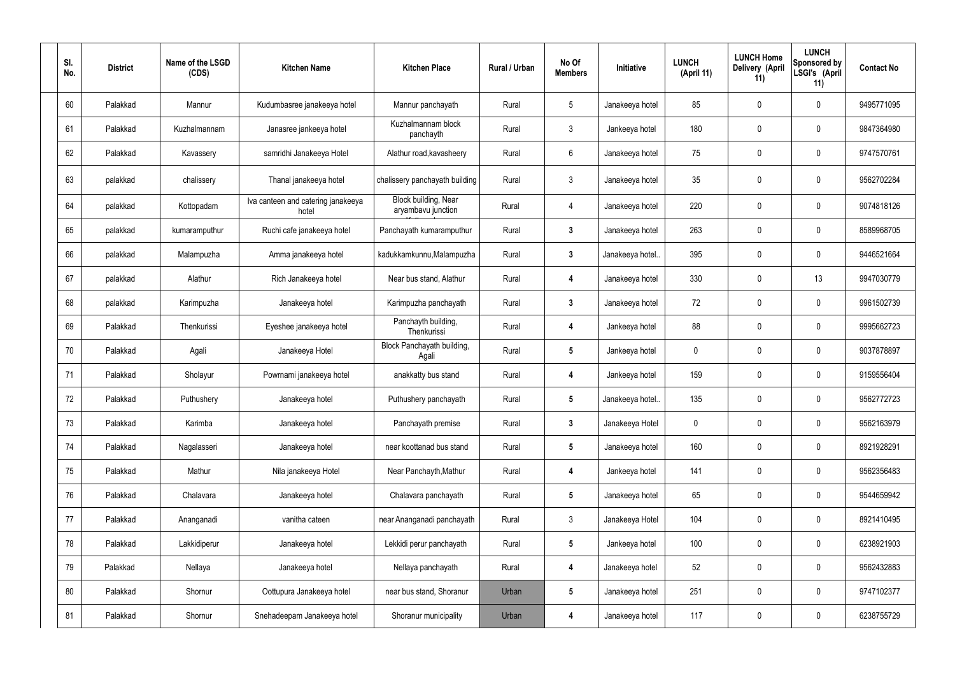| SI.<br>No. | <b>District</b> | Name of the LSGD<br>(CDS) | <b>Kitchen Name</b>                         | <b>Kitchen Place</b>                       | Rural / Urban | No Of<br><b>Members</b> | Initiative       | <b>LUNCH</b><br>(April 11) | <b>LUNCH Home</b><br>Delivery (April<br>11) | <b>LUNCH</b><br>Sponsored by<br>LSGI's (April<br>11) | <b>Contact No</b> |
|------------|-----------------|---------------------------|---------------------------------------------|--------------------------------------------|---------------|-------------------------|------------------|----------------------------|---------------------------------------------|------------------------------------------------------|-------------------|
| 60         | Palakkad        | Mannur                    | Kudumbasree janakeeya hotel                 | Mannur panchayath                          | Rural         | $5\phantom{.0}$         | Janakeeya hotel  | 85                         | 0                                           | $\pmb{0}$                                            | 9495771095        |
| 61         | Palakkad        | Kuzhalmannam              | Janasree jankeeya hotel                     | Kuzhalmannam block<br>panchayth            | Rural         | $\mathbf{3}$            | Jankeeya hotel   | 180                        | 0                                           | $\pmb{0}$                                            | 9847364980        |
| 62         | Palakkad        | Kavassery                 | samridhi Janakeeya Hotel                    | Alathur road, kavasheery                   | Rural         | $6\phantom{.}6$         | Janakeeya hotel  | 75                         | 0                                           | $\pmb{0}$                                            | 9747570761        |
| 63         | palakkad        | chalissery                | Thanal janakeeya hotel                      | chalissery panchayath building             | Rural         | $\mathfrak{Z}$          | Janakeeya hotel  | 35 <sub>5</sub>            | 0                                           | $\pmb{0}$                                            | 9562702284        |
| 64         | palakkad        | Kottopadam                | Iva canteen and catering janakeeya<br>hotel | Block building, Near<br>aryambavu junction | Rural         | 4                       | Janakeeya hotel  | 220                        | 0                                           | $\pmb{0}$                                            | 9074818126        |
| 65         | palakkad        | kumaramputhur             | Ruchi cafe janakeeya hotel                  | Panchayath kumaramputhur                   | Rural         | $\mathbf{3}$            | Janakeeya hotel  | 263                        | 0                                           | $\pmb{0}$                                            | 8589968705        |
| 66         | palakkad        | Malampuzha                | Amma janakeeya hotel                        | kadukkamkunnu, Malampuzha                  | Rural         | $\mathbf{3}$            | Janakeeya hotel. | 395                        | 0                                           | $\pmb{0}$                                            | 9446521664        |
| 67         | palakkad        | Alathur                   | Rich Janakeeya hotel                        | Near bus stand, Alathur                    | Rural         | 4                       | Janakeeya hotel  | 330                        | 0                                           | 13                                                   | 9947030779        |
| 68         | palakkad        | Karimpuzha                | Janakeeya hotel                             | Karimpuzha panchayath                      | Rural         | $\mathbf{3}$            | Janakeeya hotel  | 72                         | 0                                           | $\boldsymbol{0}$                                     | 9961502739        |
| 69         | Palakkad        | Thenkurissi               | Eyeshee janakeeya hotel                     | Panchayth building,<br>Thenkurissi         | Rural         | 4                       | Jankeeya hotel   | 88                         | 0                                           | $\boldsymbol{0}$                                     | 9995662723        |
| 70         | Palakkad        | Agali                     | Janakeeya Hotel                             | Block Panchayath building,<br>Agali        | Rural         | $5\phantom{.0}$         | Jankeeya hotel   | 0                          | 0                                           | $\boldsymbol{0}$                                     | 9037878897        |
| 71         | Palakkad        | Sholayur                  | Powrnami janakeeya hotel                    | anakkatty bus stand                        | Rural         | 4                       | Jankeeya hotel   | 159                        | 0                                           | $\boldsymbol{0}$                                     | 9159556404        |
| 72         | Palakkad        | Puthushery                | Janakeeya hotel                             | Puthushery panchayath                      | Rural         |                         | Janakeeya hotel. | 135                        | 0                                           | 0                                                    | 9562772723        |
| 73         | Palakkad        | Karimba                   | Janakeeya hotel                             | Panchayath premise                         | Rural         | $\mathbf{3}$            | Janakeeya Hotel  | 0                          | 0                                           | $\pmb{0}$                                            | 9562163979        |
| 74         | Palakkad        | Nagalasseri               | Janakeeya hotel                             | near koottanad bus stand                   | Rural         | $5\phantom{.0}$         | Janakeeya hotel  | 160                        | 0                                           | $\pmb{0}$                                            | 8921928291        |
| 75         | Palakkad        | Mathur                    | Nila janakeeya Hotel                        | Near Panchayth, Mathur                     | Rural         | 4                       | Jankeeya hotel   | 141                        | 0                                           | $\pmb{0}$                                            | 9562356483        |
| 76         | Palakkad        | Chalavara                 | Janakeeya hotel                             | Chalavara panchayath                       | Rural         | $5\phantom{.0}$         | Janakeeya hotel  | 65                         | 0                                           | $\pmb{0}$                                            | 9544659942        |
| 77         | Palakkad        | Ananganadi                | vanitha cateen                              | near Ananganadi panchayath                 | Rural         | $\mathfrak{Z}$          | Janakeeya Hotel  | 104                        | 0                                           | $\pmb{0}$                                            | 8921410495        |
| 78         | Palakkad        | Lakkidiperur              | Janakeeya hotel                             | Lekkidi perur panchayath                   | Rural         | $5\phantom{.0}$         | Jankeeya hotel   | 100                        | 0                                           | $\pmb{0}$                                            | 6238921903        |
| 79         | Palakkad        | Nellaya                   | Janakeeya hotel                             | Nellaya panchayath                         | Rural         | $\overline{\mathbf{4}}$ | Janakeeya hotel  | 52                         | 0                                           | $\pmb{0}$                                            | 9562432883        |
| 80         | Palakkad        | Shornur                   | Oottupura Janakeeya hotel                   | near bus stand, Shoranur                   | Urban         | $5\phantom{.0}$         | Janakeeya hotel  | 251                        | 0                                           | $\pmb{0}$                                            | 9747102377        |
| 81         | Palakkad        | Shornur                   | Snehadeepam Janakeeya hotel                 | Shoranur municipality                      | Urban         | 4                       | Janakeeya hotel  | 117                        | 0                                           | $\pmb{0}$                                            | 6238755729        |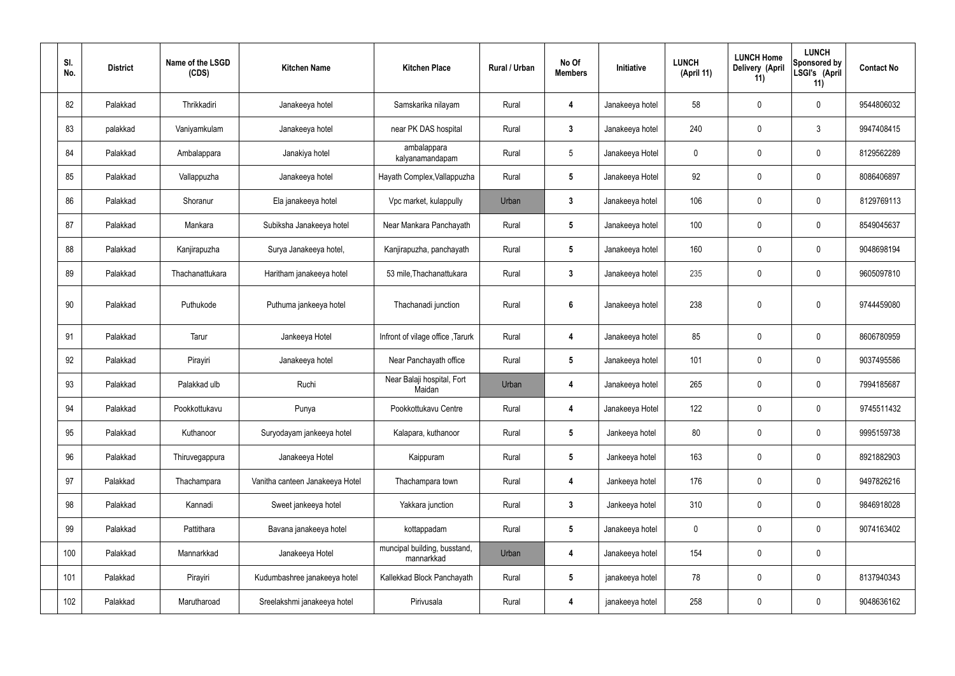| SI.<br>No. | <b>District</b> | Name of the LSGD<br>(CDS) | <b>Kitchen Name</b>             | <b>Kitchen Place</b>                       | <b>Rural / Urban</b> | No Of<br><b>Members</b> | Initiative      | <b>LUNCH</b><br>(April 11) | <b>LUNCH Home</b><br>Delivery (April<br>11) | <b>LUNCH</b><br>Sponsored by<br>LSGI's (April<br>11) | <b>Contact No</b> |
|------------|-----------------|---------------------------|---------------------------------|--------------------------------------------|----------------------|-------------------------|-----------------|----------------------------|---------------------------------------------|------------------------------------------------------|-------------------|
| 82         | Palakkad        | Thrikkadiri               | Janakeeya hotel                 | Samskarika nilayam                         | Rural                | $\overline{\mathbf{4}}$ | Janakeeya hotel | 58                         | $\boldsymbol{0}$                            | $\mathbf 0$                                          | 9544806032        |
| 83         | palakkad        | Vaniyamkulam              | Janakeeya hotel                 | near PK DAS hospital                       | Rural                | $\mathbf{3}$            | Janakeeya hotel | 240                        | $\boldsymbol{0}$                            | 3                                                    | 9947408415        |
| 84         | Palakkad        | Ambalappara               | Janakiya hotel                  | ambalappara<br>kalyanamandapam             | Rural                | $5\phantom{.0}$         | Janakeeya Hotel | $\mathbf 0$                | $\boldsymbol{0}$                            | $\mathbf 0$                                          | 8129562289        |
| 85         | Palakkad        | Vallappuzha               | Janakeeya hotel                 | Hayath Complex, Vallappuzha                | Rural                | $5\phantom{.0}$         | Janakeeya Hotel | 92                         | $\boldsymbol{0}$                            | $\mathbf 0$                                          | 8086406897        |
| 86         | Palakkad        | Shoranur                  | Ela janakeeya hotel             | Vpc market, kulappully                     | Urban                | $\mathbf{3}$            | Janakeeya hotel | 106                        | $\boldsymbol{0}$                            | $\mathbf 0$                                          | 8129769113        |
| 87         | Palakkad        | Mankara                   | Subiksha Janakeeya hotel        | Near Mankara Panchayath                    | Rural                | $5\phantom{.0}$         | Janakeeya hotel | 100                        | $\boldsymbol{0}$                            | $\mathbf 0$                                          | 8549045637        |
| 88         | Palakkad        | Kanjirapuzha              | Surya Janakeeya hotel,          | Kanjirapuzha, panchayath                   | Rural                | $5\phantom{.0}$         | Janakeeya hotel | 160                        | $\boldsymbol{0}$                            | $\mathbf 0$                                          | 9048698194        |
| 89         | Palakkad        | Thachanattukara           | Haritham janakeeya hotel        | 53 mile, Thachanattukara                   | Rural                | $\mathbf{3}$            | Janakeeya hotel | 235                        | $\boldsymbol{0}$                            | $\mathbf 0$                                          | 9605097810        |
| 90         | Palakkad        | Puthukode                 | Puthuma jankeeya hotel          | Thachanadi junction                        | Rural                | $6\phantom{.}6$         | Janakeeya hotel | 238                        | $\pmb{0}$                                   | $\mathbf 0$                                          | 9744459080        |
| 91         | Palakkad        | Tarur                     | Jankeeya Hotel                  | Infront of vilage office, Tarurk           | Rural                | $\boldsymbol{4}$        | Janakeeya hotel | 85                         | $\pmb{0}$                                   | $\mathbf 0$                                          | 8606780959        |
| 92         | Palakkad        | Pirayiri                  | Janakeeya hotel                 | Near Panchayath office                     | Rural                | $5\phantom{.0}$         | Janakeeya hotel | 101                        | $\mathbf 0$                                 | $\mathbf 0$                                          | 9037495586        |
| 93         | Palakkad        | Palakkad ulb              | Ruchi                           | Near Balaji hospital, Fort<br>Maidan       | Urban                | $\overline{4}$          | Janakeeya hotel | 265                        | $\pmb{0}$                                   | $\mathbf 0$                                          | 7994185687        |
| 94         | Palakkad        | Pookkottukavu             | Punya                           | Pookkottukavu Centre                       | Rural                | 4                       | Janakeeya Hotel | 122                        | $\pmb{0}$                                   | $\mathbf 0$                                          | 9745511432        |
| 95         | Palakkad        | Kuthanoor                 | Suryodayam jankeeya hotel       | Kalapara, kuthanoor                        | Rural                | $5\phantom{.0}$         | Jankeeya hotel  | 80                         | $\pmb{0}$                                   | $\mathbf 0$                                          | 9995159738        |
| 96         | Palakkad        | Thiruvegappura            | Janakeeya Hotel                 | Kaippuram                                  | Rural                | $5\phantom{.0}$         | Jankeeya hotel  | 163                        | $\mathbf 0$                                 | $\mathbf 0$                                          | 8921882903        |
| 97         | Palakkad        | Thachampara               | Vanitha canteen Janakeeya Hotel | Thachampara town                           | Rural                | $\boldsymbol{4}$        | Jankeeya hotel  | 176                        | $\pmb{0}$                                   | $\mathbf 0$                                          | 9497826216        |
| 98         | Palakkad        | Kannadi                   | Sweet jankeeya hotel            | Yakkara junction                           | Rural                | $\mathbf{3}$            | Jankeeya hotel  | 310                        | $\pmb{0}$                                   | $\mathbf 0$                                          | 9846918028        |
| 99         | Palakkad        | Pattithara                | Bavana janakeeya hotel          | kottappadam                                | Rural                | $5\phantom{.0}$         | Janakeeya hotel | $\pmb{0}$                  | $\pmb{0}$                                   | $\mathbf 0$                                          | 9074163402        |
| 100        | Palakkad        | Mannarkkad                | Janakeeya Hotel                 | muncipal building, busstand,<br>mannarkkad | Urban                | 4                       | Janakeeya hotel | 154                        | $\pmb{0}$                                   | $\mathbf 0$                                          |                   |
| 101        | Palakkad        | Pirayiri                  | Kudumbashree janakeeya hotel    | Kallekkad Block Panchayath                 | Rural                | $5\phantom{.0}$         | janakeeya hotel | 78                         | $\pmb{0}$                                   | $\mathbf 0$                                          | 8137940343        |
| 102        | Palakkad        | Marutharoad               | Sreelakshmi janakeeya hotel     | Pirivusala                                 | Rural                | 4                       | janakeeya hotel | 258                        | $\pmb{0}$                                   | $\pmb{0}$                                            | 9048636162        |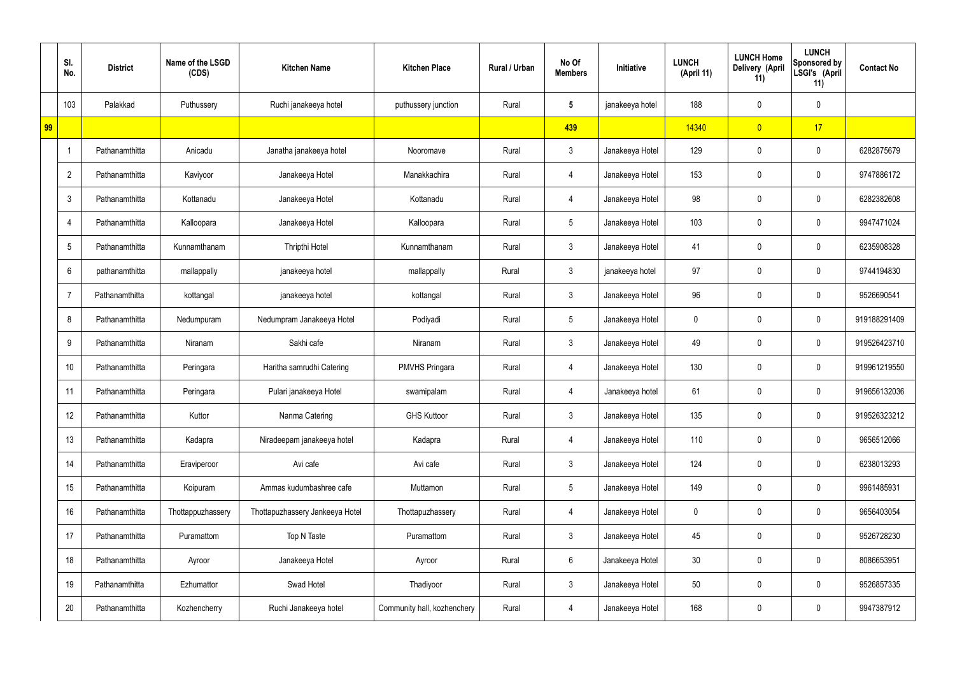|    | SI.<br>No.     | <b>District</b> | Name of the LSGD<br>(CDS) | <b>Kitchen Name</b>             | <b>Kitchen Place</b>        | Rural / Urban | No Of<br><b>Members</b> | Initiative      | <b>LUNCH</b><br>(April 11) | <b>LUNCH Home</b><br>Delivery (April<br>11) | <b>LUNCH</b><br><b>Sponsored by</b><br>LSGI's (April<br>11) | <b>Contact No</b> |
|----|----------------|-----------------|---------------------------|---------------------------------|-----------------------------|---------------|-------------------------|-----------------|----------------------------|---------------------------------------------|-------------------------------------------------------------|-------------------|
|    | 103            | Palakkad        | Puthussery                | Ruchi janakeeya hotel           | puthussery junction         | Rural         | $5\phantom{.0}$         | janakeeya hotel | 188                        | 0                                           | $\mathbf 0$                                                 |                   |
| 99 |                |                 |                           |                                 |                             |               | 439                     |                 | 14340                      | $\overline{0}$                              | 17                                                          |                   |
|    | -1             | Pathanamthitta  | Anicadu                   | Janatha janakeeya hotel         | Nooromave                   | Rural         | $\mathfrak{Z}$          | Janakeeya Hotel | 129                        | 0                                           | $\pmb{0}$                                                   | 6282875679        |
|    | $\overline{2}$ | Pathanamthitta  | Kaviyoor                  | Janakeeya Hotel                 | Manakkachira                | Rural         | 4                       | Janakeeya Hotel | 153                        | 0                                           | $\pmb{0}$                                                   | 9747886172        |
|    | $\mathbf{3}$   | Pathanamthitta  | Kottanadu                 | Janakeeya Hotel                 | Kottanadu                   | Rural         | 4                       | Janakeeya Hotel | 98                         | 0                                           | $\pmb{0}$                                                   | 6282382608        |
|    | 4              | Pathanamthitta  | Kalloopara                | Janakeeya Hotel                 | Kalloopara                  | Rural         | $\sqrt{5}$              | Janakeeya Hotel | 103                        | 0                                           | $\pmb{0}$                                                   | 9947471024        |
|    | 5              | Pathanamthitta  | Kunnamthanam              | Thripthi Hotel                  | Kunnamthanam                | Rural         | $\mathbf{3}$            | Janakeeya Hotel | 41                         | 0                                           | $\mathbf 0$                                                 | 6235908328        |
|    | 6              | pathanamthitta  | mallappally               | janakeeya hotel                 | mallappally                 | Rural         | $\mathbf{3}$            | janakeeya hotel | 97                         | 0                                           | $\pmb{0}$                                                   | 9744194830        |
|    |                | Pathanamthitta  | kottangal                 | janakeeya hotel                 | kottangal                   | Rural         | $\mathbf{3}$            | Janakeeya Hotel | 96                         | 0                                           | $\mathbf 0$                                                 | 9526690541        |
|    | 8              | Pathanamthitta  | Nedumpuram                | Nedumpram Janakeeya Hotel       | Podiyadi                    | Rural         | $\sqrt{5}$              | Janakeeya Hotel | 0                          | 0                                           | $\pmb{0}$                                                   | 919188291409      |
|    | 9              | Pathanamthitta  | Niranam                   | Sakhi cafe                      | Niranam                     | Rural         | $\mathbf{3}$            | Janakeeya Hotel | 49                         | 0                                           | $\mathbf 0$                                                 | 919526423710      |
|    | 10             | Pathanamthitta  | Peringara                 | Haritha samrudhi Catering       | <b>PMVHS Pringara</b>       | Rural         | 4                       | Janakeeya Hotel | 130                        | 0                                           | $\mathbf 0$                                                 | 919961219550      |
|    | 11             | Pathanamthitta  | Peringara                 | Pulari janakeeya Hotel          | swamipalam                  | Rural         | 4                       | Janakeeya hotel | 61                         | 0                                           | $\mathbf 0$                                                 | 919656132036      |
|    | 12             | Pathanamthitta  | Kuttor                    | Nanma Catering                  | <b>GHS Kuttoor</b>          | Rural         | $\mathbf{3}$            | Janakeeya Hotel | 135                        | $\mathbf 0$                                 | $\mathbf 0$                                                 | 919526323212      |
|    | 13             | Pathanamthitta  | Kadapra                   | Niradeepam janakeeya hotel      | Kadapra                     | Rural         | $\overline{4}$          | Janakeeya Hotel | 110                        | 0                                           | $\mathbf 0$                                                 | 9656512066        |
|    | 14             | Pathanamthitta  | Eraviperoor               | Avi cafe                        | Avi cafe                    | Rural         | $\mathbf{3}$            | Janakeeya Hotel | 124                        | 0                                           | $\mathbf 0$                                                 | 6238013293        |
|    | 15             | Pathanamthitta  | Koipuram                  | Ammas kudumbashree cafe         | Muttamon                    | Rural         | $5\phantom{.0}$         | Janakeeya Hotel | 149                        | 0                                           | $\mathbf 0$                                                 | 9961485931        |
|    | 16             | Pathanamthitta  | Thottappuzhassery         | Thottapuzhassery Jankeeya Hotel | Thottapuzhassery            | Rural         | $\overline{4}$          | Janakeeya Hotel | 0                          | $\pmb{0}$                                   | $\mathbf 0$                                                 | 9656403054        |
|    | 17             | Pathanamthitta  | Puramattom                | Top N Taste                     | Puramattom                  | Rural         | 3 <sup>1</sup>          | Janakeeya Hotel | 45                         | $\pmb{0}$                                   | $\mathbf 0$                                                 | 9526728230        |
|    | 18             | Pathanamthitta  | Ayroor                    | Janakeeya Hotel                 | Ayroor                      | Rural         | $6\phantom{.}6$         | Janakeeya Hotel | 30 <sub>2</sub>            | $\pmb{0}$                                   | $\mathbf 0$                                                 | 8086653951        |
|    | 19             | Pathanamthitta  | Ezhumattor                | Swad Hotel                      | Thadiyoor                   | Rural         | $\mathbf{3}$            | Janakeeya Hotel | 50                         | $\mathbf 0$                                 | $\mathbf 0$                                                 | 9526857335        |
|    | 20             | Pathanamthitta  | Kozhencherry              | Ruchi Janakeeya hotel           | Community hall, kozhenchery | Rural         | 4                       | Janakeeya Hotel | 168                        | 0                                           | $\mathbf 0$                                                 | 9947387912        |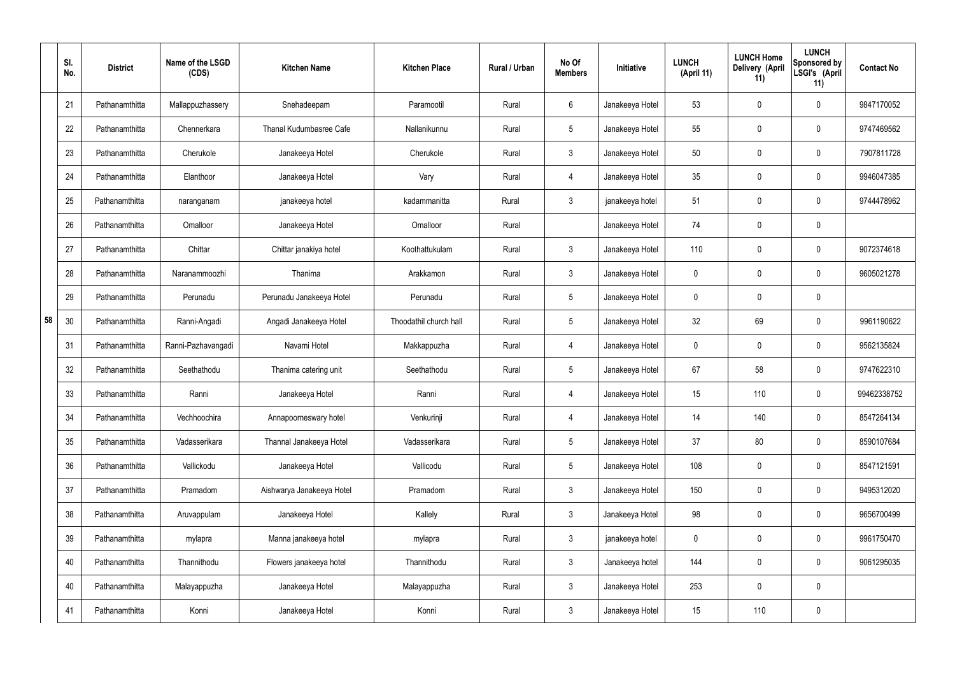|    | SI.<br>No. | <b>District</b> | Name of the LSGD<br>(CDS) | <b>Kitchen Name</b>            | <b>Kitchen Place</b>   | Rural / Urban | No Of<br><b>Members</b> | Initiative      | <b>LUNCH</b><br>(April 11) | <b>LUNCH Home</b><br>Delivery (April<br>11) | <b>LUNCH</b><br>Sponsored by<br>LSGI's (April<br>11) | <b>Contact No</b> |
|----|------------|-----------------|---------------------------|--------------------------------|------------------------|---------------|-------------------------|-----------------|----------------------------|---------------------------------------------|------------------------------------------------------|-------------------|
|    | 21         | Pathanamthitta  | Mallappuzhassery          | Snehadeepam                    | Paramootil             | Rural         | 6                       | Janakeeya Hotel | 53                         | 0                                           | $\mathbf 0$                                          | 9847170052        |
|    | 22         | Pathanamthitta  | Chennerkara               | <b>Thanal Kudumbasree Cafe</b> | Nallanikunnu           | Rural         | $5\phantom{.0}$         | Janakeeya Hotel | 55                         | 0                                           | $\pmb{0}$                                            | 9747469562        |
|    | 23         | Pathanamthitta  | Cherukole                 | Janakeeya Hotel                | Cherukole              | Rural         | $\mathbf{3}$            | Janakeeya Hotel | 50                         | 0                                           | $\mathbf 0$                                          | 7907811728        |
|    | 24         | Pathanamthitta  | Elanthoor                 | Janakeeya Hotel                | Vary                   | Rural         | $\overline{4}$          | Janakeeya Hotel | 35                         | 0                                           | $\mathbf 0$                                          | 9946047385        |
|    | 25         | Pathanamthitta  | naranganam                | janakeeya hotel                | kadammanitta           | Rural         | $\mathbf{3}$            | janakeeya hotel | 51                         | 0                                           | $\mathbf 0$                                          | 9744478962        |
|    | 26         | Pathanamthitta  | Omalloor                  | Janakeeya Hotel                | Omalloor               | Rural         |                         | Janakeeya Hotel | 74                         | 0                                           | $\pmb{0}$                                            |                   |
|    | 27         | Pathanamthitta  | Chittar                   | Chittar janakiya hotel         | Koothattukulam         | Rural         | $\mathbf{3}$            | Janakeeya Hotel | 110                        | $\boldsymbol{0}$                            | $\mathbf 0$                                          | 9072374618        |
|    | 28         | Pathanamthitta  | Naranammoozhi             | Thanima                        | Arakkamon              | Rural         | $\mathfrak{Z}$          | Janakeeya Hotel | $\mathbf 0$                | 0                                           | $\mathbf 0$                                          | 9605021278        |
|    | 29         | Pathanamthitta  | Perunadu                  | Perunadu Janakeeya Hotel       | Perunadu               | Rural         | $5\phantom{.0}$         | Janakeeya Hotel | $\mathbf 0$                | 0                                           | $\mathbf 0$                                          |                   |
| 58 | 30         | Pathanamthitta  | Ranni-Angadi              | Angadi Janakeeya Hotel         | Thoodathil church hall | Rural         | $5\phantom{.0}$         | Janakeeya Hotel | 32                         | 69                                          | $\boldsymbol{0}$                                     | 9961190622        |
|    | 31         | Pathanamthitta  | Ranni-Pazhavangadi        | Navami Hotel                   | Makkappuzha            | Rural         | 4                       | Janakeeya Hotel | $\mathbf 0$                | 0                                           | $\boldsymbol{0}$                                     | 9562135824        |
|    | 32         | Pathanamthitta  | Seethathodu               | Thanima catering unit          | Seethathodu            | Rural         | $5\phantom{.0}$         | Janakeeya Hotel | 67                         | 58                                          | $\boldsymbol{0}$                                     | 9747622310        |
|    | 33         | Pathanamthitta  | Ranni                     | Janakeeya Hotel                | Ranni                  | Rural         | 4                       | Janakeeya Hotel | 15 <sub>15</sub>           | 110                                         | $\boldsymbol{0}$                                     | 99462338752       |
|    | 34         | Pathanamthitta  | Vechhoochira              | Annapoorneswary hotel          | Venkurinji             | Rural         | $\overline{4}$          | Janakeeya Hotel | 14                         | 140                                         | $\mathbf 0$                                          | 8547264134        |
|    | 35         | Pathanamthitta  | Vadasserikara             | Thannal Janakeeya Hotel        | Vadasserikara          | Rural         | $5\phantom{.0}$         | Janakeeya Hotel | 37                         | 80                                          | $\mathbf 0$                                          | 8590107684        |
|    | 36         | Pathanamthitta  | Vallickodu                | Janakeeya Hotel                | Vallicodu              | Rural         | $5\phantom{.0}$         | Janakeeya Hotel | 108                        | 0                                           | $\mathbf 0$                                          | 8547121591        |
|    | 37         | Pathanamthitta  | Pramadom                  | Aishwarya Janakeeya Hotel      | Pramadom               | Rural         | $\mathbf{3}$            | Janakeeya Hotel | 150                        | $\mathsf{0}$                                | $\mathbf 0$                                          | 9495312020        |
|    | 38         | Pathanamthitta  | Aruvappulam               | Janakeeya Hotel                | Kallely                | Rural         | $\mathbf{3}$            | Janakeeya Hotel | 98                         | $\mathbf 0$                                 | $\mathbf 0$                                          | 9656700499        |
|    | 39         | Pathanamthitta  | mylapra                   | Manna janakeeya hotel          | mylapra                | Rural         | $\mathbf{3}$            | janakeeya hotel | $\mathbf 0$                | $\mathbf 0$                                 | $\mathbf 0$                                          | 9961750470        |
|    | 40         | Pathanamthitta  | Thannithodu               | Flowers janakeeya hotel        | Thannithodu            | Rural         | $\mathbf{3}$            | Janakeeya hotel | 144                        | 0                                           | $\mathbf 0$                                          | 9061295035        |
|    | 40         | Pathanamthitta  | Malayappuzha              | Janakeeya Hotel                | Malayappuzha           | Rural         | $\mathbf{3}$            | Janakeeya Hotel | 253                        | 0                                           | $\mathbf 0$                                          |                   |
|    | 41         | Pathanamthitta  | Konni                     | Janakeeya Hotel                | Konni                  | Rural         | $\mathfrak{Z}$          | Janakeeya Hotel | 15                         | 110                                         | $\pmb{0}$                                            |                   |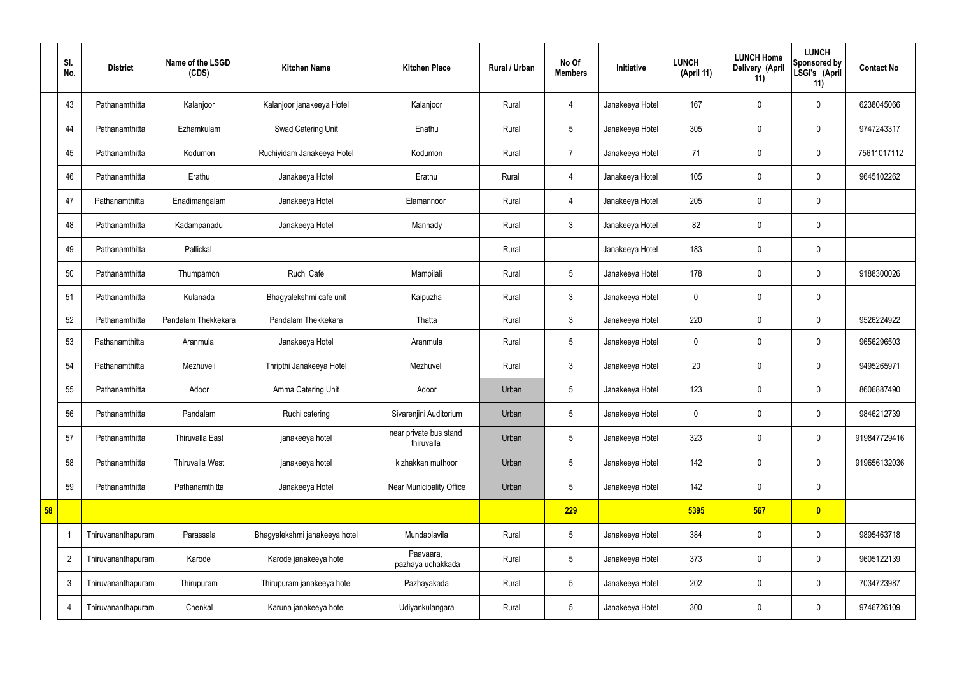|    | SI.<br>No.     | <b>District</b>    | Name of the LSGD<br>(CDS) | <b>Kitchen Name</b>           | <b>Kitchen Place</b>                 | Rural / Urban | No Of<br><b>Members</b> | Initiative      | <b>LUNCH</b><br>(April 11) | <b>LUNCH Home</b><br>Delivery (April<br>11) | <b>LUNCH</b><br>Sponsored by<br>LSGI's (April<br>11) | <b>Contact No</b> |
|----|----------------|--------------------|---------------------------|-------------------------------|--------------------------------------|---------------|-------------------------|-----------------|----------------------------|---------------------------------------------|------------------------------------------------------|-------------------|
|    | 43             | Pathanamthitta     | Kalanjoor                 | Kalanjoor janakeeya Hotel     | Kalanjoor                            | Rural         | 4                       | Janakeeya Hotel | 167                        | $\mathbf 0$                                 | $\mathbf 0$                                          | 6238045066        |
|    | 44             | Pathanamthitta     | Ezhamkulam                | Swad Catering Unit            | Enathu                               | Rural         | $5\phantom{.0}$         | Janakeeya Hotel | 305                        | $\mathbf 0$                                 | $\mathbf 0$                                          | 9747243317        |
|    | 45             | Pathanamthitta     | Kodumon                   | Ruchiyidam Janakeeya Hotel    | Kodumon                              | Rural         | $\overline{7}$          | Janakeeya Hotel | 71                         | $\mathbf 0$                                 | $\mathbf 0$                                          | 75611017112       |
|    | 46             | Pathanamthitta     | Erathu                    | Janakeeya Hotel               | Erathu                               | Rural         | $\overline{4}$          | Janakeeya Hotel | 105                        | $\mathbf 0$                                 | $\mathbf 0$                                          | 9645102262        |
|    | 47             | Pathanamthitta     | Enadimangalam             | Janakeeya Hotel               | Elamannoor                           | Rural         | $\overline{4}$          | Janakeeya Hotel | 205                        | $\mathbf 0$                                 | $\mathbf 0$                                          |                   |
|    | 48             | Pathanamthitta     | Kadampanadu               | Janakeeya Hotel               | Mannady                              | Rural         | $\mathbf{3}$            | Janakeeya Hotel | 82                         | $\mathbf 0$                                 | $\mathbf 0$                                          |                   |
|    | 49             | Pathanamthitta     | Pallickal                 |                               |                                      | Rural         |                         | Janakeeya Hotel | 183                        | $\mathbf 0$                                 | $\mathbf 0$                                          |                   |
|    | 50             | Pathanamthitta     | Thumpamon                 | Ruchi Cafe                    | Mampilali                            | Rural         | $5\phantom{.0}$         | Janakeeya Hotel | 178                        | $\mathbf 0$                                 | $\mathbf 0$                                          | 9188300026        |
|    | 51             | Pathanamthitta     | Kulanada                  | Bhagyalekshmi cafe unit       | Kaipuzha                             | Rural         | $\mathbf{3}$            | Janakeeya Hotel | $\mathbf 0$                | $\mathbf 0$                                 | $\mathbf 0$                                          |                   |
|    | 52             | Pathanamthitta     | Pandalam Thekkekara       | Pandalam Thekkekara           | Thatta                               | Rural         | $\mathbf{3}$            | Janakeeya Hotel | 220                        | $\pmb{0}$                                   | $\mathbf 0$                                          | 9526224922        |
|    | 53             | Pathanamthitta     | Aranmula                  | Janakeeya Hotel               | Aranmula                             | Rural         | $5\phantom{.0}$         | Janakeeya Hotel | $\mathbf 0$                | $\mathbf 0$                                 | $\mathbf 0$                                          | 9656296503        |
|    | 54             | Pathanamthitta     | Mezhuveli                 | Thripthi Janakeeya Hotel      | Mezhuveli                            | Rural         | $\mathbf{3}$            | Janakeeya Hotel | 20                         | $\mathbf 0$                                 | $\overline{0}$                                       | 9495265971        |
|    | 55             | Pathanamthitta     | Adoor                     | Amma Catering Unit            | Adoor                                | Urban         | $5\overline{)}$         | Janakeeya Hotel | 123                        | $\mathbf 0$                                 | $\mathbf 0$                                          | 8606887490        |
|    | 56             | Pathanamthitta     | Pandalam                  | Ruchi catering                | Sivarenjini Auditorium               | Urban         | $5\phantom{.0}$         | Janakeeya Hotel | $\mathbf 0$                | $\mathbf 0$                                 | $\mathbf 0$                                          | 9846212739        |
|    | 57             | Pathanamthitta     | Thiruvalla East           | janakeeya hotel               | near private bus stand<br>thiruvalla | Urban         | $5\overline{)}$         | Janakeeya Hotel | 323                        | $\mathbf 0$                                 | $\mathbf 0$                                          | 919847729416      |
|    | 58             | Pathanamthitta     | <b>Thiruvalla West</b>    | janakeeya hotel               | kizhakkan muthoor                    | Urban         | $5\phantom{.0}$         | Janakeeya Hotel | 142                        | $\pmb{0}$                                   | $\mathbf 0$                                          | 919656132036      |
|    | 59             | Pathanamthitta     | Pathanamthitta            | Janakeeya Hotel               | Near Municipality Office             | Urban         | $5\overline{)}$         | Janakeeya Hotel | 142                        | $\pmb{0}$                                   | $\mathbf 0$                                          |                   |
| 58 |                |                    |                           |                               |                                      |               | 229                     |                 | 5395                       | 567                                         | $\bullet$                                            |                   |
|    |                | Thiruvananthapuram | Parassala                 | Bhagyalekshmi janakeeya hotel | Mundaplavila                         | Rural         | $5\phantom{.0}$         | Janakeeya Hotel | 384                        | $\pmb{0}$                                   | $\mathbf 0$                                          | 9895463718        |
|    | $\overline{2}$ | Thiruvananthapuram | Karode                    | Karode janakeeya hotel        | Paavaara,<br>pazhaya uchakkada       | Rural         | $5\phantom{.0}$         | Janakeeya Hotel | 373                        | $\mathbf 0$                                 | $\mathbf 0$                                          | 9605122139        |
|    | $\mathbf{3}$   | Thiruvananthapuram | Thirupuram                | Thirupuram janakeeya hotel    | Pazhayakada                          | Rural         | $5\overline{)}$         | Janakeeya Hotel | 202                        | $\mathbf 0$                                 | $\mathbf 0$                                          | 7034723987        |
|    | $\overline{4}$ | Thiruvananthapuram | Chenkal                   | Karuna janakeeya hotel        | Udiyankulangara                      | Rural         | $5\phantom{.0}$         | Janakeeya Hotel | 300                        | $\pmb{0}$                                   | $\mathbf 0$                                          | 9746726109        |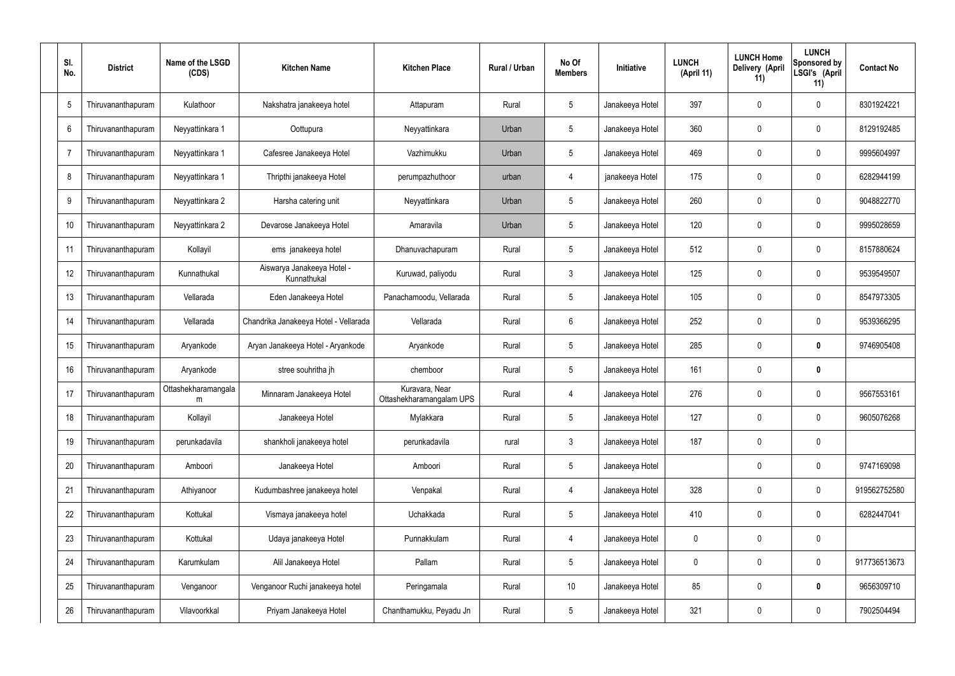| SI.<br>No. | <b>District</b>    | Name of the LSGD<br>(CDS) | <b>Kitchen Name</b>                       | <b>Kitchen Place</b>                       | Rural / Urban | No Of<br><b>Members</b> | Initiative      | <b>LUNCH</b><br>(April 11) | <b>LUNCH Home</b><br>Delivery (April<br>11) | <b>LUNCH</b><br>Sponsored by<br>LSGI's (April<br>11) | <b>Contact No</b> |
|------------|--------------------|---------------------------|-------------------------------------------|--------------------------------------------|---------------|-------------------------|-----------------|----------------------------|---------------------------------------------|------------------------------------------------------|-------------------|
| 5          | Thiruvananthapuram | Kulathoor                 | Nakshatra janakeeya hotel                 | Attapuram                                  | Rural         | 5                       | Janakeeya Hotel | 397                        | 0                                           | $\mathbf 0$                                          | 8301924221        |
| 6          | Thiruvananthapuram | Neyyattinkara 1           | Oottupura                                 | Neyyattinkara                              | Urban         | 5                       | Janakeeya Hotel | 360                        | $\mathbf 0$                                 | $\boldsymbol{0}$                                     | 8129192485        |
| -7         | Thiruvananthapuram | Neyyattinkara 1           | Cafesree Janakeeya Hotel                  | Vazhimukku                                 | Urban         | $5\overline{)}$         | Janakeeya Hotel | 469                        | 0                                           | $\mathbf 0$                                          | 9995604997        |
| 8          | Thiruvananthapuram | Neyyattinkara 1           | Thripthi janakeeya Hotel                  | perumpazhuthoor                            | urban         | 4                       | janakeeya Hotel | 175                        | $\mathbf 0$                                 | $\boldsymbol{0}$                                     | 6282944199        |
| 9          | Thiruvananthapuram | Neyyattinkara 2           | Harsha catering unit                      | Neyyattinkara                              | Urban         | $5\phantom{.0}$         | Janakeeya Hotel | 260                        | 0                                           | $\mathbf 0$                                          | 9048822770        |
| 10         | Thiruvananthapuram | Neyyattinkara 2           | Devarose Janakeeya Hotel                  | Amaravila                                  | Urban         | 5                       | Janakeeya Hotel | 120                        | $\mathbf 0$                                 | $\mathbf 0$                                          | 9995028659        |
| 11         | Thiruvananthapuram | Kollayil                  | ems janakeeya hotel                       | Dhanuvachapuram                            | Rural         | $5\phantom{.0}$         | Janakeeya Hotel | 512                        | 0                                           | $\mathbf 0$                                          | 8157880624        |
| 12         | Thiruvananthapuram | Kunnathukal               | Aiswarya Janakeeya Hotel -<br>Kunnathukal | Kuruwad, paliyodu                          | Rural         | $\mathbf{3}$            | Janakeeya Hotel | 125                        | $\mathbf 0$                                 | $\mathbf 0$                                          | 9539549507        |
| 13         | Thiruvananthapuram | Vellarada                 | Eden Janakeeya Hotel                      | Panachamoodu, Vellarada                    | Rural         | $5\phantom{.0}$         | Janakeeya Hotel | 105                        | $\boldsymbol{0}$                            | $\mathbf 0$                                          | 8547973305        |
| 14         | Thiruvananthapuram | Vellarada                 | Chandrika Janakeeya Hotel - Vellarada     | Vellarada                                  | Rural         | 6                       | Janakeeya Hotel | 252                        | 0                                           | $\mathbf 0$                                          | 9539366295        |
| 15         | Thiruvananthapuram | Aryankode                 | Aryan Janakeeya Hotel - Aryankode         | Aryankode                                  | Rural         | $5\overline{)}$         | Janakeeya Hotel | 285                        | 0                                           | $\mathbf 0$                                          | 9746905408        |
| 16         | Thiruvananthapuram | Aryankode                 | stree souhritha jh                        | chemboor                                   | Rural         | $5\phantom{.0}$         | Janakeeya Hotel | 161                        | 0                                           | $\mathbf 0$                                          |                   |
| 17         | Thiruvananthapuram | Ottashekharamangala<br>m  | Minnaram Janakeeya Hotel                  | Kuravara, Near<br>Ottashekharamangalam UPS | Rural         | 4                       | Janakeeya Hotel | 276                        | 0                                           | $\mathbf 0$                                          | 9567553161        |
| 18         | Thiruvananthapuram | Kollayil                  | Janakeeya Hotel                           | Mylakkara                                  | Rural         | $5\phantom{.0}$         | Janakeeya Hotel | 127                        | $\mathbf 0$                                 | $\pmb{0}$                                            | 9605076268        |
| 19         | Thiruvananthapuram | perunkadavila             | shankholi janakeeya hotel                 | perunkadavila                              | rural         | $\mathbf{3}$            | Janakeeya Hotel | 187                        | $\pmb{0}$                                   | $\pmb{0}$                                            |                   |
| 20         | Thiruvananthapuram | Amboori                   | Janakeeya Hotel                           | Amboori                                    | Rural         | $5\phantom{.0}$         | Janakeeya Hotel |                            | $\mathbf 0$                                 | $\pmb{0}$                                            | 9747169098        |
| 21         | Thiruvananthapuram | Athiyanoor                | Kudumbashree janakeeya hotel              | Venpakal                                   | Rural         | $\overline{4}$          | Janakeeya Hotel | 328                        | $\pmb{0}$                                   | $\mathsf{0}$                                         | 919562752580      |
| 22         | Thiruvananthapuram | Kottukal                  | Vismaya janakeeya hotel                   | Uchakkada                                  | Rural         | $5\phantom{.0}$         | Janakeeya Hotel | 410                        | $\pmb{0}$                                   | $\pmb{0}$                                            | 6282447041        |
| 23         | Thiruvananthapuram | Kottukal                  | Udaya janakeeya Hotel                     | Punnakkulam                                | Rural         | $\overline{4}$          | Janakeeya Hotel | $\mathbf 0$                | $\pmb{0}$                                   | $\pmb{0}$                                            |                   |
| 24         | Thiruvananthapuram | Karumkulam                | Alil Janakeeya Hotel                      | Pallam                                     | Rural         | $\sqrt{5}$              | Janakeeya Hotel | $\mathbf 0$                | $\mathbf 0$                                 | $\pmb{0}$                                            | 917736513673      |
| 25         | Thiruvananthapuram | Venganoor                 | Venganoor Ruchi janakeeya hotel           | Peringamala                                | Rural         | 10 <sup>°</sup>         | Janakeeya Hotel | 85                         | $\pmb{0}$                                   | $\pmb{0}$                                            | 9656309710        |
| 26         | Thiruvananthapuram | Vilavoorkkal              | Priyam Janakeeya Hotel                    | Chanthamukku, Peyadu Jn                    | Rural         | $5\phantom{.0}$         | Janakeeya Hotel | 321                        | $\pmb{0}$                                   | $\pmb{0}$                                            | 7902504494        |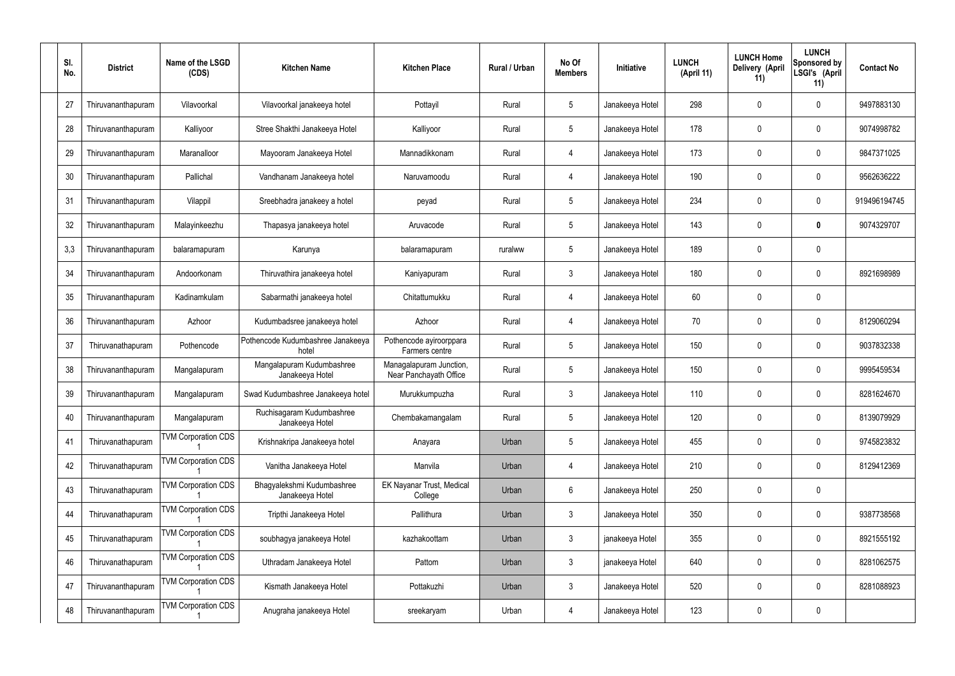| SI.<br>No. | <b>District</b>    | Name of the LSGD<br>(CDS)  | <b>Kitchen Name</b>                           | <b>Kitchen Place</b>                              | <b>Rural / Urban</b> | No Of<br><b>Members</b> | <b>Initiative</b> | <b>LUNCH</b><br>(April 11) | <b>LUNCH Home</b><br>Delivery (April<br>11) | <b>LUNCH</b><br><b>Sponsored by</b><br>LSGI's (April<br>11) | <b>Contact No</b> |
|------------|--------------------|----------------------------|-----------------------------------------------|---------------------------------------------------|----------------------|-------------------------|-------------------|----------------------------|---------------------------------------------|-------------------------------------------------------------|-------------------|
| 27         | Thiruvananthapuram | Vilavoorkal                | Vilavoorkal janakeeya hotel                   | Pottayil                                          | Rural                | 5                       | Janakeeya Hotel   | 298                        | 0                                           | 0                                                           | 9497883130        |
| 28         | Thiruvananthapuram | Kalliyoor                  | Stree Shakthi Janakeeya Hotel                 | Kalliyoor                                         | Rural                | $5\phantom{.0}$         | Janakeeya Hotel   | 178                        | $\mathbf 0$                                 | 0                                                           | 9074998782        |
| 29         | Thiruvananthapuram | Maranalloor                | Mayooram Janakeeya Hotel                      | Mannadikkonam                                     | Rural                | 4                       | Janakeeya Hotel   | 173                        | 0                                           | 0                                                           | 9847371025        |
| 30         | Thiruvananthapuram | Pallichal                  | Vandhanam Janakeeya hotel                     | Naruvamoodu                                       | Rural                | 4                       | Janakeeya Hotel   | 190                        | 0                                           | 0                                                           | 9562636222        |
| 31         | Thiruvananthapuram | Vilappil                   | Sreebhadra janakeey a hotel                   | peyad                                             | Rural                | $5\phantom{.0}$         | Janakeeya Hotel   | 234                        | 0                                           | 0                                                           | 919496194745      |
| 32         | Thiruvananthapuram | Malayinkeezhu              | Thapasya janakeeya hotel                      | Aruvacode                                         | Rural                | $5\phantom{.0}$         | Janakeeya Hotel   | 143                        | $\mathbf 0$                                 | 0                                                           | 9074329707        |
| 3,3        | Thiruvananthapuram | balaramapuram              | Karunya                                       | balaramapuram                                     | ruralww              | $5\phantom{.0}$         | Janakeeya Hotel   | 189                        | 0                                           | 0                                                           |                   |
| 34         | Thiruvananthapuram | Andoorkonam                | Thiruvathira janakeeya hotel                  | Kaniyapuram                                       | Rural                | $\mathbf{3}$            | Janakeeya Hotel   | 180                        | 0                                           | 0                                                           | 8921698989        |
| 35         | Thiruvananthapuram | Kadinamkulam               | Sabarmathi janakeeya hotel                    | Chitattumukku                                     | Rural                | 4                       | Janakeeya Hotel   | 60                         | 0                                           | 0                                                           |                   |
| 36         | Thiruvananthapuram | Azhoor                     | Kudumbadsree janakeeya hotel                  | Azhoor                                            | Rural                | 4                       | Janakeeya Hotel   | 70                         | 0                                           | 0                                                           | 8129060294        |
| 37         | Thiruvanathapuram  | Pothencode                 | Pothencode Kudumbashree Janakeeya<br>hotel    | Pothencode ayiroorppara<br>Farmers centre         | Rural                | 5                       | Janakeeya Hotel   | 150                        | 0                                           | 0                                                           | 9037832338        |
| 38         | Thiruvananthapuram | Mangalapuram               | Mangalapuram Kudumbashree<br>Janakeeya Hotel  | Managalapuram Junction,<br>Near Panchayath Office | Rural                | -5                      | Janakeeya Hotel   | 150                        | 0                                           | 0                                                           | 9995459534        |
| 39         | Thiruvananthapuram | Mangalapuram               | Swad Kudumbashree Janakeeya hotel             | Murukkumpuzha                                     | Rural                | $\mathbf{3}$            | Janakeeya Hotel   | 110                        | 0                                           | 0                                                           | 8281624670        |
| 40         | Thiruvananthapuram | Mangalapuram               | Ruchisagaram Kudumbashree<br>Janakeeya Hotel  | Chembakamangalam                                  | Rural                | $5\phantom{.0}$         | Janakeeya Hotel   | 120                        | $\mathbf 0$                                 | 0                                                           | 8139079929        |
| 41         | Thiruvanathapuram  | <b>TVM Corporation CDS</b> | Krishnakripa Janakeeya hotel                  | Anayara                                           | Urban                | $5\phantom{.0}$         | Janakeeya Hotel   | 455                        | $\mathbf 0$                                 | 0                                                           | 9745823832        |
| 42         | Thiruvanathapuram  | <b>TVM Corporation CDS</b> | Vanitha Janakeeya Hotel                       | Manvila                                           | Urban                | $\overline{4}$          | Janakeeya Hotel   | 210                        | $\mathbf 0$                                 | 0                                                           | 8129412369        |
| 43         | Thiruvanathapuram  | <b>TVM Corporation CDS</b> | Bhagyalekshmi Kudumbashree<br>Janakeeya Hotel | <b>EK Nayanar Trust, Medical</b><br>College       | Urban                | $6\phantom{.}6$         | Janakeeya Hotel   | 250                        | $\mathbf 0$                                 | 0                                                           |                   |
| 44         | Thiruvanathapuram  | <b>TVM Corporation CDS</b> | Tripthi Janakeeya Hotel                       | Pallithura                                        | Urban                | $\mathbf{3}$            | Janakeeya Hotel   | 350                        | $\mathbf 0$                                 | 0                                                           | 9387738568        |
| 45         | Thiruvanathapuram  | <b>TVM Corporation CDS</b> | soubhagya janakeeya Hotel                     | kazhakoottam                                      | Urban                | $\mathbf{3}$            | janakeeya Hotel   | 355                        | $\mathbf 0$                                 | 0                                                           | 8921555192        |
| 46         | Thiruvanathapuram  | <b>TVM Corporation CDS</b> | Uthradam Janakeeya Hotel                      | Pattom                                            | Urban                | $\mathbf{3}$            | janakeeya Hotel   | 640                        | $\mathbf 0$                                 | 0                                                           | 8281062575        |
| 47         | Thiruvananthapuram | <b>TVM Corporation CDS</b> | Kismath Janakeeya Hotel                       | Pottakuzhi                                        | Urban                | $\mathbf{3}$            | Janakeeya Hotel   | 520                        | $\mathbf 0$                                 | 0                                                           | 8281088923        |
| 48         | Thiruvananthapuram | <b>TVM Corporation CDS</b> | Anugraha janakeeya Hotel                      | sreekaryam                                        | Urban                | 4                       | Janakeeya Hotel   | 123                        | $\boldsymbol{0}$                            | 0                                                           |                   |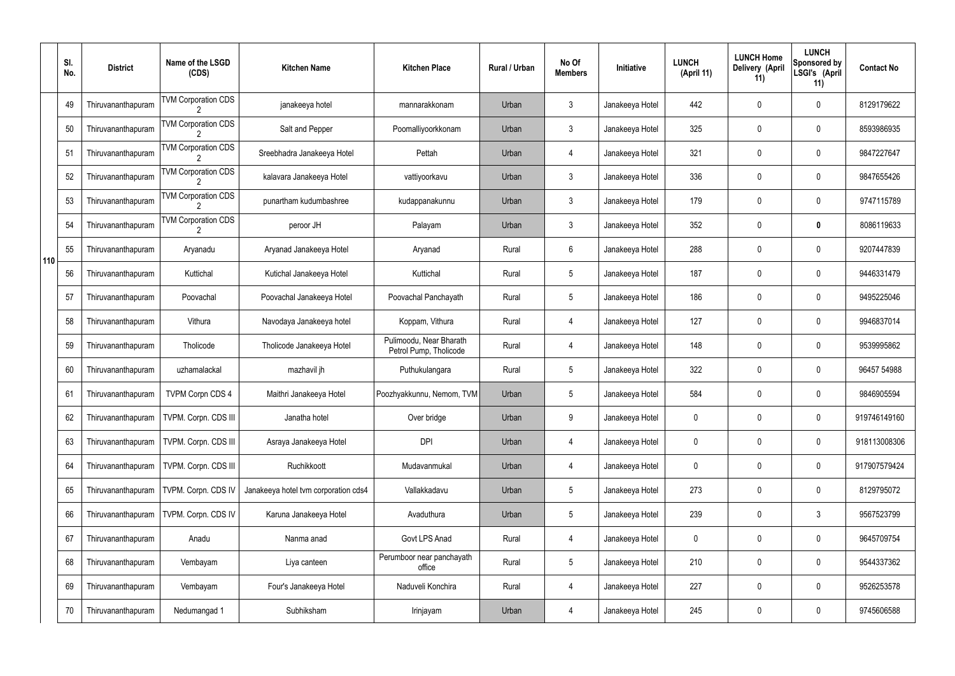|     | SI.<br>No. | <b>District</b>    | Name of the LSGD<br>(CDS)  | <b>Kitchen Name</b>                  | <b>Kitchen Place</b>                              | Rural / Urban | No Of<br><b>Members</b> | Initiative      | <b>LUNCH</b><br>(April 11) | <b>LUNCH Home</b><br>Delivery (April<br>11) | <b>LUNCH</b><br>Sponsored by<br>LSGI's (April<br>11) | <b>Contact No</b> |
|-----|------------|--------------------|----------------------------|--------------------------------------|---------------------------------------------------|---------------|-------------------------|-----------------|----------------------------|---------------------------------------------|------------------------------------------------------|-------------------|
|     | 49         | Thiruvananthapuram | <b>TVM Corporation CDS</b> | janakeeya hotel                      | mannarakkonam                                     | Urban         | $\mathfrak{Z}$          | Janakeeya Hotel | 442                        | 0                                           | $\pmb{0}$                                            | 8129179622        |
|     | 50         | Thiruvananthapuram | <b>TVM Corporation CDS</b> | Salt and Pepper                      | Poomalliyoorkkonam                                | Urban         | $\mathbf{3}$            | Janakeeya Hotel | 325                        | 0                                           | $\pmb{0}$                                            | 8593986935        |
|     | 51         | Thiruvananthapuram | <b>TVM Corporation CDS</b> | Sreebhadra Janakeeya Hotel           | Pettah                                            | Urban         | 4                       | Janakeeya Hotel | 321                        | 0                                           | $\pmb{0}$                                            | 9847227647        |
|     | 52         | Thiruvananthapuram | <b>TVM Corporation CDS</b> | kalavara Janakeeya Hotel             | vattiyoorkavu                                     | Urban         | $\mathbf{3}$            | Janakeeya Hotel | 336                        | 0                                           | $\pmb{0}$                                            | 9847655426        |
|     | 53         | Thiruvananthapuram | <b>TVM Corporation CDS</b> | punartham kudumbashree               | kudappanakunnu                                    | Urban         | $\mathbf{3}$            | Janakeeya Hotel | 179                        | 0                                           | $\pmb{0}$                                            | 9747115789        |
|     | 54         | Thiruvananthapuram | <b>TVM Corporation CDS</b> | peroor JH                            | Palayam                                           | Urban         | $\mathbf{3}$            | Janakeeya Hotel | 352                        | 0                                           | $\bm{0}$                                             | 8086119633        |
| 110 | 55         | Thiruvananthapuram | Aryanadu                   | Aryanad Janakeeya Hotel              | Aryanad                                           | Rural         | 6                       | Janakeeya Hotel | 288                        | 0                                           | $\pmb{0}$                                            | 9207447839        |
|     | 56         | Thiruvananthapuram | Kuttichal                  | Kutichal Janakeeya Hotel             | Kuttichal                                         | Rural         | $\sqrt{5}$              | Janakeeya Hotel | 187                        | 0                                           | $\pmb{0}$                                            | 9446331479        |
|     | 57         | Thiruvananthapuram | Poovachal                  | Poovachal Janakeeya Hotel            | Poovachal Panchayath                              | Rural         | $5\phantom{.0}$         | Janakeeya Hotel | 186                        | 0                                           | $\mathbf 0$                                          | 9495225046        |
|     | 58         | Thiruvananthapuram | Vithura                    | Navodaya Janakeeya hotel             | Koppam, Vithura                                   | Rural         | 4                       | Janakeeya Hotel | 127                        | 0                                           | $\mathbf 0$                                          | 9946837014        |
|     | 59         | Thiruvananthapuram | Tholicode                  | Tholicode Janakeeya Hotel            | Pulimoodu, Near Bharath<br>Petrol Pump, Tholicode | Rural         | 4                       | Janakeeya Hotel | 148                        | 0                                           | $\mathbf 0$                                          | 9539995862        |
|     | 60         | Thiruvananthapuram | uzhamalackal               | mazhavil jh                          | Puthukulangara                                    | Rural         | 5                       | Janakeeya Hotel | 322                        | 0                                           | $\boldsymbol{0}$                                     | 96457 54988       |
|     | 61         | Thiruvananthapuram | TVPM Corpn CDS 4           | Maithri Janakeeya Hotel              | Poozhyakkunnu, Nemom, TVM                         | Urban         | 5                       | Janakeeya Hotel | 584                        | 0                                           | 0                                                    | 9846905594        |
|     | 62         | Thiruvananthapuram | TVPM. Corpn. CDS III       | Janatha hotel                        | Over bridge                                       | Urban         | 9                       | Janakeeya Hotel | 0                          | 0                                           | $\pmb{0}$                                            | 919746149160      |
|     | 63         | Thiruvananthapuram | TVPM. Corpn. CDS III       | Asraya Janakeeya Hotel               | <b>DPI</b>                                        | Urban         | 4                       | Janakeeya Hotel | 0                          | 0                                           | $\pmb{0}$                                            | 918113008306      |
|     | 64         | Thiruvananthapuram | TVPM. Corpn. CDS III       | Ruchikkoott                          | Mudavanmukal                                      | Urban         | 4                       | Janakeeya Hotel | 0                          | 0                                           | $\pmb{0}$                                            | 917907579424      |
|     | 65         | Thiruvananthapuram | TVPM. Corpn. CDS IV        | Janakeeya hotel tvm corporation cds4 | Vallakkadavu                                      | Urban         | 5                       | Janakeeya Hotel | 273                        | 0                                           | $\pmb{0}$                                            | 8129795072        |
|     | 66         | Thiruvananthapuram | TVPM. Corpn. CDS IV        | Karuna Janakeeya Hotel               | Avaduthura                                        | Urban         | 5                       | Janakeeya Hotel | 239                        | 0                                           | $3\phantom{.0}$                                      | 9567523799        |
|     | 67         | Thiruvananthapuram | Anadu                      | Nanma anad                           | Govt LPS Anad                                     | Rural         | 4                       | Janakeeya Hotel | 0                          | 0                                           | $\pmb{0}$                                            | 9645709754        |
|     | 68         | Thiruvananthapuram | Vembayam                   | Liya canteen                         | Perumboor near panchayath<br>office               | Rural         | 5                       | Janakeeya Hotel | 210                        | 0                                           | $\pmb{0}$                                            | 9544337362        |
|     | 69         | Thiruvananthapuram | Vembayam                   | Four's Janakeeya Hotel               | Naduveli Konchira                                 | Rural         | 4                       | Janakeeya Hotel | 227                        | 0                                           | $\pmb{0}$                                            | 9526253578        |
|     | 70         | Thiruvananthapuram | Nedumangad 1               | Subhiksham                           | Irinjayam                                         | Urban         | 4                       | Janakeeya Hotel | 245                        | 0                                           | $\pmb{0}$                                            | 9745606588        |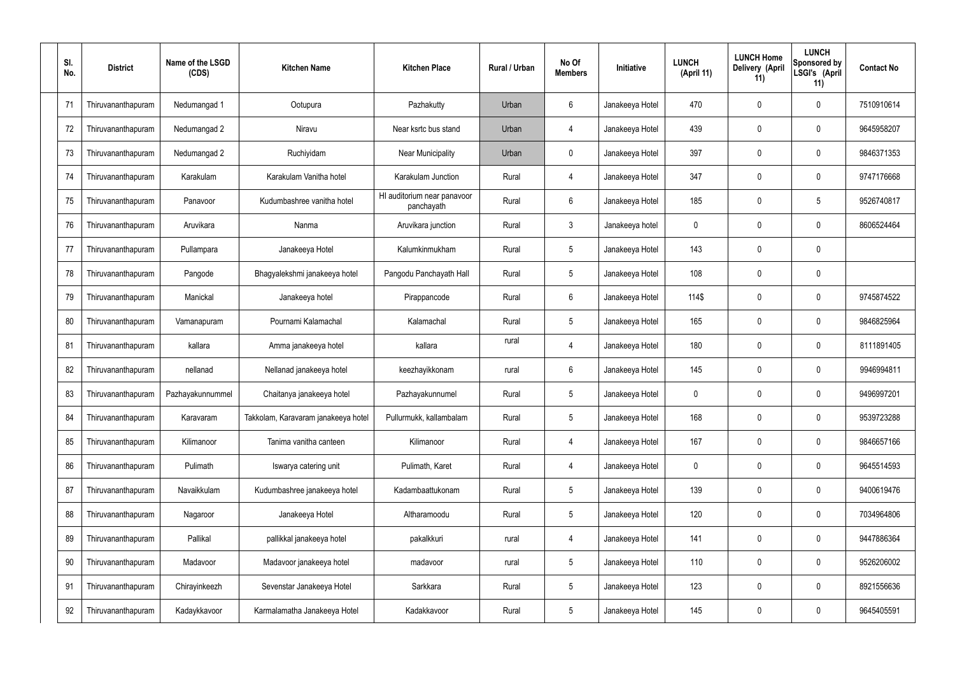| SI.<br>No. | <b>District</b>    | Name of the LSGD<br>(CDS) | <b>Kitchen Name</b>                 | <b>Kitchen Place</b>                      | Rural / Urban | No Of<br><b>Members</b> | Initiative      | <b>LUNCH</b><br>(April 11) | <b>LUNCH Home</b><br>Delivery (April<br>11) | <b>LUNCH</b><br>Sponsored by<br>LSGI's (April<br>11) | <b>Contact No</b> |
|------------|--------------------|---------------------------|-------------------------------------|-------------------------------------------|---------------|-------------------------|-----------------|----------------------------|---------------------------------------------|------------------------------------------------------|-------------------|
| 71         | Thiruvananthapuram | Nedumangad 1              | Ootupura                            | Pazhakutty                                | Urban         | 6                       | Janakeeya Hotel | 470                        | 0                                           | $\mathbf 0$                                          | 7510910614        |
| 72         | Thiruvananthapuram | Nedumangad 2              | Niravu                              | Near ksrtc bus stand                      | Urban         | 4                       | Janakeeya Hotel | 439                        | 0                                           | $\mathbf 0$                                          | 9645958207        |
| 73         | Thiruvananthapuram | Nedumangad 2              | Ruchiyidam                          | <b>Near Municipality</b>                  | Urban         | $\mathbf 0$             | Janakeeya Hotel | 397                        | 0                                           | $\mathbf 0$                                          | 9846371353        |
| 74         | Thiruvananthapuram | Karakulam                 | Karakulam Vanitha hotel             | Karakulam Junction                        | Rural         | $\overline{4}$          | Janakeeya Hotel | 347                        | 0                                           | $\mathbf 0$                                          | 9747176668        |
| 75         | Thiruvananthapuram | Panavoor                  | Kudumbashree vanitha hotel          | HI auditorium near panavoor<br>panchayath | Rural         | 6                       | Janakeeya Hotel | 185                        | 0                                           | 5                                                    | 9526740817        |
| 76         | Thiruvananthapuram | Aruvikara                 | Nanma                               | Aruvikara junction                        | Rural         | $\mathfrak{Z}$          | Janakeeya hotel | $\mathbf 0$                | 0                                           | $\mathbf 0$                                          | 8606524464        |
| 77         | Thiruvananthapuram | Pullampara                | Janakeeya Hotel                     | Kalumkinmukham                            | Rural         | $5\,$                   | Janakeeya Hotel | 143                        | 0                                           | $\mathbf 0$                                          |                   |
| 78         | Thiruvananthapuram | Pangode                   | Bhagyalekshmi janakeeya hotel       | Pangodu Panchayath Hall                   | Rural         | $5\phantom{.0}$         | Janakeeya Hotel | 108                        | 0                                           | $\mathbf 0$                                          |                   |
| 79         | Thiruvananthapuram | Manickal                  | Janakeeya hotel                     | Pirappancode                              | Rural         | $6\phantom{.}6$         | Janakeeya Hotel | 114\$                      | 0                                           | $\mathbf 0$                                          | 9745874522        |
| 80         | Thiruvananthapuram | Vamanapuram               | Pournami Kalamachal                 | Kalamachal                                | Rural         | $5\phantom{.0}$         | Janakeeya Hotel | 165                        | 0                                           | $\boldsymbol{0}$                                     | 9846825964        |
| 81         | Thiruvananthapuram | kallara                   | Amma janakeeya hotel                | kallara                                   | rural         | 4                       | Janakeeya Hotel | 180                        | 0                                           | $\boldsymbol{0}$                                     | 8111891405        |
| 82         | Thiruvananthapuram | nellanad                  | Nellanad janakeeya hotel            | keezhayikkonam                            | rural         | $6\,$                   | Janakeeya Hotel | 145                        | 0                                           | $\boldsymbol{0}$                                     | 9946994811        |
| 83         | Thiruvananthapuram | Pazhayakunnummel          | Chaitanya janakeeya hotel           | Pazhayakunnumel                           | Rural         | $5\phantom{.0}$         | Janakeeya Hotel | 0                          | 0                                           | 0                                                    | 9496997201        |
| 84         | Thiruvananthapuram | Karavaram                 | Takkolam, Karavaram janakeeya hotel | Pullurmukk, kallambalam                   | Rural         | $5\phantom{.0}$         | Janakeeya Hotel | 168                        | 0                                           | $\mathbf 0$                                          | 9539723288        |
| 85         | Thiruvananthapuram | Kilimanoor                | Tanima vanitha canteen              | Kilimanoor                                | Rural         | $\overline{4}$          | Janakeeya Hotel | 167                        | $\mathbf 0$                                 | $\mathbf 0$                                          | 9846657166        |
| 86         | Thiruvananthapuram | Pulimath                  | Iswarya catering unit               | Pulimath, Karet                           | Rural         | $\overline{4}$          | Janakeeya Hotel | $\mathbf 0$                | 0                                           | $\mathbf 0$                                          | 9645514593        |
| 87         | Thiruvananthapuram | Navaikkulam               | Kudumbashree janakeeya hotel        | Kadambaattukonam                          | Rural         | $5\,$                   | Janakeeya Hotel | 139                        | $\mathbf 0$                                 | $\mathbf 0$                                          | 9400619476        |
| 88         | Thiruvananthapuram | Nagaroor                  | Janakeeya Hotel                     | Altharamoodu                              | Rural         | $5\,$                   | Janakeeya Hotel | 120                        | 0                                           | $\mathbf 0$                                          | 7034964806        |
| 89         | Thiruvananthapuram | Pallikal                  | pallikkal janakeeya hotel           | pakalkkuri                                | rural         | 4                       | Janakeeya Hotel | 141                        | 0                                           | $\mathbf 0$                                          | 9447886364        |
| 90         | Thiruvananthapuram | Madavoor                  | Madavoor janakeeya hotel            | madavoor                                  | rural         | $5\,$                   | Janakeeya Hotel | 110                        | 0                                           | $\mathbf 0$                                          | 9526206002        |
| 91         | Thiruvananthapuram | Chirayinkeezh             | Sevenstar Janakeeya Hotel           | Sarkkara                                  | Rural         | $5\,$                   | Janakeeya Hotel | 123                        | 0                                           | $\mathbf 0$                                          | 8921556636        |
| 92         | Thiruvananthapuram | Kadaykkavoor              | Karmalamatha Janakeeya Hotel        | Kadakkavoor                               | Rural         | $\sqrt{5}$              | Janakeeya Hotel | 145                        | 0                                           | $\boldsymbol{0}$                                     | 9645405591        |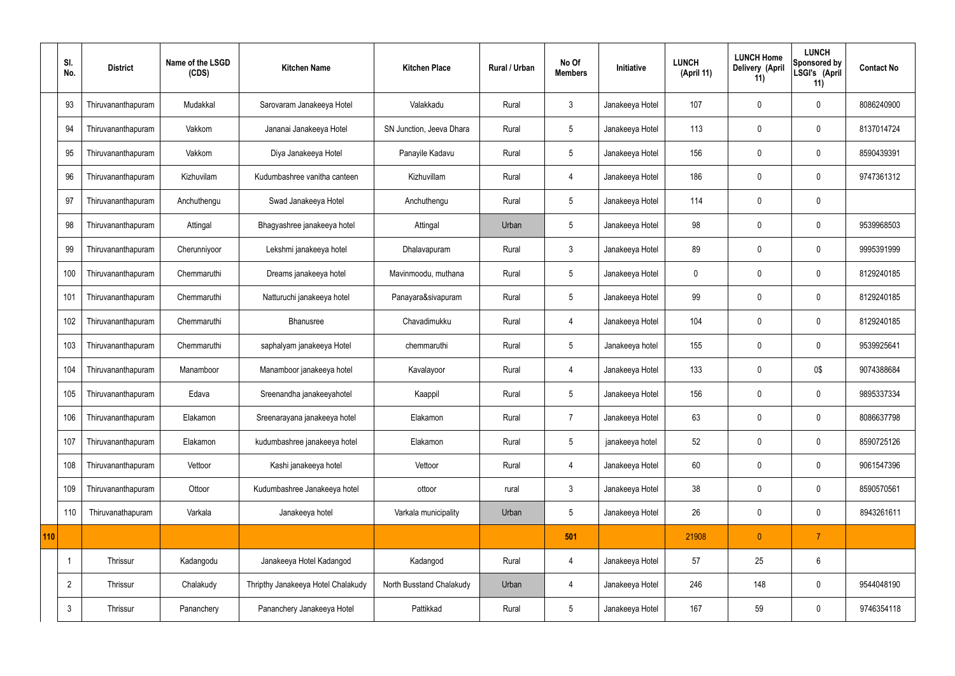|     | SI.<br>No.     | <b>District</b>    | Name of the LSGD<br>(CDS) | <b>Kitchen Name</b>                | <b>Kitchen Place</b>     | Rural / Urban | No Of<br><b>Members</b> | Initiative      | <b>LUNCH</b><br>(April 11) | <b>LUNCH Home</b><br>Delivery (April<br>11) | <b>LUNCH</b><br>Sponsored by<br>LSGI's (April<br>11) | <b>Contact No</b> |
|-----|----------------|--------------------|---------------------------|------------------------------------|--------------------------|---------------|-------------------------|-----------------|----------------------------|---------------------------------------------|------------------------------------------------------|-------------------|
|     | 93             | Thiruvananthapuram | Mudakkal                  | Sarovaram Janakeeya Hotel          | Valakkadu                | Rural         | $\mathbf{3}$            | Janakeeya Hotel | 107                        | 0                                           | $\mathbf 0$                                          | 8086240900        |
|     | 94             | Thiruvananthapuram | Vakkom                    | Jananai Janakeeya Hotel            | SN Junction, Jeeva Dhara | Rural         | 5                       | Janakeeya Hotel | 113                        | $\mathbf 0$                                 | $\mathbf 0$                                          | 8137014724        |
|     | 95             | Thiruvananthapuram | Vakkom                    | Diya Janakeeya Hotel               | Panayile Kadavu          | Rural         | $5\overline{)}$         | Janakeeya Hotel | 156                        | $\mathbf 0$                                 | $\mathbf 0$                                          | 8590439391        |
|     | 96             | Thiruvananthapuram | Kizhuvilam                | Kudumbashree vanitha canteen       | Kizhuvillam              | Rural         | $\overline{4}$          | Janakeeya Hotel | 186                        | $\mathbf 0$                                 | $\mathbf 0$                                          | 9747361312        |
|     | 97             | Thiruvananthapuram | Anchuthengu               | Swad Janakeeya Hotel               | Anchuthengu              | Rural         | $5\phantom{.0}$         | Janakeeya Hotel | 114                        | $\mathbf 0$                                 | $\mathbf 0$                                          |                   |
|     | 98             | Thiruvananthapuram | Attingal                  | Bhagyashree janakeeya hotel        | Attingal                 | Urban         | $5\phantom{.0}$         | Janakeeya Hotel | 98                         | $\mathbf 0$                                 | $\mathbf 0$                                          | 9539968503        |
|     | 99             | Thiruvananthapuram | Cherunniyoor              | Lekshmi janakeeya hotel            | Dhalavapuram             | Rural         | $\mathbf{3}$            | Janakeeya Hotel | 89                         | $\mathbf 0$                                 | $\mathbf 0$                                          | 9995391999        |
|     | 100            | Thiruvananthapuram | Chemmaruthi               | Dreams janakeeya hotel             | Mavinmoodu, muthana      | Rural         | 5                       | Janakeeya Hotel | $\mathbf 0$                | 0                                           | $\mathbf 0$                                          | 8129240185        |
|     | 101            | Thiruvananthapuram | Chemmaruthi               | Natturuchi janakeeya hotel         | Panayara&sivapuram       | Rural         | 5                       | Janakeeya Hotel | 99                         | $\mathbf 0$                                 | $\mathbf 0$                                          | 8129240185        |
|     | 102            | Thiruvananthapuram | Chemmaruthi               | Bhanusree                          | Chavadimukku             | Rural         | $\overline{4}$          | Janakeeya Hotel | 104                        | $\mathbf 0$                                 | $\mathbf 0$                                          | 8129240185        |
|     | 103            | Thiruvananthapuram | Chemmaruthi               | saphalyam janakeeya Hotel          | chemmaruthi              | Rural         | $5\phantom{.0}$         | Janakeeya hotel | 155                        | $\mathbf 0$                                 | $\mathbf 0$                                          | 9539925641        |
|     | 104            | Thiruvananthapuram | Manamboor                 | Manamboor janakeeya hotel          | Kavalayoor               | Rural         | 4                       | Janakeeya Hotel | 133                        | 0                                           | 0\$                                                  | 9074388684        |
|     | 105            | Thiruvananthapuram | Edava                     | Sreenandha janakeeyahotel          | Kaappil                  | Rural         | $5\overline{)}$         | Janakeeya Hotel | 156                        | 0                                           | $\mathbf 0$                                          | 9895337334        |
|     | 106            | Thiruvananthapuram | Elakamon                  | Sreenarayana janakeeya hotel       | Elakamon                 | Rural         | $\overline{7}$          | Janakeeya Hotel | 63                         | $\mathbf 0$                                 | $\mathbf 0$                                          | 8086637798        |
|     | 107            | Thiruvananthapuram | Elakamon                  | kudumbashree janakeeya hotel       | Elakamon                 | Rural         | $5\overline{)}$         | janakeeya hotel | 52                         | $\mathbf 0$                                 | $\mathbf 0$                                          | 8590725126        |
|     | 108            | Thiruvananthapuram | Vettoor                   | Kashi janakeeya hotel              | Vettoor                  | Rural         | $\overline{4}$          | Janakeeya Hotel | 60                         | $\mathbf 0$                                 | $\mathbf 0$                                          | 9061547396        |
|     | 109            | Thiruvananthapuram | Ottoor                    | Kudumbashree Janakeeya hotel       | ottoor                   | rural         | $\mathbf{3}$            | Janakeeya Hotel | 38                         | $\pmb{0}$                                   | $\mathbf 0$                                          | 8590570561        |
|     | 110            | Thiruvanathapuram  | Varkala                   | Janakeeya hotel                    | Varkala municipality     | Urban         | $5\phantom{.0}$         | Janakeeya Hotel | 26                         | $\pmb{0}$                                   | $\mathbf 0$                                          | 8943261611        |
| 110 |                |                    |                           |                                    |                          |               | 501                     |                 | 21908                      | $\mathbf{0}$                                | $\overline{7}$                                       |                   |
|     | -1             | Thrissur           | Kadangodu                 | Janakeeya Hotel Kadangod           | Kadangod                 | Rural         | 4                       | Janakeeya Hotel | 57                         | 25                                          | $6\phantom{.}6$                                      |                   |
|     | $\overline{2}$ | Thrissur           | Chalakudy                 | Thripthy Janakeeya Hotel Chalakudy | North Busstand Chalakudy | Urban         | $\overline{4}$          | Janakeeya Hotel | 246                        | 148                                         | $\mathbf 0$                                          | 9544048190        |
|     | $\mathbf{3}$   | Thrissur           | Pananchery                | Pananchery Janakeeya Hotel         | Pattikkad                | Rural         | $5\overline{)}$         | Janakeeya Hotel | 167                        | 59                                          | $\mathbf 0$                                          | 9746354118        |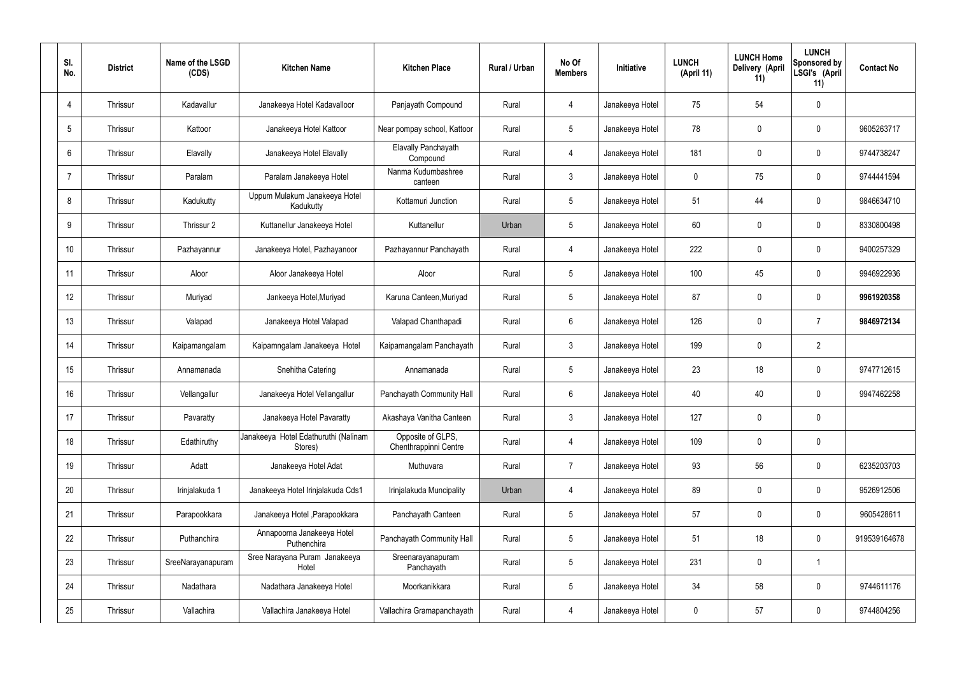| SI.<br>No.      | <b>District</b> | Name of the LSGD<br>(CDS) | <b>Kitchen Name</b>                             | <b>Kitchen Place</b>                       | Rural / Urban | No Of<br><b>Members</b> | <b>Initiative</b> | <b>LUNCH</b><br>(April 11) | <b>LUNCH Home</b><br>Delivery (April<br>11) | <b>LUNCH</b><br>Sponsored by<br>LSGI's (April<br>11) | <b>Contact No</b> |
|-----------------|-----------------|---------------------------|-------------------------------------------------|--------------------------------------------|---------------|-------------------------|-------------------|----------------------------|---------------------------------------------|------------------------------------------------------|-------------------|
| $\overline{4}$  | Thrissur        | Kadavallur                | Janakeeya Hotel Kadavalloor                     | Panjayath Compound                         | Rural         | 4                       | Janakeeya Hotel   | 75                         | 54                                          | $\mathbf 0$                                          |                   |
| $5\phantom{.0}$ | Thrissur        | Kattoor                   | Janakeeya Hotel Kattoor                         | Near pompay school, Kattoor                | Rural         | $5\phantom{.0}$         | Janakeeya Hotel   | 78                         | 0                                           | $\mathbf 0$                                          | 9605263717        |
| 6               | Thrissur        | Elavally                  | Janakeeya Hotel Elavally                        | Elavally Panchayath<br>Compound            | Rural         | $\overline{4}$          | Janakeeya Hotel   | 181                        | $\mathbf 0$                                 | $\mathbf 0$                                          | 9744738247        |
| $\overline{7}$  | Thrissur        | Paralam                   | Paralam Janakeeya Hotel                         | Nanma Kudumbashree<br>canteen              | Rural         | $\mathbf{3}$            | Janakeeya Hotel   | $\mathbf 0$                | 75                                          | $\mathbf 0$                                          | 9744441594        |
| 8               | Thrissur        | Kadukutty                 | Uppum Mulakum Janakeeya Hotel<br>Kadukutty      | Kottamuri Junction                         | Rural         | $5\phantom{.0}$         | Janakeeya Hotel   | 51                         | 44                                          | $\mathbf 0$                                          | 9846634710        |
| 9               | Thrissur        | Thrissur 2                | Kuttanellur Janakeeya Hotel                     | Kuttanellur                                | Urban         | $5\phantom{.0}$         | Janakeeya Hotel   | 60                         | 0                                           | $\mathbf 0$                                          | 8330800498        |
| 10              | Thrissur        | Pazhayannur               | Janakeeya Hotel, Pazhayanoor                    | Pazhayannur Panchayath                     | Rural         | $\overline{4}$          | Janakeeya Hotel   | 222                        | $\mathbf 0$                                 | $\mathbf 0$                                          | 9400257329        |
| 11              | Thrissur        | Aloor                     | Aloor Janakeeya Hotel                           | Aloor                                      | Rural         | $5\phantom{.0}$         | Janakeeya Hotel   | 100                        | 45                                          | $\mathbf 0$                                          | 9946922936        |
| 12              | Thrissur        | Muriyad                   | Jankeeya Hotel, Muriyad                         | Karuna Canteen, Muriyad                    | Rural         | $5\phantom{.0}$         | Janakeeya Hotel   | 87                         | $\mathbf 0$                                 | $\mathbf 0$                                          | 9961920358        |
| 13              | Thrissur        | Valapad                   | Janakeeya Hotel Valapad                         | Valapad Chanthapadi                        | Rural         | $6\phantom{.}6$         | Janakeeya Hotel   | 126                        | 0                                           | $\overline{7}$                                       | 9846972134        |
| 14              | Thrissur        | Kaipamangalam             | Kaipamngalam Janakeeya Hotel                    | Kaipamangalam Panchayath                   | Rural         | $\mathbf{3}$            | Janakeeya Hotel   | 199                        | 0                                           | $\overline{2}$                                       |                   |
| 15              | Thrissur        | Annamanada                | Snehitha Catering                               | Annamanada                                 | Rural         | $5\phantom{.0}$         | Janakeeya Hotel   | 23                         | 18                                          | $\mathbf 0$                                          | 9747712615        |
| 16              | Thrissur        | Vellangallur              | Janakeeya Hotel Vellangallur                    | Panchayath Community Hall                  | Rural         | $6\phantom{.}6$         | Janakeeya Hotel   | 40                         | 40                                          | 0                                                    | 9947462258        |
| 17              | Thrissur        | Pavaratty                 | Janakeeya Hotel Pavaratty                       | Akashaya Vanitha Canteen                   | Rural         | $\mathbf{3}$            | Janakeeya Hotel   | 127                        | $\mathbf 0$                                 | $\mathbf 0$                                          |                   |
| 18              | Thrissur        | Edathiruthy               | Janakeeya Hotel Edathuruthi (Nalinam<br>Stores) | Opposite of GLPS,<br>Chenthrappinni Centre | Rural         | $\overline{4}$          | Janakeeya Hotel   | 109                        | $\mathbf 0$                                 | $\mathbf 0$                                          |                   |
| 19              | Thrissur        | Adatt                     | Janakeeya Hotel Adat                            | Muthuvara                                  | Rural         | $\overline{7}$          | Janakeeya Hotel   | 93                         | 56                                          | $\mathbf 0$                                          | 6235203703        |
| 20              | Thrissur        | Irinjalakuda 1            | Janakeeya Hotel Irinjalakuda Cds1               | Irinjalakuda Muncipality                   | Urban         | 4                       | Janakeeya Hotel   | 89                         | $\mathbf 0$                                 | $\mathbf 0$                                          | 9526912506        |
| 21              | Thrissur        | Parapookkara              | Janakeeya Hotel, Parapookkara                   | Panchayath Canteen                         | Rural         | $5\phantom{.0}$         | Janakeeya Hotel   | 57                         | $\mathbf 0$                                 | $\mathbf 0$                                          | 9605428611        |
| 22              | Thrissur        | Puthanchira               | Annapoorna Janakeeya Hotel<br>Puthenchira       | Panchayath Community Hall                  | Rural         | $5\phantom{.0}$         | Janakeeya Hotel   | 51                         | 18                                          | $\mathbf 0$                                          | 919539164678      |
| 23              | Thrissur        | SreeNarayanapuram         | Sree Narayana Puram Janakeeya<br>Hotel          | Sreenarayanapuram<br>Panchayath            | Rural         | $5\phantom{.0}$         | Janakeeya Hotel   | 231                        | 0                                           | $\overline{\mathbf{1}}$                              |                   |
| 24              | Thrissur        | Nadathara                 | Nadathara Janakeeya Hotel                       | Moorkanikkara                              | Rural         | $5\phantom{.0}$         | Janakeeya Hotel   | 34                         | 58                                          | $\mathbf 0$                                          | 9744611176        |
| 25              | Thrissur        | Vallachira                | Vallachira Janakeeya Hotel                      | Vallachira Gramapanchayath                 | Rural         | 4                       | Janakeeya Hotel   | 0                          | 57                                          | $\mathbf 0$                                          | 9744804256        |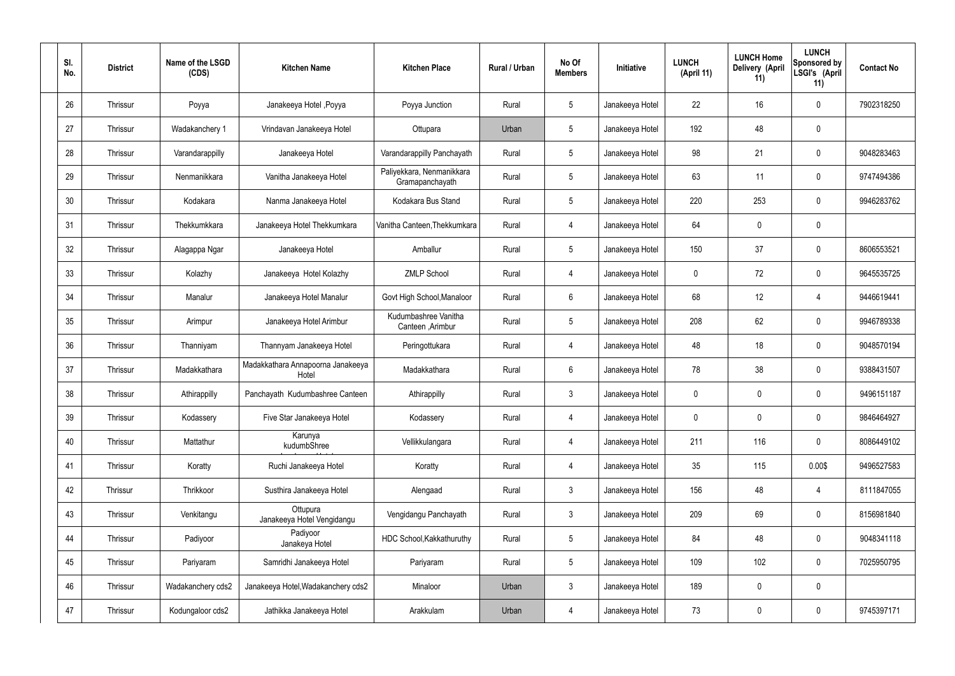| SI.<br>No. | <b>District</b> | Name of the LSGD<br>(CDS) | <b>Kitchen Name</b>                        | <b>Kitchen Place</b>                         | Rural / Urban | No Of<br><b>Members</b> | Initiative      | <b>LUNCH</b><br>(April 11) | <b>LUNCH Home</b><br>Delivery (April<br>11) | <b>LUNCH</b><br><b>Sponsored by</b><br>LSGI's (April<br>11) | <b>Contact No</b> |
|------------|-----------------|---------------------------|--------------------------------------------|----------------------------------------------|---------------|-------------------------|-----------------|----------------------------|---------------------------------------------|-------------------------------------------------------------|-------------------|
| 26         | Thrissur        | Poyya                     | Janakeeya Hotel , Poyya                    | Poyya Junction                               | Rural         | $5\phantom{.0}$         | Janakeeya Hotel | 22                         | 16                                          | 0                                                           | 7902318250        |
| 27         | Thrissur        | Wadakanchery 1            | Vrindavan Janakeeya Hotel                  | Ottupara                                     | Urban         | $5\phantom{.0}$         | Janakeeya Hotel | 192                        | 48                                          | 0                                                           |                   |
| 28         | Thrissur        | Varandarappilly           | Janakeeya Hotel                            | Varandarappilly Panchayath                   | Rural         | $5\phantom{.0}$         | Janakeeya Hotel | 98                         | 21                                          | 0                                                           | 9048283463        |
| 29         | Thrissur        | Nenmanikkara              | Vanitha Janakeeya Hotel                    | Paliyekkara, Nenmanikkara<br>Gramapanchayath | Rural         | $5\phantom{.0}$         | Janakeeya Hotel | 63                         | 11                                          | 0                                                           | 9747494386        |
| 30         | Thrissur        | Kodakara                  | Nanma Janakeeya Hotel                      | Kodakara Bus Stand                           | Rural         | $5\phantom{.0}$         | Janakeeya Hotel | 220                        | 253                                         | 0                                                           | 9946283762        |
| 31         | Thrissur        | Thekkumkkara              | Janakeeya Hotel Thekkumkara                | Vanitha Canteen, Thekkumkara                 | Rural         | $\overline{4}$          | Janakeeya Hotel | 64                         | $\mathbf 0$                                 | 0                                                           |                   |
| 32         | Thrissur        | Alagappa Ngar             | Janakeeya Hotel                            | Amballur                                     | Rural         | $5\phantom{.0}$         | Janakeeya Hotel | 150                        | 37                                          | 0                                                           | 8606553521        |
| 33         | Thrissur        | Kolazhy                   | Janakeeya Hotel Kolazhy                    | <b>ZMLP School</b>                           | Rural         | $\overline{4}$          | Janakeeya Hotel | $\mathbf 0$                | 72                                          | 0                                                           | 9645535725        |
| 34         | Thrissur        | Manalur                   | Janakeeya Hotel Manalur                    | Govt High School, Manaloor                   | Rural         | 6                       | Janakeeya Hotel | 68                         | 12                                          | $\overline{4}$                                              | 9446619441        |
| 35         | Thrissur        | Arimpur                   | Janakeeya Hotel Arimbur                    | Kudumbashree Vanitha<br>Canteen, Arimbur     | Rural         | $5\phantom{.0}$         | Janakeeya Hotel | 208                        | 62                                          | 0                                                           | 9946789338        |
| 36         | Thrissur        | Thanniyam                 | Thannyam Janakeeya Hotel                   | Peringottukara                               | Rural         | $\overline{4}$          | Janakeeya Hotel | 48                         | 18                                          | 0                                                           | 9048570194        |
| 37         | Thrissur        | Madakkathara              | Madakkathara Annapoorna Janakeeya<br>Hotel | Madakkathara                                 | Rural         | 6                       | Janakeeya Hotel | 78                         | 38                                          | 0                                                           | 9388431507        |
| 38         | Thrissur        | Athirappilly              | Panchayath Kudumbashree Canteen            | Athirappilly                                 | Rural         | $\mathbf{3}$            | Janakeeya Hotel | 0                          | 0                                           | 0                                                           | 9496151187        |
| 39         | Thrissur        | Kodassery                 | Five Star Janakeeya Hotel                  | Kodassery                                    | Rural         | $\overline{4}$          | Janakeeya Hotel | $\mathbf 0$                | $\mathbf 0$                                 | 0                                                           | 9846464927        |
| 40         | Thrissur        | Mattathur                 | Karunya<br>kudumbShree                     | Vellikkulangara                              | Rural         | $\overline{4}$          | Janakeeya Hotel | 211                        | 116                                         | 0                                                           | 8086449102        |
| 41         | Thrissur        | Koratty                   | Ruchi Janakeeya Hotel                      | Koratty                                      | Rural         | $\overline{4}$          | Janakeeya Hotel | 35                         | 115                                         | 0.00\$                                                      | 9496527583        |
| 42         | Thrissur        | Thrikkoor                 | Susthira Janakeeya Hotel                   | Alengaad                                     | Rural         | $\mathbf{3}$            | Janakeeya Hotel | 156                        | 48                                          | 4                                                           | 8111847055        |
| 43         | Thrissur        | Venkitangu                | Ottupura<br>Janakeeya Hotel Vengidangu     | Vengidangu Panchayath                        | Rural         | $\mathbf{3}$            | Janakeeya Hotel | 209                        | 69                                          | 0                                                           | 8156981840        |
| 44         | Thrissur        | Padiyoor                  | Padiyoor<br>Janakeya Hotel                 | HDC School, Kakkathuruthy                    | Rural         | $5\phantom{.0}$         | Janakeeya Hotel | 84                         | 48                                          | 0                                                           | 9048341118        |
| 45         | Thrissur        | Pariyaram                 | Samridhi Janakeeya Hotel                   | Pariyaram                                    | Rural         | $5\phantom{.0}$         | Janakeeya Hotel | 109                        | 102                                         | 0                                                           | 7025950795        |
| 46         | Thrissur        | Wadakanchery cds2         | Janakeeya Hotel, Wadakanchery cds2         | Minaloor                                     | Urban         | $\mathbf{3}$            | Janakeeya Hotel | 189                        | $\mathbf 0$                                 | 0                                                           |                   |
| 47         | Thrissur        | Kodungaloor cds2          | Jathikka Janakeeya Hotel                   | Arakkulam                                    | Urban         | $\overline{4}$          | Janakeeya Hotel | 73                         | $\pmb{0}$                                   | 0                                                           | 9745397171        |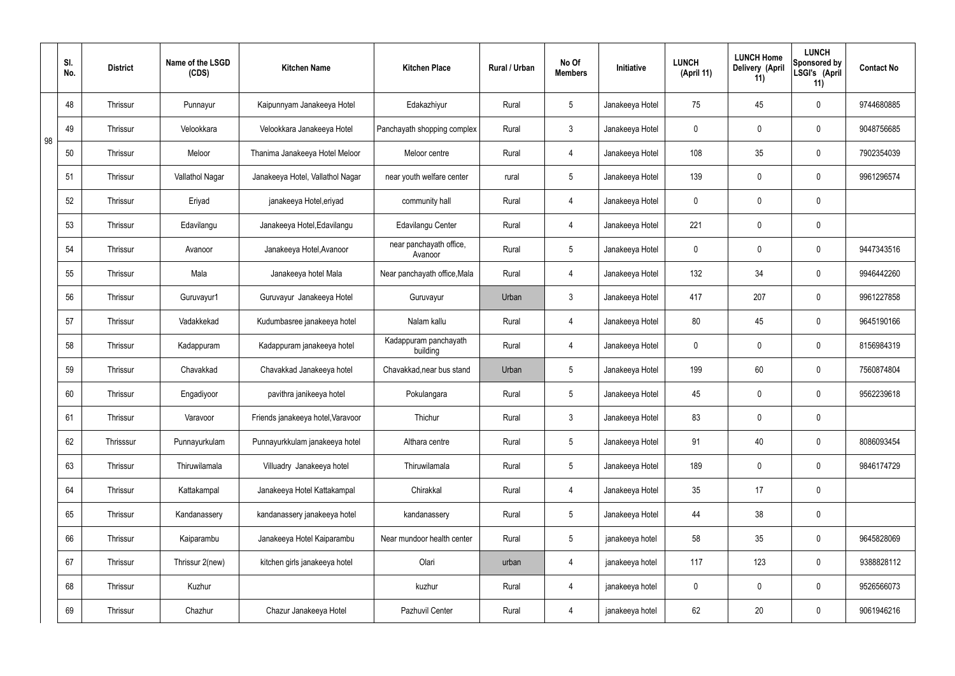|    | SI.<br>No. | <b>District</b> | Name of the LSGD<br>(CDS) | <b>Kitchen Name</b>               | <b>Kitchen Place</b>               | Rural / Urban | No Of<br><b>Members</b> | Initiative      | <b>LUNCH</b><br>(April 11) | <b>LUNCH Home</b><br>Delivery (April<br>11) | <b>LUNCH</b><br>Sponsored by<br>LSGI's (April<br>11) | <b>Contact No</b> |
|----|------------|-----------------|---------------------------|-----------------------------------|------------------------------------|---------------|-------------------------|-----------------|----------------------------|---------------------------------------------|------------------------------------------------------|-------------------|
|    | 48         | <b>Thrissur</b> | Punnayur                  | Kaipunnyam Janakeeya Hotel        | Edakazhiyur                        | Rural         | $5\phantom{.0}$         | Janakeeya Hotel | 75                         | 45                                          | $\mathbf 0$                                          | 9744680885        |
| 98 | 49         | Thrissur        | Velookkara                | Velookkara Janakeeya Hotel        | Panchayath shopping complex        | Rural         | $\mathbf{3}$            | Janakeeya Hotel | $\mathbf 0$                | $\mathbf 0$                                 | $\mathbf 0$                                          | 9048756685        |
|    | 50         | <b>Thrissur</b> | Meloor                    | Thanima Janakeeya Hotel Meloor    | Meloor centre                      | Rural         | $\overline{4}$          | Janakeeya Hotel | 108                        | 35                                          | $\mathbf 0$                                          | 7902354039        |
|    | 51         | <b>Thrissur</b> | Vallathol Nagar           | Janakeeya Hotel, Vallathol Nagar  | near youth welfare center          | rural         | $5\overline{)}$         | Janakeeya Hotel | 139                        | $\mathbf 0$                                 | $\mathbf 0$                                          | 9961296574        |
|    | 52         | <b>Thrissur</b> | Eriyad                    | janakeeya Hotel, eriyad           | community hall                     | Rural         | 4                       | Janakeeya Hotel | $\mathbf 0$                | $\mathbf 0$                                 | $\mathbf 0$                                          |                   |
|    | 53         | <b>Thrissur</b> | Edavilangu                | Janakeeya Hotel, Edavilangu       | Edavilangu Center                  | Rural         | 4                       | Janakeeya Hotel | 221                        | $\mathbf 0$                                 | $\mathbf 0$                                          |                   |
|    | 54         | <b>Thrissur</b> | Avanoor                   | Janakeeya Hotel, Avanoor          | near panchayath office,<br>Avanoor | Rural         | $5\overline{)}$         | Janakeeya Hotel | $\mathbf 0$                | $\mathbf 0$                                 | $\mathbf 0$                                          | 9447343516        |
|    | 55         | <b>Thrissur</b> | Mala                      | Janakeeya hotel Mala              | Near panchayath office, Mala       | Rural         | 4                       | Janakeeya Hotel | 132                        | 34                                          | $\mathbf 0$                                          | 9946442260        |
|    | 56         | <b>Thrissur</b> | Guruvayur1                | Guruvayur Janakeeya Hotel         | Guruvayur                          | Urban         | $\mathbf{3}$            | Janakeeya Hotel | 417                        | 207                                         | $\mathbf 0$                                          | 9961227858        |
|    | 57         | Thrissur        | Vadakkekad                | Kudumbasree janakeeya hotel       | Nalam kallu                        | Rural         | 4                       | Janakeeya Hotel | 80                         | 45                                          | $\mathbf 0$                                          | 9645190166        |
|    | 58         | <b>Thrissur</b> | Kadappuram                | Kadappuram janakeeya hotel        | Kadappuram panchayath<br>building  | Rural         | 4                       | Janakeeya Hotel | $\mathbf 0$                | $\mathbf 0$                                 | $\mathbf 0$                                          | 8156984319        |
|    | 59         | Thrissur        | Chavakkad                 | Chavakkad Janakeeya hotel         | Chavakkad, near bus stand          | Urban         | $5\overline{)}$         | Janakeeya Hotel | 199                        | 60                                          | $\mathbf 0$                                          | 7560874804        |
|    | 60         | <b>Thrissur</b> | Engadiyoor                | pavithra janikeeya hotel          | Pokulangara                        | Rural         | $5\overline{)}$         | Janakeeya Hotel | 45                         | $\mathbf 0$                                 | $\mathbf 0$                                          | 9562239618        |
|    | 61         | Thrissur        | Varavoor                  | Friends janakeeya hotel, Varavoor | Thichur                            | Rural         | $\mathbf{3}$            | Janakeeya Hotel | 83                         | $\pmb{0}$                                   | $\mathbf 0$                                          |                   |
|    | 62         | Thrisssur       | Punnayurkulam             | Punnayurkkulam janakeeya hotel    | Althara centre                     | Rural         | $5\overline{)}$         | Janakeeya Hotel | 91                         | 40                                          | $\mathbf 0$                                          | 8086093454        |
|    | 63         | Thrissur        | Thiruwilamala             | Villuadry Janakeeya hotel         | Thiruwilamala                      | Rural         | $5\overline{)}$         | Janakeeya Hotel | 189                        | $\pmb{0}$                                   | $\mathbf 0$                                          | 9846174729        |
|    | 64         | Thrissur        | Kattakampal               | Janakeeya Hotel Kattakampal       | Chirakkal                          | Rural         | $\overline{4}$          | Janakeeya Hotel | 35                         | 17                                          | $\mathbf 0$                                          |                   |
|    | 65         | Thrissur        | Kandanassery              | kandanassery janakeeya hotel      | kandanassery                       | Rural         | $5\overline{)}$         | Janakeeya Hotel | 44                         | 38                                          | $\mathbf 0$                                          |                   |
|    | 66         | Thrissur        | Kaiparambu                | Janakeeya Hotel Kaiparambu        | Near mundoor health center         | Rural         | $5\overline{)}$         | janakeeya hotel | 58                         | 35                                          | $\mathbf 0$                                          | 9645828069        |
|    | 67         | Thrissur        | Thrissur 2(new)           | kitchen girls janakeeya hotel     | Olari                              | urban         | 4                       | janakeeya hotel | 117                        | 123                                         | $\mathbf 0$                                          | 9388828112        |
|    | 68         | Thrissur        | Kuzhur                    |                                   | kuzhur                             | Rural         | $\overline{4}$          | janakeeya hotel | $\mathbf 0$                | 0                                           | $\mathbf 0$                                          | 9526566073        |
|    | 69         | Thrissur        | Chazhur                   | Chazur Janakeeya Hotel            | Pazhuvil Center                    | Rural         | $\overline{4}$          | janakeeya hotel | 62                         | 20                                          | $\boldsymbol{0}$                                     | 9061946216        |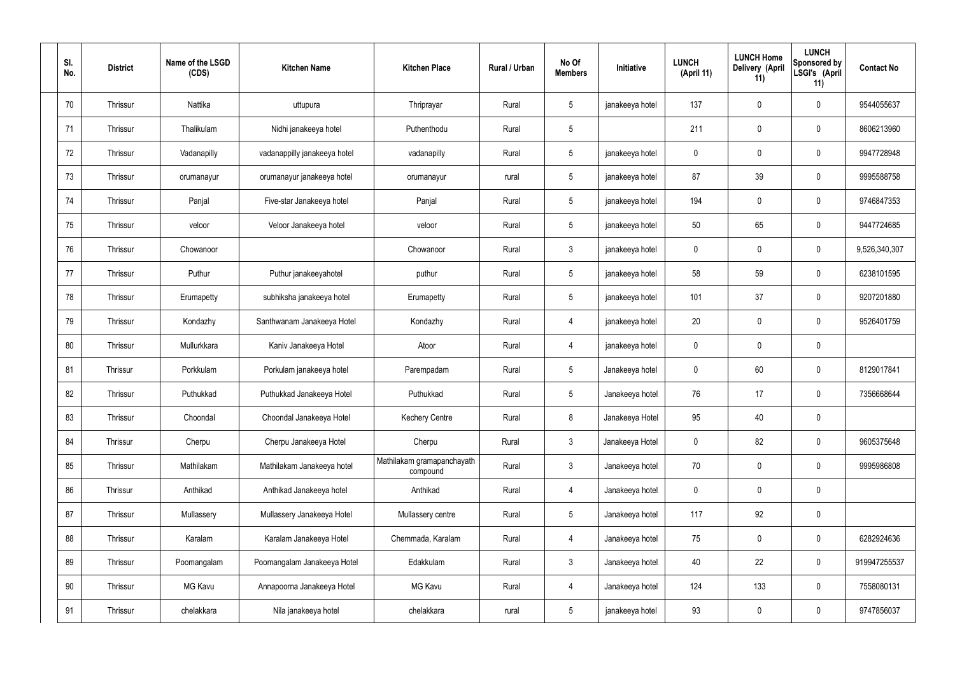| SI.<br>No. | <b>District</b> | Name of the LSGD<br>(CDS) | <b>Kitchen Name</b>          | <b>Kitchen Place</b>                   | Rural / Urban | No Of<br><b>Members</b> | Initiative      | <b>LUNCH</b><br>(April 11) | <b>LUNCH Home</b><br>Delivery (April<br>11) | <b>LUNCH</b><br>Sponsored by<br>LSGI's (April<br>11) | <b>Contact No</b> |
|------------|-----------------|---------------------------|------------------------------|----------------------------------------|---------------|-------------------------|-----------------|----------------------------|---------------------------------------------|------------------------------------------------------|-------------------|
| 70         | Thrissur        | Nattika                   | uttupura                     | Thriprayar                             | Rural         | $5\phantom{.0}$         | janakeeya hotel | 137                        | $\mathbf 0$                                 | $\pmb{0}$                                            | 9544055637        |
| 71         | Thrissur        | Thalikulam                | Nidhi janakeeya hotel        | Puthenthodu                            | Rural         | 5                       |                 | 211                        | $\mathbf 0$                                 | $\pmb{0}$                                            | 8606213960        |
| 72         | Thrissur        | Vadanapilly               | vadanappilly janakeeya hotel | vadanapilly                            | Rural         | $5\phantom{.0}$         | janakeeya hotel | 0                          | $\mathbf 0$                                 | $\pmb{0}$                                            | 9947728948        |
| 73         | Thrissur        | orumanayur                | orumanayur janakeeya hotel   | orumanayur                             | rural         | $5\phantom{.0}$         | janakeeya hotel | 87                         | 39                                          | $\mathbf 0$                                          | 9995588758        |
| 74         | Thrissur        | Panjal                    | Five-star Janakeeya hotel    | Panjal                                 | Rural         | $5\phantom{.0}$         | janakeeya hotel | 194                        | $\mathbf 0$                                 | $\pmb{0}$                                            | 9746847353        |
| 75         | Thrissur        | veloor                    | Veloor Janakeeya hotel       | veloor                                 | Rural         | $5\phantom{.0}$         | janakeeya hotel | 50                         | 65                                          | $\mathbf 0$                                          | 9447724685        |
| 76         | Thrissur        | Chowanoor                 |                              | Chowanoor                              | Rural         | $\mathbf{3}$            | janakeeya hotel | 0                          | $\mathbf 0$                                 | $\pmb{0}$                                            | 9,526,340,307     |
| 77         | Thrissur        | Puthur                    | Puthur janakeeyahotel        | puthur                                 | Rural         | $5\overline{)}$         | janakeeya hotel | 58                         | 59                                          | $\mathbf 0$                                          | 6238101595        |
| 78         | Thrissur        | Erumapetty                | subhiksha janakeeya hotel    | Erumapetty                             | Rural         | $5\phantom{.0}$         | janakeeya hotel | 101                        | 37                                          | $\pmb{0}$                                            | 9207201880        |
| 79         | Thrissur        | Kondazhy                  | Santhwanam Janakeeya Hotel   | Kondazhy                               | Rural         | $\overline{4}$          | janakeeya hotel | 20                         | $\mathbf 0$                                 | $\mathbf 0$                                          | 9526401759        |
| 80         | Thrissur        | Mullurkkara               | Kaniv Janakeeya Hotel        | Atoor                                  | Rural         | $\overline{4}$          | janakeeya hotel | 0                          | $\mathbf 0$                                 | $\pmb{0}$                                            |                   |
| 81         | Thrissur        | Porkkulam                 | Porkulam janakeeya hotel     | Parempadam                             | Rural         | $5\phantom{.0}$         | Janakeeya hotel | 0                          | 60                                          | $\pmb{0}$                                            | 8129017841        |
| 82         | Thrissur        | Puthukkad                 | Puthukkad Janakeeya Hotel    | Puthukkad                              | Rural         | $5\phantom{.0}$         | Janakeeya hotel | 76                         | 17                                          | $\mathbf 0$                                          | 7356668644        |
| 83         | Thrissur        | Choondal                  | Choondal Janakeeya Hotel     | <b>Kechery Centre</b>                  | Rural         | 8                       | Janakeeya Hotel | 95                         | 40                                          | $\pmb{0}$                                            |                   |
| 84         | Thrissur        | Cherpu                    | Cherpu Janakeeya Hotel       | Cherpu                                 | Rural         | $\mathbf{3}$            | Janakeeya Hotel | $\mathbf 0$                | 82                                          | $\pmb{0}$                                            | 9605375648        |
| 85         | Thrissur        | Mathilakam                | Mathilakam Janakeeya hotel   | Mathilakam gramapanchayath<br>compound | Rural         | $\mathbf{3}$            | Janakeeya hotel | $70\,$                     | $\mathbf 0$                                 | $\mathbf 0$                                          | 9995986808        |
| 86         | Thrissur        | Anthikad                  | Anthikad Janakeeya hotel     | Anthikad                               | Rural         | $\overline{4}$          | Janakeeya hotel | $\mathbf 0$                | $\mathbf 0$                                 | $\mathbf 0$                                          |                   |
| 87         | Thrissur        | Mullassery                | Mullassery Janakeeya Hotel   | Mullassery centre                      | Rural         | $5\overline{)}$         | Janakeeya hotel | 117                        | 92                                          | $\mathbf 0$                                          |                   |
| 88         | Thrissur        | Karalam                   | Karalam Janakeeya Hotel      | Chemmada, Karalam                      | Rural         | $\overline{4}$          | Janakeeya hotel | 75                         | $\overline{0}$                              | $\pmb{0}$                                            | 6282924636        |
| 89         | Thrissur        | Poomangalam               | Poomangalam Janakeeya Hotel  | Edakkulam                              | Rural         | $\mathbf{3}$            | Janakeeya hotel | 40                         | 22                                          | $\pmb{0}$                                            | 919947255537      |
| 90         | Thrissur        | MG Kavu                   | Annapoorna Janakeeya Hotel   | MG Kavu                                | Rural         | $\overline{4}$          | Janakeeya hotel | 124                        | 133                                         | $\mathbf 0$                                          | 7558080131        |
| 91         | Thrissur        | chelakkara                | Nila janakeeya hotel         | chelakkara                             | rural         | $5\phantom{.0}$         | janakeeya hotel | 93                         | $\mathbf 0$                                 | $\bf{0}$                                             | 9747856037        |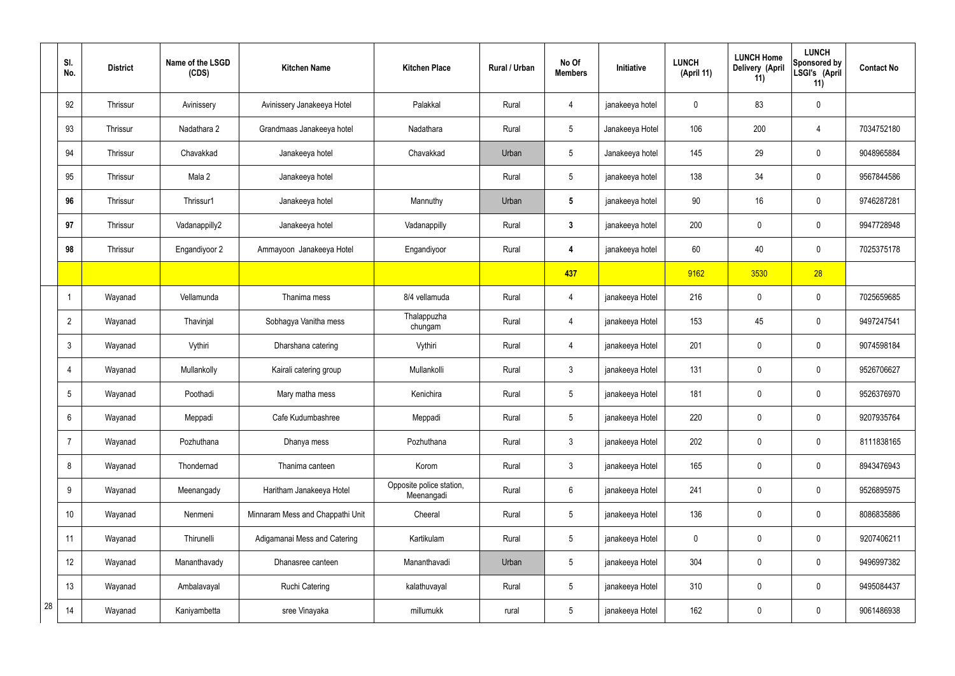|    | SI.<br>No.      | <b>District</b> | Name of the LSGD<br>(CDS) | <b>Kitchen Name</b>              | <b>Kitchen Place</b>                   | Rural / Urban | No Of<br><b>Members</b> | Initiative      | <b>LUNCH</b><br>(April 11) | <b>LUNCH Home</b><br>Delivery (April<br>11) | <b>LUNCH</b><br><b>Sponsored by</b><br>LSGI's (April<br>11) | <b>Contact No</b> |
|----|-----------------|-----------------|---------------------------|----------------------------------|----------------------------------------|---------------|-------------------------|-----------------|----------------------------|---------------------------------------------|-------------------------------------------------------------|-------------------|
|    | 92              | Thrissur        | Avinissery                | Avinissery Janakeeya Hotel       | Palakkal                               | Rural         | 4                       | janakeeya hotel | 0                          | 83                                          | $\pmb{0}$                                                   |                   |
|    | 93              | Thrissur        | Nadathara 2               | Grandmaas Janakeeya hotel        | Nadathara                              | Rural         | $5\phantom{.0}$         | Janakeeya Hotel | 106                        | 200                                         | $\overline{4}$                                              | 7034752180        |
|    | 94              | Thrissur        | Chavakkad                 | Janakeeya hotel                  | Chavakkad                              | Urban         | $5\phantom{.0}$         | Janakeeya hotel | 145                        | 29                                          | $\pmb{0}$                                                   | 9048965884        |
|    | 95              | Thrissur        | Mala 2                    | Janakeeya hotel                  |                                        | Rural         | $5\phantom{.0}$         | janakeeya hotel | 138                        | 34                                          | $\mathbf 0$                                                 | 9567844586        |
|    | 96              | Thrissur        | Thrissur1                 | Janakeeya hotel                  | Mannuthy                               | Urban         | $5\phantom{.0}$         | janakeeya hotel | 90                         | 16                                          | $\pmb{0}$                                                   | 9746287281        |
|    | 97              | Thrissur        | Vadanappilly2             | Janakeeya hotel                  | Vadanappilly                           | Rural         | $\mathbf{3}$            | janakeeya hotel | 200                        | 0                                           | $\mathbf 0$                                                 | 9947728948        |
|    | 98              | Thrissur        | Engandiyoor 2             | Ammayoon Janakeeya Hotel         | Engandiyoor                            | Rural         | 4                       | janakeeya hotel | 60                         | 40                                          | $\pmb{0}$                                                   | 7025375178        |
|    |                 |                 |                           |                                  |                                        |               | 437                     |                 | 9162                       | 3530                                        | 28                                                          |                   |
|    | 1               | Wayanad         | Vellamunda                | Thanima mess                     | 8/4 vellamuda                          | Rural         | 4                       | janakeeya Hotel | 216                        | 0                                           | $\pmb{0}$                                                   | 7025659685        |
|    | $\overline{2}$  | Wayanad         | Thavinjal                 | Sobhagya Vanitha mess            | Thalappuzha<br>chungam                 | Rural         | 4                       | janakeeya Hotel | 153                        | 45                                          | $\mathbf 0$                                                 | 9497247541        |
|    | $\mathbf{3}$    | Wayanad         | Vythiri                   | Dharshana catering               | Vythiri                                | Rural         | 4                       | janakeeya Hotel | 201                        | 0                                           | $\boldsymbol{0}$                                            | 9074598184        |
|    | $\overline{4}$  | Wayanad         | Mullankolly               | Kairali catering group           | Mullankolli                            | Rural         | $\mathbf{3}$            | janakeeya Hotel | 131                        | 0                                           | $\mathbf 0$                                                 | 9526706627        |
|    | $5\phantom{.0}$ | Wayanad         | Poothadi                  | Mary matha mess                  | Kenichira                              | Rural         | $5\phantom{.0}$         | janakeeya Hotel | 181                        | 0                                           | $\mathbf 0$                                                 | 9526376970        |
|    | $6\,$           | Wayanad         | Meppadi                   | Cafe Kudumbashree                | Meppadi                                | Rural         | $5\phantom{.0}$         | janakeeya Hotel | 220                        | 0                                           | $\mathbf 0$                                                 | 9207935764        |
|    | $\overline{7}$  | Wayanad         | Pozhuthana                | Dhanya mess                      | Pozhuthana                             | Rural         | $\mathfrak{Z}$          | janakeeya Hotel | 202                        | 0                                           | $\pmb{0}$                                                   | 8111838165        |
|    | 8               | Wayanad         | Thondernad                | Thanima canteen                  | Korom                                  | Rural         | $\mathfrak{Z}$          | janakeeya Hotel | 165                        | 0                                           | $\mathbf 0$                                                 | 8943476943        |
|    | 9               | Wayanad         | Meenangady                | Haritham Janakeeya Hotel         | Opposite police station,<br>Meenangadi | Rural         | $6\phantom{.}6$         | janakeeya Hotel | 241                        | 0                                           | $\pmb{0}$                                                   | 9526895975        |
|    | 10              | Wayanad         | Nenmeni                   | Minnaram Mess and Chappathi Unit | Cheeral                                | Rural         | $5\phantom{.0}$         | janakeeya Hotel | 136                        | 0                                           | $\mathbf 0$                                                 | 8086835886        |
|    | 11              | Wayanad         | Thirunelli                | Adigamanai Mess and Catering     | Kartikulam                             | Rural         | $5\phantom{.0}$         | janakeeya Hotel | $\mathbf 0$                | 0                                           | $\mathbf 0$                                                 | 9207406211        |
|    | 12              | Wayanad         | Mananthavady              | Dhanasree canteen                | Mananthavadi                           | Urban         | $5\phantom{.0}$         | janakeeya Hotel | 304                        | 0                                           | $\mathbf 0$                                                 | 9496997382        |
|    | 13              | Wayanad         | Ambalavayal               | <b>Ruchi Catering</b>            | kalathuvayal                           | Rural         | $5\phantom{.0}$         | janakeeya Hotel | 310                        | 0                                           | $\pmb{0}$                                                   | 9495084437        |
| 28 | 14              | Wayanad         | Kaniyambetta              | sree Vinayaka                    | millumukk                              | rural         | $5\phantom{.0}$         | janakeeya Hotel | 162                        | 0                                           | $\pmb{0}$                                                   | 9061486938        |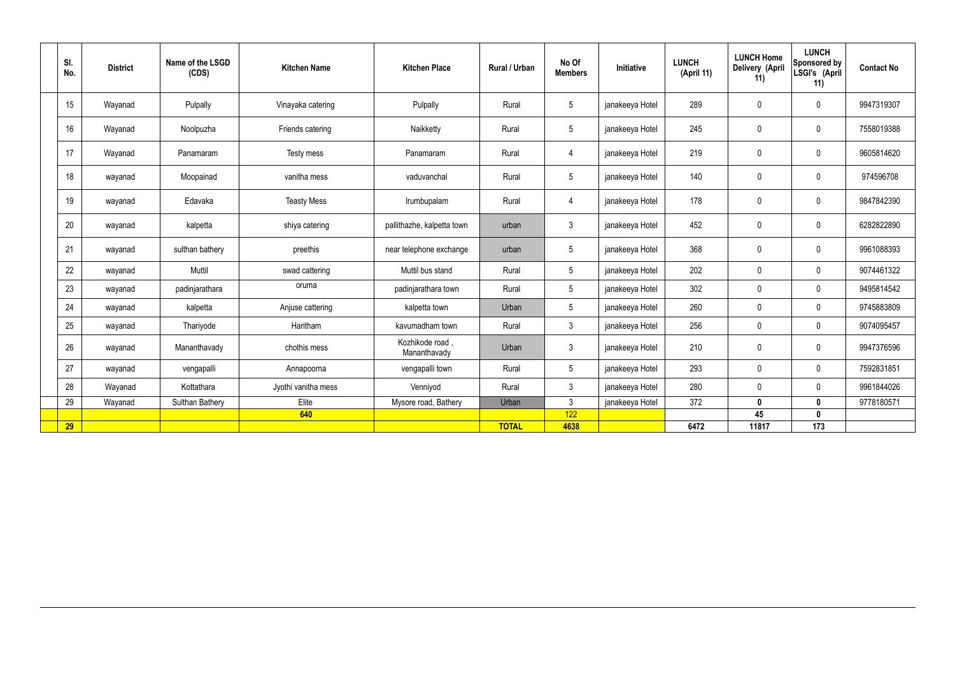| SI.<br>No. | <b>District</b> | Name of the LSGD<br>(CDS) | <b>Kitchen Name</b> | <b>Kitchen Place</b>            | Rural / Urban | No Of<br><b>Members</b> | Initiative      | <b>LUNCH</b><br>(April 11) | <b>LUNCH Home</b><br>Delivery (April<br>11) | <b>LUNCH</b><br>Sponsored by<br>LSGI's (April<br>11) | <b>Contact No</b> |
|------------|-----------------|---------------------------|---------------------|---------------------------------|---------------|-------------------------|-----------------|----------------------------|---------------------------------------------|------------------------------------------------------|-------------------|
| 15         | Wayanad         | Pulpally                  | Vinayaka catering   | Pulpally                        | Rural         | $5\phantom{.0}$         | janakeeya Hotel | 289                        | $\mathbf 0$                                 | $\mathbf 0$                                          | 9947319307        |
| 16         | Wayanad         | Noolpuzha                 | Friends catering    | Naikketty                       | Rural         | $5\overline{)}$         | janakeeya Hotel | 245                        | $\mathbf 0$                                 | $\mathbf 0$                                          | 7558019388        |
| 17         | Wayanad         | Panamaram                 | Testy mess          | Panamaram                       | Rural         | $\overline{4}$          | janakeeya Hotel | 219                        | $\mathbf 0$                                 | $\mathbf 0$                                          | 9605814620        |
| 18         | wayanad         | Moopainad                 | vanitha mess        | vaduvanchal                     | Rural         | $5\overline{)}$         | janakeeya Hotel | 140                        | $\pmb{0}$                                   | $\mathbf 0$                                          | 974596708         |
| 19         | wayanad         | Edavaka                   | <b>Teasty Mess</b>  | Irumbupalam                     | Rural         | $\overline{4}$          | janakeeya Hotel | 178                        | $\mathbf 0$                                 | $\mathbf 0$                                          | 9847842390        |
| 20         | wayanad         | kalpetta                  | shiya catering      | pallithazhe, kalpetta town      | urban         | $\mathbf{3}$            | janakeeya Hotel | 452                        | $\pmb{0}$                                   | $\mathbf 0$                                          | 6282822890        |
| 21         | wayanad         | sulthan bathery           | preethis            | near telephone exchange         | urban         | $5\overline{)}$         | janakeeya Hotel | 368                        | $\mathbf 0$                                 | $\mathbf 0$                                          | 9961088393        |
| 22         | wayanad         | Muttil                    | swad cattering      | Muttil bus stand                | Rural         | $5\phantom{.0}$         | janakeeya Hotel | 202                        | $\mathbf 0$                                 | $\mathbf 0$                                          | 9074461322        |
| 23         | wayanad         | padinjarathara            | oruma               | padinjarathara town             | Rural         | $5\overline{)}$         | janakeeya Hotel | 302                        | $\mathbf 0$                                 | $\mathbf 0$                                          | 9495814542        |
| 24         | wayanad         | kalpetta                  | Anjuse cattering    | kalpetta town                   | Urban         | $5\overline{)}$         | janakeeya Hotel | 260                        | $\mathbf 0$                                 | $\mathbf 0$                                          | 9745883809        |
| 25         | wayanad         | Thariyode                 | Haritham            | kavumadham town                 | Rural         | $\mathbf{3}$            | janakeeya Hotel | 256                        | $\mathbf 0$                                 | $\mathbf 0$                                          | 9074095457        |
| 26         | wayanad         | Mananthavady              | chothis mess        | Kozhikode road,<br>Mananthavady | Urban         | $\mathbf{3}$            | janakeeya Hotel | 210                        | $\mathbf 0$                                 | $\mathbf 0$                                          | 9947376596        |
| 27         | wayanad         | vengapalli                | Annapoorna          | vengapalli town                 | Rural         | $5\overline{)}$         | janakeeya Hotel | 293                        | $\mathbf 0$                                 | $\mathbf 0$                                          | 7592831851        |
| 28         | Wayanad         | Kottathara                | Jyothi vanitha mess | Venniyod                        | Rural         | $\mathbf{3}$            | janakeeya Hotel | 280                        | $\mathbf 0$                                 | $\mathbf 0$                                          | 9961844026        |
| 29         | Wayanad         | <b>Sulthan Bathery</b>    | Elite               | Mysore road, Bathery            | Urban         | $\mathbf{3}$            | janakeeya Hotel | 372                        | $\mathbf 0$                                 | $\mathbf 0$                                          | 9778180571        |
|            |                 |                           | 640                 |                                 |               | 122                     |                 |                            | 45                                          | $\mathbf{0}$                                         |                   |
| 29         |                 |                           |                     |                                 | <b>TOTAL</b>  | 4638                    |                 | 6472                       | 11817                                       | 173                                                  |                   |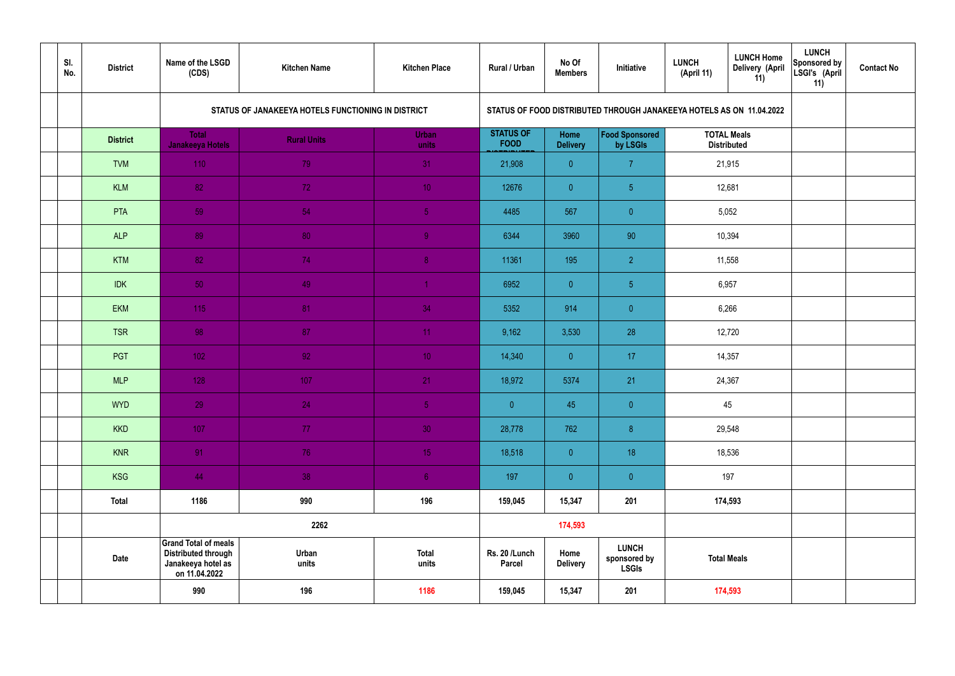| SI.<br>No. | <b>District</b> | Name of the LSGD<br>(CDS)                                                                        | <b>Kitchen Name</b>                                | <b>Kitchen Place</b>  | Rural / Urban                   | No Of<br><b>Members</b> | Initiative                                                           | <b>LUNCH</b><br>(April 11) | <b>LUNCH Home</b><br>Delivery (April<br>11) | <b>LUNCH</b><br>Sponsored by<br>LSGI's (April<br>11) | <b>Contact No</b> |
|------------|-----------------|--------------------------------------------------------------------------------------------------|----------------------------------------------------|-----------------------|---------------------------------|-------------------------|----------------------------------------------------------------------|----------------------------|---------------------------------------------|------------------------------------------------------|-------------------|
|            |                 |                                                                                                  | STATUS OF JANAKEEYA HOTELS FUNCTIONING IN DISTRICT |                       |                                 |                         | STATUS OF FOOD DISTRIBUTED THROUGH JANAKEEYA HOTELS AS ON 11.04.2022 |                            |                                             |                                                      |                   |
|            | <b>District</b> | <b>Total</b><br>Janakeeya Hotels                                                                 | <b>Rural Units</b>                                 | <b>Urban</b><br>units | <b>STATUS OF</b><br><b>FOOD</b> | Home<br><b>Delivery</b> | Food Sponsored<br>by LSGIs                                           |                            | <b>TOTAL Meals</b><br><b>Distributed</b>    |                                                      |                   |
|            | <b>TVM</b>      | 110                                                                                              | 79                                                 | 31                    | 21,908                          | $\overline{0}$          | $\overline{7}$                                                       |                            | 21,915                                      |                                                      |                   |
|            | <b>KLM</b>      | 82                                                                                               | 72 <sub>1</sub>                                    | 10 <sup>°</sup>       | 12676                           | $\overline{0}$          | 5 <sub>5</sub>                                                       |                            | 12,681                                      |                                                      |                   |
|            | PTA             | 59                                                                                               | 54                                                 | $\sqrt{5}$            | 4485                            | 567                     | $\overline{0}$                                                       |                            | 5,052                                       |                                                      |                   |
|            | <b>ALP</b>      | 89                                                                                               | 80                                                 | $\overline{9}$        | 6344                            | 3960                    | 90                                                                   |                            | 10,394                                      |                                                      |                   |
|            | <b>KTM</b>      | 82                                                                                               | 74                                                 | 8 <sup>°</sup>        | 11361                           | 195                     | $\overline{2}$                                                       | 11,558<br>6,957            |                                             |                                                      |                   |
|            | <b>IDK</b>      | 50                                                                                               | 49                                                 | $\blacktriangleleft$  | 6952                            | $\overline{0}$          | 5 <sub>5</sub>                                                       |                            |                                             |                                                      |                   |
|            | <b>EKM</b>      | 115                                                                                              | 81                                                 | 34                    | 5352                            | 914                     | $\overline{0}$                                                       |                            | 6,266                                       |                                                      |                   |
|            | <b>TSR</b>      | 98                                                                                               | 87                                                 | 11                    | 9,162                           | 3,530                   | 28                                                                   |                            | 12,720                                      |                                                      |                   |
|            | PGT             | $102$                                                                                            | 92                                                 | 10 <sup>°</sup>       | 14,340                          | $\overline{0}$          | 17                                                                   |                            | 14,357                                      |                                                      |                   |
|            | <b>MLP</b>      | 128                                                                                              | 107                                                | 21                    | 18,972                          | 5374                    | 21                                                                   |                            | 24,367                                      |                                                      |                   |
|            | <b>WYD</b>      | 29                                                                                               | 24                                                 | 5 <sub>1</sub>        | $\overline{0}$                  | 45                      | $\overline{0}$                                                       |                            | 45                                          |                                                      |                   |
|            | <b>KKD</b>      | 107                                                                                              | 77 <sub>1</sub>                                    | 30 <sup>°</sup>       | 28,778                          | 762                     | $\, 8$                                                               |                            | 29,548                                      |                                                      |                   |
|            | <b>KNR</b>      | 91                                                                                               | 76                                                 | 15 <sub>1</sub>       | 18,518                          | $\overline{0}$          | 18                                                                   |                            | 18,536                                      |                                                      |                   |
|            | <b>KSG</b>      | 44                                                                                               | 38                                                 | 6 <sup>1</sup>        | 197                             | $\overline{0}$          | $\pmb{0}$                                                            |                            | 197                                         |                                                      |                   |
|            | <b>Total</b>    | 1186                                                                                             | 990                                                | 196                   | 159,045                         | 15,347                  | 201                                                                  |                            | 174,593                                     |                                                      |                   |
|            |                 |                                                                                                  | 2262                                               |                       |                                 | 174,593                 |                                                                      |                            |                                             |                                                      |                   |
|            | <b>Date</b>     | <b>Grand Total of meals</b><br><b>Distributed through</b><br>Janakeeya hotel as<br>on 11.04.2022 | Urban<br>units                                     | <b>Total</b><br>units | Rs. 20 /Lunch<br><b>Parcel</b>  | Home<br><b>Delivery</b> | <b>LUNCH</b><br>sponsored by<br><b>LSGIs</b>                         |                            | <b>Total Meals</b>                          |                                                      |                   |
|            |                 | 990                                                                                              | 196                                                | 1186                  | 159,045                         | 15,347                  | 201                                                                  |                            | 174,593                                     |                                                      |                   |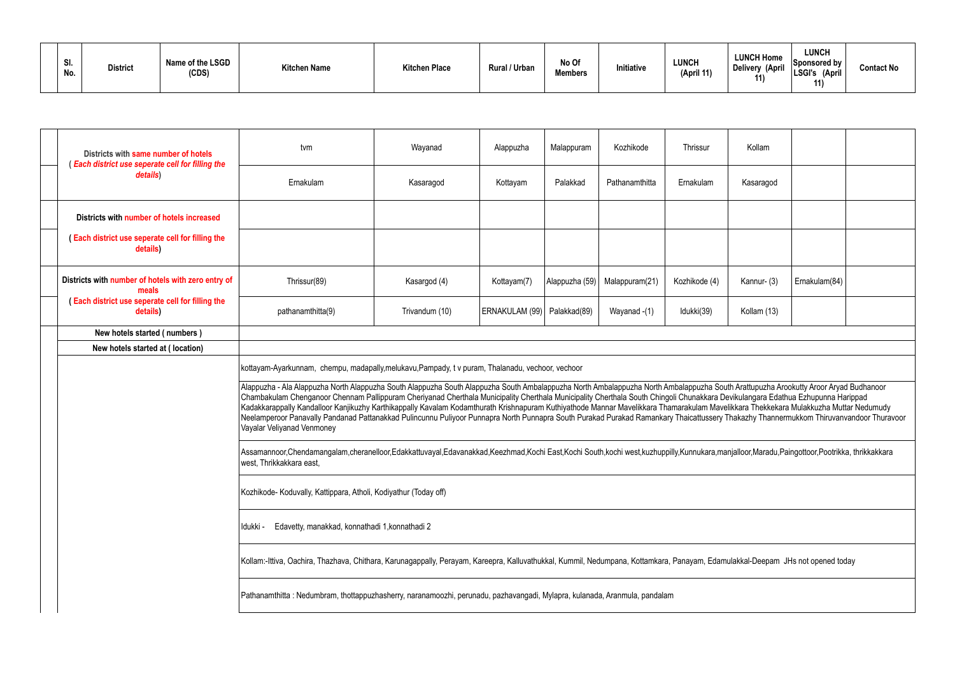| SI.<br>No. | <b>District</b> | Name of the LSGD<br>(CDS) | <b>Kitchen Name</b> | <b>Kitchen Place</b> | <b>Rural / Urban</b> | No Of<br><b>Members</b> | Initiative | <b>LUNCH</b><br>(April 11) | <b>LUNCH Home</b><br><b>Delivery (April</b><br>11 | LUNCH<br>Sponsored by<br>'LSGI's<br>(April<br>11) | <b>Contact No</b> |
|------------|-----------------|---------------------------|---------------------|----------------------|----------------------|-------------------------|------------|----------------------------|---------------------------------------------------|---------------------------------------------------|-------------------|
|------------|-----------------|---------------------------|---------------------|----------------------|----------------------|-------------------------|------------|----------------------------|---------------------------------------------------|---------------------------------------------------|-------------------|

| Districts with same number of hotels<br>(Each district use seperate cell for filling the | tvm                                                                                                                                                                                                                                                                                                                                                                                                                                                                                                                                                                                                                                                                                                                                                                     | Wayanad        | Alappuzha                     | Malappuram     | Kozhikode      | Thrissur      | Kollam      |               |  |  |  |
|------------------------------------------------------------------------------------------|-------------------------------------------------------------------------------------------------------------------------------------------------------------------------------------------------------------------------------------------------------------------------------------------------------------------------------------------------------------------------------------------------------------------------------------------------------------------------------------------------------------------------------------------------------------------------------------------------------------------------------------------------------------------------------------------------------------------------------------------------------------------------|----------------|-------------------------------|----------------|----------------|---------------|-------------|---------------|--|--|--|
| details)                                                                                 | Ernakulam                                                                                                                                                                                                                                                                                                                                                                                                                                                                                                                                                                                                                                                                                                                                                               | Kasaragod      | Kottayam                      | Palakkad       | Pathanamthitta | Ernakulam     | Kasaragod   |               |  |  |  |
| Districts with number of hotels increased                                                |                                                                                                                                                                                                                                                                                                                                                                                                                                                                                                                                                                                                                                                                                                                                                                         |                |                               |                |                |               |             |               |  |  |  |
| (Each district use seperate cell for filling the<br>details)                             |                                                                                                                                                                                                                                                                                                                                                                                                                                                                                                                                                                                                                                                                                                                                                                         |                |                               |                |                |               |             |               |  |  |  |
| Districts with number of hotels with zero entry of<br>meals                              | Thrissur(89)                                                                                                                                                                                                                                                                                                                                                                                                                                                                                                                                                                                                                                                                                                                                                            | Kasargod (4)   | Kottayam(7)                   | Alappuzha (59) | Malappuram(21) | Kozhikode (4) | Kannur- (3) | Ernakulam(84) |  |  |  |
| (Each district use seperate cell for filling the<br>details)                             | pathanamthitta(9)                                                                                                                                                                                                                                                                                                                                                                                                                                                                                                                                                                                                                                                                                                                                                       | Trivandum (10) | ERNAKULAM (99)   Palakkad(89) |                | Wayanad -(1)   | Idukki(39)    | Kollam (13) |               |  |  |  |
| New hotels started (numbers)                                                             |                                                                                                                                                                                                                                                                                                                                                                                                                                                                                                                                                                                                                                                                                                                                                                         |                |                               |                |                |               |             |               |  |  |  |
| New hotels started at (location)                                                         |                                                                                                                                                                                                                                                                                                                                                                                                                                                                                                                                                                                                                                                                                                                                                                         |                |                               |                |                |               |             |               |  |  |  |
|                                                                                          | kottayam-Ayarkunnam, chempu, madapally,melukavu, Pampady, t v puram, Thalanadu, vechoor, vechoor                                                                                                                                                                                                                                                                                                                                                                                                                                                                                                                                                                                                                                                                        |                |                               |                |                |               |             |               |  |  |  |
|                                                                                          | Alappuzha - Ala Alappuzha North Alappuzha South Alappuzha South Alappuzha South Ambalappuzha North Ambalappuzha South Arattupuzha Arookutty Aroor Aryad Budhanoor<br>Chambakulam Chenganoor Chennam Pallippuram Cheriyanad Cherthala Municipality Cherthala Municipality Cherthala South Chingoli Chunakkara Devikulangara Edathua Ezhupunna Harippad<br>Kadakkarappally Kandalloor Kanjikuzhy Karthikappally Kavalam Kodamthurath Krishnapuram Kuthiyathode Mannar Mavelikkara Thamarakulam Mavelikkara Thekkekara Mulakkuzha Muttar Nedumudy<br>Neelamperoor Panavally Pandanad Pattanakkad Pulincunnu Puliyoor Punnapra North Punnapra South Purakad Purakad Ramankary Thaicattussery Thakazhy Thannermukkom Thiruvanvandoor Thuravoor<br>Vayalar Veliyanad Venmoney |                |                               |                |                |               |             |               |  |  |  |
|                                                                                          | Assamannoor,Chendamangalam,cheranelloor,Edakkattuvayal,Edavanakkad,Keezhmad,Kochi East,Kochi South,kochi west,kuzhuppilly,Kunnukara,manjalloor,Maradu,Paingottoor,Pootrikka, thrikkakkara<br>west, Thrikkakkara east,                                                                                                                                                                                                                                                                                                                                                                                                                                                                                                                                                   |                |                               |                |                |               |             |               |  |  |  |
|                                                                                          | Kozhikode- Koduvally, Kattippara, Atholi, Kodiyathur (Today off)                                                                                                                                                                                                                                                                                                                                                                                                                                                                                                                                                                                                                                                                                                        |                |                               |                |                |               |             |               |  |  |  |
|                                                                                          | Edavetty, manakkad, konnathadi 1, konnathadi 2<br>Idukki -                                                                                                                                                                                                                                                                                                                                                                                                                                                                                                                                                                                                                                                                                                              |                |                               |                |                |               |             |               |  |  |  |
|                                                                                          | Kollam:-Ittiva, Oachira, Thazhava, Chithara, Karunagappally, Perayam, Kareepra, Kalluvathukkal, Kummil, Nedumpana, Kottamkara, Panayam, Edamulakkal-Deepam JHs not opened today                                                                                                                                                                                                                                                                                                                                                                                                                                                                                                                                                                                         |                |                               |                |                |               |             |               |  |  |  |
|                                                                                          | Pathanamthitta : Nedumbram, thottappuzhasherry, naranamoozhi, perunadu, pazhavangadi, Mylapra, kulanada, Aranmula, pandalam                                                                                                                                                                                                                                                                                                                                                                                                                                                                                                                                                                                                                                             |                |                               |                |                |               |             |               |  |  |  |